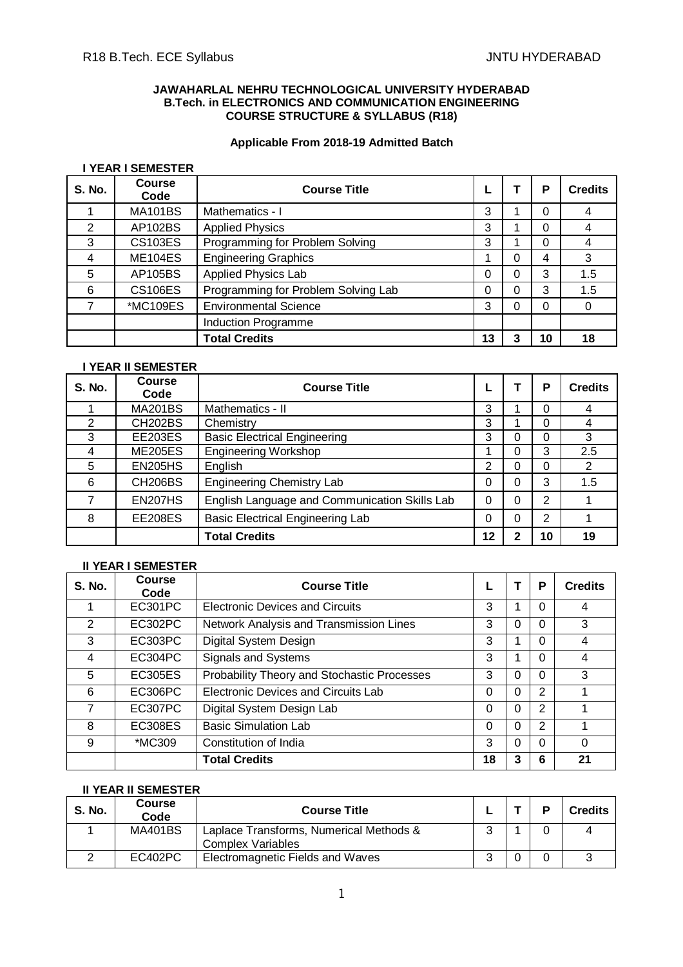# **JAWAHARLAL NEHRU TECHNOLOGICAL UNIVERSITY HYDERABAD B.Tech. in ELECTRONICS AND COMMUNICATION ENGINEERING COURSE STRUCTURE & SYLLABUS (R18)**

# **Applicable From 2018-19 Admitted Batch**

# **I YEAR I SEMESTER**

| <b>S. No.</b> | <b>Course</b><br>Code | <b>Course Title</b>                 |    |   | P  | <b>Credits</b> |
|---------------|-----------------------|-------------------------------------|----|---|----|----------------|
|               | <b>MA101BS</b>        | Mathematics - I                     | 3  |   | 0  | 4              |
| 2             | AP102BS               | <b>Applied Physics</b>              | 3  |   |    |                |
| 3             | <b>CS103ES</b>        | Programming for Problem Solving     | 3  |   |    |                |
| 4             | <b>ME104ES</b>        | <b>Engineering Graphics</b>         |    | 0 | 4  | 3              |
| 5             | AP105BS               | Applied Physics Lab                 | 0  |   | 3  | 1.5            |
| 6             | <b>CS106ES</b>        | Programming for Problem Solving Lab | 0  | 0 | 3  | 1.5            |
|               | *MC109ES              | <b>Environmental Science</b>        | 3  | ი | 0  | 0              |
|               |                       | Induction Programme                 |    |   |    |                |
|               |                       | <b>Total Credits</b>                | 13 | 3 | 10 | 18             |

# **I YEAR II SEMESTER**

| <b>S. No.</b> | Course<br>Code | <b>Course Title</b>                           |    |          | Р  | <b>Credits</b> |
|---------------|----------------|-----------------------------------------------|----|----------|----|----------------|
|               | <b>MA201BS</b> | Mathematics - II                              | 3  |          | 0  |                |
| 2             | <b>CH202BS</b> | Chemistry                                     | 3  |          | 0  |                |
| 3             | <b>EE203ES</b> | <b>Basic Electrical Engineering</b>           | 3  | Ω        | 0  | 3              |
| 4             | <b>ME205ES</b> | <b>Engineering Workshop</b>                   |    |          | 3  | 2.5            |
| 5             | <b>EN205HS</b> | English                                       | 2  | 0        | 0  | 2              |
| 6             | <b>CH206BS</b> | <b>Engineering Chemistry Lab</b>              | 0  | $\Omega$ | 3  | 1.5            |
| 7             | <b>EN207HS</b> | English Language and Communication Skills Lab | 0  | $\Omega$ | 2  |                |
| 8             | <b>EE208ES</b> | <b>Basic Electrical Engineering Lab</b>       | 0  | 0        | 2  |                |
|               |                | <b>Total Credits</b>                          | 12 | າ        | 10 | 19             |

# **II YEAR I SEMESTER**

| <b>S. No.</b> | Course<br>Code | <b>Course Title</b>                         |          |   | P              | <b>Credits</b> |
|---------------|----------------|---------------------------------------------|----------|---|----------------|----------------|
|               | EC301PC        | <b>Electronic Devices and Circuits</b>      | 3        |   | 0              | 4              |
| 2             | EC302PC        | Network Analysis and Transmission Lines     | 3        | 0 | $\Omega$       | 3              |
| 3             | EC303PC        | Digital System Design                       | 3        |   | $\Omega$       | 4              |
| 4             | EC304PC        | Signals and Systems                         | 3        |   | 0              | 4              |
| 5             | EC305ES        | Probability Theory and Stochastic Processes | 3        | 0 | 0              | 3              |
| 6             | EC306PC        | <b>Electronic Devices and Circuits Lab</b>  | $\Omega$ | 0 | 2              |                |
| 7             | EC307PC        | Digital System Design Lab                   | $\Omega$ | 0 | $\overline{2}$ |                |
| 8             | <b>EC308ES</b> | <b>Basic Simulation Lab</b>                 | $\Omega$ | 0 | 2              |                |
| 9             | *MC309         | Constitution of India                       | 3        | 0 | 0              | 0              |
|               |                | <b>Total Credits</b>                        | 18       | 3 | 6              | 21             |

# **II YEAR II SEMESTER**

| <b>S. No.</b> | <b>Course</b><br>Code | <b>Course Title</b>                     |  | <b>Credits</b> |
|---------------|-----------------------|-----------------------------------------|--|----------------|
|               | <b>MA401BS</b>        | Laplace Transforms, Numerical Methods & |  |                |
|               |                       | <b>Complex Variables</b>                |  |                |
|               | EC402PC               | Electromagnetic Fields and Waves        |  |                |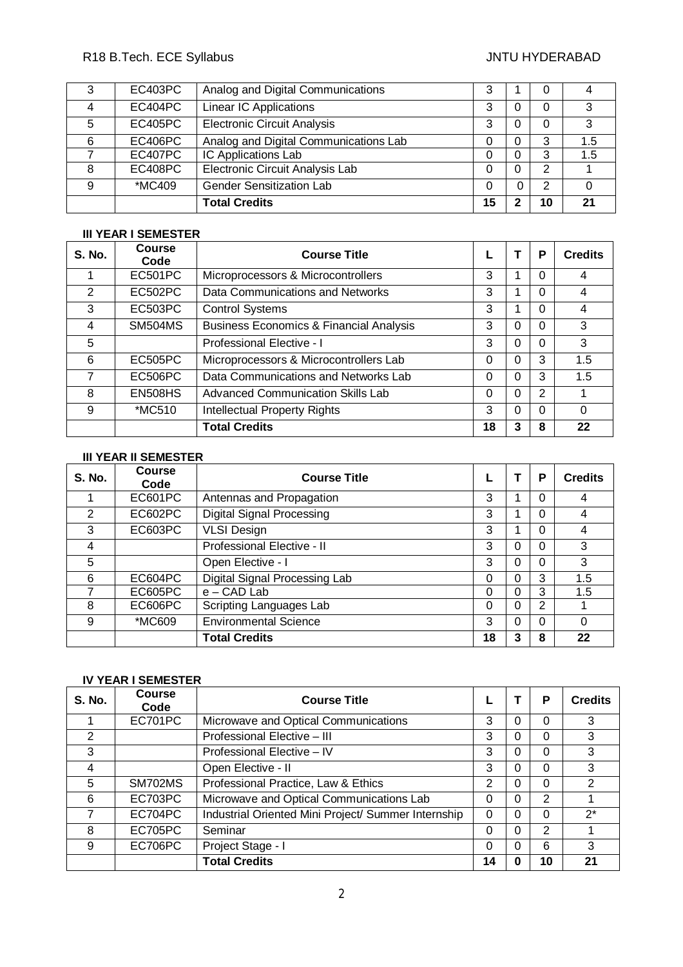# R18 B.Tech. ECE Syllabus **All Accords** Controller and Manual Annual Methods of the UNITU HYDERABAD

| 3 | EC403PC | Analog and Digital Communications     | 3  |   |   |     |
|---|---------|---------------------------------------|----|---|---|-----|
|   | EC404PC | <b>Linear IC Applications</b>         | 3  |   | 0 | 3   |
| 5 | EC405PC | <b>Electronic Circuit Analysis</b>    | 3  |   | O | 3   |
| 6 | EC406PC | Analog and Digital Communications Lab | 0  |   | 3 | 1.5 |
|   | EC407PC | IC Applications Lab                   | 0  |   | 3 | 1.5 |
| 8 | EC408PC | Electronic Circuit Analysis Lab       | 0  |   | 2 |     |
| 9 | *MC409  | <b>Gender Sensitization Lab</b>       | 0  | 0 | 2 |     |
|   |         | <b>Total Credits</b>                  | 15 |   |   | 21  |

# **III YEAR I SEMESTER**

| <b>S. No.</b> | <b>Course</b><br>Code | <b>Course Title</b>                                |    |   | P        | <b>Credits</b> |
|---------------|-----------------------|----------------------------------------------------|----|---|----------|----------------|
|               | <b>EC501PC</b>        | Microprocessors & Microcontrollers                 | 3  |   | $\Omega$ | 4              |
| 2             | EC502PC               | Data Communications and Networks                   | 3  |   |          | 4              |
| 3             | EC503PC               | <b>Control Systems</b>                             | 3  |   |          | 4              |
| 4             | <b>SM504MS</b>        | <b>Business Economics &amp; Financial Analysis</b> | 3  | 0 | $\Omega$ | 3              |
| 5             |                       | Professional Elective - I                          | 3  | 0 | $\Omega$ | 3              |
| 6             | <b>EC505PC</b>        | Microprocessors & Microcontrollers Lab             | 0  | 0 | 3        | 1.5            |
| 7             | EC506PC               | Data Communications and Networks Lab               | 0  | 0 | 3        | 1.5            |
| 8             | <b>EN508HS</b>        | <b>Advanced Communication Skills Lab</b>           | 0  | 0 | 2        |                |
| 9             | *MC510                | <b>Intellectual Property Rights</b>                | 3  | 0 |          | $\Omega$       |
|               |                       | <b>Total Credits</b>                               | 18 | 3 | 8        | 22             |

# **III YEAR II SEMESTER**

| S. No. | <b>Course</b><br>Code | <b>Course Title</b>              |    |   | P | <b>Credits</b> |
|--------|-----------------------|----------------------------------|----|---|---|----------------|
|        | EC601PC               | Antennas and Propagation         | 3  |   | 0 | 4              |
| 2      | EC602PC               | <b>Digital Signal Processing</b> | 3  |   | 0 | 4              |
| 3      | EC603PC               | <b>VLSI Design</b>               | 3  |   | 0 | 4              |
| 4      |                       | Professional Elective - II       | 3  | 0 | 0 | 3              |
| 5      |                       | Open Elective - I                | 3  | 0 | 0 | 3              |
| 6      | EC604PC               | Digital Signal Processing Lab    | 0  | 0 | 3 | 1.5            |
|        | EC605PC               | $e$ – CAD Lab                    | 0  | 0 | 3 | 1.5            |
| 8      | EC606PC               | Scripting Languages Lab          | 0  | 0 | 2 |                |
| 9      | *MC609                | <b>Environmental Science</b>     | 3  | 0 | 0 | $\Omega$       |
|        |                       | <b>Total Credits</b>             | 18 | 3 | 8 | 22             |

# **IV YEAR I SEMESTER**

| <b>S. No.</b> | <b>Course</b><br>Code | <b>Course Title</b>                                 |                | P             | <b>Credits</b> |
|---------------|-----------------------|-----------------------------------------------------|----------------|---------------|----------------|
|               | EC701PC               | Microwave and Optical Communications                | 3              | 0             | 3              |
| 2             |                       | Professional Elective - III                         | 3              | 0             | 3              |
| 3             |                       | Professional Elective - IV                          | 3              | 0             | 3              |
| 4             |                       | Open Elective - II                                  | 3              | 0             | 3              |
| 5             | SM702MS               | Professional Practice, Law & Ethics                 | $\overline{2}$ | 0             | 2              |
| 6             | EC703PC               | Microwave and Optical Communications Lab            | 0              | 2             |                |
|               | EC704PC               | Industrial Oriented Mini Project/ Summer Internship | 0              | 0             | $2^*$          |
| 8             | EC705PC               | Seminar                                             | 0              | $\mathcal{P}$ |                |
| 9             | EC706PC               | Project Stage - I                                   | 0              | 6             | 3              |
|               |                       | <b>Total Credits</b>                                | 14             | 10            | 21             |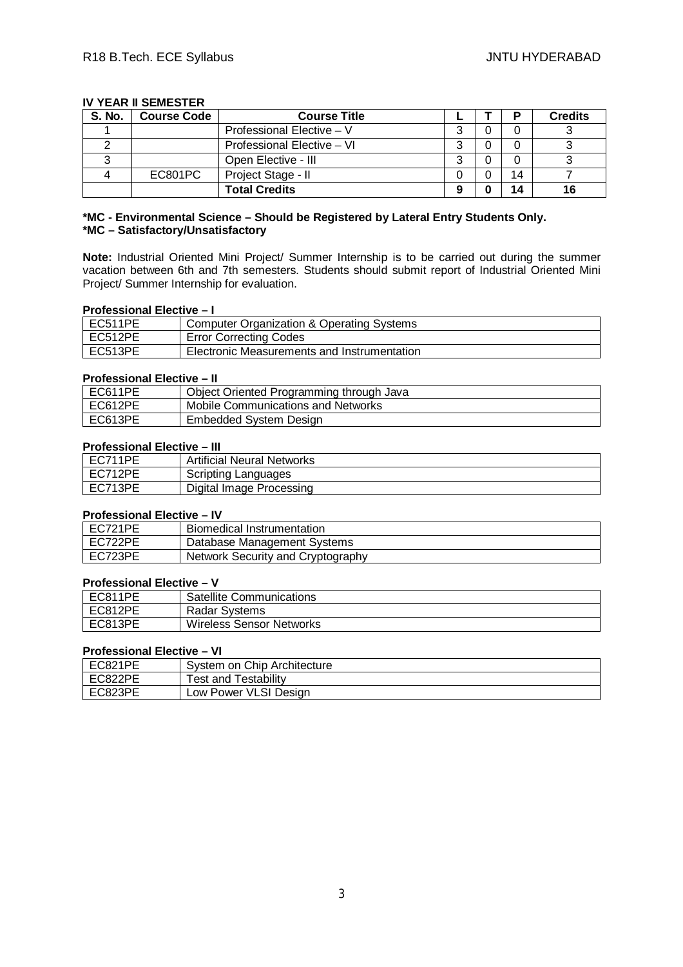# **IV YEAR II SEMESTER**

| S. No. | <b>Course Code</b> | <b>Course Title</b>        |   |    | <b>Credits</b> |
|--------|--------------------|----------------------------|---|----|----------------|
|        |                    | Professional Elective - V  | ົ |    |                |
|        |                    | Professional Elective - VI | ◠ |    |                |
|        |                    | Open Elective - III        | ົ |    |                |
|        | EC801PC            | Project Stage - II         |   | 14 |                |
|        |                    | <b>Total Credits</b>       | 9 | 14 | 16             |

# **\*MC - Environmental Science – Should be Registered by Lateral Entry Students Only. \*MC – Satisfactory/Unsatisfactory**

**Note:** Industrial Oriented Mini Project/ Summer Internship is to be carried out during the summer vacation between 6th and 7th semesters. Students should submit report of Industrial Oriented Mini Project/ Summer Internship for evaluation.

# **Professional Elective – I**

| EC511PE | <b>Computer Organization &amp; Operating Systems</b> |
|---------|------------------------------------------------------|
| EC512PE | <b>Error Correcting Codes</b>                        |
| EC513PE | Electronic Measurements and Instrumentation          |

# **Professional Elective – II**

| EC611PE | Object Oriented Programming through Java |
|---------|------------------------------------------|
| EC612PE | Mobile Communications and Networks       |
| EC613PE | Embedded System Design                   |

# **Professional Elective – III**

| EC711PE | <b>Artificial Neural Networks</b> |
|---------|-----------------------------------|
| EC712PE | Scripting Languages               |
| EC713PE | Digital Image Processing          |

# **Professional Elective – IV**

| EC721PE | Biomedical Instrumentation        |
|---------|-----------------------------------|
| EC722PE | Database Management Systems       |
| EC723PE | Network Security and Cryptography |

# **Professional Elective – V**

| EC811PE | <b>Satellite Communications</b> |
|---------|---------------------------------|
| EC812PE | Radar Systems                   |
| EC813PE | Wireless Sensor Networks        |

# **Professional Elective – VI**

| EC821PE | System on Chip Architecture |
|---------|-----------------------------|
| EC822PE | <b>Test and Testability</b> |
| EC823PE | Low Power VLSI Design       |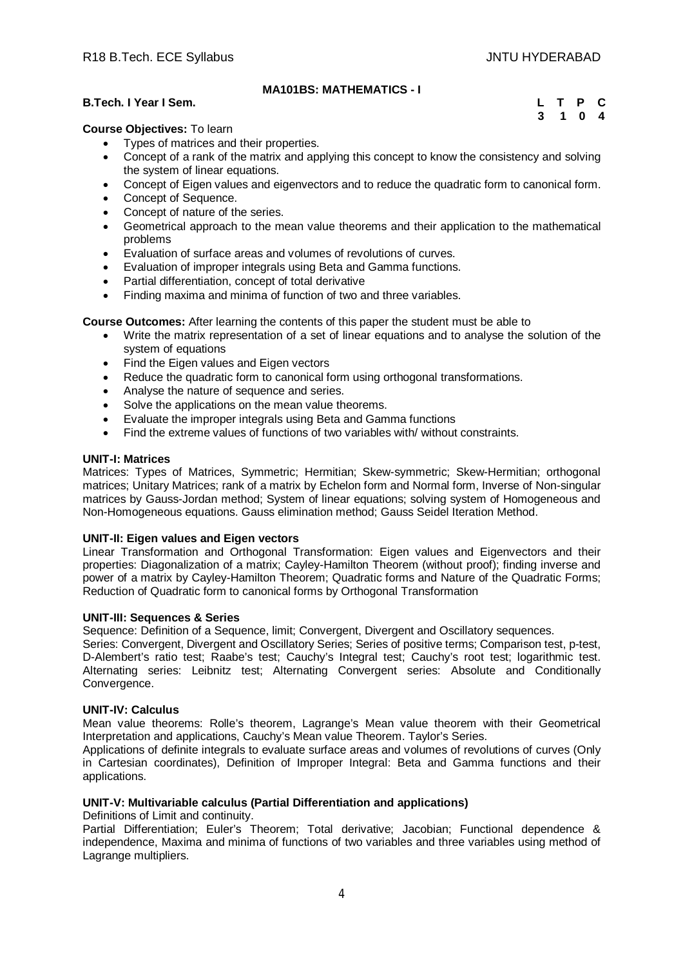# **MA101BS: MATHEMATICS - I**

# **B.Tech. I Year I Sem. L T P C**

 **3 1 0 4**

# **Course Objectives:** To learn

- Types of matrices and their properties.
- Concept of a rank of the matrix and applying this concept to know the consistency and solving the system of linear equations.
- Concept of Eigen values and eigenvectors and to reduce the quadratic form to canonical form.
- Concept of Sequence.
- Concept of nature of the series.
- Geometrical approach to the mean value theorems and their application to the mathematical problems
- Evaluation of surface areas and volumes of revolutions of curves.
- Evaluation of improper integrals using Beta and Gamma functions.
- Partial differentiation, concept of total derivative
- Finding maxima and minima of function of two and three variables.

**Course Outcomes:** After learning the contents of this paper the student must be able to

- Write the matrix representation of a set of linear equations and to analyse the solution of the system of equations
- Find the Eigen values and Eigen vectors
- Reduce the quadratic form to canonical form using orthogonal transformations.
- Analyse the nature of sequence and series.
- Solve the applications on the mean value theorems.
- Evaluate the improper integrals using Beta and Gamma functions
- Find the extreme values of functions of two variables with/ without constraints.

# **UNIT-I: Matrices**

Matrices: Types of Matrices, Symmetric; Hermitian; Skew-symmetric; Skew-Hermitian; orthogonal matrices; Unitary Matrices; rank of a matrix by Echelon form and Normal form, Inverse of Non-singular matrices by Gauss-Jordan method; System of linear equations; solving system of Homogeneous and Non-Homogeneous equations. Gauss elimination method; Gauss Seidel Iteration Method.

# **UNIT-II: Eigen values and Eigen vectors**

Linear Transformation and Orthogonal Transformation: Eigen values and Eigenvectors and their properties: Diagonalization of a matrix; Cayley-Hamilton Theorem (without proof); finding inverse and power of a matrix by Cayley-Hamilton Theorem; Quadratic forms and Nature of the Quadratic Forms; Reduction of Quadratic form to canonical forms by Orthogonal Transformation

# **UNIT-III: Sequences & Series**

Sequence: Definition of a Sequence, limit; Convergent, Divergent and Oscillatory sequences.

Series: Convergent, Divergent and Oscillatory Series; Series of positive terms; Comparison test, p-test, D-Alembert's ratio test; Raabe's test; Cauchy's Integral test; Cauchy's root test; logarithmic test. Alternating series: Leibnitz test; Alternating Convergent series: Absolute and Conditionally Convergence.

# **UNIT-IV: Calculus**

Mean value theorems: Rolle's theorem, Lagrange's Mean value theorem with their Geometrical Interpretation and applications, Cauchy's Mean value Theorem. Taylor's Series.

Applications of definite integrals to evaluate surface areas and volumes of revolutions of curves (Only in Cartesian coordinates), Definition of Improper Integral: Beta and Gamma functions and their applications.

# **UNIT-V: Multivariable calculus (Partial Differentiation and applications)**

Definitions of Limit and continuity.

Partial Differentiation; Euler's Theorem; Total derivative; Jacobian; Functional dependence & independence, Maxima and minima of functions of two variables and three variables using method of Lagrange multipliers.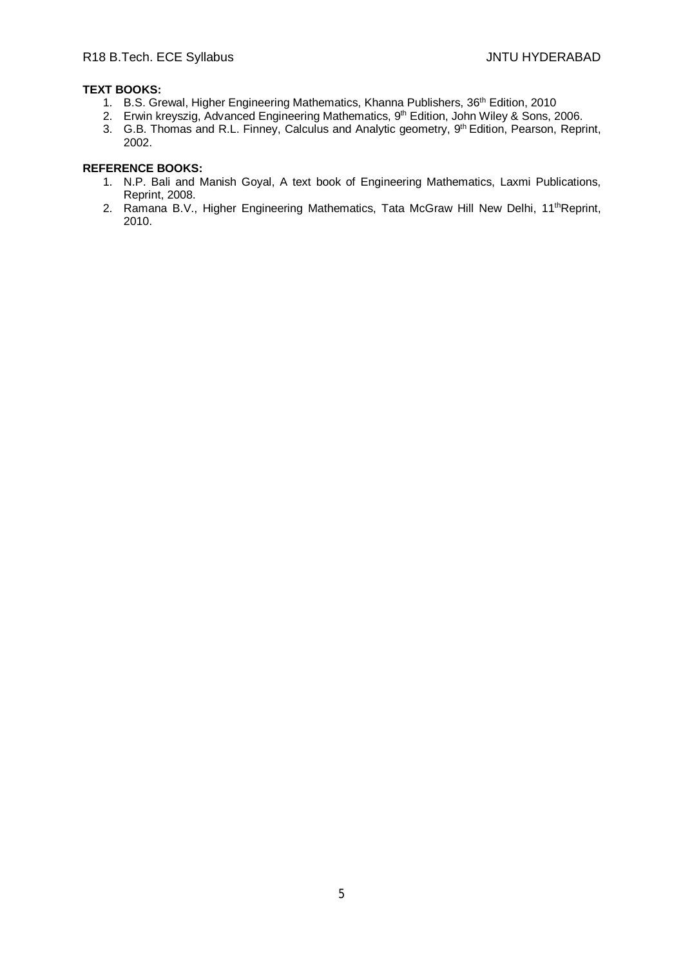# **TEXT BOOKS:**

- 1. B.S. Grewal, Higher Engineering Mathematics, Khanna Publishers, 36<sup>th</sup> Edition, 2010
- 2. Erwin kreyszig, Advanced Engineering Mathematics, 9<sup>th</sup> Edition, John Wiley & Sons, 2006.
- 3. G.B. Thomas and R.L. Finney, Calculus and Analytic geometry, 9<sup>th</sup> Edition, Pearson, Reprint, 2002.

- 1. N.P. Bali and Manish Goyal, A text book of Engineering Mathematics, Laxmi Publications, Reprint, 2008.
- 2. Ramana B.V., Higher Engineering Mathematics, Tata McGraw Hill New Delhi, 11<sup>th</sup>Reprint, 2010.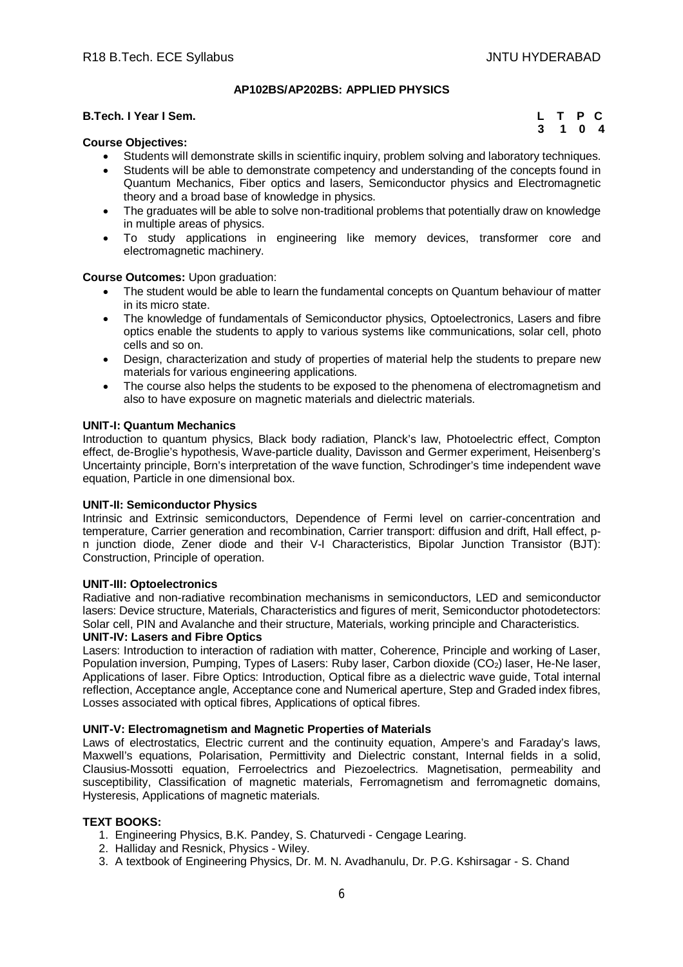# **AP102BS/AP202BS: APPLIED PHYSICS**

# **B.Tech. I Year I Sem.**

|  | L T P C |  |
|--|---------|--|
|  | 3 1 0 4 |  |

# **Course Objectives:**

- Students will demonstrate skills in scientific inquiry, problem solving and laboratory techniques.
- Students will be able to demonstrate competency and understanding of the concepts found in Quantum Mechanics, Fiber optics and lasers, Semiconductor physics and Electromagnetic theory and a broad base of knowledge in physics.
- The graduates will be able to solve non-traditional problems that potentially draw on knowledge in multiple areas of physics.
- To study applications in engineering like memory devices, transformer core and electromagnetic machinery.

# **Course Outcomes:** Upon graduation:

- The student would be able to learn the fundamental concepts on Quantum behaviour of matter in its micro state.
- The knowledge of fundamentals of Semiconductor physics, Optoelectronics, Lasers and fibre optics enable the students to apply to various systems like communications, solar cell, photo cells and so on.
- Design, characterization and study of properties of material help the students to prepare new materials for various engineering applications.
- The course also helps the students to be exposed to the phenomena of electromagnetism and also to have exposure on magnetic materials and dielectric materials.

### **UNIT-I: Quantum Mechanics**

Introduction to quantum physics, Black body radiation, Planck's law, Photoelectric effect, Compton effect, de-Broglie's hypothesis, Wave-particle duality, Davisson and Germer experiment, Heisenberg's Uncertainty principle, Born's interpretation of the wave function, Schrodinger's time independent wave equation, Particle in one dimensional box.

# **UNIT-II: Semiconductor Physics**

Intrinsic and Extrinsic semiconductors, Dependence of Fermi level on carrier-concentration and temperature, Carrier generation and recombination, Carrier transport: diffusion and drift, Hall effect, pn junction diode, Zener diode and their V-I Characteristics, Bipolar Junction Transistor (BJT): Construction, Principle of operation.

# **UNIT-III: Optoelectronics**

Radiative and non-radiative recombination mechanisms in semiconductors, LED and semiconductor lasers: Device structure, Materials, Characteristics and figures of merit, Semiconductor photodetectors: Solar cell, PIN and Avalanche and their structure, Materials, working principle and Characteristics.

# **UNIT-IV: Lasers and Fibre Optics**

Lasers: Introduction to interaction of radiation with matter, Coherence, Principle and working of Laser, Population inversion, Pumping, Types of Lasers: Ruby laser, Carbon dioxide (CO2) laser, He-Ne laser, Applications of laser. Fibre Optics: Introduction, Optical fibre as a dielectric wave guide, Total internal reflection, Acceptance angle, Acceptance cone and Numerical aperture, Step and Graded index fibres, Losses associated with optical fibres, Applications of optical fibres.

# **UNIT-V: Electromagnetism and Magnetic Properties of Materials**

Laws of electrostatics, Electric current and the continuity equation, Ampere's and Faraday's laws, Maxwell's equations, Polarisation, Permittivity and Dielectric constant, Internal fields in a solid, Clausius-Mossotti equation, Ferroelectrics and Piezoelectrics. Magnetisation, permeability and susceptibility, Classification of magnetic materials, Ferromagnetism and ferromagnetic domains, Hysteresis, Applications of magnetic materials.

# **TEXT BOOKS:**

- 1. Engineering Physics, B.K. Pandey, S. Chaturvedi Cengage Learing.
- 2. Halliday and Resnick, Physics Wiley.
- 3. A textbook of Engineering Physics, Dr. M. N. Avadhanulu, Dr. P.G. Kshirsagar S. Chand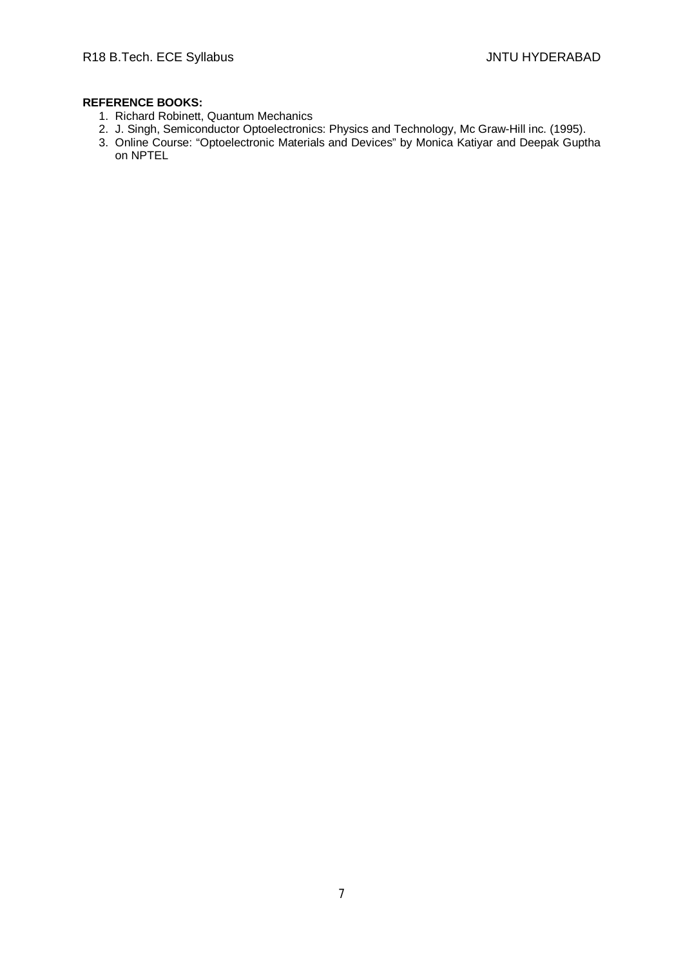- 1. Richard Robinett, Quantum Mechanics
- 2. J. Singh, Semiconductor Optoelectronics: Physics and Technology, Mc Graw-Hill inc. (1995).
- 3. Online Course: "Optoelectronic Materials and Devices" by Monica Katiyar and Deepak Guptha on NPTEL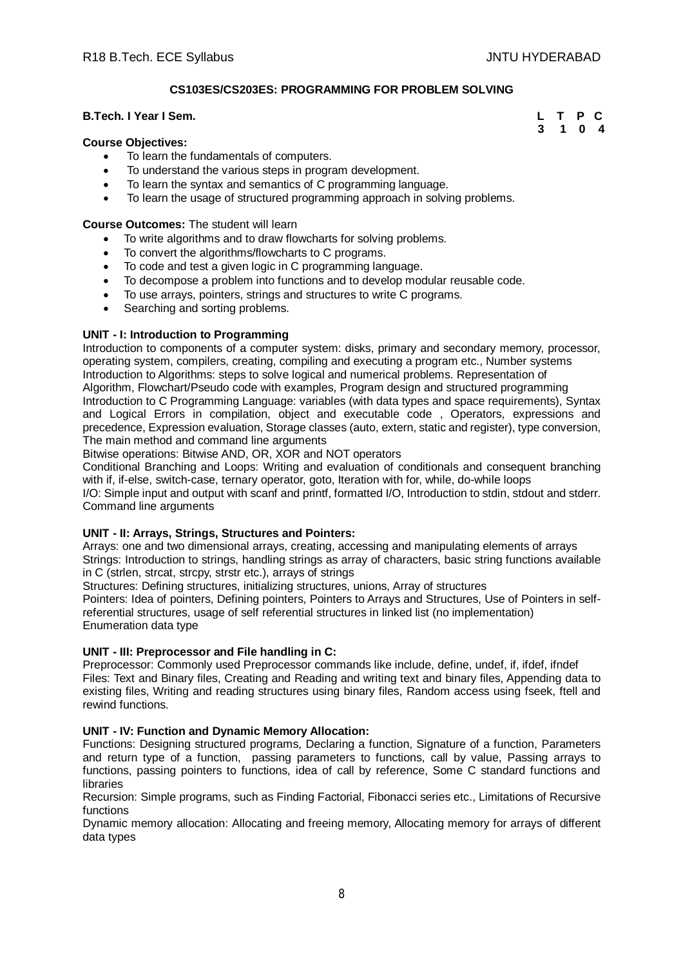**3 1 0 4**

# **CS103ES/CS203ES: PROGRAMMING FOR PROBLEM SOLVING**

# **B.Tech. I Year I Sem. L T P C**

# **Course Objectives:**

- To learn the fundamentals of computers.
- To understand the various steps in program development.
- To learn the syntax and semantics of C programming language.
- To learn the usage of structured programming approach in solving problems.

# **Course Outcomes:** The student will learn

- To write algorithms and to draw flowcharts for solving problems.
- To convert the algorithms/flowcharts to C programs.
- To code and test a given logic in C programming language.
- To decompose a problem into functions and to develop modular reusable code.
- To use arrays, pointers, strings and structures to write C programs.
- Searching and sorting problems.

# **UNIT - I: Introduction to Programming**

Introduction to components of a computer system: disks, primary and secondary memory, processor, operating system, compilers, creating, compiling and executing a program etc., Number systems Introduction to Algorithms: steps to solve logical and numerical problems. Representation of Algorithm, Flowchart/Pseudo code with examples, Program design and structured programming Introduction to C Programming Language: variables (with data types and space requirements), Syntax and Logical Errors in compilation, object and executable code , Operators, expressions and precedence, Expression evaluation, Storage classes (auto, extern, static and register), type conversion, The main method and command line arguments

Bitwise operations: Bitwise AND, OR, XOR and NOT operators

Conditional Branching and Loops: Writing and evaluation of conditionals and consequent branching with if, if-else, switch-case, ternary operator, goto, Iteration with for, while, do-while loops

I/O: Simple input and output with scanf and printf, formatted I/O, Introduction to stdin, stdout and stderr. Command line arguments

# **UNIT - II: Arrays, Strings, Structures and Pointers:**

Arrays: one and two dimensional arrays, creating, accessing and manipulating elements of arrays Strings: Introduction to strings, handling strings as array of characters, basic string functions available in C (strlen, strcat, strcpy, strstr etc.), arrays of strings

Structures: Defining structures, initializing structures, unions, Array of structures

Pointers: Idea of pointers, Defining pointers, Pointers to Arrays and Structures, Use of Pointers in selfreferential structures, usage of self referential structures in linked list (no implementation) Enumeration data type

# **UNIT - III: Preprocessor and File handling in C:**

Preprocessor: Commonly used Preprocessor commands like include, define, undef, if, ifdef, ifndef Files: Text and Binary files, Creating and Reading and writing text and binary files, Appending data to existing files, Writing and reading structures using binary files, Random access using fseek, ftell and rewind functions.

# **UNIT - IV: Function and Dynamic Memory Allocation:**

Functions: Designing structured programs, Declaring a function, Signature of a function, Parameters and return type of a function, passing parameters to functions, call by value, Passing arrays to functions, passing pointers to functions, idea of call by reference, Some C standard functions and libraries

Recursion: Simple programs, such as Finding Factorial, Fibonacci series etc., Limitations of Recursive functions

Dynamic memory allocation: Allocating and freeing memory, Allocating memory for arrays of different data types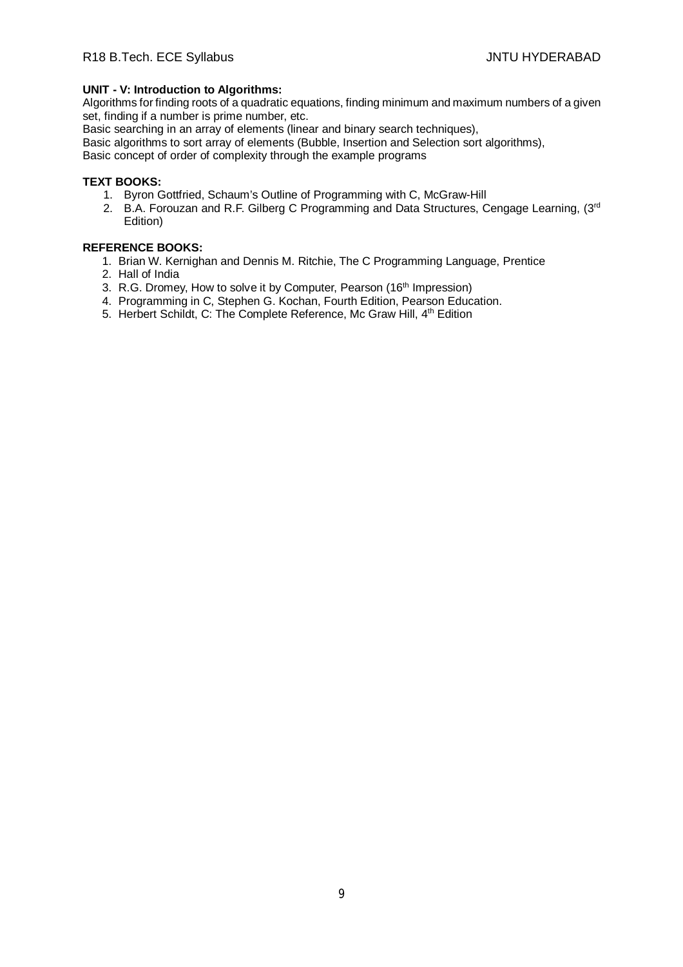# **UNIT - V: Introduction to Algorithms:**

Algorithms for finding roots of a quadratic equations, finding minimum and maximum numbers of a given set, finding if a number is prime number, etc.

Basic searching in an array of elements (linear and binary search techniques),

Basic algorithms to sort array of elements (Bubble, Insertion and Selection sort algorithms),

Basic concept of order of complexity through the example programs

# **TEXT BOOKS:**

- 1. Byron Gottfried, Schaum's Outline of Programming with C, McGraw-Hill
- 2. B.A. Forouzan and R.F. Gilberg C Programming and Data Structures, Cengage Learning, (3rd Edition)

- 1. Brian W. Kernighan and Dennis M. Ritchie, The C Programming Language, Prentice
- 2. Hall of India
- 3. R.G. Dromey, How to solve it by Computer, Pearson (16<sup>th</sup> Impression)
- 4. Programming in C, Stephen G. Kochan, Fourth Edition, Pearson Education.
- 5. Herbert Schildt, C: The Complete Reference, Mc Graw Hill, 4th Edition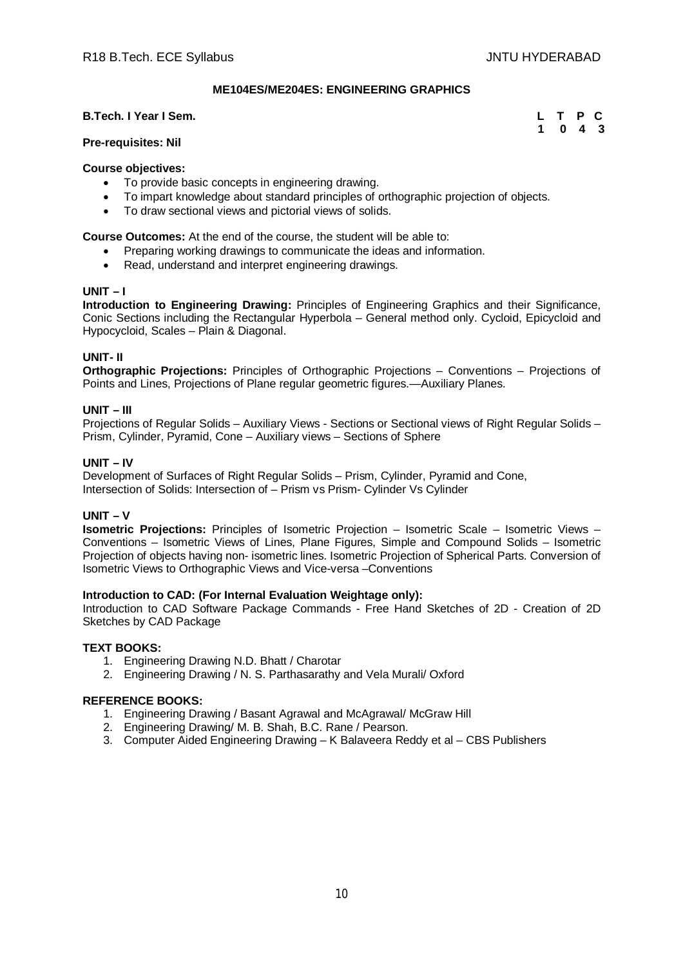**1 0 4 3**

# **ME104ES/ME204ES: ENGINEERING GRAPHICS**

### **B.Tech. I Year I Sem. L T P C**

### **Pre-requisites: Nil**

### **Course objectives:**

- To provide basic concepts in engineering drawing.
- To impart knowledge about standard principles of orthographic projection of objects.
- To draw sectional views and pictorial views of solids.

**Course Outcomes:** At the end of the course, the student will be able to:

- Preparing working drawings to communicate the ideas and information.
- Read, understand and interpret engineering drawings.

### **UNIT – I**

**Introduction to Engineering Drawing:** Principles of Engineering Graphics and their Significance, Conic Sections including the Rectangular Hyperbola – General method only. Cycloid, Epicycloid and Hypocycloid, Scales – Plain & Diagonal.

### **UNIT- II**

**Orthographic Projections:** Principles of Orthographic Projections – Conventions – Projections of Points and Lines, Projections of Plane regular geometric figures.—Auxiliary Planes.

### **UNIT – III**

Projections of Regular Solids – Auxiliary Views - Sections or Sectional views of Right Regular Solids – Prism, Cylinder, Pyramid, Cone – Auxiliary views – Sections of Sphere

### **UNIT – IV**

Development of Surfaces of Right Regular Solids – Prism, Cylinder, Pyramid and Cone, Intersection of Solids: Intersection of – Prism vs Prism- Cylinder Vs Cylinder

### **UNIT – V**

**Isometric Projections:** Principles of Isometric Projection – Isometric Scale – Isometric Views – Conventions – Isometric Views of Lines, Plane Figures, Simple and Compound Solids – Isometric Projection of objects having non- isometric lines. Isometric Projection of Spherical Parts. Conversion of Isometric Views to Orthographic Views and Vice-versa –Conventions

### **Introduction to CAD: (For Internal Evaluation Weightage only):**

Introduction to CAD Software Package Commands - Free Hand Sketches of 2D - Creation of 2D Sketches by CAD Package

### **TEXT BOOKS:**

- 1. Engineering Drawing N.D. Bhatt / Charotar
- 2. Engineering Drawing / N. S. Parthasarathy and Vela Murali/ Oxford

- 1. Engineering Drawing / Basant Agrawal and McAgrawal/ McGraw Hill
- 2. Engineering Drawing/ M. B. Shah, B.C. Rane / Pearson.
- 3. Computer Aided Engineering Drawing K Balaveera Reddy et al CBS Publishers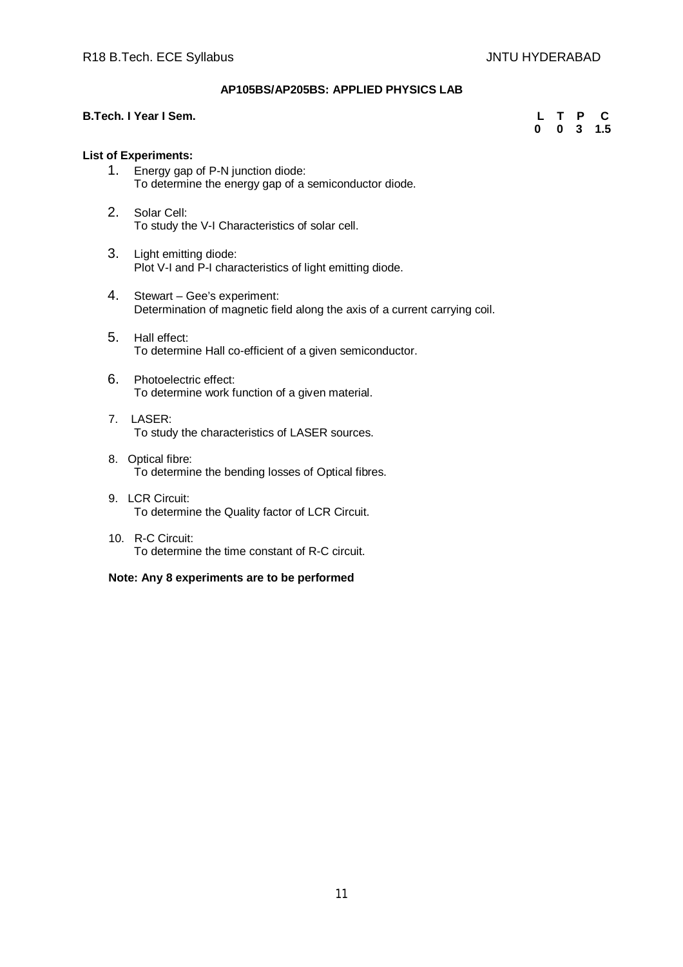# **AP105BS/AP205BS: APPLIED PHYSICS LAB**

# **B.Tech. I Year I Sem. L T P C**

 **0 0 3 1.5**

# **List of Experiments:**

- 1. Energy gap of P-N junction diode: To determine the energy gap of a semiconductor diode.
- 2. Solar Cell: To study the V-I Characteristics of solar cell.
- 3. Light emitting diode: Plot V-I and P-I characteristics of light emitting diode.
- 4. Stewart Gee's experiment: Determination of magnetic field along the axis of a current carrying coil.
- 5. Hall effect: To determine Hall co-efficient of a given semiconductor.
- 6. Photoelectric effect: To determine work function of a given material.
- 7. LASER: To study the characteristics of LASER sources.
- 8. Optical fibre: To determine the bending losses of Optical fibres.
- 9. LCR Circuit: To determine the Quality factor of LCR Circuit.
- 10. R-C Circuit: To determine the time constant of R-C circuit.

# **Note: Any 8 experiments are to be performed**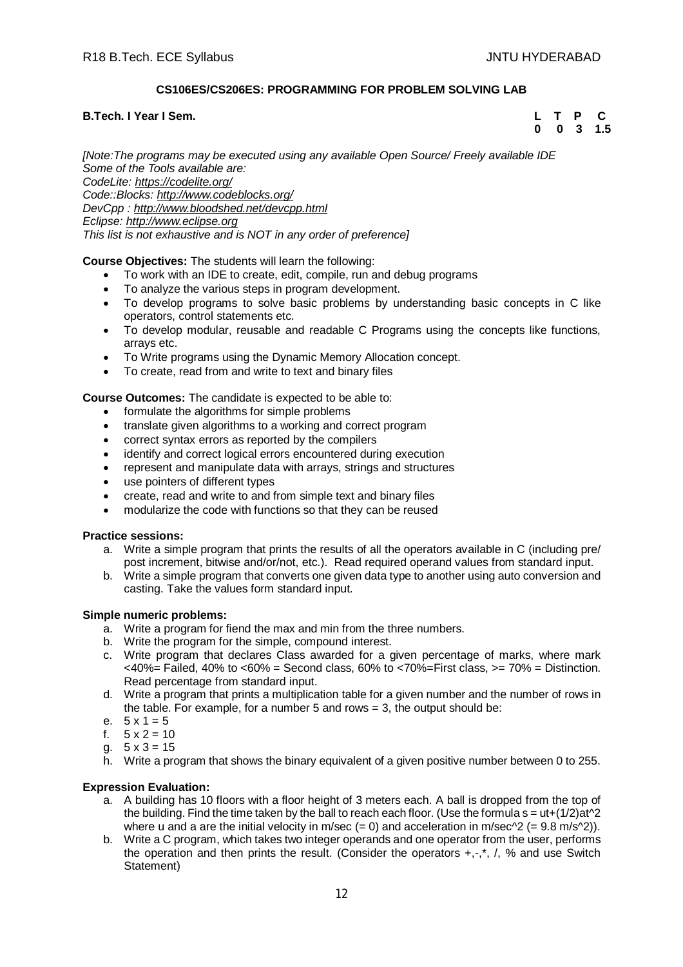# **CS106ES/CS206ES: PROGRAMMING FOR PROBLEM SOLVING LAB**

# **B.Tech. I Year I Sem. L T P C**

 **0 0 3 1.5**

*[Note:The programs may be executed using any available Open Source/ Freely available IDE Some of the Tools available are: CodeLite: <https://codelite.org/> Code::Blocks: <http://www.codeblocks.org/> DevCpp : <http://www.bloodshed.net/devcpp.html> Eclipse: <http://www.eclipse.org> This list is not exhaustive and is NOT in any order of preference]*

# **Course Objectives:** The students will learn the following:

- To work with an IDE to create, edit, compile, run and debug programs
- To analyze the various steps in program development.
- To develop programs to solve basic problems by understanding basic concepts in C like operators, control statements etc.
- To develop modular, reusable and readable C Programs using the concepts like functions, arrays etc.
- To Write programs using the Dynamic Memory Allocation concept.
- To create, read from and write to text and binary files

# **Course Outcomes:** The candidate is expected to be able to:

- formulate the algorithms for simple problems
- translate given algorithms to a working and correct program
- correct syntax errors as reported by the compilers
- identify and correct logical errors encountered during execution
- represent and manipulate data with arrays, strings and structures
- use pointers of different types
- create, read and write to and from simple text and binary files
- modularize the code with functions so that they can be reused

# **Practice sessions:**

- a. Write a simple program that prints the results of all the operators available in C (including pre/ post increment, bitwise and/or/not, etc.). Read required operand values from standard input.
- b. Write a simple program that converts one given data type to another using auto conversion and casting. Take the values form standard input.

# **Simple numeric problems:**

- a. Write a program for fiend the max and min from the three numbers.
- b. Write the program for the simple, compound interest.
- c. Write program that declares Class awarded for a given percentage of marks, where mark  $<40\%$  = Failed, 40% to  $<60\%$  = Second class, 60% to  $<70\%$  = First class,  $>=70\%$  = Distinction. Read percentage from standard input.
- d. Write a program that prints a multiplication table for a given number and the number of rows in the table. For example, for a number 5 and rows  $= 3$ , the output should be:
- e.  $5 \times 1 = 5$
- f.  $5 \times 2 = 10$
- g.  $5 \times 3 = 15$
- h. Write a program that shows the binary equivalent of a given positive number between 0 to 255.

# **Expression Evaluation:**

- a. A building has 10 floors with a floor height of 3 meters each. A ball is dropped from the top of the building. Find the time taken by the ball to reach each floor. (Use the formula  $s = ut+(1/2)at^2$ ) where u and a are the initial velocity in m/sec  $(= 0)$  and acceleration in m/sec^2  $(= 9.8 \text{ m/s}^2)$ ).
- b. Write a C program, which takes two integer operands and one operator from the user, performs the operation and then prints the result. (Consider the operators  $+,$ , $^*$ ,  $/$ , % and use Switch Statement)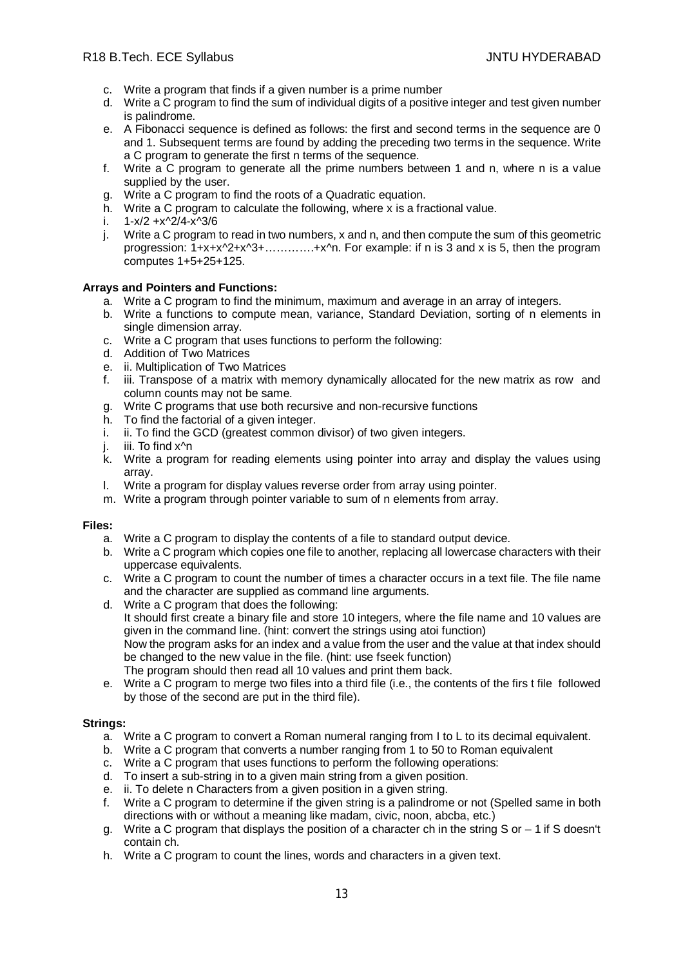- c. Write a program that finds if a given number is a prime number
- d. Write a C program to find the sum of individual digits of a positive integer and test given number is palindrome.
- e. A Fibonacci sequence is defined as follows: the first and second terms in the sequence are 0 and 1. Subsequent terms are found by adding the preceding two terms in the sequence. Write a C program to generate the first n terms of the sequence.
- f. Write a C program to generate all the prime numbers between 1 and n, where n is a value supplied by the user.
- g. Write a C program to find the roots of a Quadratic equation.
- h. Write a C program to calculate the following, where x is a fractional value.
- i. 1-x/2 +x^2/4-x^3/6
- j. Write a C program to read in two numbers, x and n, and then compute the sum of this geometric progression: 1+x+x^2+x^3+………….+x^n. For example: if n is 3 and x is 5, then the program computes 1+5+25+125.

# **Arrays and Pointers and Functions:**

- a. Write a C program to find the minimum, maximum and average in an array of integers.
- b. Write a functions to compute mean, variance, Standard Deviation, sorting of n elements in single dimension array.
- c. Write a C program that uses functions to perform the following:
- d. Addition of Two Matrices
- e. ii. Multiplication of Two Matrices
- f. iii. Transpose of a matrix with memory dynamically allocated for the new matrix as row and column counts may not be same.
- g. Write C programs that use both recursive and non-recursive functions
- h. To find the factorial of a given integer.
- i. ii. To find the GCD (greatest common divisor) of two given integers.
- j. iii. To find x^n
- k. Write a program for reading elements using pointer into array and display the values using array.
- l. Write a program for display values reverse order from array using pointer.
- m. Write a program through pointer variable to sum of n elements from array.

# **Files:**

- a. Write a C program to display the contents of a file to standard output device.
- b. Write a C program which copies one file to another, replacing all lowercase characters with their uppercase equivalents.
- c. Write a C program to count the number of times a character occurs in a text file. The file name and the character are supplied as command line arguments.
- d. Write a C program that does the following: It should first create a binary file and store 10 integers, where the file name and 10 values are given in the command line. (hint: convert the strings using atoi function) Now the program asks for an index and a value from the user and the value at that index should be changed to the new value in the file. (hint: use fseek function) The program should then read all 10 values and print them back.
- e. Write a C program to merge two files into a third file (i.e., the contents of the firs t file followed by those of the second are put in the third file).

# **Strings:**

- a. Write a C program to convert a Roman numeral ranging from I to L to its decimal equivalent.
- b. Write a C program that converts a number ranging from 1 to 50 to Roman equivalent
- c. Write a C program that uses functions to perform the following operations:
- d. To insert a sub-string in to a given main string from a given position.
- e. ii. To delete n Characters from a given position in a given string.
- f. Write a C program to determine if the given string is a palindrome or not (Spelled same in both directions with or without a meaning like madam, civic, noon, abcba, etc.)
- g. Write a C program that displays the position of a character ch in the string S or  $-1$  if S doesn't contain ch.
- h. Write a C program to count the lines, words and characters in a given text.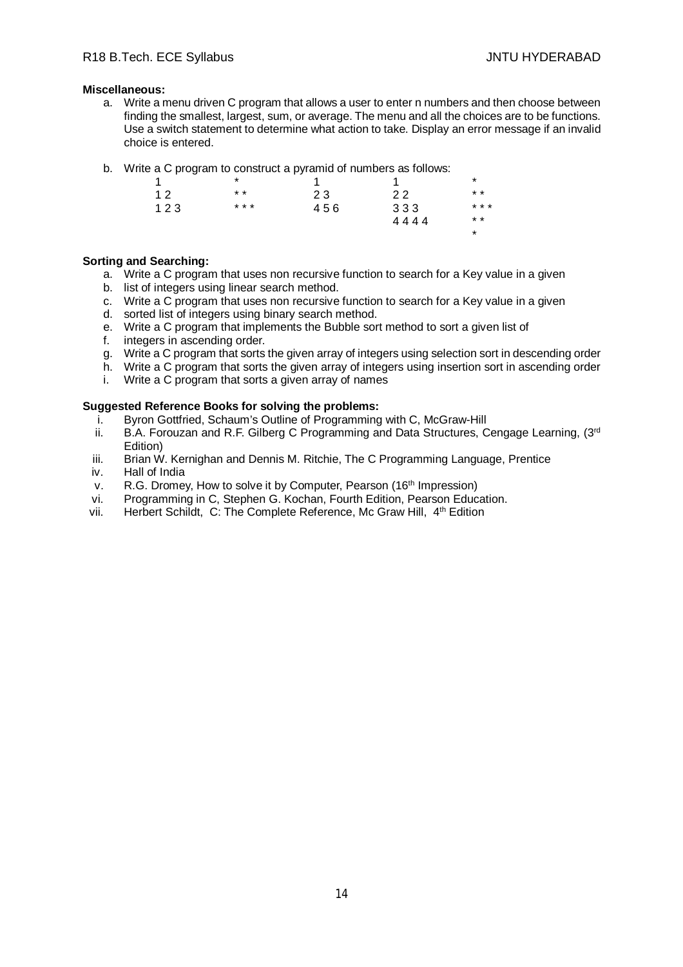# **Miscellaneous:**

- a. Write a menu driven C program that allows a user to enter n numbers and then choose between finding the smallest, largest, sum, or average. The menu and all the choices are to be functions. Use a switch statement to determine what action to take. Display an error message if an invalid choice is entered.
- b. Write a C program to construct a pyramid of numbers as follows:

|     | *                |     |      | *       |
|-----|------------------|-----|------|---------|
| 12  | $\star\,\,\star$ | 23  | 22   | $* *$   |
| 123 | * * *            | 456 | 333  | * * *   |
|     |                  |     | 4444 | $* *$   |
|     |                  |     |      | $\star$ |
|     |                  |     |      |         |

# **Sorting and Searching:**

- a. Write a C program that uses non recursive function to search for a Key value in a given
- b. list of integers using linear search method.
- c. Write a C program that uses non recursive function to search for a Key value in a given
- d. sorted list of integers using binary search method.
- e. Write a C program that implements the Bubble sort method to sort a given list of
- f. integers in ascending order.
- g. Write a C program that sorts the given array of integers using selection sort in descending order
- h. Write a C program that sorts the given array of integers using insertion sort in ascending order
- i. Write a C program that sorts a given array of names

# **Suggested Reference Books for solving the problems:**

- i. Byron Gottfried, Schaum's Outline of Programming with C, McGraw-Hill<br>ii. B.A. Forouzan and R.F. Gilberg C Programming and Data Structures. C
- B.A. Forouzan and R.F. Gilberg C Programming and Data Structures, Cengage Learning, (3rd Edition)
- iii. Brian W. Kernighan and Dennis M. Ritchie, The C Programming Language, Prentice
- iv. Hall of India
- v. R.G. Dromey, How to solve it by Computer, Pearson (16<sup>th</sup> Impression)
- vi. Programming in C, Stephen G. Kochan, Fourth Edition, Pearson Education.
- vii. Herbert Schildt, C: The Complete Reference, Mc Graw Hill, 4th Edition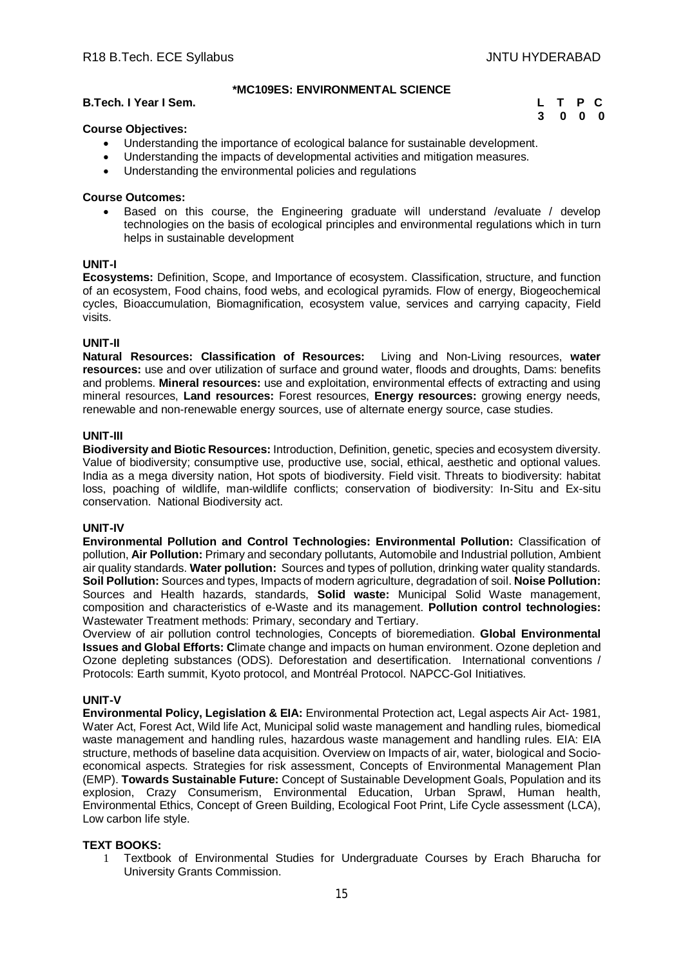# **\*MC109ES: ENVIRONMENTAL SCIENCE**

# **B.Tech. I Year I Sem. L T P C**

 **3 0 0 0**

# **Course Objectives:**

- Understanding the importance of ecological balance for sustainable development.
- Understanding the impacts of developmental activities and mitigation measures.
- Understanding the environmental policies and regulations

# **Course Outcomes:**

 Based on this course, the Engineering graduate will understand /evaluate / develop technologies on the basis of ecological principles and environmental regulations which in turn helps in sustainable development

# **UNIT-I**

**Ecosystems:** Definition, Scope, and Importance of ecosystem. Classification, structure, and function of an ecosystem, Food chains, food webs, and ecological pyramids. Flow of energy, Biogeochemical cycles, Bioaccumulation, Biomagnification, ecosystem value, services and carrying capacity, Field visits.

# **UNIT-II**

**Natural Resources: Classification of Resources:** Living and Non-Living resources, **water resources:** use and over utilization of surface and ground water, floods and droughts, Dams: benefits and problems. **Mineral resources:** use and exploitation, environmental effects of extracting and using mineral resources, **Land resources:** Forest resources, **Energy resources:** growing energy needs, renewable and non-renewable energy sources, use of alternate energy source, case studies.

# **UNIT-III**

**Biodiversity and Biotic Resources:** Introduction, Definition, genetic, species and ecosystem diversity. Value of biodiversity; consumptive use, productive use, social, ethical, aesthetic and optional values. India as a mega diversity nation, Hot spots of biodiversity. Field visit. Threats to biodiversity: habitat loss, poaching of wildlife, man-wildlife conflicts; conservation of biodiversity: In-Situ and Ex-situ conservation. National Biodiversity act.

# **UNIT-IV**

**Environmental Pollution and Control Technologies: Environmental Pollution:** Classification of pollution, **Air Pollution:** Primary and secondary pollutants, Automobile and Industrial pollution, Ambient air quality standards. **Water pollution:** Sources and types of pollution, drinking water quality standards. **Soil Pollution:** Sources and types, Impacts of modern agriculture, degradation of soil. **Noise Pollution:**  Sources and Health hazards, standards, **Solid waste:** Municipal Solid Waste management, composition and characteristics of e-Waste and its management. **Pollution control technologies:** Wastewater Treatment methods: Primary, secondary and Tertiary.

Overview of air pollution control technologies, Concepts of bioremediation. **Global Environmental Issues and Global Efforts: C**limate change and impacts on human environment. Ozone depletion and Ozone depleting substances (ODS). Deforestation and desertification. International conventions / Protocols: Earth summit, Kyoto protocol, and Montréal Protocol. NAPCC-GoI Initiatives.

# **UNIT-V**

**Environmental Policy, Legislation & EIA:** Environmental Protection act, Legal aspects Air Act- 1981, Water Act, Forest Act, Wild life Act, Municipal solid waste management and handling rules, biomedical waste management and handling rules, hazardous waste management and handling rules. EIA: EIA structure, methods of baseline data acquisition. Overview on Impacts of air, water, biological and Socioeconomical aspects. Strategies for risk assessment, Concepts of Environmental Management Plan (EMP). **Towards Sustainable Future:** Concept of Sustainable Development Goals, Population and its explosion, Crazy Consumerism, Environmental Education, Urban Sprawl, Human health, Environmental Ethics, Concept of Green Building, Ecological Foot Print, Life Cycle assessment (LCA), Low carbon life style.

# **TEXT BOOKS:**

1 Textbook of Environmental Studies for Undergraduate Courses by Erach Bharucha for University Grants Commission.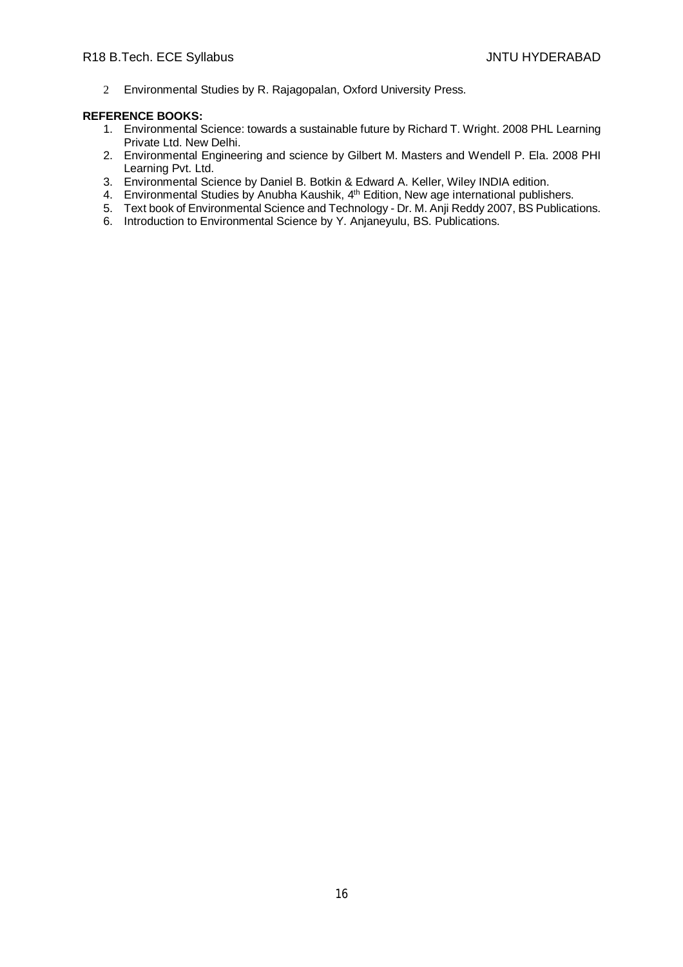2 Environmental Studies by R. Rajagopalan, Oxford University Press.

- 1. Environmental Science: towards a sustainable future by Richard T. Wright. 2008 PHL Learning Private Ltd. New Delhi.
- 2. Environmental Engineering and science by Gilbert M. Masters and Wendell P. Ela. 2008 PHI Learning Pvt. Ltd.
- 3. Environmental Science by Daniel B. Botkin & Edward A. Keller, Wiley INDIA edition.
- 4. Environmental Studies by Anubha Kaushik, 4<sup>th</sup> Edition, New age international publishers.
- 5. Text book of Environmental Science and Technology Dr. M. Anji Reddy 2007, BS Publications.
- 6. Introduction to Environmental Science by Y. Anjaneyulu, BS. Publications.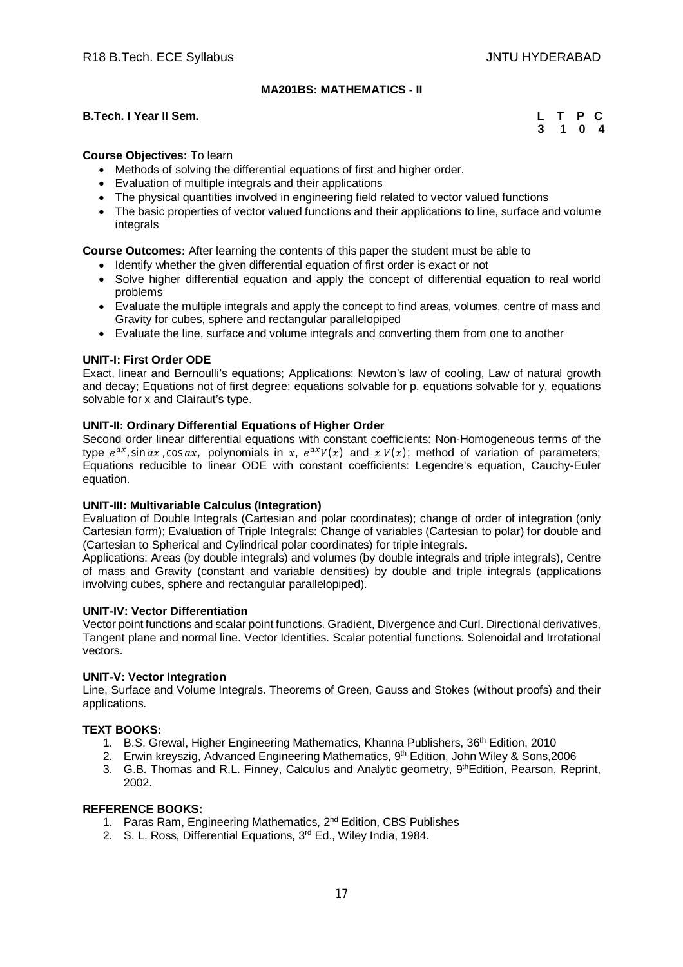# **MA201BS: MATHEMATICS - II**

# **B.Tech. I Year II Sem. L T P C**

 **3 1 0 4**

# **Course Objectives:** To learn

- Methods of solving the differential equations of first and higher order.
- Evaluation of multiple integrals and their applications
- The physical quantities involved in engineering field related to vector valued functions
- The basic properties of vector valued functions and their applications to line, surface and volume integrals

**Course Outcomes:** After learning the contents of this paper the student must be able to

- Identify whether the given differential equation of first order is exact or not
- Solve higher differential equation and apply the concept of differential equation to real world problems
- Evaluate the multiple integrals and apply the concept to find areas, volumes, centre of mass and Gravity for cubes, sphere and rectangular parallelopiped
- Evaluate the line, surface and volume integrals and converting them from one to another

# **UNIT-I: First Order ODE**

Exact, linear and Bernoulli's equations; Applications: Newton's law of cooling, Law of natural growth and decay; Equations not of first degree: equations solvable for p, equations solvable for y, equations solvable for x and Clairaut's type.

# **UNIT-II: Ordinary Differential Equations of Higher Order**

Second order linear differential equations with constant coefficients: Non-Homogeneous terms of the type  $e^{ax}$ , sin ax, cos ax, polynomials in x,  $e^{ax}V(x)$  and  $xV(x)$ ; method of variation of parameters; Equations reducible to linear ODE with constant coefficients: Legendre's equation, Cauchy-Euler equation.

# **UNIT-III: Multivariable Calculus (Integration)**

Evaluation of Double Integrals (Cartesian and polar coordinates); change of order of integration (only Cartesian form); Evaluation of Triple Integrals: Change of variables (Cartesian to polar) for double and (Cartesian to Spherical and Cylindrical polar coordinates) for triple integrals.

Applications: Areas (by double integrals) and volumes (by double integrals and triple integrals), Centre of mass and Gravity (constant and variable densities) by double and triple integrals (applications involving cubes, sphere and rectangular parallelopiped).

# **UNIT-IV: Vector Differentiation**

Vector point functions and scalar point functions. Gradient, Divergence and Curl. Directional derivatives, Tangent plane and normal line. Vector Identities. Scalar potential functions. Solenoidal and Irrotational vectors.

# **UNIT-V: Vector Integration**

Line, Surface and Volume Integrals. Theorems of Green, Gauss and Stokes (without proofs) and their applications.

# **TEXT BOOKS:**

- 1. B.S. Grewal, Higher Engineering Mathematics, Khanna Publishers, 36<sup>th</sup> Edition, 2010
- 2. Erwin kreyszig, Advanced Engineering Mathematics, 9<sup>th</sup> Edition, John Wiley & Sons, 2006
- 3. G.B. Thomas and R.L. Finney, Calculus and Analytic geometry, 9th Edition, Pearson, Reprint, 2002.

- 1. Paras Ram, Engineering Mathematics, 2<sup>nd</sup> Edition, CBS Publishes
- 2. S. L. Ross, Differential Equations, 3rd Ed., Wiley India, 1984.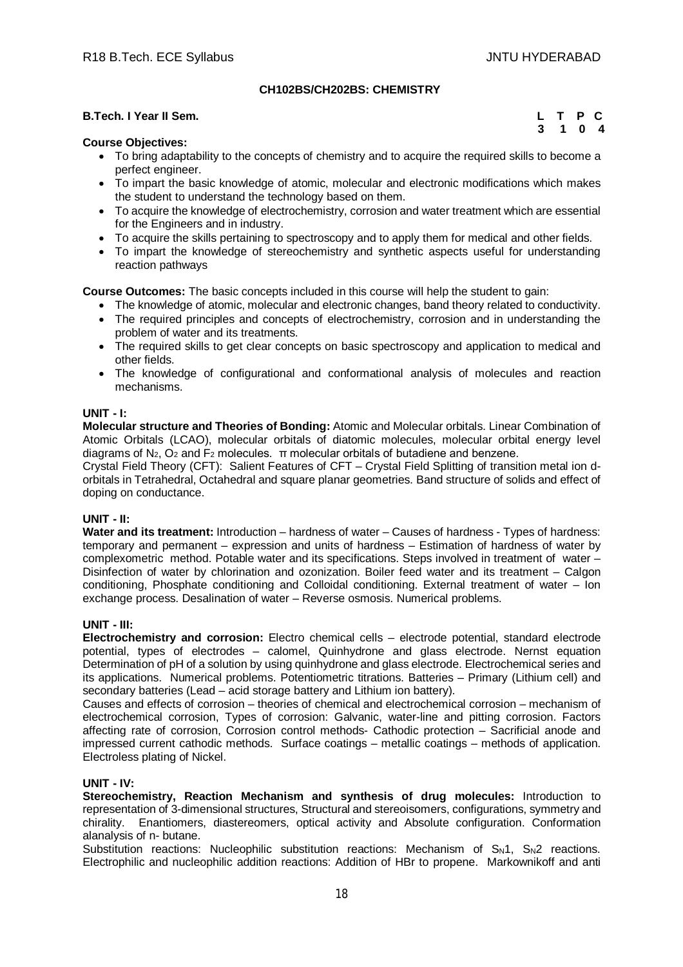# **CH102BS/CH202BS: CHEMISTRY**

# **B.Tech. I Year II Sem.**

|  | L T P C |  |
|--|---------|--|
|  | 3 1 0 4 |  |

# **Course Objectives:**

- To bring adaptability to the concepts of chemistry and to acquire the required skills to become a perfect engineer.
- To impart the basic knowledge of atomic, molecular and electronic modifications which makes the student to understand the technology based on them.
- To acquire the knowledge of electrochemistry, corrosion and water treatment which are essential for the Engineers and in industry.
- To acquire the skills pertaining to spectroscopy and to apply them for medical and other fields.
- To impart the knowledge of stereochemistry and synthetic aspects useful for understanding reaction pathways

**Course Outcomes:** The basic concepts included in this course will help the student to gain:

- The knowledge of atomic, molecular and electronic changes, band theory related to conductivity.
- The required principles and concepts of electrochemistry, corrosion and in understanding the problem of water and its treatments.
- The required skills to get clear concepts on basic spectroscopy and application to medical and other fields.
- The knowledge of configurational and conformational analysis of molecules and reaction mechanisms.

# **UNIT - I:**

**Molecular structure and Theories of Bonding:** Atomic and Molecular orbitals. Linear Combination of Atomic Orbitals (LCAO), molecular orbitals of diatomic molecules, molecular orbital energy level diagrams of  $N_2$ ,  $O_2$  and  $F_2$  molecules.  $\pi$  molecular orbitals of butadiene and benzene.

Crystal Field Theory (CFT): Salient Features of CFT – Crystal Field Splitting of transition metal ion dorbitals in Tetrahedral, Octahedral and square planar geometries. Band structure of solids and effect of doping on conductance.

# **UNIT - II:**

**Water and its treatment:** Introduction – hardness of water – Causes of hardness - Types of hardness: temporary and permanent – expression and units of hardness – Estimation of hardness of water by complexometric method. Potable water and its specifications. Steps involved in treatment of water – Disinfection of water by chlorination and ozonization. Boiler feed water and its treatment – Calgon conditioning, Phosphate conditioning and Colloidal conditioning. External treatment of water – Ion exchange process. Desalination of water – Reverse osmosis. Numerical problems.

# **UNIT - III:**

**Electrochemistry and corrosion:** Electro chemical cells – electrode potential, standard electrode potential, types of electrodes – calomel, Quinhydrone and glass electrode. Nernst equation Determination of pH of a solution by using quinhydrone and glass electrode. Electrochemical series and its applications. Numerical problems. Potentiometric titrations. Batteries – Primary (Lithium cell) and secondary batteries (Lead – acid storage battery and Lithium ion battery).

Causes and effects of corrosion – theories of chemical and electrochemical corrosion – mechanism of electrochemical corrosion, Types of corrosion: Galvanic, water-line and pitting corrosion. Factors affecting rate of corrosion, Corrosion control methods- Cathodic protection – Sacrificial anode and impressed current cathodic methods. Surface coatings – metallic coatings – methods of application. Electroless plating of Nickel.

# **UNIT - IV:**

**Stereochemistry, Reaction Mechanism and synthesis of drug molecules:** Introduction to representation of 3-dimensional structures, Structural and stereoisomers, configurations, symmetry and chirality. Enantiomers, diastereomers, optical activity and Absolute configuration. Conformation alanalysis of n- butane.

Substitution reactions: Nucleophilic substitution reactions: Mechanism of  $S_N1$ ,  $S_N2$  reactions. Electrophilic and nucleophilic addition reactions: Addition of HBr to propene. Markownikoff and anti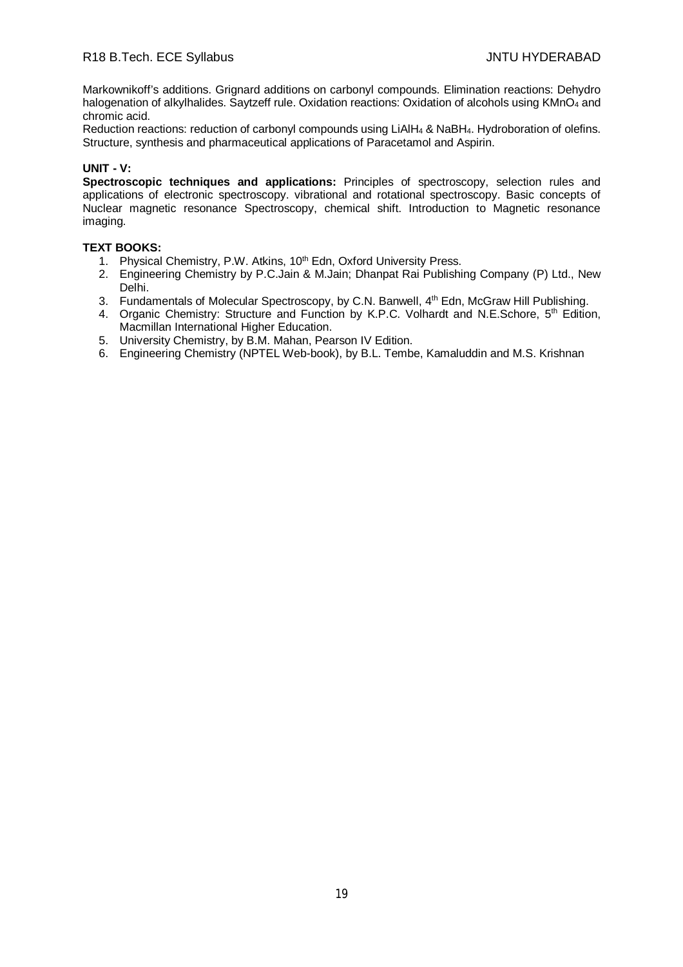Markownikoff's additions. Grignard additions on carbonyl compounds. Elimination reactions: Dehydro halogenation of alkylhalides. Saytzeff rule. Oxidation reactions: Oxidation of alcohols using KMnO<sub>4</sub> and chromic acid.

Reduction reactions: reduction of carbonyl compounds using LiAlH<sup>4</sup> & NaBH4. Hydroboration of olefins. Structure, synthesis and pharmaceutical applications of Paracetamol and Aspirin.

# **UNIT - V:**

**Spectroscopic techniques and applications:** Principles of spectroscopy, selection rules and applications of electronic spectroscopy. vibrational and rotational spectroscopy. Basic concepts of Nuclear magnetic resonance Spectroscopy, chemical shift. Introduction to Magnetic resonance imaging.

# **TEXT BOOKS:**

- 1. Physical Chemistry, P.W. Atkins, 10<sup>th</sup> Edn, Oxford University Press.
- 2. Engineering Chemistry by P.C.Jain & M.Jain; Dhanpat Rai Publishing Company (P) Ltd., New Delhi.
- 3. Fundamentals of Molecular Spectroscopy, by C.N. Banwell, 4<sup>th</sup> Edn, McGraw Hill Publishing.
- 4. Organic Chemistry: Structure and Function by K.P.C. Volhardt and N.E.Schore, 5<sup>th</sup> Edition, Macmillan International Higher Education.
- 5. University Chemistry, by B.M. Mahan, Pearson IV Edition.
- 6. Engineering Chemistry (NPTEL Web-book), by B.L. Tembe, Kamaluddin and M.S. Krishnan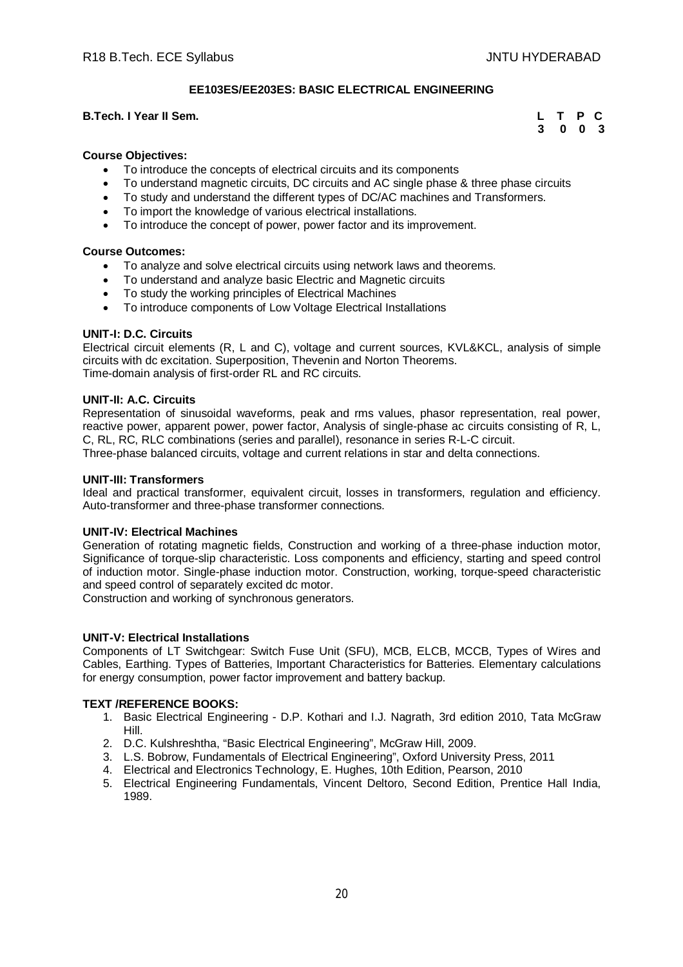# **EE103ES/EE203ES: BASIC ELECTRICAL ENGINEERING**

# **B.Tech. I Year II Sem.**

|  | L T P C                     |  |
|--|-----------------------------|--|
|  | $3 \quad 0 \quad 0 \quad 3$ |  |

# **Course Objectives:**

- To introduce the concepts of electrical circuits and its components
- To understand magnetic circuits, DC circuits and AC single phase & three phase circuits
- To study and understand the different types of DC/AC machines and Transformers.
- To import the knowledge of various electrical installations.
- To introduce the concept of power, power factor and its improvement.

# **Course Outcomes:**

- To analyze and solve electrical circuits using network laws and theorems.
- To understand and analyze basic Electric and Magnetic circuits
- To study the working principles of Electrical Machines
- To introduce components of Low Voltage Electrical Installations

# **UNIT-I: D.C. Circuits**

Electrical circuit elements (R, L and C), voltage and current sources, KVL&KCL, analysis of simple circuits with dc excitation. Superposition, Thevenin and Norton Theorems. Time-domain analysis of first-order RL and RC circuits.

# **UNIT-II: A.C. Circuits**

Representation of sinusoidal waveforms, peak and rms values, phasor representation, real power, reactive power, apparent power, power factor, Analysis of single-phase ac circuits consisting of R, L, C, RL, RC, RLC combinations (series and parallel), resonance in series R-L-C circuit. Three-phase balanced circuits, voltage and current relations in star and delta connections.

# **UNIT-III: Transformers**

Ideal and practical transformer, equivalent circuit, losses in transformers, regulation and efficiency. Auto-transformer and three-phase transformer connections.

# **UNIT-IV: Electrical Machines**

Generation of rotating magnetic fields, Construction and working of a three-phase induction motor, Significance of torque-slip characteristic. Loss components and efficiency, starting and speed control of induction motor. Single-phase induction motor. Construction, working, torque-speed characteristic and speed control of separately excited dc motor.

Construction and working of synchronous generators.

# **UNIT-V: Electrical Installations**

Components of LT Switchgear: Switch Fuse Unit (SFU), MCB, ELCB, MCCB, Types of Wires and Cables, Earthing. Types of Batteries, Important Characteristics for Batteries. Elementary calculations for energy consumption, power factor improvement and battery backup.

# **TEXT /REFERENCE BOOKS:**

- 1. Basic Electrical Engineering D.P. Kothari and I.J. Nagrath, 3rd edition 2010, Tata McGraw Hill.
- 2. D.C. Kulshreshtha, "Basic Electrical Engineering", McGraw Hill, 2009.
- 3. L.S. Bobrow, Fundamentals of Electrical Engineering", Oxford University Press, 2011
- 4. Electrical and Electronics Technology, E. Hughes, 10th Edition, Pearson, 2010
- 5. Electrical Engineering Fundamentals, Vincent Deltoro, Second Edition, Prentice Hall India, 1989.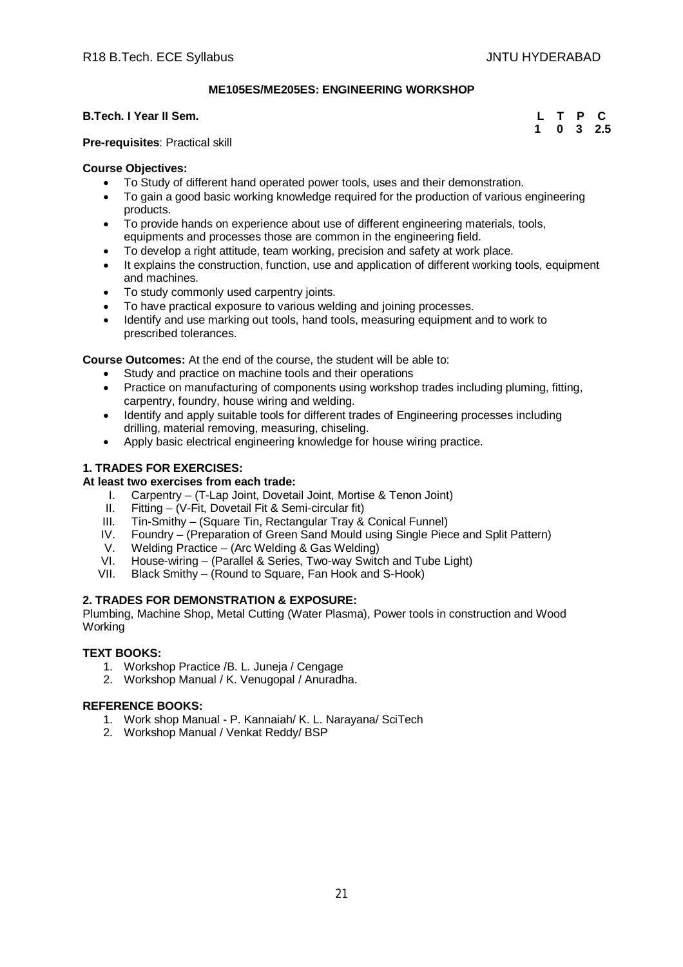# **ME105ES/ME205ES: ENGINEERING WORKSHOP**

# **B.Tech. I Year II Sem.**

|  |  | L T P C           |
|--|--|-------------------|
|  |  | $1 \t0 \t3 \t2.5$ |

# **Pre-requisites**: Practical skill

# **Course Objectives:**

- To Study of different hand operated power tools, uses and their demonstration.
- To gain a good basic working knowledge required for the production of various engineering products.
- To provide hands on experience about use of different engineering materials, tools, equipments and processes those are common in the engineering field.
- To develop a right attitude, team working, precision and safety at work place.
- It explains the construction, function, use and application of different working tools, equipment and machines.
- To study commonly used carpentry joints.
- To have practical exposure to various welding and joining processes.
- Identify and use marking out tools, hand tools, measuring equipment and to work to prescribed tolerances.

**Course Outcomes:** At the end of the course, the student will be able to:

- Study and practice on machine tools and their operations
- Practice on manufacturing of components using workshop trades including pluming, fitting, carpentry, foundry, house wiring and welding.
- Identify and apply suitable tools for different trades of Engineering processes including drilling, material removing, measuring, chiseling.
- Apply basic electrical engineering knowledge for house wiring practice.

# **1. TRADES FOR EXERCISES:**

# **At least two exercises from each trade:**

- I. Carpentry (T-Lap Joint, Dovetail Joint, Mortise & Tenon Joint)<br>II. Fitting (V-Fit. Dovetail Fit & Semi-circular fit)
- II. Fitting (V-Fit, Dovetail Fit & Semi-circular fit)
- Tin-Smithy (Square Tin, Rectangular Tray & Conical Funnel)
- IV. Foundry (Preparation of Green Sand Mould using Single Piece and Split Pattern)<br>V. Welding Practice (Arc Welding & Gas Welding)
- V. Welding Practice (Arc Welding & Gas Welding)<br>VI. House-wiring (Parallel & Series, Two-way Switc
- VI. House-wiring (Parallel & Series, Two-way Switch and Tube Light)<br>VII. Black Smithy (Round to Square, Fan Hook and S-Hook)
- Black Smithy (Round to Square, Fan Hook and S-Hook)

# **2. TRADES FOR DEMONSTRATION & EXPOSURE:**

Plumbing, Machine Shop, Metal Cutting (Water Plasma), Power tools in construction and Wood Working

# **TEXT BOOKS:**

- 1. Workshop Practice /B. L. Juneja / Cengage
- 2. Workshop Manual / K. Venugopal / Anuradha.

- 1. Work shop Manual P. Kannaiah/ K. L. Narayana/ SciTech
- 2. Workshop Manual / Venkat Reddy/ BSP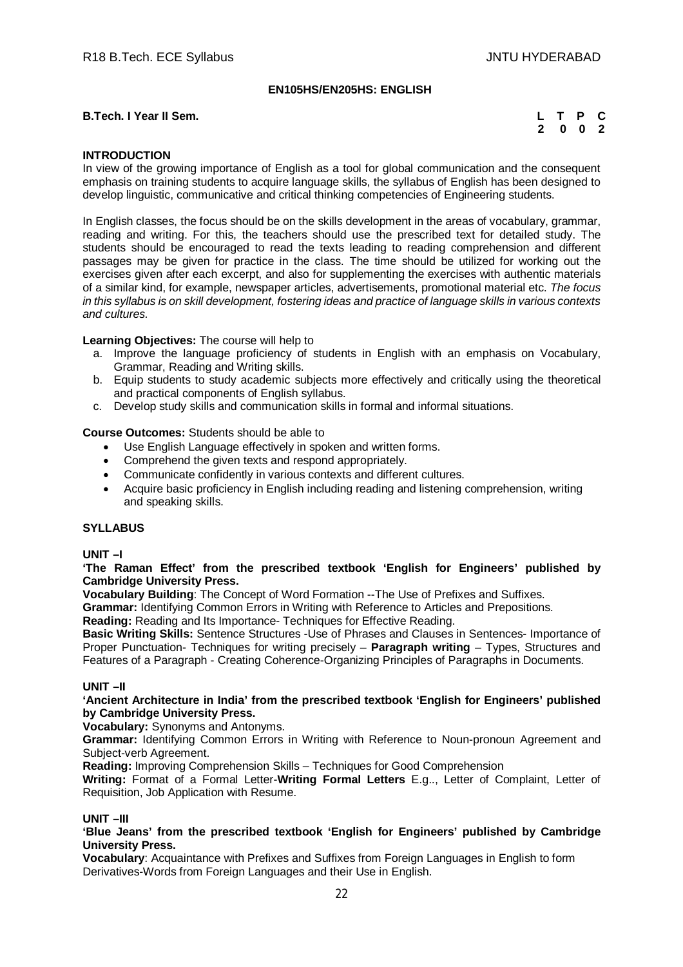# **EN105HS/EN205HS: ENGLISH**

# **B.Tech. I Year II Sem.** L **L**

|  |  | L T P C |
|--|--|---------|
|  |  | 2 0 0 2 |

# **INTRODUCTION**

In view of the growing importance of English as a tool for global communication and the consequent emphasis on training students to acquire language skills, the syllabus of English has been designed to develop linguistic, communicative and critical thinking competencies of Engineering students.

In English classes, the focus should be on the skills development in the areas of vocabulary, grammar, reading and writing. For this, the teachers should use the prescribed text for detailed study. The students should be encouraged to read the texts leading to reading comprehension and different passages may be given for practice in the class. The time should be utilized for working out the exercises given after each excerpt, and also for supplementing the exercises with authentic materials of a similar kind, for example, newspaper articles, advertisements, promotional material etc. *The focus in this syllabus is on skill development, fostering ideas and practice of language skills in various contexts and cultures.*

**Learning Objectives:** The course will help to

- a. Improve the language proficiency of students in English with an emphasis on Vocabulary, Grammar, Reading and Writing skills.
- b. Equip students to study academic subjects more effectively and critically using the theoretical and practical components of English syllabus.
- c. Develop study skills and communication skills in formal and informal situations.

# **Course Outcomes:** Students should be able to

- Use English Language effectively in spoken and written forms.
- Comprehend the given texts and respond appropriately.
- Communicate confidently in various contexts and different cultures.
- Acquire basic proficiency in English including reading and listening comprehension, writing and speaking skills.

# **SYLLABUS**

# **UNIT –I**

# **'The Raman Effect' from the prescribed textbook 'English for Engineers' published by Cambridge University Press.**

**Vocabulary Building**: The Concept of Word Formation --The Use of Prefixes and Suffixes.

**Grammar:** Identifying Common Errors in Writing with Reference to Articles and Prepositions.

**Reading:** Reading and Its Importance- Techniques for Effective Reading.

**Basic Writing Skills:** Sentence Structures -Use of Phrases and Clauses in Sentences- Importance of Proper Punctuation- Techniques for writing precisely – **Paragraph writing** – Types, Structures and Features of a Paragraph - Creating Coherence-Organizing Principles of Paragraphs in Documents.

# **UNIT –II**

# **'Ancient Architecture in India' from the prescribed textbook 'English for Engineers' published by Cambridge University Press.**

**Vocabulary:** Synonyms and Antonyms.

**Grammar:** Identifying Common Errors in Writing with Reference to Noun-pronoun Agreement and Subject-verb Agreement.

**Reading:** Improving Comprehension Skills – Techniques for Good Comprehension

**Writing:** Format of a Formal Letter-**Writing Formal Letters** E.g.., Letter of Complaint, Letter of Requisition, Job Application with Resume.

# **UNIT –III**

**'Blue Jeans' from the prescribed textbook 'English for Engineers' published by Cambridge University Press.**

**Vocabulary**: Acquaintance with Prefixes and Suffixes from Foreign Languages in English to form Derivatives-Words from Foreign Languages and their Use in English.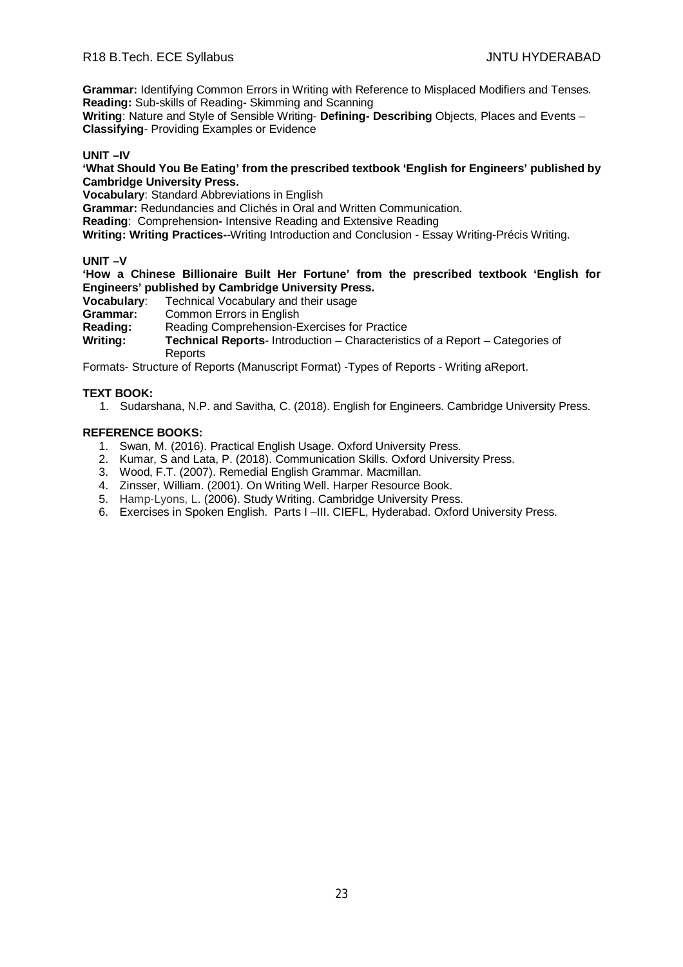**Grammar:** Identifying Common Errors in Writing with Reference to Misplaced Modifiers and Tenses. **Reading:** Sub-skills of Reading- Skimming and Scanning

**Writing**: Nature and Style of Sensible Writing- **Defining- Describing** Objects, Places and Events – **Classifying**- Providing Examples or Evidence

# **UNIT –IV**

**'What Should You Be Eating' from the prescribed textbook 'English for Engineers' published by Cambridge University Press.**

**Vocabulary**: Standard Abbreviations in English

**Grammar:** Redundancies and Clichés in Oral and Written Communication.

**Reading**: Comprehension**-** Intensive Reading and Extensive Reading

**Writing: Writing Practices-**-Writing Introduction and Conclusion - Essay Writing-Précis Writing.

# **UNIT –V**

**'How a Chinese Billionaire Built Her Fortune' from the prescribed textbook 'English for Engineers' published by Cambridge University Press.**

**Vocabulary:** Technical Vocabulary and their usage<br>**Grammar:** Common Frrors in Fnglish

**Grammar:** Common Errors in English<br>**Reading:** Reading Comprehension-E

**Reading:** Reading Comprehension-Exercises for Practice

**Writing: Technical Reports**- Introduction – Characteristics of a Report – Categories of **Reports** 

Formats- Structure of Reports (Manuscript Format) -Types of Reports - Writing aReport.

# **TEXT BOOK:**

1. Sudarshana, N.P. and Savitha, C. (2018). English for Engineers. Cambridge University Press.

- 1. Swan, M. (2016). Practical English Usage. Oxford University Press.
- 2. Kumar, S and Lata, P. (2018). Communication Skills. Oxford University Press.
- 3. Wood, F.T. (2007). Remedial English Grammar. Macmillan.
- 4. Zinsser, William. (2001). On Writing Well. Harper Resource Book.
- 5. Hamp-Lyons, L. (2006). Study Writing. Cambridge University Press.
- 6. Exercises in Spoken English. Parts I –III. CIEFL, Hyderabad. Oxford University Press.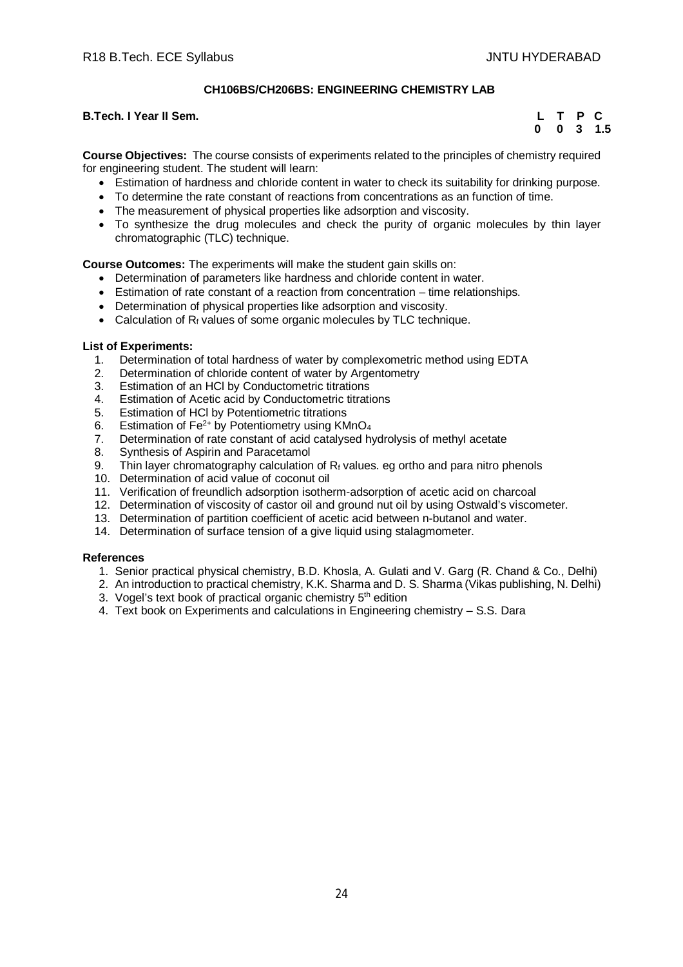# **CH106BS/CH206BS: ENGINEERING CHEMISTRY LAB**

# **B.Tech. I Year II Sem.**

|  |  | L T P C              |
|--|--|----------------------|
|  |  | $0 \t 0 \t 3 \t 1.5$ |

**Course Objectives:** The course consists of experiments related to the principles of chemistry required for engineering student. The student will learn:

- Estimation of hardness and chloride content in water to check its suitability for drinking purpose.
- To determine the rate constant of reactions from concentrations as an function of time.
- The measurement of physical properties like adsorption and viscosity.
- To synthesize the drug molecules and check the purity of organic molecules by thin layer chromatographic (TLC) technique.

**Course Outcomes:** The experiments will make the student gain skills on:

- Determination of parameters like hardness and chloride content in water.
- Estimation of rate constant of a reaction from concentration time relationships.
- Determination of physical properties like adsorption and viscosity.
- Calculation of Rf values of some organic molecules by TLC technique.

# **List of Experiments:**

- 1. Determination of total hardness of water by complexometric method using EDTA
- 2. Determination of chloride content of water by Argentometry<br>3. Estimation of an HCI by Conductometric titrations
- Estimation of an HCl by Conductometric titrations
- 4. Estimation of Acetic acid by Conductometric titrations
- 5. Estimation of HCl by Potentiometric titrations
- 6. Estimation of Fe<sup>2+</sup> by Potentiometry using KMnO<sub>4</sub>
- 7. Determination of rate constant of acid catalysed hydrolysis of methyl acetate
- 8. Synthesis of Aspirin and Paracetamol
- 9. Thin layer chromatography calculation of  $R_f$  values. eg ortho and para nitro phenols
- 10. Determination of acid value of coconut oil
- 11. Verification of freundlich adsorption isotherm-adsorption of acetic acid on charcoal
- 12. Determination of viscosity of castor oil and ground nut oil by using Ostwald's viscometer.
- 13. Determination of partition coefficient of acetic acid between n-butanol and water.
- 14. Determination of surface tension of a give liquid using stalagmometer.

# **References**

- 1. Senior practical physical chemistry, B.D. Khosla, A. Gulati and V. Garg (R. Chand & Co., Delhi)
- 2. An introduction to practical chemistry, K.K. Sharma and D. S. Sharma (Vikas publishing, N. Delhi)
- 3. Vogel's text book of practical organic chemistry 5<sup>th</sup> edition
- 4. Text book on Experiments and calculations in Engineering chemistry S.S. Dara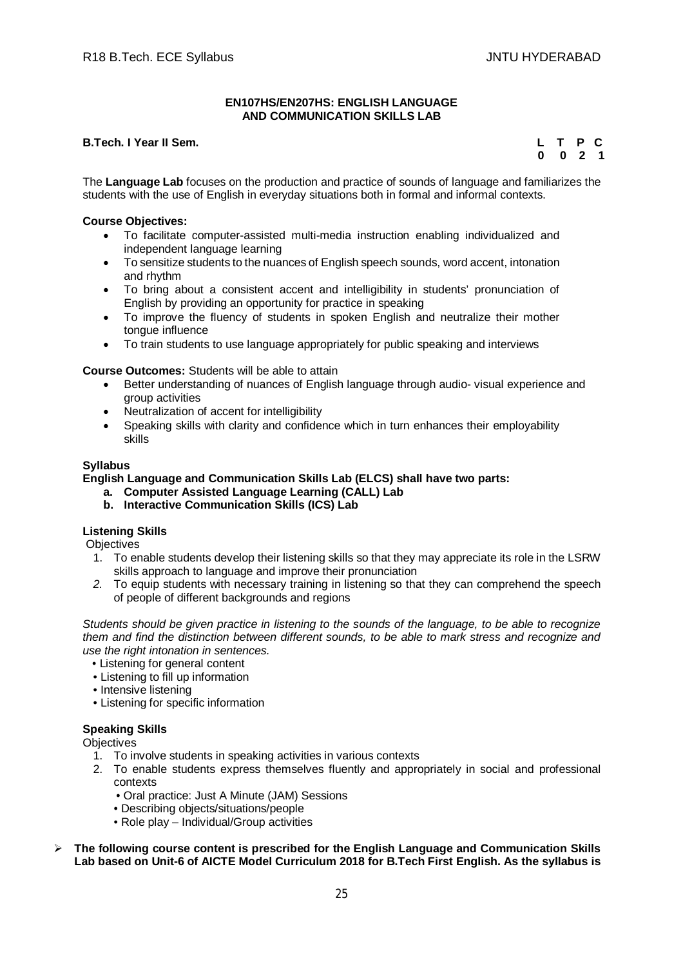### **EN107HS/EN207HS: ENGLISH LANGUAGE AND COMMUNICATION SKILLS LAB**

# **B.Tech. I Year II Sem.**

|  | L T P C            |  |
|--|--------------------|--|
|  | $0 \t 0 \t 2 \t 1$ |  |

The **Language Lab** focuses on the production and practice of sounds of language and familiarizes the students with the use of English in everyday situations both in formal and informal contexts.

# **Course Objectives:**

- To facilitate computer-assisted multi-media instruction enabling individualized and independent language learning
- To sensitize students to the nuances of English speech sounds, word accent, intonation and rhythm
- To bring about a consistent accent and intelligibility in students' pronunciation of English by providing an opportunity for practice in speaking
- To improve the fluency of students in spoken English and neutralize their mother tongue influence
- To train students to use language appropriately for public speaking and interviews

# **Course Outcomes:** Students will be able to attain

- Better understanding of nuances of English language through audio- visual experience and group activities
- Neutralization of accent for intelligibility
- Speaking skills with clarity and confidence which in turn enhances their employability skills

# **Syllabus**

# **English Language and Communication Skills Lab (ELCS) shall have two parts:**

- **a. Computer Assisted Language Learning (CALL) Lab**
- **b. Interactive Communication Skills (ICS) Lab**

# **Listening Skills**

**Objectives** 

- 1. To enable students develop their listening skills so that they may appreciate its role in the LSRW skills approach to language and improve their pronunciation
- *2.* To equip students with necessary training in listening so that they can comprehend the speech of people of different backgrounds and regions

*Students should be given practice in listening to the sounds of the language, to be able to recognize them and find the distinction between different sounds, to be able to mark stress and recognize and use the right intonation in sentences.*

- Listening for general content
- Listening to fill up information
- Intensive listening
- Listening for specific information

# **Speaking Skills**

**Objectives** 

- 1. To involve students in speaking activities in various contexts
- 2. To enable students express themselves fluently and appropriately in social and professional contexts
	- Oral practice: Just A Minute (JAM) Sessions
	- Describing objects/situations/people
	- Role play Individual/Group activities
- **The following course content is prescribed for the English Language and Communication Skills Lab based on Unit-6 of AICTE Model Curriculum 2018 for B.Tech First English. As the syllabus is**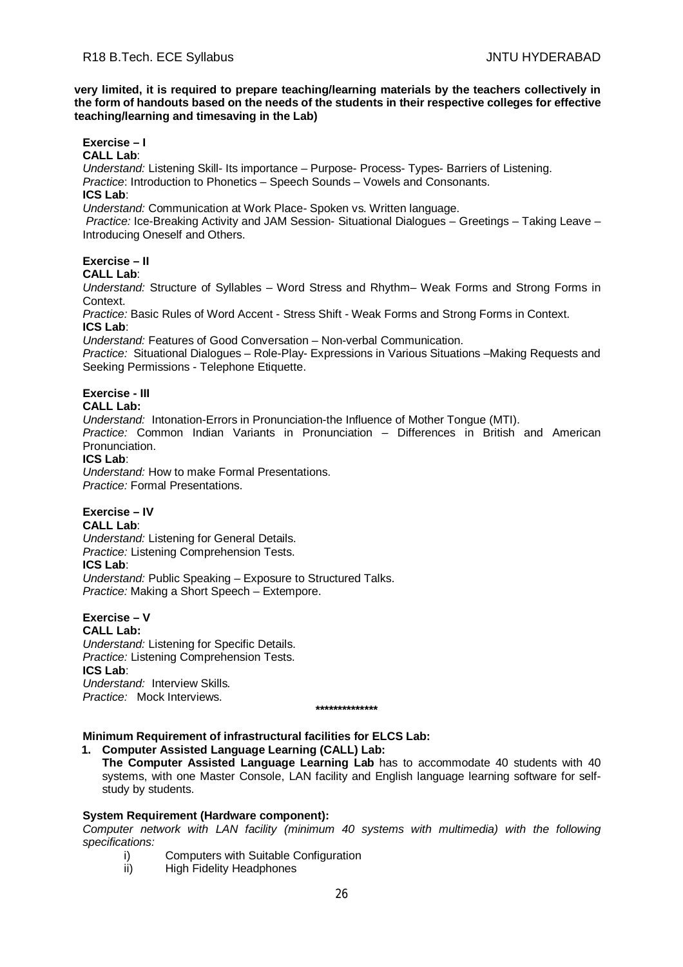**very limited, it is required to prepare teaching/learning materials by the teachers collectively in the form of handouts based on the needs of the students in their respective colleges for effective teaching/learning and timesaving in the Lab)**

# **Exercise – I**

**CALL Lab**:

*Understand:* Listening Skill- Its importance – Purpose- Process- Types- Barriers of Listening. *Practice*: Introduction to Phonetics – Speech Sounds – Vowels and Consonants. **ICS Lab**:

*Understand:* Communication at Work Place*-* Spoken vs. Written language.

*Practice:* Ice-Breaking Activity and JAM Session- Situational Dialogues – Greetings – Taking Leave – Introducing Oneself and Others.

# **Exercise – II**

# **CALL Lab**:

*Understand:* Structure of Syllables – Word Stress and Rhythm– Weak Forms and Strong Forms in **Context** 

*Practice:* Basic Rules of Word Accent - Stress Shift - Weak Forms and Strong Forms in Context. **ICS Lab**:

*Understand:* Features of Good Conversation – Non-verbal Communication.

*Practice:* Situational Dialogues – Role-Play- Expressions in Various Situations –Making Requests and Seeking Permissions - Telephone Etiquette.

# **Exercise - III**

# **CALL Lab:**

*Understand:* Intonation-Errors in Pronunciation-the Influence of Mother Tongue (MTI). *Practice:* Common Indian Variants in Pronunciation *–* Differences in British and American Pronunciation.

# **ICS Lab**:

*Understand:* How to make Formal Presentations. *Practice:* Formal Presentations.

# **Exercise – IV**

# **CALL Lab**:

*Understand:* Listening for General Details.

*Practice:* Listening Comprehension Tests.

# **ICS Lab**:

*Understand:* Public Speaking – Exposure to Structured Talks. *Practice:* Making a Short Speech – Extempore.

# **Exercise – V**

**CALL Lab:** *Understand:* Listening for Specific Details. *Practice:* Listening Comprehension Tests. **ICS Lab**: *Understand:* Interview Skills*. Practice:* Mock Interviews.

# **Minimum Requirement of infrastructural facilities for ELCS Lab:**

**1. Computer Assisted Language Learning (CALL) Lab:** 

 **\*\*\*\*\*\*\*\*\*\*\*\*\*\***

**The Computer Assisted Language Learning Lab** has to accommodate 40 students with 40 systems, with one Master Console, LAN facility and English language learning software for selfstudy by students.

# **System Requirement (Hardware component):**

*Computer network with LAN facility (minimum 40 systems with multimedia) with the following specifications:*

- i) Computers with Suitable Configuration
- ii) High Fidelity Headphones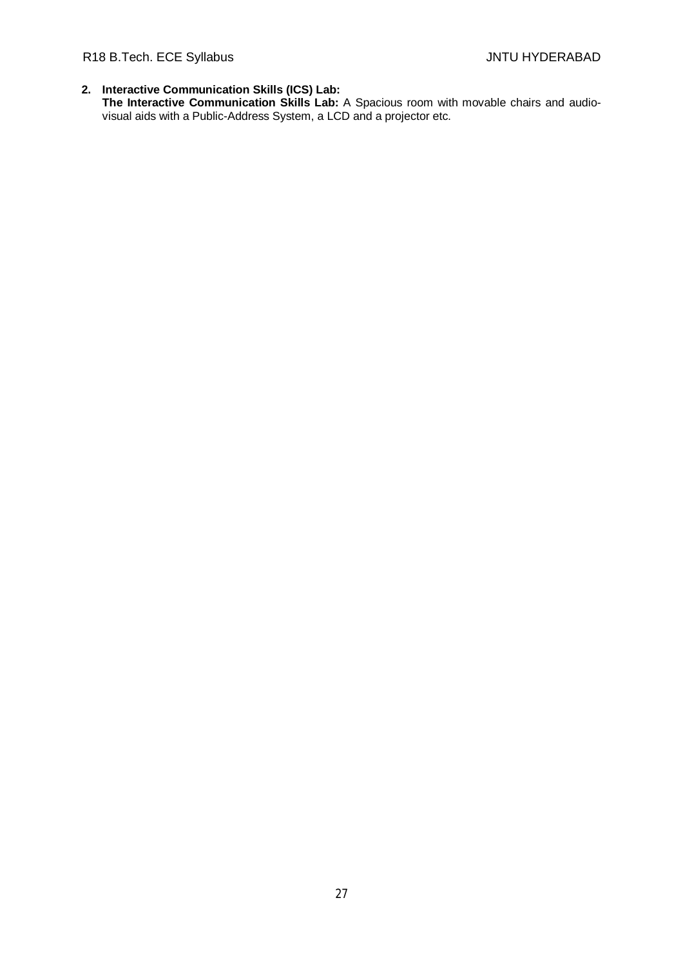# R18 B.Tech. ECE Syllabus **All Accords** Control of the Syllabus JNTU HYDERABAD

**2. Interactive Communication Skills (ICS) Lab: The Interactive Communication Skills Lab:** A Spacious room with movable chairs and audiovisual aids with a Public-Address System, a LCD and a projector etc.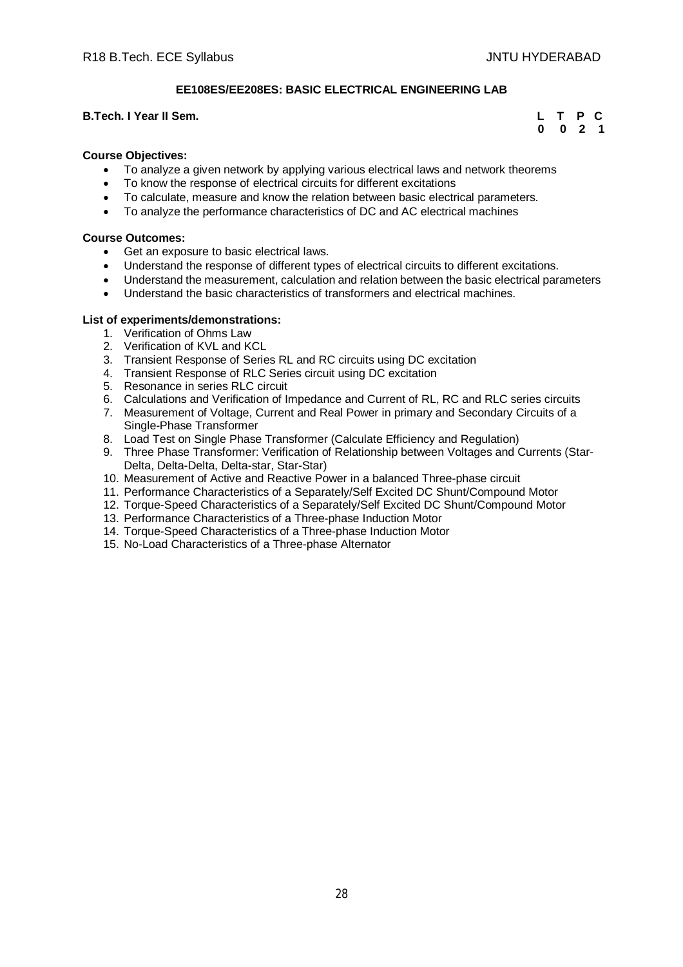# **EE108ES/EE208ES: BASIC ELECTRICAL ENGINEERING LAB**

# **B.Tech. I Year II Sem. CONSERVANT CONSERVANT CONSERVANT CONSERVANT CONSERVANT CONSERVANT CONSERVANT CONSERVANT CONSERVANT CONSERVANT CONSERVANT CONSERVANT CONSERVANT CONSERVANT CONSERVANT CONSERVANT CONSERVANT CONSERVAN**

# **0 0 2 1**

# **Course Objectives:**

- To analyze a given network by applying various electrical laws and network theorems
- To know the response of electrical circuits for different excitations
- To calculate, measure and know the relation between basic electrical parameters.
- To analyze the performance characteristics of DC and AC electrical machines

# **Course Outcomes:**

- Get an exposure to basic electrical laws.
- Understand the response of different types of electrical circuits to different excitations.
- Understand the measurement, calculation and relation between the basic electrical parameters
- Understand the basic characteristics of transformers and electrical machines.

# **List of experiments/demonstrations:**

- 1. Verification of Ohms Law
- 2. Verification of KVL and KCL
- 3. Transient Response of Series RL and RC circuits using DC excitation
- 4. Transient Response of RLC Series circuit using DC excitation
- 5. Resonance in series RLC circuit
- 6. Calculations and Verification of Impedance and Current of RL, RC and RLC series circuits
- 7. Measurement of Voltage, Current and Real Power in primary and Secondary Circuits of a Single-Phase Transformer
- 8. Load Test on Single Phase Transformer (Calculate Efficiency and Regulation)
- 9. Three Phase Transformer: Verification of Relationship between Voltages and Currents (Star-Delta, Delta-Delta, Delta-star, Star-Star)
- 10. Measurement of Active and Reactive Power in a balanced Three-phase circuit
- 11. Performance Characteristics of a Separately/Self Excited DC Shunt/Compound Motor
- 12. Torque-Speed Characteristics of a Separately/Self Excited DC Shunt/Compound Motor
- 13. Performance Characteristics of a Three-phase Induction Motor
- 14. Torque-Speed Characteristics of a Three-phase Induction Motor
- 15. No-Load Characteristics of a Three-phase Alternator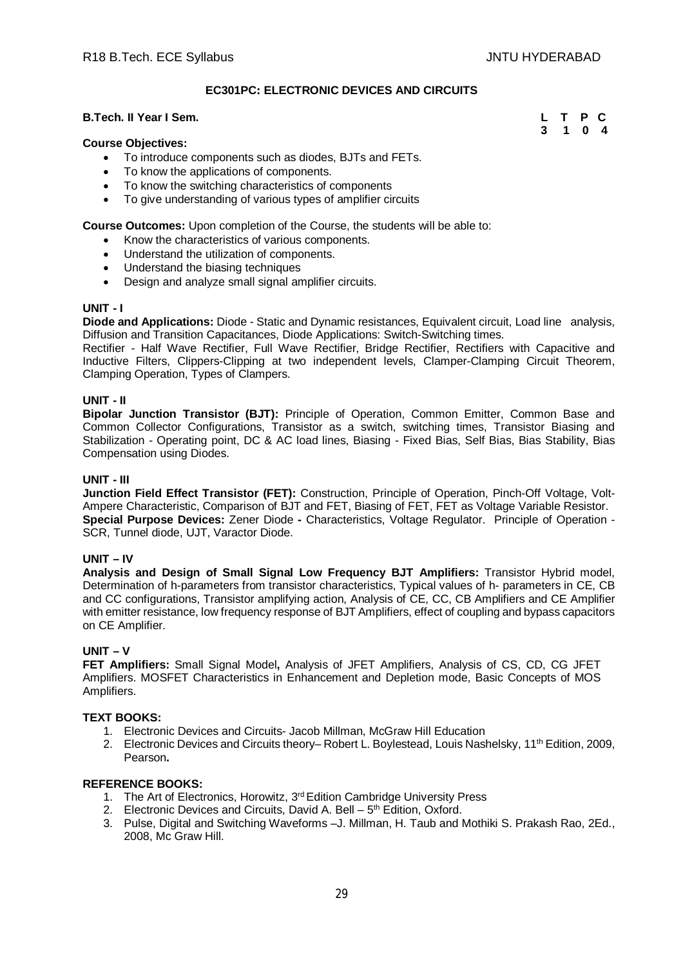# **EC301PC: ELECTRONIC DEVICES AND CIRCUITS**

# **B.Tech. II Year I Sem.**

| Il Year I Sem. | L T P C |  |
|----------------|---------|--|
|                | 3 1 0 4 |  |

# **Course Objectives:**

- To introduce components such as diodes, BJTs and FETs.
- To know the applications of components.
- To know the switching characteristics of components
- To give understanding of various types of amplifier circuits

**Course Outcomes:** Upon completion of the Course, the students will be able to:

- Know the characteristics of various components.
- Understand the utilization of components.
- Understand the biasing techniques
- Design and analyze small signal amplifier circuits.

### **UNIT - I**

**Diode and Applications:** Diode - Static and Dynamic resistances, Equivalent circuit, Load line analysis, Diffusion and Transition Capacitances, Diode Applications: Switch-Switching times.

Rectifier - Half Wave Rectifier, Full Wave Rectifier, Bridge Rectifier, Rectifiers with Capacitive and Inductive Filters, Clippers-Clipping at two independent levels, Clamper-Clamping Circuit Theorem, Clamping Operation, Types of Clampers.

### **UNIT - II**

**Bipolar Junction Transistor (BJT):** Principle of Operation, Common Emitter, Common Base and Common Collector Configurations, Transistor as a switch, switching times, Transistor Biasing and Stabilization - Operating point, DC & AC load lines, Biasing - Fixed Bias, Self Bias, Bias Stability, Bias Compensation using Diodes.

# **UNIT - III**

**Junction Field Effect Transistor (FET):** Construction, Principle of Operation, Pinch-Off Voltage, Volt-Ampere Characteristic, Comparison of BJT and FET, Biasing of FET, FET as Voltage Variable Resistor. **Special Purpose Devices:** Zener Diode **-** Characteristics, Voltage Regulator. Principle of Operation - SCR, Tunnel diode, UJT, Varactor Diode.

# **UNIT – IV**

**Analysis and Design of Small Signal Low Frequency BJT Amplifiers:** Transistor Hybrid model, Determination of h-parameters from transistor characteristics, Typical values of h- parameters in CE, CB and CC configurations, Transistor amplifying action, Analysis of CE, CC, CB Amplifiers and CE Amplifier with emitter resistance, low frequency response of BJT Amplifiers, effect of coupling and bypass capacitors on CE Amplifier.

# **UNIT – V**

**FET Amplifiers:** Small Signal Model**,** Analysis of JFET Amplifiers, Analysis of CS, CD, CG JFET Amplifiers. MOSFET Characteristics in Enhancement and Depletion mode, Basic Concepts of MOS Amplifiers.

# **TEXT BOOKS:**

- 1. Electronic Devices and Circuits- Jacob Millman, McGraw Hill Education
- 2. Electronic Devices and Circuits theory– Robert L. Boylestead, Louis Nashelsky, 11<sup>th</sup> Edition, 2009, Pearson**.**

- 1. The Art of Electronics, Horowitz, 3<sup>rd</sup> Edition Cambridge University Press
- 2. Electronic Devices and Circuits, David A. Bell 5<sup>th</sup> Edition, Oxford.
- 3. Pulse, Digital and Switching Waveforms –J. Millman, H. Taub and Mothiki S. Prakash Rao, 2Ed., 2008, Mc Graw Hill.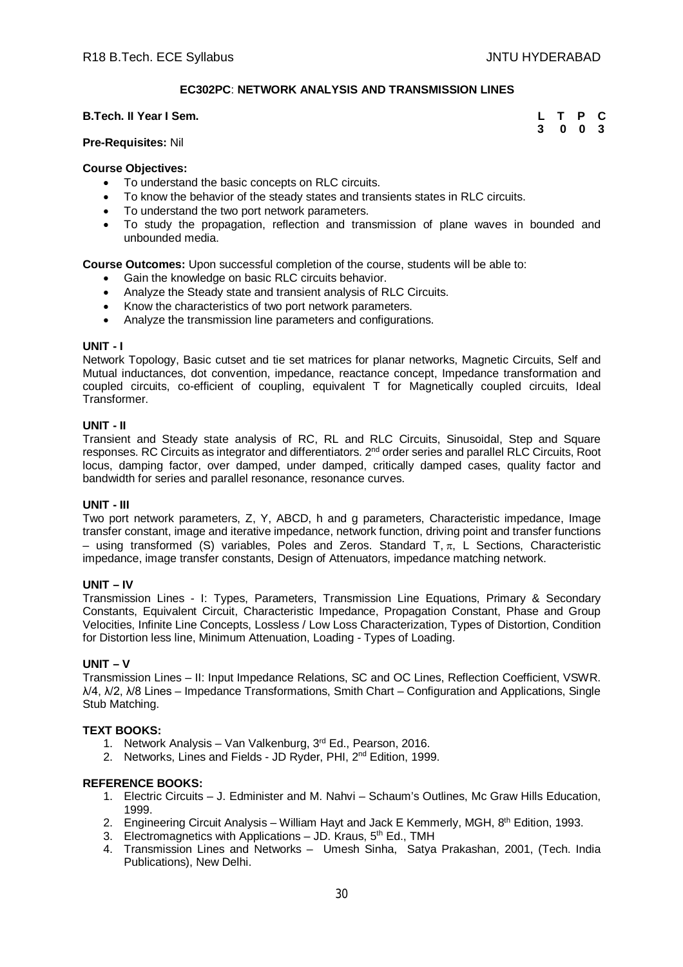# **EC302PC**: **NETWORK ANALYSIS AND TRANSMISSION LINES**

### **B.Tech. II Year I Sem.**

| Il Year I Sem. | L T P C |  |
|----------------|---------|--|
|                | 3 0 0 3 |  |

# **Pre-Requisites:** Nil

# **Course Objectives:**

- To understand the basic concepts on RLC circuits.
- To know the behavior of the steady states and transients states in RLC circuits.
- To understand the two port network parameters.
- To study the propagation, reflection and transmission of plane waves in bounded and unbounded media.

**Course Outcomes:** Upon successful completion of the course, students will be able to:

- Gain the knowledge on basic RLC circuits behavior.
- Analyze the Steady state and transient analysis of RLC Circuits.
- Know the characteristics of two port network parameters.
- Analyze the transmission line parameters and configurations.

### **UNIT - I**

Network Topology, Basic cutset and tie set matrices for planar networks, Magnetic Circuits, Self and Mutual inductances, dot convention, impedance, reactance concept, Impedance transformation and coupled circuits, co-efficient of coupling, equivalent T for Magnetically coupled circuits, Ideal Transformer.

# **UNIT - II**

Transient and Steady state analysis of RC, RL and RLC Circuits, Sinusoidal, Step and Square responses. RC Circuits as integrator and differentiators. 2<sup>nd</sup> order series and parallel RLC Circuits, Root locus, damping factor, over damped, under damped, critically damped cases, quality factor and bandwidth for series and parallel resonance, resonance curves.

# **UNIT - III**

Two port network parameters, Z, Y, ABCD, h and g parameters, Characteristic impedance, Image transfer constant, image and iterative impedance, network function, driving point and transfer functions – using transformed (S) variables, Poles and Zeros. Standard T,  $\pi$ , L Sections, Characteristic impedance, image transfer constants, Design of Attenuators, impedance matching network.

# **UNIT – IV**

Transmission Lines - I: Types, Parameters, Transmission Line Equations, Primary & Secondary Constants, Equivalent Circuit, Characteristic Impedance, Propagation Constant, Phase and Group Velocities, Infinite Line Concepts, Lossless / Low Loss Characterization, Types of Distortion, Condition for Distortion less line, Minimum Attenuation, Loading - Types of Loading.

# **UNIT – V**

Transmission Lines – II: Input Impedance Relations, SC and OC Lines, Reflection Coefficient, VSWR. λ/4, λ/2, λ/8 Lines – Impedance Transformations, Smith Chart – Configuration and Applications, Single Stub Matching.

# **TEXT BOOKS:**

- 1. Network Analysis Van Valkenburg, 3rd Ed., Pearson, 2016.
- 2. Networks, Lines and Fields JD Ryder, PHI, 2<sup>nd</sup> Edition, 1999.

- 1. Electric Circuits J. Edminister and M. Nahvi Schaum's Outlines, Mc Graw Hills Education, 1999.
- 2. Engineering Circuit Analysis William Hayt and Jack E Kemmerly, MGH, 8<sup>th</sup> Edition, 1993.
- 3. Electromagnetics with Applications  $-$  JD. Kraus,  $5<sup>th</sup>$  Ed., TMH
- 4. Transmission Lines and Networks Umesh Sinha, Satya Prakashan, 2001, (Tech. India Publications), New Delhi.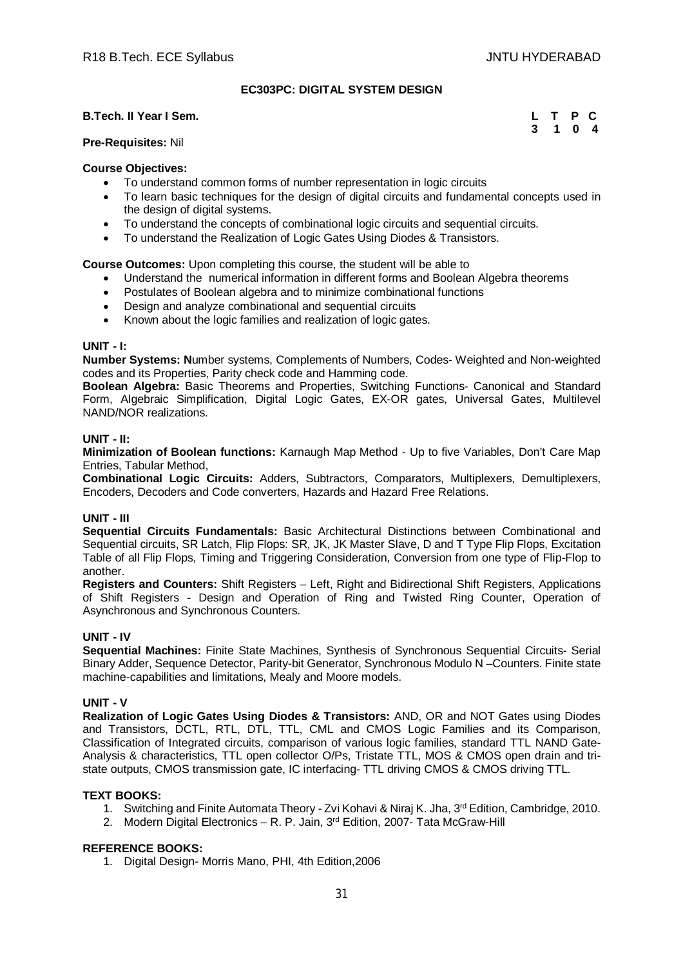# **EC303PC: DIGITAL SYSTEM DESIGN**

# **B.Tech. II Year I Sem.**

|  | L T P C |  |
|--|---------|--|
|  | 3 1 0 4 |  |

# **Pre-Requisites:** Nil

# **Course Objectives:**

- To understand common forms of number representation in logic circuits
- To learn basic techniques for the design of digital circuits and fundamental concepts used in the design of digital systems.
- To understand the concepts of combinational logic circuits and sequential circuits.
- To understand the Realization of Logic Gates Using Diodes & Transistors.

**Course Outcomes:** Upon completing this course, the student will be able to

- Understand the numerical information in different forms and Boolean Algebra theorems
- Postulates of Boolean algebra and to minimize combinational functions
- Design and analyze combinational and sequential circuits
- Known about the logic families and realization of logic gates.

# **UNIT - I:**

**Number Systems: N**umber systems, Complements of Numbers, Codes- Weighted and Non-weighted codes and its Properties, Parity check code and Hamming code.

**Boolean Algebra:** Basic Theorems and Properties, Switching Functions- Canonical and Standard Form, Algebraic Simplification, Digital Logic Gates, EX-OR gates, Universal Gates, Multilevel NAND/NOR realizations.

# **UNIT - II:**

**Minimization of Boolean functions:** Karnaugh Map Method - Up to five Variables, Don't Care Map Entries, Tabular Method,

**Combinational Logic Circuits:** Adders, Subtractors, Comparators, Multiplexers, Demultiplexers, Encoders, Decoders and Code converters, Hazards and Hazard Free Relations.

# **UNIT - III**

**Sequential Circuits Fundamentals:** Basic Architectural Distinctions between Combinational and Sequential circuits, SR Latch, Flip Flops: SR, JK, JK Master Slave, D and T Type Flip Flops, Excitation Table of all Flip Flops, Timing and Triggering Consideration, Conversion from one type of Flip-Flop to another.

**Registers and Counters:** Shift Registers – Left, Right and Bidirectional Shift Registers, Applications of Shift Registers - Design and Operation of Ring and Twisted Ring Counter, Operation of Asynchronous and Synchronous Counters.

# **UNIT - IV**

**Sequential Machines:** Finite State Machines, Synthesis of Synchronous Sequential Circuits- Serial Binary Adder, Sequence Detector, Parity-bit Generator, Synchronous Modulo N –Counters. Finite state machine-capabilities and limitations, Mealy and Moore models.

# **UNIT - V**

**Realization of Logic Gates Using Diodes & Transistors:** AND, OR and NOT Gates using Diodes and Transistors, DCTL, RTL, DTL, TTL, CML and CMOS Logic Families and its Comparison, Classification of Integrated circuits, comparison of various logic families, standard TTL NAND Gate-Analysis & characteristics, TTL open collector O/Ps, Tristate TTL, MOS & CMOS open drain and tristate outputs, CMOS transmission gate, IC interfacing- TTL driving CMOS & CMOS driving TTL.

# **TEXT BOOKS:**

- 1. Switching and Finite Automata Theory Zvi Kohavi & Niraj K. Jha, 3rd Edition, Cambridge, 2010.
- 2. Modern Digital Electronics R. P. Jain,  $3^{rd}$  Edition, 2007- Tata McGraw-Hill

# **REFERENCE BOOKS:**

1. Digital Design- Morris Mano, PHI, 4th Edition,2006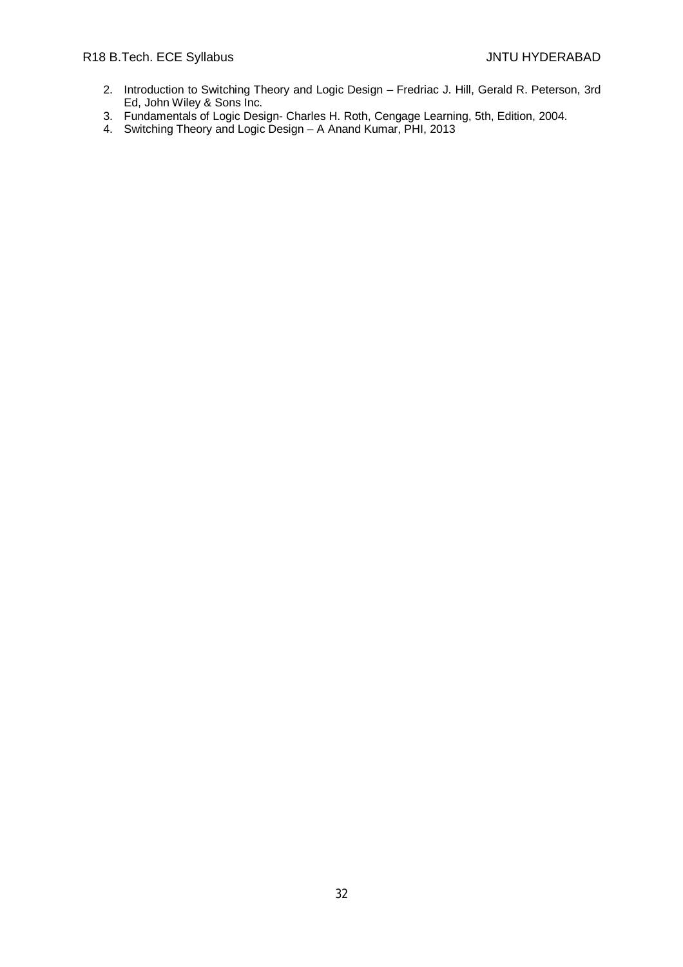- 2. Introduction to Switching Theory and Logic Design Fredriac J. Hill, Gerald R. Peterson, 3rd Ed, John Wiley & Sons Inc.
- 3. Fundamentals of Logic Design- Charles H. Roth, Cengage Learning, 5th, Edition, 2004.
- 4. Switching Theory and Logic Design A Anand Kumar, PHI, 2013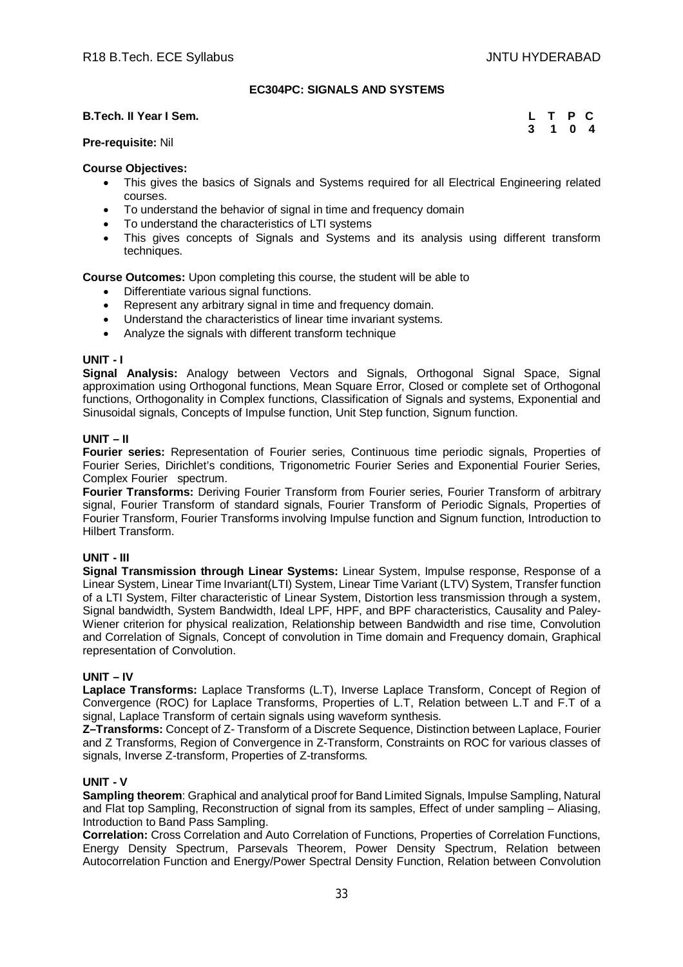# **EC304PC: SIGNALS AND SYSTEMS**

# **B.Tech. II Year I Sem.**

|  | L T P C |  |
|--|---------|--|
|  | 3 1 0 4 |  |

# **Pre-requisite:** Nil

# **Course Objectives:**

- This gives the basics of Signals and Systems required for all Electrical Engineering related courses.
- To understand the behavior of signal in time and frequency domain
- To understand the characteristics of LTI systems
- This gives concepts of Signals and Systems and its analysis using different transform techniques.

**Course Outcomes:** Upon completing this course, the student will be able to

- Differentiate various signal functions.
- Represent any arbitrary signal in time and frequency domain.
- Understand the characteristics of linear time invariant systems.
- Analyze the signals with different transform technique

# **UNIT - I**

**Signal Analysis:** Analogy between Vectors and Signals, Orthogonal Signal Space, Signal approximation using Orthogonal functions, Mean Square Error, Closed or complete set of Orthogonal functions, Orthogonality in Complex functions, Classification of Signals and systems, Exponential and Sinusoidal signals, Concepts of Impulse function, Unit Step function, Signum function.

# **UNIT – II**

**Fourier series:** Representation of Fourier series, Continuous time periodic signals, Properties of Fourier Series, Dirichlet's conditions, Trigonometric Fourier Series and Exponential Fourier Series, Complex Fourier spectrum.

**Fourier Transforms:** Deriving Fourier Transform from Fourier series, Fourier Transform of arbitrary signal, Fourier Transform of standard signals, Fourier Transform of Periodic Signals, Properties of Fourier Transform, Fourier Transforms involving Impulse function and Signum function, Introduction to Hilbert Transform.

# **UNIT - III**

**Signal Transmission through Linear Systems:** Linear System, Impulse response, Response of a Linear System, Linear Time Invariant(LTI) System, Linear Time Variant (LTV) System, Transfer function of a LTI System, Filter characteristic of Linear System, Distortion less transmission through a system, Signal bandwidth, System Bandwidth, Ideal LPF, HPF, and BPF characteristics, Causality and Paley-Wiener criterion for physical realization, Relationship between Bandwidth and rise time, Convolution and Correlation of Signals, Concept of convolution in Time domain and Frequency domain, Graphical representation of Convolution.

# **UNIT – IV**

**Laplace Transforms:** Laplace Transforms (L.T), Inverse Laplace Transform, Concept of Region of Convergence (ROC) for Laplace Transforms, Properties of L.T, Relation between L.T and F.T of a signal, Laplace Transform of certain signals using waveform synthesis.

**Z–Transforms:** Concept of Z- Transform of a Discrete Sequence, Distinction between Laplace, Fourier and Z Transforms, Region of Convergence in Z-Transform, Constraints on ROC for various classes of signals, Inverse Z-transform, Properties of Z-transforms.

# **UNIT - V**

**Sampling theorem**: Graphical and analytical proof for Band Limited Signals, Impulse Sampling, Natural and Flat top Sampling, Reconstruction of signal from its samples, Effect of under sampling – Aliasing, Introduction to Band Pass Sampling.

**Correlation:** Cross Correlation and Auto Correlation of Functions, Properties of Correlation Functions, Energy Density Spectrum, Parsevals Theorem, Power Density Spectrum, Relation between Autocorrelation Function and Energy/Power Spectral Density Function, Relation between Convolution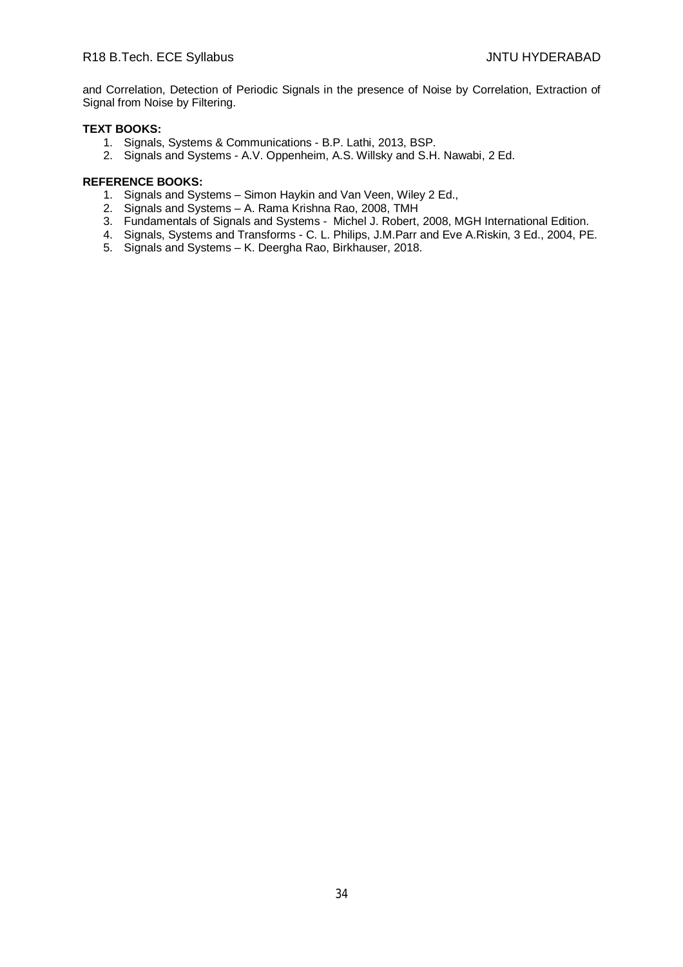and Correlation, Detection of Periodic Signals in the presence of Noise by Correlation, Extraction of Signal from Noise by Filtering.

# **TEXT BOOKS:**

- 1. Signals, Systems & Communications B.P. Lathi, 2013, BSP.
- 2. Signals and Systems A.V. Oppenheim, A.S. Willsky and S.H. Nawabi, 2 Ed.

- 1. Signals and Systems Simon Haykin and Van Veen, Wiley 2 Ed.,
- 2. Signals and Systems A. Rama Krishna Rao, 2008, TMH
- 3. Fundamentals of Signals and Systems Michel J. Robert, 2008, MGH International Edition.
- 4. Signals, Systems and Transforms C. L. Philips, J.M.Parr and Eve A.Riskin, 3 Ed., 2004, PE.
- 5. Signals and Systems K. Deergha Rao, Birkhauser, 2018.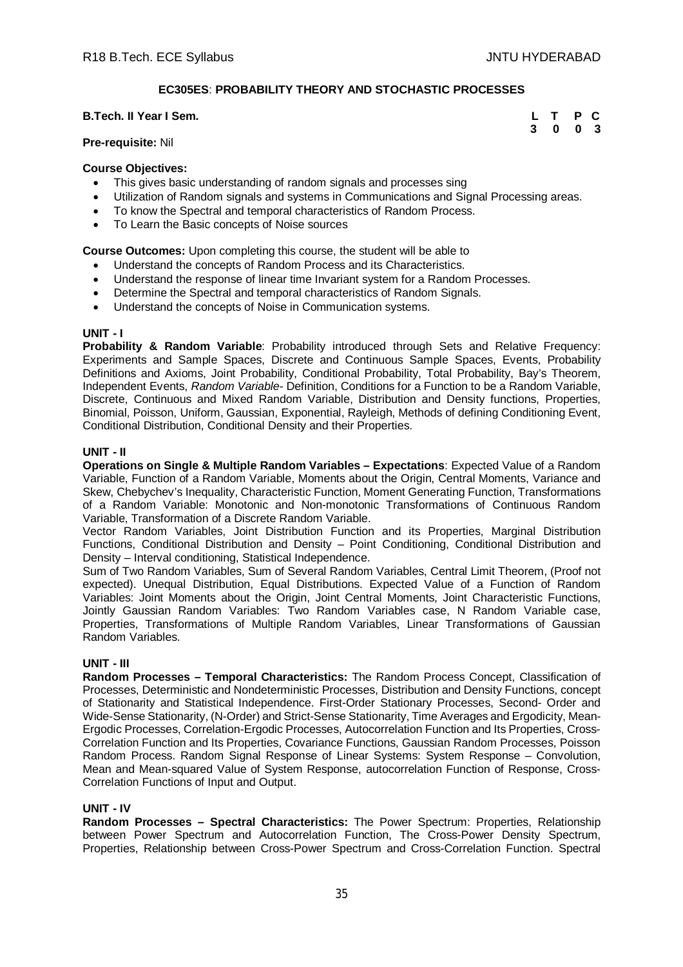# **EC305ES**: **PROBABILITY THEORY AND STOCHASTIC PROCESSES**

# **B.Tech. II Year I Sem. L T P C**

**3 0 0 3**

# **Pre-requisite:** Nil

### **Course Objectives:**

- This gives basic understanding of random signals and processes sing
- Utilization of Random signals and systems in Communications and Signal Processing areas.
- To know the Spectral and temporal characteristics of Random Process.
- To Learn the Basic concepts of Noise sources

**Course Outcomes:** Upon completing this course, the student will be able to

- Understand the concepts of Random Process and its Characteristics.
- Understand the response of linear time Invariant system for a Random Processes.
- Determine the Spectral and temporal characteristics of Random Signals.
- Understand the concepts of Noise in Communication systems.

### **UNIT - I**

**Probability & Random Variable**: Probability introduced through Sets and Relative Frequency: Experiments and Sample Spaces, Discrete and Continuous Sample Spaces, Events, Probability Definitions and Axioms, Joint Probability, Conditional Probability, Total Probability, Bay's Theorem, Independent Events, *Random Variable-* Definition, Conditions for a Function to be a Random Variable, Discrete, Continuous and Mixed Random Variable, Distribution and Density functions, Properties, Binomial, Poisson, Uniform, Gaussian, Exponential, Rayleigh, Methods of defining Conditioning Event, Conditional Distribution, Conditional Density and their Properties.

### **UNIT - II**

**Operations on Single & Multiple Random Variables – Expectations**: Expected Value of a Random Variable, Function of a Random Variable, Moments about the Origin, Central Moments, Variance and Skew, Chebychev's Inequality, Characteristic Function, Moment Generating Function, Transformations of a Random Variable: Monotonic and Non-monotonic Transformations of Continuous Random Variable, Transformation of a Discrete Random Variable.

Vector Random Variables, Joint Distribution Function and its Properties, Marginal Distribution Functions, Conditional Distribution and Density – Point Conditioning, Conditional Distribution and Density – Interval conditioning, Statistical Independence.

Sum of Two Random Variables, Sum of Several Random Variables, Central Limit Theorem, (Proof not expected). Unequal Distribution, Equal Distributions. Expected Value of a Function of Random Variables: Joint Moments about the Origin, Joint Central Moments, Joint Characteristic Functions, Jointly Gaussian Random Variables: Two Random Variables case, N Random Variable case, Properties, Transformations of Multiple Random Variables, Linear Transformations of Gaussian Random Variables.

### **UNIT - III**

**Random Processes – Temporal Characteristics:** The Random Process Concept, Classification of Processes, Deterministic and Nondeterministic Processes, Distribution and Density Functions, concept of Stationarity and Statistical Independence. First-Order Stationary Processes, Second- Order and Wide-Sense Stationarity, (N-Order) and Strict-Sense Stationarity, Time Averages and Ergodicity, Mean-Ergodic Processes, Correlation-Ergodic Processes, Autocorrelation Function and Its Properties, Cross-Correlation Function and Its Properties, Covariance Functions, Gaussian Random Processes, Poisson Random Process. Random Signal Response of Linear Systems: System Response – Convolution, Mean and Mean-squared Value of System Response, autocorrelation Function of Response, Cross-Correlation Functions of Input and Output.

# **UNIT - IV**

**Random Processes – Spectral Characteristics:** The Power Spectrum: Properties, Relationship between Power Spectrum and Autocorrelation Function, The Cross-Power Density Spectrum, Properties, Relationship between Cross-Power Spectrum and Cross-Correlation Function. Spectral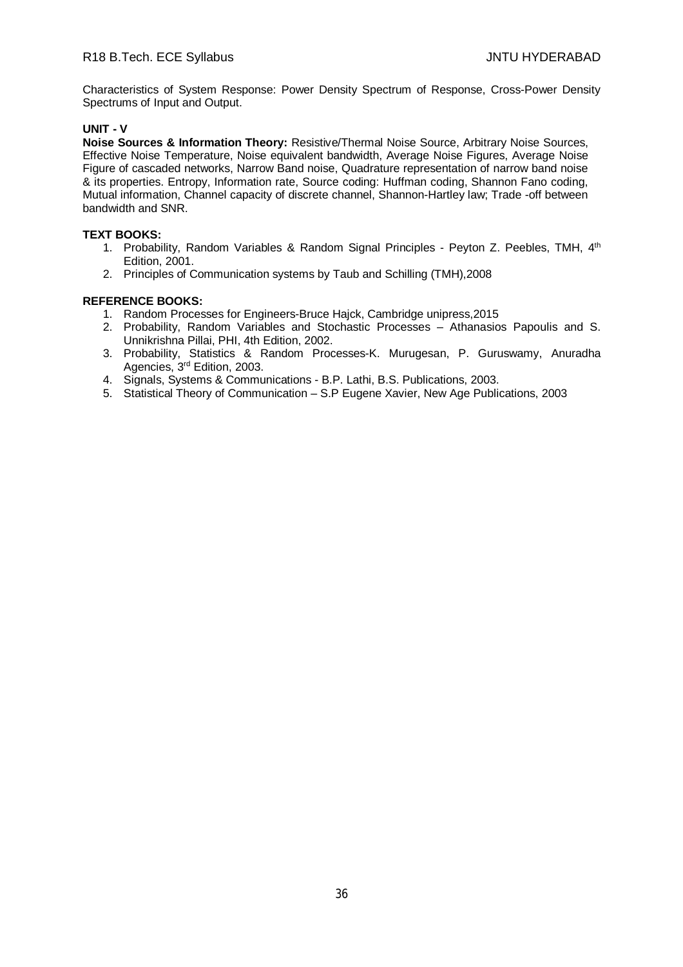Characteristics of System Response: Power Density Spectrum of Response, Cross-Power Density Spectrums of Input and Output.

# **UNIT - V**

**Noise Sources & Information Theory:** Resistive/Thermal Noise Source, Arbitrary Noise Sources, Effective Noise Temperature, Noise equivalent bandwidth, Average Noise Figures, Average Noise Figure of cascaded networks, Narrow Band noise, Quadrature representation of narrow band noise & its properties. Entropy, Information rate, Source coding: Huffman coding, Shannon Fano coding, Mutual information, Channel capacity of discrete channel, Shannon-Hartley law; Trade -off between bandwidth and SNR.

# **TEXT BOOKS:**

- 1. Probability, Random Variables & Random Signal Principles Peyton Z. Peebles, TMH, 4<sup>th</sup> Edition, 2001.
- 2. Principles of Communication systems by Taub and Schilling (TMH),2008

- 1. Random Processes for Engineers-Bruce Hajck, Cambridge unipress,2015
- 2. Probability, Random Variables and Stochastic Processes Athanasios Papoulis and S. Unnikrishna Pillai, PHI, 4th Edition, 2002.
- 3. Probability, Statistics & Random Processes-K. Murugesan, P. Guruswamy, Anuradha Agencies, 3rd Edition, 2003.
- 4. Signals, Systems & Communications B.P. Lathi, B.S. Publications, 2003.
- 5. Statistical Theory of Communication S.P Eugene Xavier, New Age Publications, 2003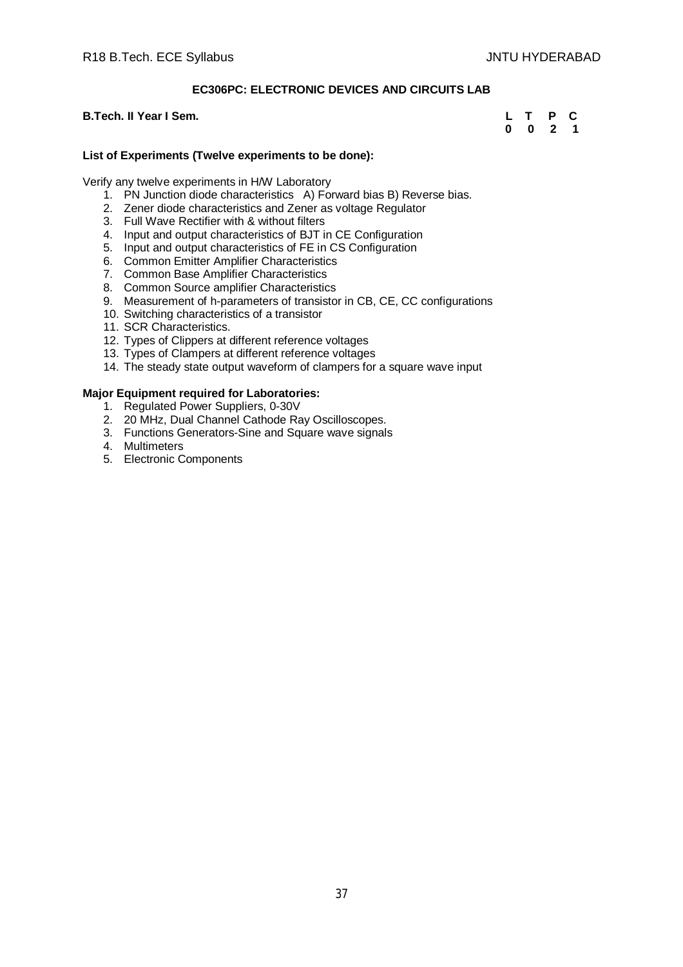# **EC306PC: ELECTRONIC DEVICES AND CIRCUITS LAB**

# **B.Tech. II Year I Sem.**

| L | т | Р | C |
|---|---|---|---|
| 0 | 0 | 2 | 1 |

# **List of Experiments (Twelve experiments to be done):**

Verify any twelve experiments in H/W Laboratory

- 1. PN Junction diode characteristics A) Forward bias B) Reverse bias.
- 2. Zener diode characteristics and Zener as voltage Regulator
- 3. Full Wave Rectifier with & without filters
- 4. Input and output characteristics of BJT in CE Configuration
- 5. Input and output characteristics of FE in CS Configuration
- 6. Common Emitter Amplifier Characteristics
- 7. Common Base Amplifier Characteristics
- 8. Common Source amplifier Characteristics
- 9. Measurement of h-parameters of transistor in CB, CE, CC configurations
- 10. Switching characteristics of a transistor
- 11. SCR Characteristics.
- 12. Types of Clippers at different reference voltages
- 13. Types of Clampers at different reference voltages
- 14. The steady state output waveform of clampers for a square wave input

- 1. Regulated Power Suppliers, 0-30V
- 2. 20 MHz, Dual Channel Cathode Ray Oscilloscopes.
- 3. Functions Generators-Sine and Square wave signals
- 4. Multimeters
- 5. Electronic Components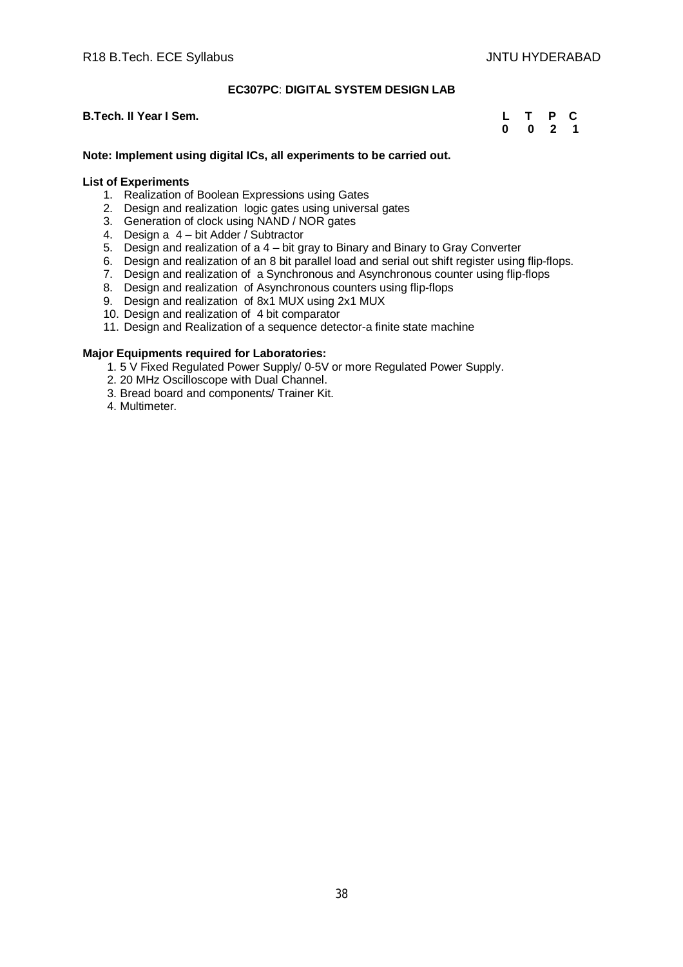# **EC307PC**: **DIGITAL SYSTEM DESIGN LAB**

# **B.Tech. II Year I Sem.**

|   | т | P  | C |
|---|---|----|---|
| 0 | 0 | -2 | 1 |

#### **Note: Implement using digital ICs, all experiments to be carried out.**

# **List of Experiments**

- 1. Realization of Boolean Expressions using Gates
- 2. Design and realization logic gates using universal gates
- 3. Generation of clock using NAND / NOR gates
- 4. Design a 4 bit Adder / Subtractor
- 5. Design and realization of a 4 bit gray to Binary and Binary to Gray Converter
- 6. Design and realization of an 8 bit parallel load and serial out shift register using flip-flops.
- 7. Design and realization of a Synchronous and Asynchronous counter using flip-flops
- 8. Design and realization of Asynchronous counters using flip-flops
- 9. Design and realization of 8x1 MUX using 2x1 MUX
- 10. Design and realization of 4 bit comparator
- 11. Design and Realization of a sequence detector-a finite state machine

- 1. 5 V Fixed Regulated Power Supply/ 0-5V or more Regulated Power Supply.
- 2. 20 MHz Oscilloscope with Dual Channel.
- 3. Bread board and components/ Trainer Kit.
- 4. Multimeter.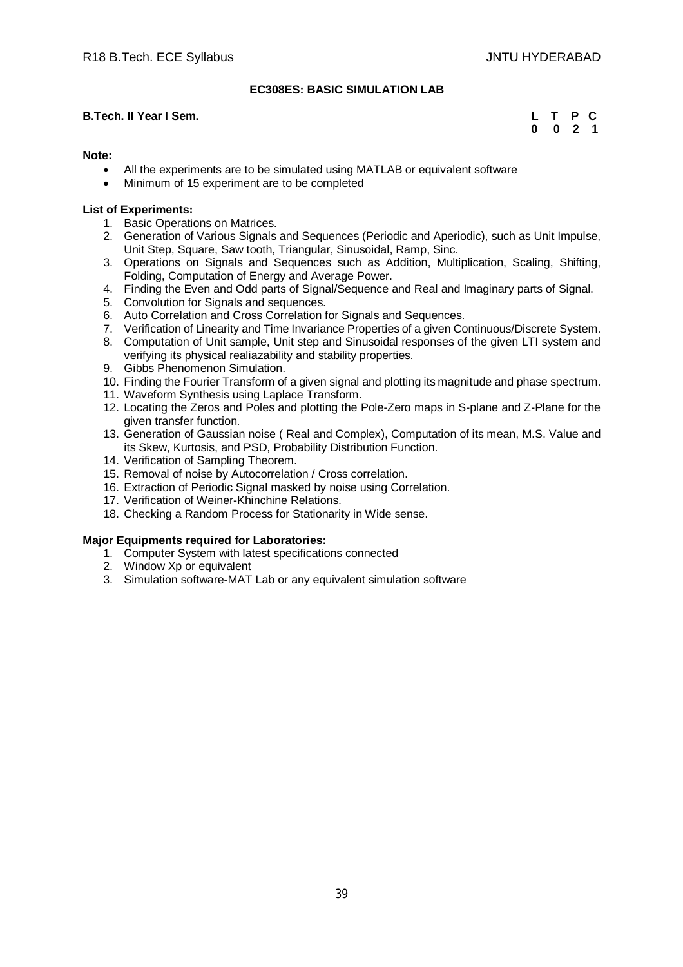# **EC308ES: BASIC SIMULATION LAB**

# **B.Tech. II Year I Sem. L T P C**

 **0 0 2 1**

# **Note:**

- All the experiments are to be simulated using MATLAB or equivalent software
- Minimum of 15 experiment are to be completed

# **List of Experiments:**

- 1. Basic Operations on Matrices.
- 2. Generation of Various Signals and Sequences (Periodic and Aperiodic), such as Unit Impulse, Unit Step, Square, Saw tooth, Triangular, Sinusoidal, Ramp, Sinc.
- 3. Operations on Signals and Sequences such as Addition, Multiplication, Scaling, Shifting, Folding, Computation of Energy and Average Power.
- 4. Finding the Even and Odd parts of Signal/Sequence and Real and Imaginary parts of Signal.
- 5. Convolution for Signals and sequences.
- 6. Auto Correlation and Cross Correlation for Signals and Sequences.
- 7. Verification of Linearity and Time Invariance Properties of a given Continuous/Discrete System.
- 8. Computation of Unit sample, Unit step and Sinusoidal responses of the given LTI system and verifying its physical realiazability and stability properties.
- 9. Gibbs Phenomenon Simulation.
- 10. Finding the Fourier Transform of a given signal and plotting its magnitude and phase spectrum.
- 11. Waveform Synthesis using Laplace Transform.
- 12. Locating the Zeros and Poles and plotting the Pole-Zero maps in S-plane and Z-Plane for the given transfer function.
- 13. Generation of Gaussian noise ( Real and Complex), Computation of its mean, M.S. Value and its Skew, Kurtosis, and PSD, Probability Distribution Function.
- 14. Verification of Sampling Theorem.
- 15. Removal of noise by Autocorrelation / Cross correlation.
- 16. Extraction of Periodic Signal masked by noise using Correlation.
- 17. Verification of Weiner-Khinchine Relations.
- 18. Checking a Random Process for Stationarity in Wide sense.

- 1. Computer System with latest specifications connected
- 2. Window Xp or equivalent
- 3. Simulation software-MAT Lab or any equivalent simulation software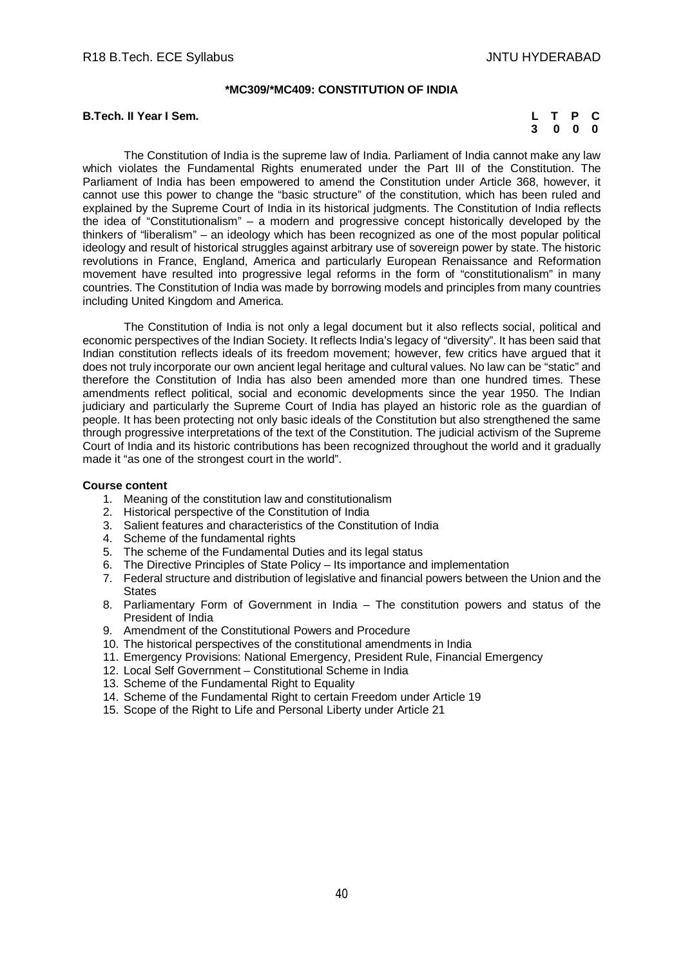#### **\*MC309/\*MC409: CONSTITUTION OF INDIA**

#### **B.Tech. II Year I Sem.**

|  | L T P C |  |
|--|---------|--|
|  | 3 0 0 0 |  |

The Constitution of India is the supreme law of India. Parliament of India cannot make any law which violates the Fundamental Rights enumerated under the Part III of the Constitution. The Parliament of India has been empowered to amend the Constitution under Article 368, however, it cannot use this power to change the "basic structure" of the constitution, which has been ruled and explained by the Supreme Court of India in its historical judgments. The Constitution of India reflects the idea of "Constitutionalism" – a modern and progressive concept historically developed by the thinkers of "liberalism" – an ideology which has been recognized as one of the most popular political ideology and result of historical struggles against arbitrary use of sovereign power by state. The historic revolutions in France, England, America and particularly European Renaissance and Reformation movement have resulted into progressive legal reforms in the form of "constitutionalism" in many countries. The Constitution of India was made by borrowing models and principles from many countries including United Kingdom and America.

The Constitution of India is not only a legal document but it also reflects social, political and economic perspectives of the Indian Society. It reflects India's legacy of "diversity". It has been said that Indian constitution reflects ideals of its freedom movement; however, few critics have argued that it does not truly incorporate our own ancient legal heritage and cultural values. No law can be "static" and therefore the Constitution of India has also been amended more than one hundred times. These amendments reflect political, social and economic developments since the year 1950. The Indian judiciary and particularly the Supreme Court of India has played an historic role as the guardian of people. It has been protecting not only basic ideals of the Constitution but also strengthened the same through progressive interpretations of the text of the Constitution. The judicial activism of the Supreme Court of India and its historic contributions has been recognized throughout the world and it gradually made it "as one of the strongest court in the world".

#### **Course content**

- 1. Meaning of the constitution law and constitutionalism
- 2. Historical perspective of the Constitution of India
- 3. Salient features and characteristics of the Constitution of India
- 4. Scheme of the fundamental rights
- 5. The scheme of the Fundamental Duties and its legal status
- 6. The Directive Principles of State Policy Its importance and implementation
- 7. Federal structure and distribution of legislative and financial powers between the Union and the **States**
- 8. Parliamentary Form of Government in India The constitution powers and status of the President of India
- 9. Amendment of the Constitutional Powers and Procedure
- 10. The historical perspectives of the constitutional amendments in India
- 11. Emergency Provisions: National Emergency, President Rule, Financial Emergency
- 12. Local Self Government Constitutional Scheme in India
- 13. Scheme of the Fundamental Right to Equality
- 14. Scheme of the Fundamental Right to certain Freedom under Article 19
- 15. Scope of the Right to Life and Personal Liberty under Article 21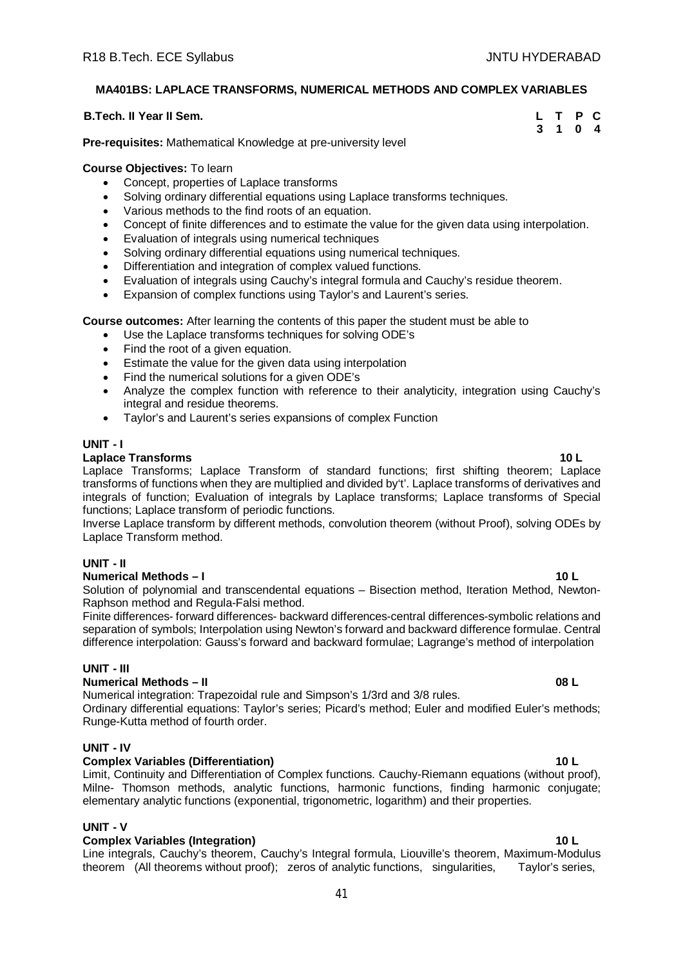# **MA401BS: LAPLACE TRANSFORMS, NUMERICAL METHODS AND COMPLEX VARIABLES**

# **B.Tech. II Year II Sem. L T P C**

**3 1 0 4**

**Pre-requisites:** Mathematical Knowledge at pre-university level

# **Course Objectives:** To learn

- Concept, properties of Laplace transforms
- Solving ordinary differential equations using Laplace transforms techniques.
- Various methods to the find roots of an equation.
- Concept of finite differences and to estimate the value for the given data using interpolation.
- Evaluation of integrals using numerical techniques
- Solving ordinary differential equations using numerical techniques.
- Differentiation and integration of complex valued functions.
- Evaluation of integrals using Cauchy's integral formula and Cauchy's residue theorem.
- Expansion of complex functions using Taylor's and Laurent's series.

**Course outcomes:** After learning the contents of this paper the student must be able to

- Use the Laplace transforms techniques for solving ODE's
- Find the root of a given equation.
- Estimate the value for the given data using interpolation
- Find the numerical solutions for a given ODE's
- Analyze the complex function with reference to their analyticity, integration using Cauchy's integral and residue theorems.
- Taylor's and Laurent's series expansions of complex Function

# **UNIT - I**

# **Laplace Transforms 10 L**

Laplace Transforms; Laplace Transform of standard functions; first shifting theorem; Laplace transforms of functions when they are multiplied and divided by't'. Laplace transforms of derivatives and integrals of function; Evaluation of integrals by Laplace transforms; Laplace transforms of Special functions; Laplace transform of periodic functions.

Inverse Laplace transform by different methods, convolution theorem (without Proof), solving ODEs by Laplace Transform method.

# **UNIT - II**

# **Numerical Methods – I 10 L**

Solution of polynomial and transcendental equations – Bisection method, Iteration Method, Newton-Raphson method and Regula-Falsi method.

Finite differences- forward differences- backward differences-central differences-symbolic relations and separation of symbols; Interpolation using Newton's forward and backward difference formulae. Central difference interpolation: Gauss's forward and backward formulae; Lagrange's method of interpolation

# **UNIT - III**

# **Numerical Methods – II 08 L**

Numerical integration: Trapezoidal rule and Simpson's 1/3rd and 3/8 rules. Ordinary differential equations: Taylor's series; Picard's method; Euler and modified Euler's methods;

Runge-Kutta method of fourth order.

# **UNIT - IV**

# **Complex Variables (Differentiation) 10 L**

Limit, Continuity and Differentiation of Complex functions. Cauchy-Riemann equations (without proof), Milne- Thomson methods, analytic functions, harmonic functions, finding harmonic conjugate; elementary analytic functions (exponential, trigonometric, logarithm) and their properties.

# **UNIT - V**

#### **Complex Variables (Integration) 10 L**

Line integrals, Cauchy's theorem, Cauchy's Integral formula, Liouville's theorem, Maximum-Modulus theorem (All theorems without proof); zeros of analytic functions, singularities, Taylor's series,

# 41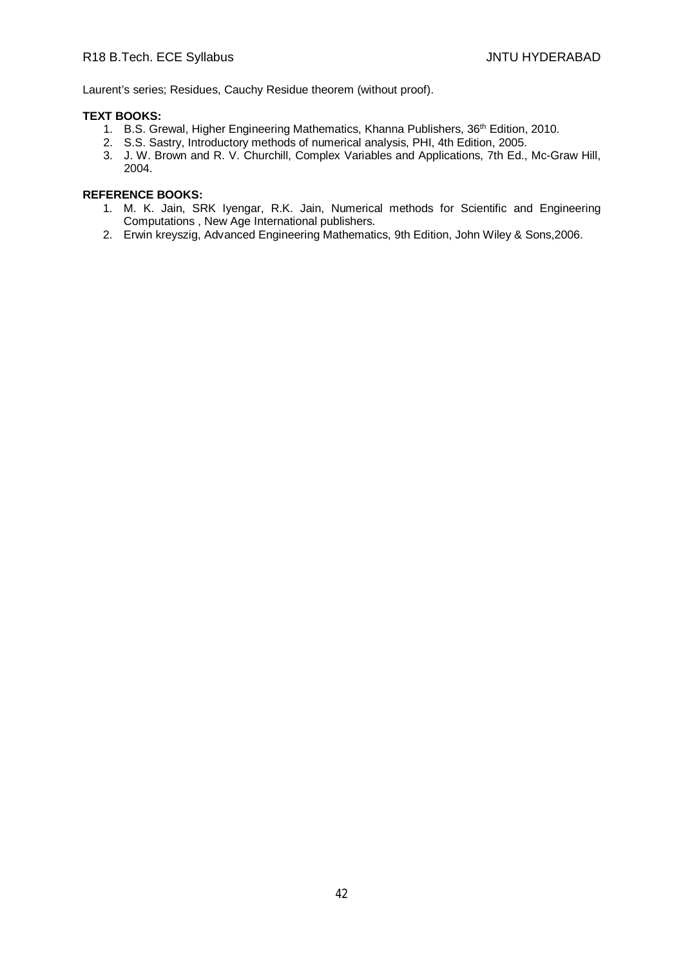Laurent's series; Residues, Cauchy Residue theorem (without proof).

# **TEXT BOOKS:**

- 1. B.S. Grewal, Higher Engineering Mathematics, Khanna Publishers, 36<sup>th</sup> Edition, 2010.
- 2. S.S. Sastry, Introductory methods of numerical analysis, PHI, 4th Edition, 2005.
- 3. J. W. Brown and R. V. Churchill, Complex Variables and Applications, 7th Ed., Mc-Graw Hill, 2004.

- 1. M. K. Jain, SRK Iyengar, R.K. Jain, Numerical methods for Scientific and Engineering Computations , New Age International publishers.
- 2. Erwin kreyszig, Advanced Engineering Mathematics, 9th Edition, John Wiley & Sons,2006.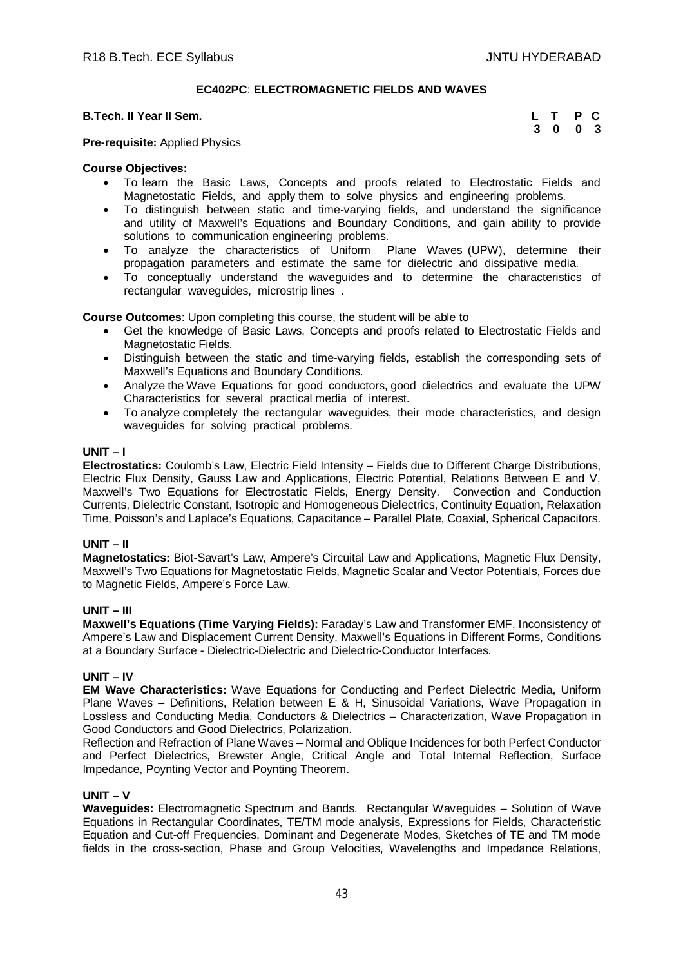# **EC402PC**: **ELECTROMAGNETIC FIELDS AND WAVES**

#### **B.Tech. II Year II Sem.**

| Гесһ. II Year II Sem. | L T P C |  |
|-----------------------|---------|--|
|                       | 3 0 0 3 |  |

**Pre-requisite:** Applied Physics

# **Course Objectives:**

- To learn the Basic Laws, Concepts and proofs related to Electrostatic Fields and Magnetostatic Fields, and apply them to solve physics and engineering problems.
- To distinguish between static and time-varying fields, and understand the significance and utility of Maxwell's Equations and Boundary Conditions, and gain ability to provide solutions to communication engineering problems.
- To analyze the characteristics of Uniform Plane Waves (UPW), determine their propagation parameters and estimate the same for dielectric and dissipative media.
- To conceptually understand the waveguides and to determine the characteristics of rectangular waveguides, microstrip lines .

**Course Outcomes**: Upon completing this course, the student will be able to

- Get the knowledge of Basic Laws, Concepts and proofs related to Electrostatic Fields and Magnetostatic Fields.
- Distinguish between the static and time-varying fields, establish the corresponding sets of Maxwell's Equations and Boundary Conditions.
- Analyze the Wave Equations for good conductors, good dielectrics and evaluate the UPW Characteristics for several practical media of interest.
- To analyze completely the rectangular waveguides, their mode characteristics, and design waveguides for solving practical problems.

#### **UNIT – I**

**Electrostatics:** Coulomb's Law, Electric Field Intensity – Fields due to Different Charge Distributions, Electric Flux Density, Gauss Law and Applications, Electric Potential, Relations Between E and V, Maxwell's Two Equations for Electrostatic Fields, Energy Density. Convection and Conduction Currents, Dielectric Constant, Isotropic and Homogeneous Dielectrics, Continuity Equation, Relaxation Time, Poisson's and Laplace's Equations, Capacitance – Parallel Plate, Coaxial, Spherical Capacitors.

#### **UNIT – II**

**Magnetostatics:** Biot-Savart's Law, Ampere's Circuital Law and Applications, Magnetic Flux Density, Maxwell's Two Equations for Magnetostatic Fields, Magnetic Scalar and Vector Potentials, Forces due to Magnetic Fields, Ampere's Force Law.

# **UNIT – III**

**Maxwell's Equations (Time Varying Fields):** Faraday's Law and Transformer EMF, Inconsistency of Ampere's Law and Displacement Current Density, Maxwell's Equations in Different Forms, Conditions at a Boundary Surface - Dielectric-Dielectric and Dielectric-Conductor Interfaces.

#### **UNIT – IV**

**EM Wave Characteristics:** Wave Equations for Conducting and Perfect Dielectric Media, Uniform Plane Waves – Definitions, Relation between E & H, Sinusoidal Variations, Wave Propagation in Lossless and Conducting Media, Conductors & Dielectrics – Characterization, Wave Propagation in Good Conductors and Good Dielectrics, Polarization.

Reflection and Refraction of Plane Waves – Normal and Oblique Incidences for both Perfect Conductor and Perfect Dielectrics, Brewster Angle, Critical Angle and Total Internal Reflection, Surface Impedance, Poynting Vector and Poynting Theorem.

#### **UNIT – V**

**Waveguides:** Electromagnetic Spectrum and Bands. Rectangular Waveguides – Solution of Wave Equations in Rectangular Coordinates, TE/TM mode analysis, Expressions for Fields, Characteristic Equation and Cut-off Frequencies, Dominant and Degenerate Modes, Sketches of TE and TM mode fields in the cross-section, Phase and Group Velocities, Wavelengths and Impedance Relations,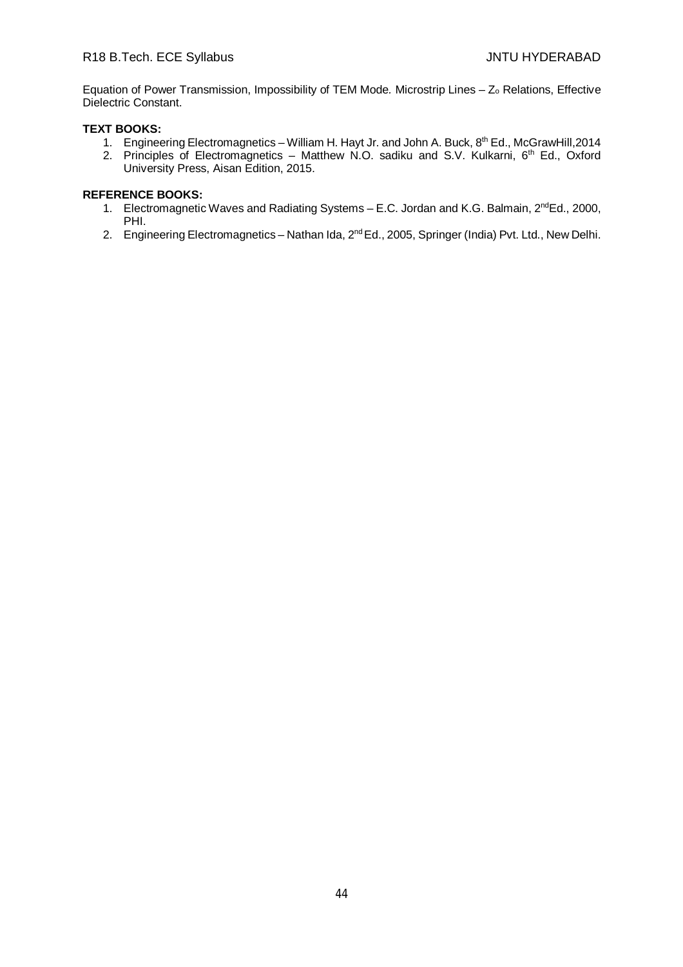Equation of Power Transmission, Impossibility of TEM Mode*.* Microstrip Lines – Z<sup>o</sup> Relations, Effective Dielectric Constant.

# **TEXT BOOKS:**

- 1. Engineering Electromagnetics William H. Hayt Jr. and John A. Buck, 8<sup>th</sup> Ed., McGrawHill, 2014
- 2. Principles of Electromagnetics Matthew N.O. sadiku and S.V. Kulkarni, 6<sup>th</sup> Ed., Oxford University Press, Aisan Edition, 2015.

- 1. Electromagnetic Waves and Radiating Systems E.C. Jordan and K.G. Balmain, 2<sup>nd</sup>Ed., 2000, PHI.
- 2. Engineering Electromagnetics Nathan Ida, 2<sup>nd</sup> Ed., 2005, Springer (India) Pvt. Ltd., New Delhi.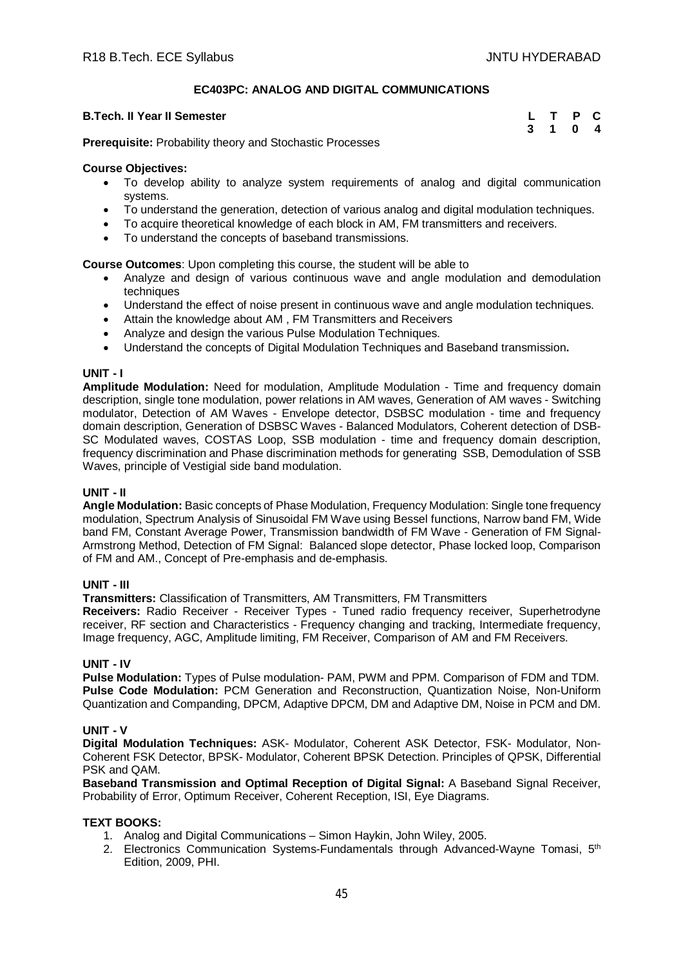# **EC403PC: ANALOG AND DIGITAL COMMUNICATIONS**

# **B.Tech. II Year II Semester**

| ech. Il Year II Semester |  |  |  |  |  |  |  |  | L T P C |  |
|--------------------------|--|--|--|--|--|--|--|--|---------|--|
|                          |  |  |  |  |  |  |  |  | 3 1 0 4 |  |

**Prerequisite:** Probability theory and Stochastic Processes

# **Course Objectives:**

- To develop ability to analyze system requirements of analog and digital communication systems.
- To understand the generation, detection of various analog and digital modulation techniques.
- To acquire theoretical knowledge of each block in AM, FM transmitters and receivers.
- To understand the concepts of baseband transmissions.

**Course Outcomes**: Upon completing this course, the student will be able to

- Analyze and design of various continuous wave and angle modulation and demodulation techniques
- Understand the effect of noise present in continuous wave and angle modulation techniques.
- Attain the knowledge about AM , FM Transmitters and Receivers
- Analyze and design the various Pulse Modulation Techniques.
- Understand the concepts of Digital Modulation Techniques and Baseband transmission**.**

# **UNIT - I**

**Amplitude Modulation:** Need for modulation, Amplitude Modulation - Time and frequency domain description, single tone modulation, power relations in AM waves, Generation of AM waves - Switching modulator, Detection of AM Waves - Envelope detector, DSBSC modulation - time and frequency domain description, Generation of DSBSC Waves - Balanced Modulators, Coherent detection of DSB-SC Modulated waves, COSTAS Loop, SSB modulation - time and frequency domain description, frequency discrimination and Phase discrimination methods for generating SSB, Demodulation of SSB Waves, principle of Vestigial side band modulation.

# **UNIT - II**

**Angle Modulation:** Basic concepts of Phase Modulation, Frequency Modulation: Single tone frequency modulation, Spectrum Analysis of Sinusoidal FM Wave using Bessel functions, Narrow band FM, Wide band FM, Constant Average Power, Transmission bandwidth of FM Wave - Generation of FM Signal-Armstrong Method, Detection of FM Signal: Balanced slope detector, Phase locked loop, Comparison of FM and AM., Concept of Pre-emphasis and de-emphasis.

#### **UNIT - III**

**Transmitters:** Classification of Transmitters, AM Transmitters, FM Transmitters

**Receivers:** Radio Receiver - Receiver Types - Tuned radio frequency receiver, Superhetrodyne receiver, RF section and Characteristics - Frequency changing and tracking, Intermediate frequency, Image frequency, AGC, Amplitude limiting, FM Receiver, Comparison of AM and FM Receivers.

#### **UNIT - IV**

**Pulse Modulation:** Types of Pulse modulation- PAM, PWM and PPM. Comparison of FDM and TDM. **Pulse Code Modulation:** PCM Generation and Reconstruction, Quantization Noise, Non-Uniform Quantization and Companding, DPCM, Adaptive DPCM, DM and Adaptive DM, Noise in PCM and DM.

# **UNIT - V**

**Digital Modulation Techniques:** ASK- Modulator, Coherent ASK Detector, FSK- Modulator, Non-Coherent FSK Detector, BPSK- Modulator, Coherent BPSK Detection. Principles of QPSK, Differential PSK and QAM.

**Baseband Transmission and Optimal Reception of Digital Signal:** A Baseband Signal Receiver, Probability of Error, Optimum Receiver, Coherent Reception, ISI, Eye Diagrams.

# **TEXT BOOKS:**

- 1. Analog and Digital Communications Simon Haykin, John Wiley, 2005.
- 2. Electronics Communication Systems-Fundamentals through Advanced-Wayne Tomasi, 5<sup>th</sup> Edition, 2009, PHI.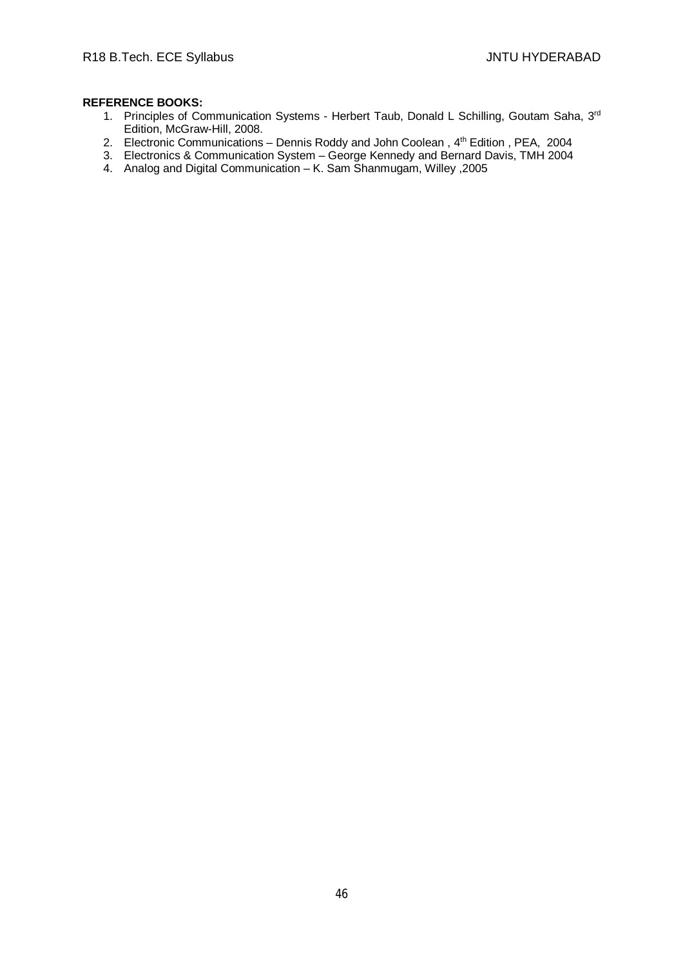- 1. Principles of Communication Systems Herbert Taub, Donald L Schilling, Goutam Saha, 3rd Edition, McGraw-Hill, 2008.
- 2. Electronic Communications Dennis Roddy and John Coolean, 4<sup>th</sup> Edition, PEA, 2004
- 3. Electronics & Communication System George Kennedy and Bernard Davis, TMH 2004
- 4. Analog and Digital Communication K. Sam Shanmugam, Willey ,2005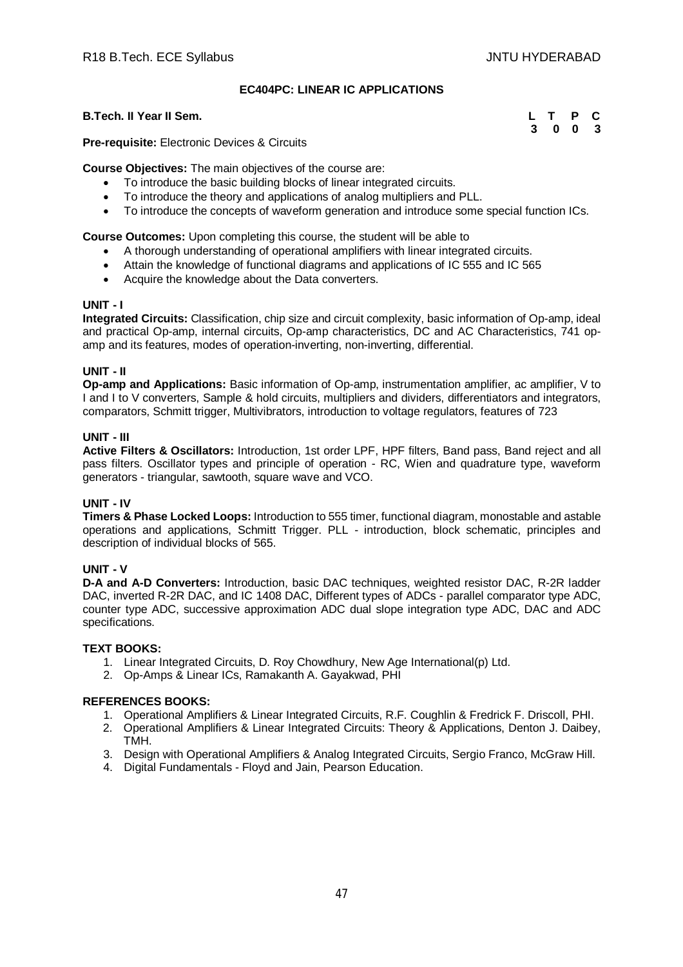# **EC404PC: LINEAR IC APPLICATIONS**

# **B.Tech. II Year II Sem.**

| Гесһ. II Year II Sem. | L T P C |         |  |
|-----------------------|---------|---------|--|
|                       |         | 3 0 0 3 |  |

**Pre-requisite:** Electronic Devices & Circuits

**Course Objectives:** The main objectives of the course are:

- To introduce the basic building blocks of linear integrated circuits.
- To introduce the theory and applications of analog multipliers and PLL.
- To introduce the concepts of waveform generation and introduce some special function ICs.

**Course Outcomes:** Upon completing this course, the student will be able to

- A thorough understanding of operational amplifiers with linear integrated circuits.
- Attain the knowledge of functional diagrams and applications of IC 555 and IC 565
- Acquire the knowledge about the Data converters.

#### **UNIT - I**

**Integrated Circuits:** Classification, chip size and circuit complexity, basic information of Op-amp, ideal and practical Op-amp, internal circuits, Op-amp characteristics, DC and AC Characteristics, 741 opamp and its features, modes of operation-inverting, non-inverting, differential.

# **UNIT - II**

**Op-amp and Applications:** Basic information of Op-amp, instrumentation amplifier, ac amplifier, V to I and I to V converters, Sample & hold circuits, multipliers and dividers, differentiators and integrators, comparators, Schmitt trigger, Multivibrators, introduction to voltage regulators, features of 723

# **UNIT - III**

**Active Filters & Oscillators:** Introduction, 1st order LPF, HPF filters, Band pass, Band reject and all pass filters. Oscillator types and principle of operation - RC, Wien and quadrature type, waveform generators - triangular, sawtooth, square wave and VCO.

# **UNIT - IV**

**Timers & Phase Locked Loops:** Introduction to 555 timer, functional diagram, monostable and astable operations and applications, Schmitt Trigger. PLL - introduction, block schematic, principles and description of individual blocks of 565.

# **UNIT - V**

**D-A and A-D Converters:** Introduction, basic DAC techniques, weighted resistor DAC, R-2R ladder DAC, inverted R-2R DAC, and IC 1408 DAC, Different types of ADCs - parallel comparator type ADC, counter type ADC, successive approximation ADC dual slope integration type ADC, DAC and ADC specifications.

# **TEXT BOOKS:**

- 1. Linear Integrated Circuits, D. Roy Chowdhury, New Age International(p) Ltd.
- 2. Op-Amps & Linear ICs, Ramakanth A. Gayakwad, PHI

- 1. Operational Amplifiers & Linear Integrated Circuits, R.F. Coughlin & Fredrick F. Driscoll, PHI.
- 2. Operational Amplifiers & Linear Integrated Circuits: Theory & Applications, Denton J. Daibey, TMH.
- 3. Design with Operational Amplifiers & Analog Integrated Circuits, Sergio Franco, McGraw Hill.
- 4. Digital Fundamentals Floyd and Jain, Pearson Education.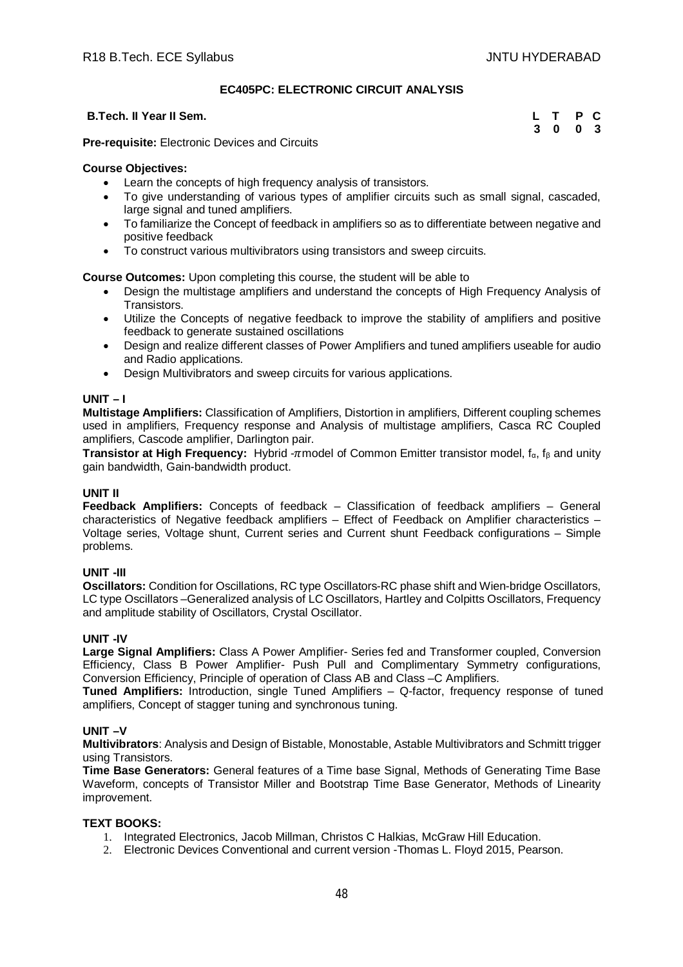# **EC405PC: ELECTRONIC CIRCUIT ANALYSIS**

# **B.Tech. II Year II Sem.**

| L T P C |  |
|---------|--|
| 3 0 0 3 |  |

**Pre-requisite:** Electronic Devices and Circuits

# **Course Objectives:**

- Learn the concepts of high frequency analysis of transistors.
- To give understanding of various types of amplifier circuits such as small signal, cascaded, large signal and tuned amplifiers.
- To familiarize the Concept of feedback in amplifiers so as to differentiate between negative and positive feedback
- To construct various multivibrators using transistors and sweep circuits.

**Course Outcomes:** Upon completing this course, the student will be able to

- Design the multistage amplifiers and understand the concepts of High Frequency Analysis of Transistors.
- Utilize the Concepts of negative feedback to improve the stability of amplifiers and positive feedback to generate sustained oscillations
- Design and realize different classes of Power Amplifiers and tuned amplifiers useable for audio and Radio applications.
- Design Multivibrators and sweep circuits for various applications.

# **UNIT – I**

**Multistage Amplifiers:** Classification of Amplifiers, Distortion in amplifiers, Different coupling schemes used in amplifiers, Frequency response and Analysis of multistage amplifiers, Casca RC Coupled amplifiers, Cascode amplifier, Darlington pair.

**Transistor at High Frequency:** Hybrid -πmodel of Common Emitter transistor model, f<sub>α</sub>, f<sub>β</sub> and unity gain bandwidth, Gain-bandwidth product.

#### **UNIT II**

**Feedback Amplifiers:** Concepts of feedback – Classification of feedback amplifiers – General characteristics of Negative feedback amplifiers – Effect of Feedback on Amplifier characteristics – Voltage series, Voltage shunt, Current series and Current shunt Feedback configurations – Simple problems.

# **UNIT -III**

**Oscillators:** Condition for Oscillations, RC type Oscillators-RC phase shift and Wien-bridge Oscillators, LC type Oscillators –Generalized analysis of LC Oscillators, Hartley and Colpitts Oscillators, Frequency and amplitude stability of Oscillators, Crystal Oscillator.

# **UNIT -IV**

**Large Signal Amplifiers:** Class A Power Amplifier- Series fed and Transformer coupled, Conversion Efficiency, Class B Power Amplifier- Push Pull and Complimentary Symmetry configurations, Conversion Efficiency, Principle of operation of Class AB and Class –C Amplifiers.

**Tuned Amplifiers:** Introduction, single Tuned Amplifiers – Q-factor, frequency response of tuned amplifiers, Concept of stagger tuning and synchronous tuning.

# **UNIT –V**

**Multivibrators**: Analysis and Design of Bistable, Monostable, Astable Multivibrators and Schmitt trigger using Transistors.

**Time Base Generators:** General features of a Time base Signal, Methods of Generating Time Base Waveform, concepts of Transistor Miller and Bootstrap Time Base Generator, Methods of Linearity improvement.

# **TEXT BOOKS:**

- 1. Integrated Electronics, Jacob Millman, Christos C Halkias, McGraw Hill Education.
- 2. Electronic Devices Conventional and current version -Thomas L. Floyd 2015, Pearson.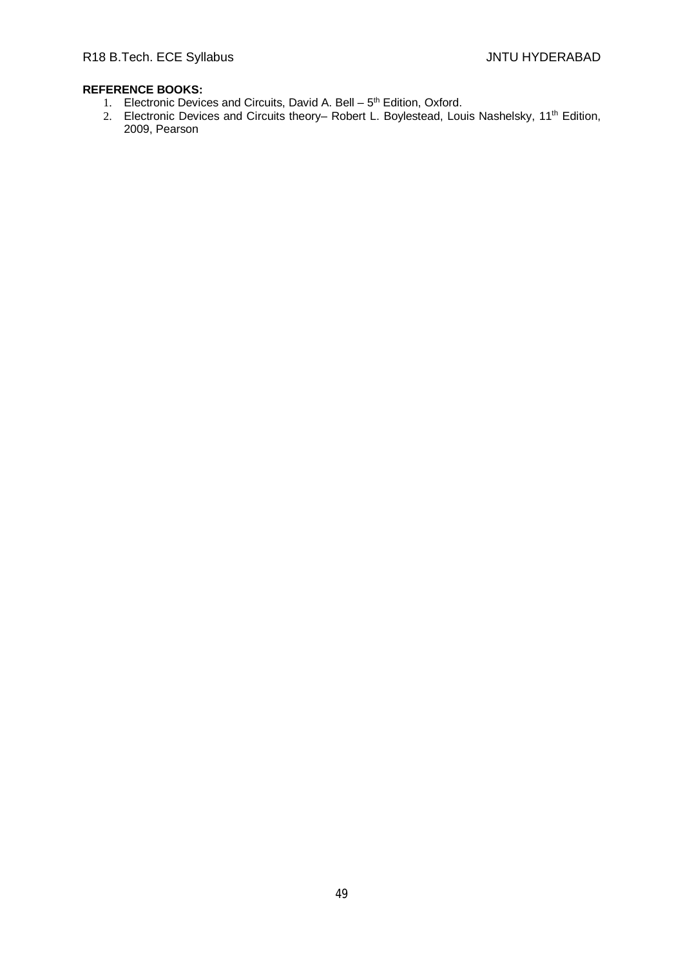- 1. Electronic Devices and Circuits, David A. Bell 5<sup>th</sup> Edition, Oxford.
- 2. Electronic Devices and Circuits theory– Robert L. Boylestead, Louis Nashelsky, 11<sup>th</sup> Edition, 2009, Pearson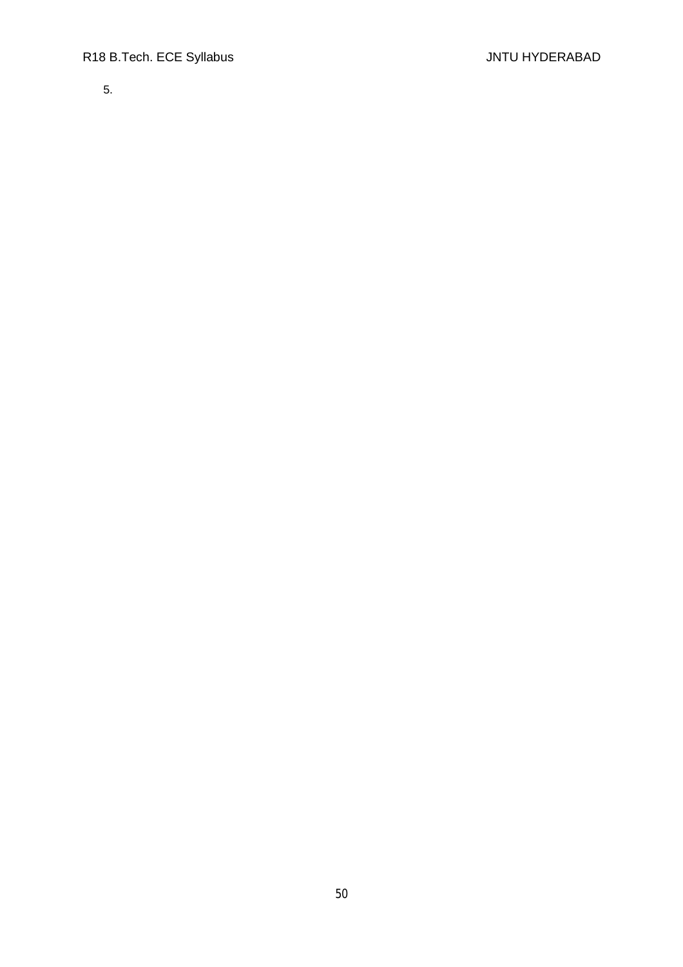5.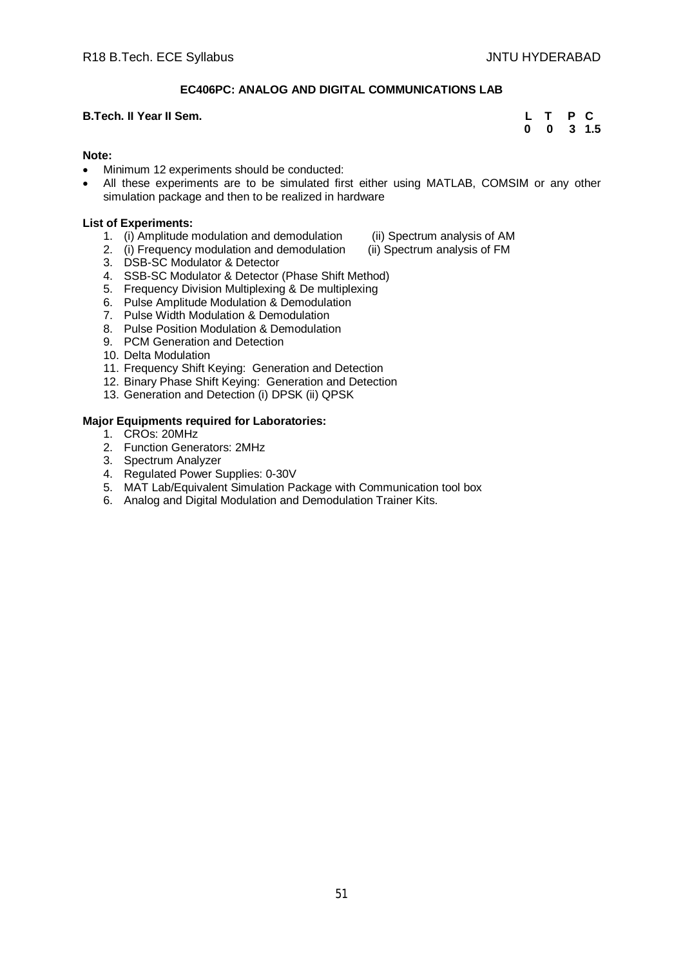# **EC406PC: ANALOG AND DIGITAL COMMUNICATIONS LAB**

#### **B.Tech. II Year II Sem. L T P C**

# **0 0 3 1.5**

#### **Note:**

- Minimum 12 experiments should be conducted:
- All these experiments are to be simulated first either using MATLAB, COMSIM or any other simulation package and then to be realized in hardware

#### **List of Experiments:**

- 1. (i) Amplitude modulation and demodulation (ii) Spectrum analysis of AM<br>2. (i) Frequency modulation and demodulation (ii) Spectrum analysis of FM
- 2. (i) Frequency modulation and demodulation
- 
- 
- 3. DSB-SC Modulator & Detector
- 4. SSB-SC Modulator & Detector (Phase Shift Method)
- 5. Frequency Division Multiplexing & De multiplexing
- 6. Pulse Amplitude Modulation & Demodulation
- 7. Pulse Width Modulation & Demodulation
- 8. Pulse Position Modulation & Demodulation
- 9. PCM Generation and Detection
- 10. Delta Modulation
- 11. Frequency Shift Keying: Generation and Detection
- 12. Binary Phase Shift Keying: Generation and Detection
- 13. Generation and Detection (i) DPSK (ii) QPSK

- 1. CROs: 20MHz
- 2. Function Generators: 2MHz
- 3. Spectrum Analyzer
- 4. Regulated Power Supplies: 0-30V
- 5. MAT Lab/Equivalent Simulation Package with Communication tool box
- 6. Analog and Digital Modulation and Demodulation Trainer Kits.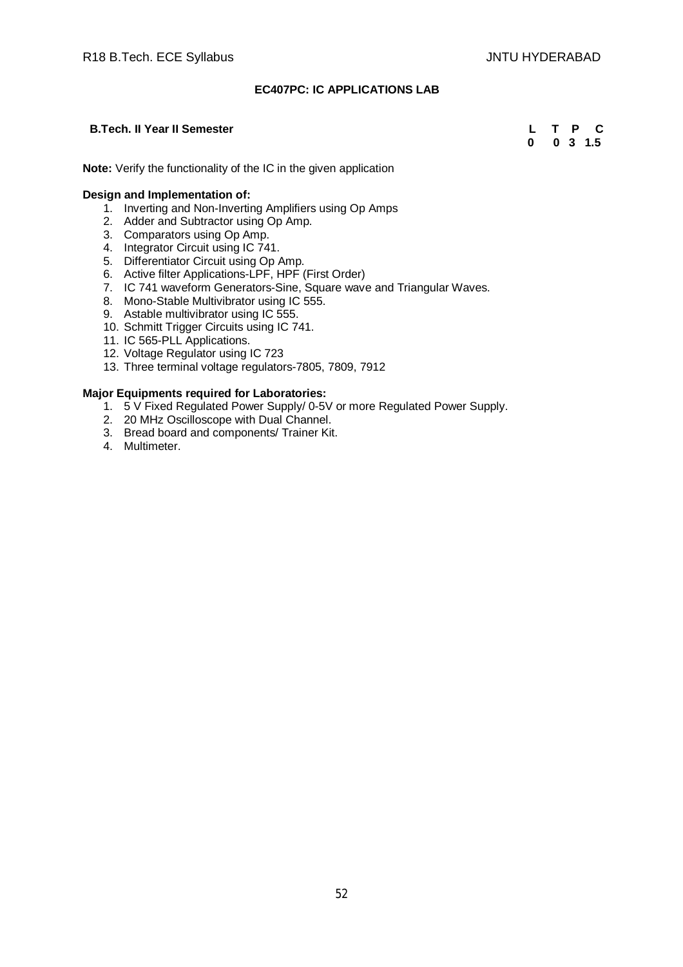# **EC407PC: IC APPLICATIONS LAB**

# **B.Tech. II Year II Semester L T P C D D D B**.Tech. II Year II Semester **L T P C**

 **0 0 3 1.5**

**Note:** Verify the functionality of the IC in the given application

# **Design and Implementation of:**

- 1. Inverting and Non-Inverting Amplifiers using Op Amps
- 2. Adder and Subtractor using Op Amp.
- 3. Comparators using Op Amp.
- 4. Integrator Circuit using IC 741.
- 5. Differentiator Circuit using Op Amp.
- 6. Active filter Applications-LPF, HPF (First Order)
- 7. IC 741 waveform Generators-Sine, Square wave and Triangular Waves.
- 8. Mono-Stable Multivibrator using IC 555.
- 9. Astable multivibrator using IC 555.
- 10. Schmitt Trigger Circuits using IC 741.
- 11. IC 565-PLL Applications.
- 12. Voltage Regulator using IC 723
- 13. Three terminal voltage regulators-7805, 7809, 7912

- 1. 5 V Fixed Regulated Power Supply/ 0-5V or more Regulated Power Supply.
- 2. 20 MHz Oscilloscope with Dual Channel.
- 3. Bread board and components/ Trainer Kit.
- 4. Multimeter.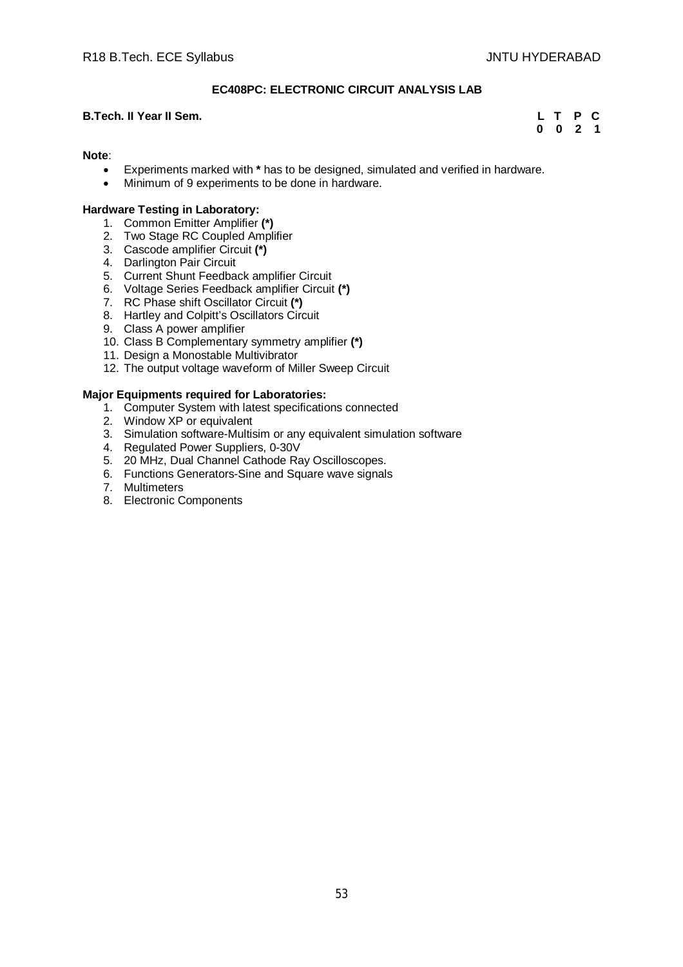# **EC408PC: ELECTRONIC CIRCUIT ANALYSIS LAB**

# **B.Tech. II Year II Sem. L T P C**

**0 0 2 1**

# **Note**:

- Experiments marked with **\*** has to be designed, simulated and verified in hardware.
- Minimum of 9 experiments to be done in hardware.

# **Hardware Testing in Laboratory:**

- 1. Common Emitter Amplifier **(\*)**
- 2. Two Stage RC Coupled Amplifier
- 3. Cascode amplifier Circuit **(\*)**
- 4. Darlington Pair Circuit
- 5. Current Shunt Feedback amplifier Circuit
- 6. Voltage Series Feedback amplifier Circuit **(\*)**
- 7. RC Phase shift Oscillator Circuit **(\*)**
- 8. Hartley and Colpitt's Oscillators Circuit
- 9. Class A power amplifier
- 10. Class B Complementary symmetry amplifier **(\*)**
- 11. Design a Monostable Multivibrator
- 12. The output voltage waveform of Miller Sweep Circuit

- 1. Computer System with latest specifications connected
- 2. Window XP or equivalent
- 3. Simulation software-Multisim or any equivalent simulation software
- 4. Regulated Power Suppliers, 0-30V
- 5. 20 MHz, Dual Channel Cathode Ray Oscilloscopes.
- 6. Functions Generators-Sine and Square wave signals
- 7. Multimeters
- 8. Electronic Components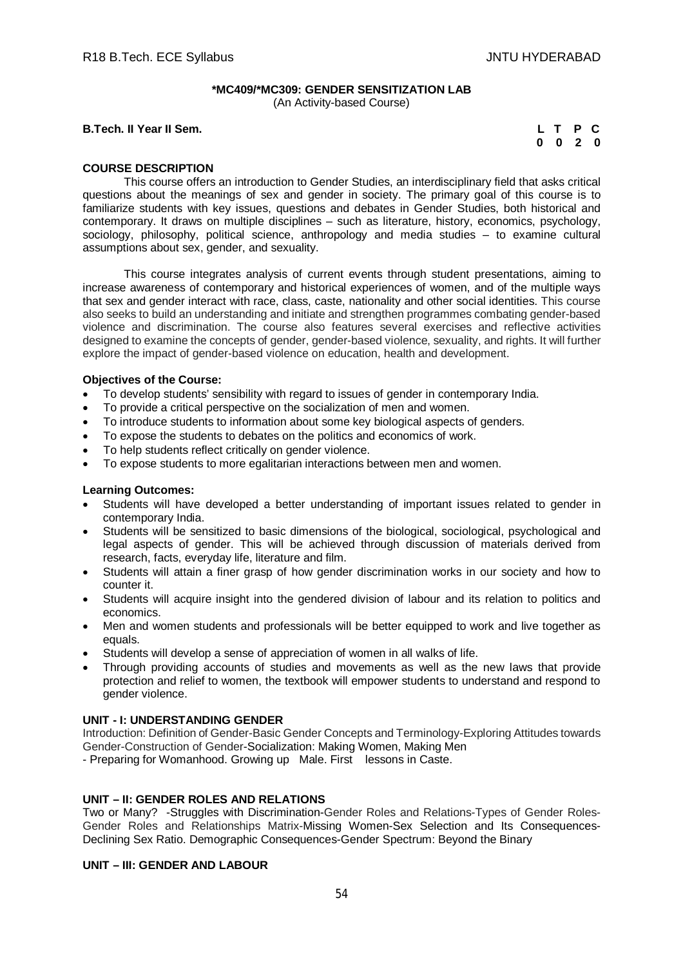# **\*MC409/\*MC309: GENDER SENSITIZATION LAB**

(An Activity-based Course)

**B.Tech. II Year II Sem.** 

| L | $\mathbf T$ | Р  | Œ |
|---|-------------|----|---|
| 0 | O           | -2 | O |

# **COURSE DESCRIPTION**

This course offers an introduction to Gender Studies, an interdisciplinary field that asks critical questions about the meanings of sex and gender in society. The primary goal of this course is to familiarize students with key issues, questions and debates in Gender Studies, both historical and contemporary. It draws on multiple disciplines – such as literature, history, economics, psychology, sociology, philosophy, political science, anthropology and media studies – to examine cultural assumptions about sex, gender, and sexuality.

This course integrates analysis of current events through student presentations, aiming to increase awareness of contemporary and historical experiences of women, and of the multiple ways that sex and gender interact with race, class, caste, nationality and other social identities. This course also seeks to build an understanding and initiate and strengthen programmes combating gender-based violence and discrimination. The course also features several exercises and reflective activities designed to examine the concepts of gender, gender-based violence, sexuality, and rights. It will further explore the impact of gender-based violence on education, health and development.

# **Objectives of the Course:**

- To develop students' sensibility with regard to issues of gender in contemporary India.
- To provide a critical perspective on the socialization of men and women.
- To introduce students to information about some key biological aspects of genders.
- To expose the students to debates on the politics and economics of work.
- To help students reflect critically on gender violence.
- To expose students to more egalitarian interactions between men and women.

# **Learning Outcomes:**

- Students will have developed a better understanding of important issues related to gender in contemporary India.
- Students will be sensitized to basic dimensions of the biological, sociological, psychological and legal aspects of gender. This will be achieved through discussion of materials derived from research, facts, everyday life, literature and film.
- Students will attain a finer grasp of how gender discrimination works in our society and how to counter it.
- Students will acquire insight into the gendered division of labour and its relation to politics and economics.
- Men and women students and professionals will be better equipped to work and live together as equals.
- Students will develop a sense of appreciation of women in all walks of life.
- Through providing accounts of studies and movements as well as the new laws that provide protection and relief to women, the textbook will empower students to understand and respond to gender violence.

# **UNIT - I: UNDERSTANDING GENDER**

Introduction: Definition of Gender-Basic Gender Concepts and Terminology-Exploring Attitudes towards Gender-Construction of Gender-Socialization: Making Women, Making Men

- Preparing for Womanhood. Growing up Male. First lessons in Caste.

# **UNIT – II: GENDER ROLES AND RELATIONS**

Two or Many? -Struggles with Discrimination-Gender Roles and Relations-Types of Gender Roles-Gender Roles and Relationships Matrix-Missing Women-Sex Selection and Its Consequences-Declining Sex Ratio. Demographic Consequences-Gender Spectrum: Beyond the Binary

# **UNIT – III: GENDER AND LABOUR**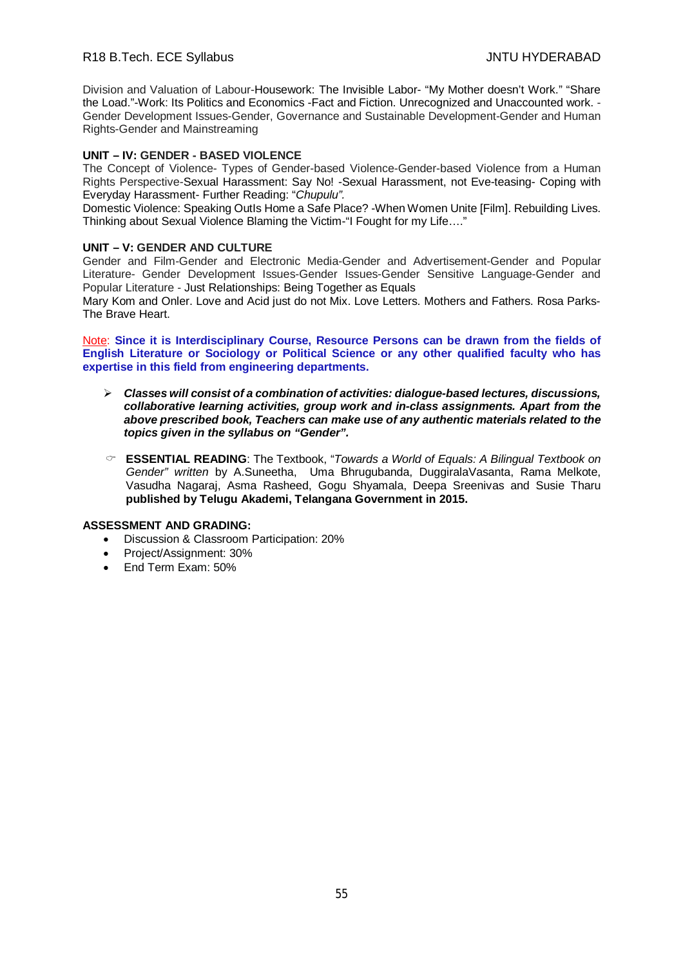# R18 B.Tech. ECE Syllabus **All Accords** Controller and the UNITU HYDERABAD

Division and Valuation of Labour-Housework: The Invisible Labor- "My Mother doesn't Work." "Share the Load."-Work: Its Politics and Economics -Fact and Fiction. Unrecognized and Unaccounted work. - Gender Development Issues-Gender, Governance and Sustainable Development-Gender and Human Rights-Gender and Mainstreaming

# **UNIT – IV: GENDER - BASED VIOLENCE**

The Concept of Violence- Types of Gender-based Violence-Gender-based Violence from a Human Rights Perspective-Sexual Harassment: Say No! -Sexual Harassment, not Eve-teasing- Coping with Everyday Harassment- Further Reading: "*Chupulu".*

Domestic Violence: Speaking OutIs Home a Safe Place? -When Women Unite [Film]. Rebuilding Lives. Thinking about Sexual Violence Blaming the Victim-"I Fought for my Life…."

#### **UNIT – V: GENDER AND CULTURE**

Gender and Film-Gender and Electronic Media-Gender and Advertisement-Gender and Popular Literature- Gender Development Issues-Gender Issues-Gender Sensitive Language-Gender and Popular Literature - Just Relationships: Being Together as Equals

Mary Kom and Onler. Love and Acid just do not Mix. Love Letters. Mothers and Fathers. Rosa Parks-The Brave Heart.

Note: **Since it is Interdisciplinary Course, Resource Persons can be drawn from the fields of English Literature or Sociology or Political Science or any other qualified faculty who has expertise in this field from engineering departments.**

- *Classes will consist of a combination of activities: dialogue-based lectures, discussions, collaborative learning activities, group work and in-class assignments. Apart from the above prescribed book, Teachers can make use of any authentic materials related to the topics given in the syllabus on "Gender".*
- **ESSENTIAL READING**: The Textbook, "*Towards a World of Equals: A Bilingual Textbook on Gender" written* by A.Suneetha, Uma Bhrugubanda, DuggiralaVasanta, Rama Melkote, Vasudha Nagaraj, Asma Rasheed, Gogu Shyamala, Deepa Sreenivas and Susie Tharu **published by Telugu Akademi, Telangana Government in 2015.**

#### **ASSESSMENT AND GRADING:**

- Discussion & Classroom Participation: 20%
- Project/Assignment: 30%
- End Term Exam: 50%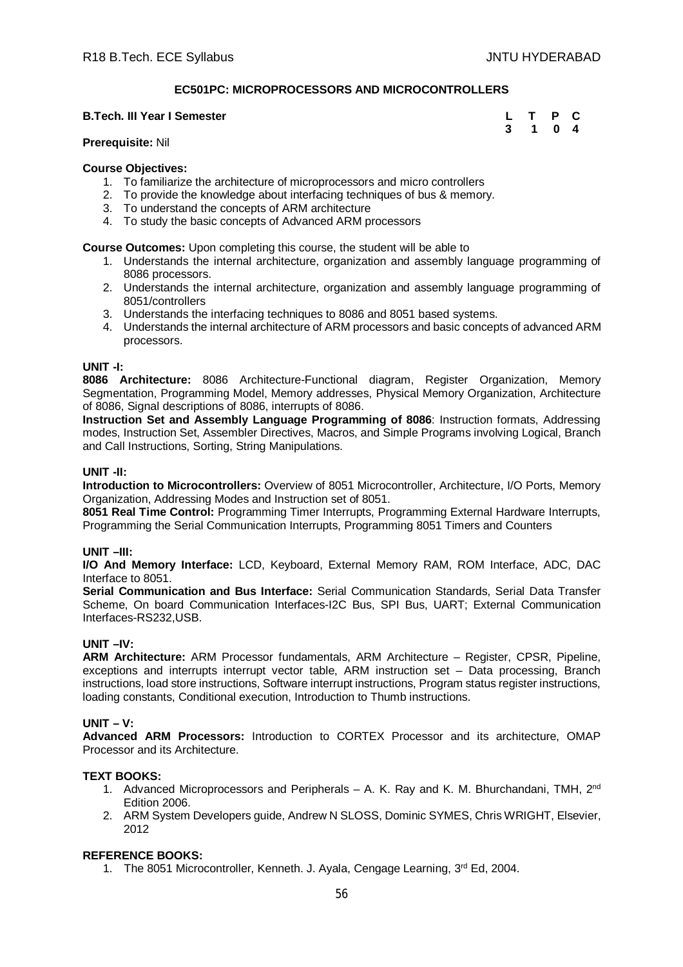# **EC501PC: MICROPROCESSORS AND MICROCONTROLLERS**

#### **B.Tech. III Year I Semester L T P CONTEXT AND THE P CONTEXT OF CONTEXT AND RELATIONS**

| L | т | Р | C              |
|---|---|---|----------------|
| 3 | 1 | 0 | $\overline{4}$ |

#### **Prerequisite:** Nil

#### **Course Objectives:**

- 1. To familiarize the architecture of microprocessors and micro controllers
- 2. To provide the knowledge about interfacing techniques of bus & memory.
- 3. To understand the concepts of ARM architecture
- 4. To study the basic concepts of Advanced ARM processors

**Course Outcomes:** Upon completing this course, the student will be able to

- 1. Understands the internal architecture, organization and assembly language programming of 8086 processors.
- 2. Understands the internal architecture, organization and assembly language programming of 8051/controllers
- 3. Understands the interfacing techniques to 8086 and 8051 based systems.
- 4. Understands the internal architecture of ARM processors and basic concepts of advanced ARM processors.

#### **UNIT -I:**

**8086 Architecture:** 8086 Architecture-Functional diagram, Register Organization, Memory Segmentation, Programming Model, Memory addresses, Physical Memory Organization, Architecture of 8086, Signal descriptions of 8086, interrupts of 8086.

**Instruction Set and Assembly Language Programming of 8086**: Instruction formats, Addressing modes, Instruction Set, Assembler Directives, Macros, and Simple Programs involving Logical, Branch and Call Instructions, Sorting, String Manipulations.

# **UNIT -II:**

**Introduction to Microcontrollers:** Overview of 8051 Microcontroller, Architecture, I/O Ports, Memory Organization, Addressing Modes and Instruction set of 8051.

**8051 Real Time Control:** Programming Timer Interrupts, Programming External Hardware Interrupts, Programming the Serial Communication Interrupts, Programming 8051 Timers and Counters

#### **UNIT –III:**

**I/O And Memory Interface:** LCD, Keyboard, External Memory RAM, ROM Interface, ADC, DAC Interface to 8051.

**Serial Communication and Bus Interface:** Serial Communication Standards, Serial Data Transfer Scheme, On board Communication Interfaces-I2C Bus, SPI Bus, UART; External Communication Interfaces-RS232,USB.

#### **UNIT –IV:**

**ARM Architecture:** ARM Processor fundamentals, ARM Architecture – Register, CPSR, Pipeline, exceptions and interrupts interrupt vector table, ARM instruction set – Data processing, Branch instructions, load store instructions, Software interrupt instructions, Program status register instructions, loading constants, Conditional execution, Introduction to Thumb instructions.

# **UNIT – V:**

**Advanced ARM Processors:** Introduction to CORTEX Processor and its architecture, OMAP Processor and its Architecture.

#### **TEXT BOOKS:**

- 1. Advanced Microprocessors and Peripherals A. K. Ray and K. M. Bhurchandani, TMH,  $2^{nd}$ Edition 2006.
- 2. ARM System Developers guide, Andrew N SLOSS, Dominic SYMES, Chris WRIGHT, Elsevier, 2012

# **REFERENCE BOOKS:**

1. The 8051 Microcontroller, Kenneth. J. Ayala, Cengage Learning, 3rd Ed, 2004.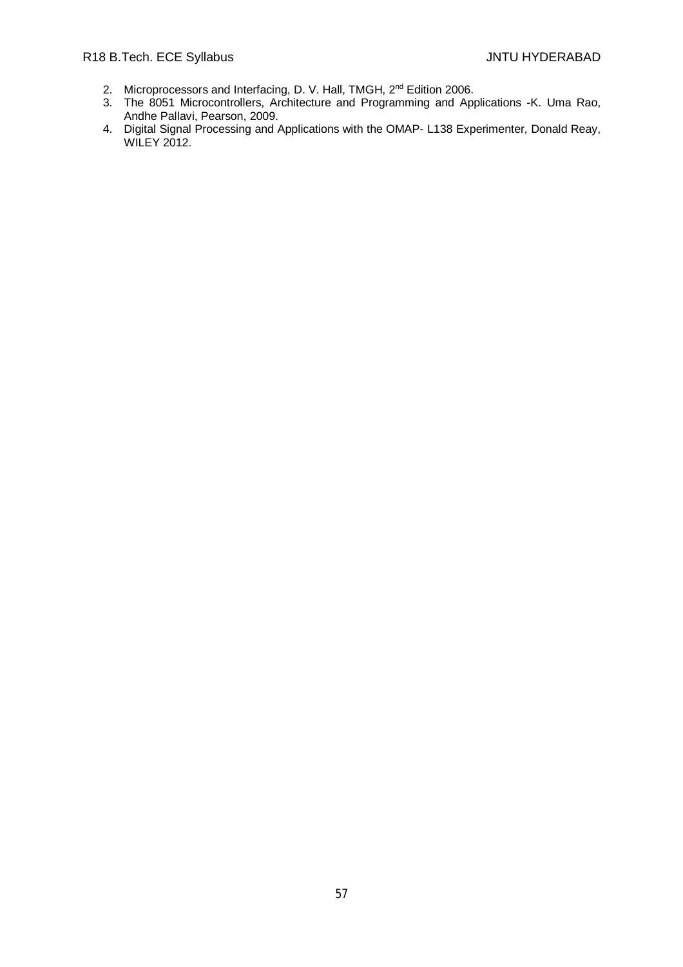- 2. Microprocessors and Interfacing, D. V. Hall, TMGH, 2<sup>nd</sup> Edition 2006.
- 3. The 8051 Microcontrollers, Architecture and Programming and Applications -K. Uma Rao, Andhe Pallavi, Pearson, 2009.
- 4. Digital Signal Processing and Applications with the OMAP- L138 Experimenter, Donald Reay, WILEY 2012.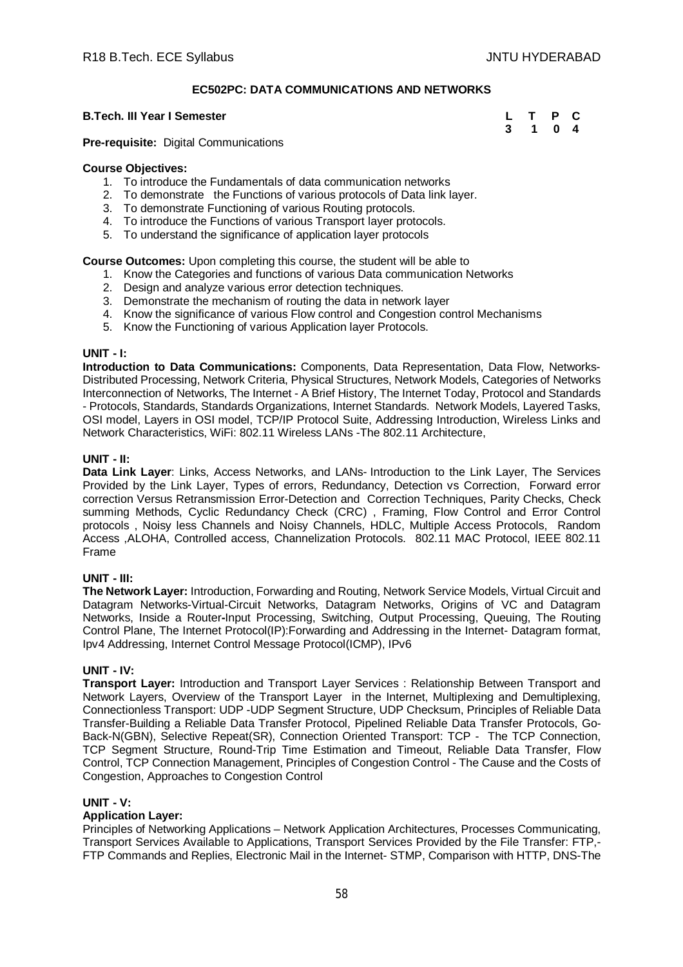# **EC502PC: DATA COMMUNICATIONS AND NETWORKS**

#### **B.Tech. III Year I Semester**

| L | $\mathbf T$ | Р | C              |
|---|-------------|---|----------------|
| 3 | 1           | 0 | $\overline{4}$ |

**Pre-requisite:** Digital Communications

#### **Course Objectives:**

- 1. To introduce the Fundamentals of data communication networks
- 2. To demonstrate the Functions of various protocols of Data link layer.
- 3. To demonstrate Functioning of various Routing protocols.
- 4. To introduce the Functions of various Transport layer protocols.
- 5. To understand the significance of application layer protocols

**Course Outcomes:** Upon completing this course, the student will be able to

- 1. Know the Categories and functions of various Data communication Networks
- 2. Design and analyze various error detection techniques.
- 3. Demonstrate the mechanism of routing the data in network layer
- 4. Know the significance of various Flow control and Congestion control Mechanisms
- 5. Know the Functioning of various Application layer Protocols.

#### **UNIT - I:**

**Introduction to Data Communications:** Components, Data Representation, Data Flow, Networks-Distributed Processing, Network Criteria, Physical Structures, Network Models, Categories of Networks Interconnection of Networks, The Internet - A Brief History, The Internet Today, Protocol and Standards - Protocols, Standards, Standards Organizations, Internet Standards. Network Models, Layered Tasks, OSI model, Layers in OSI model, TCP/IP Protocol Suite, Addressing Introduction, Wireless Links and Network Characteristics, WiFi: 802.11 Wireless LANs -The 802.11 Architecture,

# **UNIT - II:**

**Data Link Layer**: Links, Access Networks, and LANs- Introduction to the Link Layer, The Services Provided by the Link Layer, Types of errors, Redundancy, Detection vs Correction, Forward error correction Versus Retransmission Error-Detection and Correction Techniques, Parity Checks, Check summing Methods, Cyclic Redundancy Check (CRC) , Framing, Flow Control and Error Control protocols , Noisy less Channels and Noisy Channels, HDLC, Multiple Access Protocols, Random Access ,ALOHA, Controlled access, Channelization Protocols. 802.11 MAC Protocol, IEEE 802.11 Frame

#### **UNIT - III:**

**The Network Layer:** Introduction, Forwarding and Routing, Network Service Models, Virtual Circuit and Datagram Networks-Virtual-Circuit Networks, Datagram Networks, Origins of VC and Datagram Networks, Inside a Router**-**Input Processing, Switching, Output Processing, Queuing, The Routing Control Plane, The Internet Protocol(IP):Forwarding and Addressing in the Internet- Datagram format, Ipv4 Addressing, Internet Control Message Protocol(ICMP), IPv6

#### **UNIT - IV:**

**Transport Layer:** Introduction and Transport Layer Services : Relationship Between Transport and Network Layers, Overview of the Transport Layer in the Internet, Multiplexing and Demultiplexing, Connectionless Transport: UDP -UDP Segment Structure, UDP Checksum, Principles of Reliable Data Transfer-Building a Reliable Data Transfer Protocol, Pipelined Reliable Data Transfer Protocols, Go-Back-N(GBN), Selective Repeat(SR), Connection Oriented Transport: TCP - The TCP Connection, TCP Segment Structure, Round-Trip Time Estimation and Timeout, Reliable Data Transfer, Flow Control, TCP Connection Management, Principles of Congestion Control - The Cause and the Costs of Congestion, Approaches to Congestion Control

#### **UNIT - V:**

# **Application Layer:**

Principles of Networking Applications – Network Application Architectures, Processes Communicating, Transport Services Available to Applications, Transport Services Provided by the File Transfer: FTP,- FTP Commands and Replies, Electronic Mail in the Internet- STMP, Comparison with HTTP, DNS-The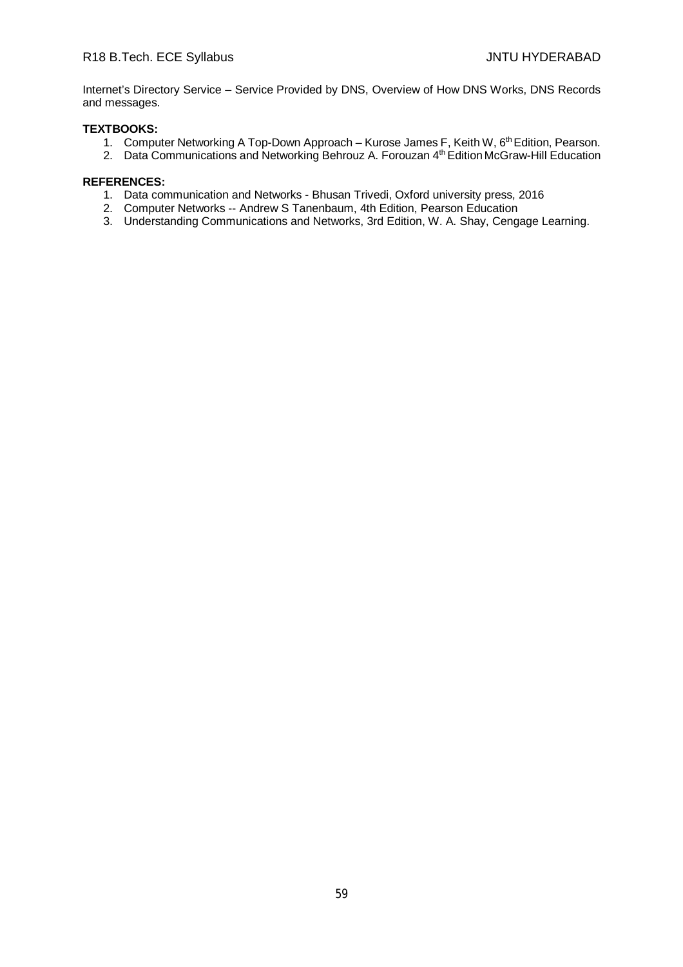Internet's Directory Service – Service Provided by DNS, Overview of How DNS Works, DNS Records and messages.

# **TEXTBOOKS:**

- 1. Computer Networking A Top-Down Approach Kurose James F, Keith W, 6<sup>th</sup> Edition, Pearson.
- 2. Data Communications and Networking Behrouz A. Forouzan 4<sup>th</sup> Edition McGraw-Hill Education

# **REFERENCES:**

- 1. Data communication and Networks Bhusan Trivedi, Oxford university press, 2016
- 2. Computer Networks -- Andrew S Tanenbaum, 4th Edition, Pearson Education
- 3. Understanding Communications and Networks, 3rd Edition, W. A. Shay, Cengage Learning.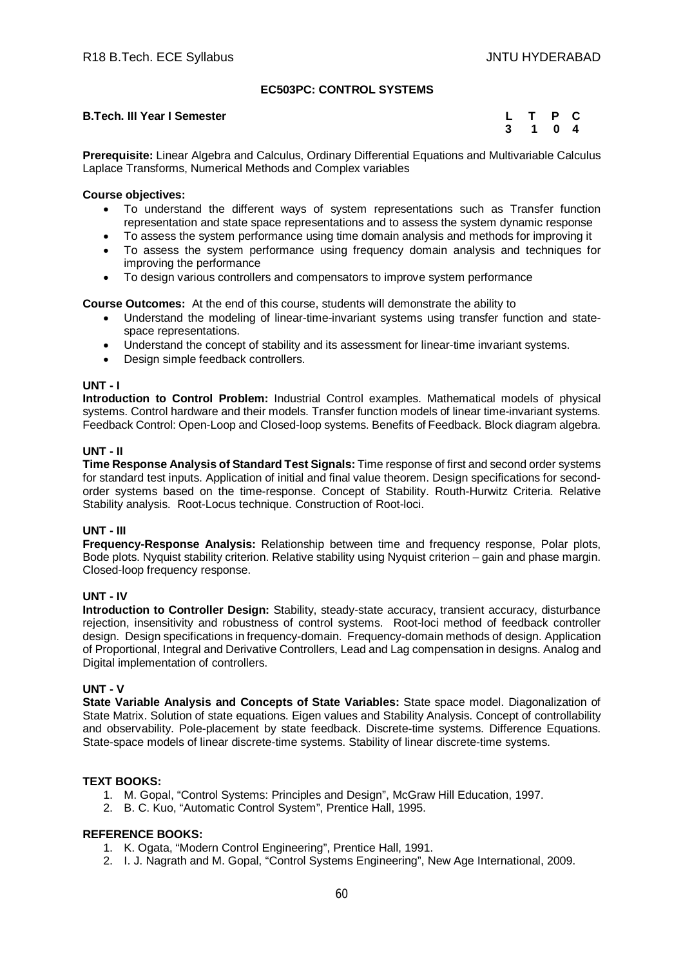# **EC503PC: CONTROL SYSTEMS**

### **B.Tech. III Year I Semester**

| L. | т | P | C.             |
|----|---|---|----------------|
| 3  | 1 | 0 | $\overline{4}$ |

**Prerequisite:** Linear Algebra and Calculus, Ordinary Differential Equations and Multivariable Calculus Laplace Transforms, Numerical Methods and Complex variables

# **Course objectives:**

- To understand the different ways of system representations such as Transfer function representation and state space representations and to assess the system dynamic response
- To assess the system performance using time domain analysis and methods for improving it To assess the system performance using frequency domain analysis and techniques for improving the performance
- To design various controllers and compensators to improve system performance

**Course Outcomes:** At the end of this course, students will demonstrate the ability to

- Understand the modeling of linear-time-invariant systems using transfer function and statespace representations.
- Understand the concept of stability and its assessment for linear-time invariant systems.
- Design simple feedback controllers.

#### **UNT - I**

**Introduction to Control Problem:** Industrial Control examples. Mathematical models of physical systems. Control hardware and their models. Transfer function models of linear time-invariant systems. Feedback Control: Open-Loop and Closed-loop systems. Benefits of Feedback. Block diagram algebra.

# **UNT - II**

**Time Response Analysis of Standard Test Signals:** Time response of first and second order systems for standard test inputs. Application of initial and final value theorem. Design specifications for secondorder systems based on the time-response. Concept of Stability. Routh-Hurwitz Criteria. Relative Stability analysis. Root-Locus technique. Construction of Root-loci.

#### **UNT - III**

**Frequency-Response Analysis:** Relationship between time and frequency response, Polar plots, Bode plots. Nyquist stability criterion. Relative stability using Nyquist criterion – gain and phase margin. Closed-loop frequency response.

# **UNT - IV**

**Introduction to Controller Design:** Stability, steady-state accuracy, transient accuracy, disturbance rejection, insensitivity and robustness of control systems. Root-loci method of feedback controller design. Design specifications in frequency-domain. Frequency-domain methods of design. Application of Proportional, Integral and Derivative Controllers, Lead and Lag compensation in designs. Analog and Digital implementation of controllers.

#### **UNT - V**

**State Variable Analysis and Concepts of State Variables:** State space model. Diagonalization of State Matrix. Solution of state equations. Eigen values and Stability Analysis. Concept of controllability and observability. Pole-placement by state feedback. Discrete-time systems. Difference Equations. State-space models of linear discrete-time systems. Stability of linear discrete-time systems.

#### **TEXT BOOKS:**

- 1. M. Gopal, "Control Systems: Principles and Design", McGraw Hill Education, 1997.
- 2. B. C. Kuo, "Automatic Control System", Prentice Hall, 1995.

- 1. K. Ogata, "Modern Control Engineering", Prentice Hall, 1991.
- 2. I. J. Nagrath and M. Gopal, "Control Systems Engineering", New Age International, 2009.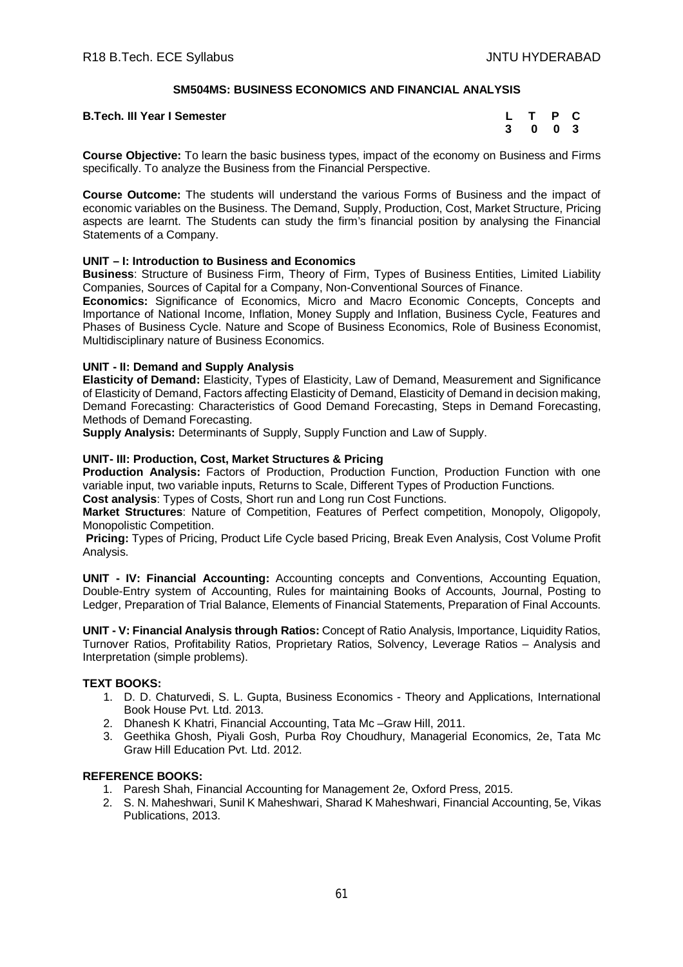# **SM504MS: BUSINESS ECONOMICS AND FINANCIAL ANALYSIS**

#### **B.Tech. III Year I Semester**

| L | т | P | C   |
|---|---|---|-----|
| 3 | 0 | 0 | - 3 |

**Course Objective:** To learn the basic business types, impact of the economy on Business and Firms specifically. To analyze the Business from the Financial Perspective.

**Course Outcome:** The students will understand the various Forms of Business and the impact of economic variables on the Business. The Demand, Supply, Production, Cost, Market Structure, Pricing aspects are learnt. The Students can study the firm's financial position by analysing the Financial Statements of a Company.

#### **UNIT – I: Introduction to Business and Economics**

**Business**: Structure of Business Firm, Theory of Firm, Types of Business Entities, Limited Liability Companies, Sources of Capital for a Company, Non-Conventional Sources of Finance.

**Economics:** Significance of Economics, Micro and Macro Economic Concepts, Concepts and Importance of National Income, Inflation, Money Supply and Inflation, Business Cycle, Features and Phases of Business Cycle. Nature and Scope of Business Economics, Role of Business Economist, Multidisciplinary nature of Business Economics.

#### **UNIT - II: Demand and Supply Analysis**

**Elasticity of Demand:** Elasticity, Types of Elasticity, Law of Demand, Measurement and Significance of Elasticity of Demand, Factors affecting Elasticity of Demand, Elasticity of Demand in decision making, Demand Forecasting: Characteristics of Good Demand Forecasting, Steps in Demand Forecasting, Methods of Demand Forecasting.

**Supply Analysis:** Determinants of Supply, Supply Function and Law of Supply.

# **UNIT- III: Production, Cost, Market Structures & Pricing**

**Production Analysis:** Factors of Production, Production Function, Production Function with one variable input, two variable inputs, Returns to Scale, Different Types of Production Functions.

**Cost analysis**: Types of Costs, Short run and Long run Cost Functions.

**Market Structures**: Nature of Competition, Features of Perfect competition, Monopoly, Oligopoly, Monopolistic Competition.

**Pricing:** Types of Pricing, Product Life Cycle based Pricing, Break Even Analysis, Cost Volume Profit Analysis.

**UNIT - IV: Financial Accounting:** Accounting concepts and Conventions, Accounting Equation, Double-Entry system of Accounting, Rules for maintaining Books of Accounts, Journal, Posting to Ledger, Preparation of Trial Balance, Elements of Financial Statements, Preparation of Final Accounts.

**UNIT - V: Financial Analysis through Ratios:** Concept of Ratio Analysis, Importance, Liquidity Ratios, Turnover Ratios, Profitability Ratios, Proprietary Ratios, Solvency, Leverage Ratios – Analysis and Interpretation (simple problems).

# **TEXT BOOKS:**

- 1. D. D. Chaturvedi, S. L. Gupta, Business Economics Theory and Applications, International Book House Pvt. Ltd. 2013.
- 2. Dhanesh K Khatri, Financial Accounting, Tata Mc –Graw Hill, 2011.
- 3. Geethika Ghosh, Piyali Gosh, Purba Roy Choudhury, Managerial Economics, 2e, Tata Mc Graw Hill Education Pvt. Ltd. 2012.

- 1. Paresh Shah, Financial Accounting for Management 2e, Oxford Press, 2015.
- 2. S. N. Maheshwari, Sunil K Maheshwari, Sharad K Maheshwari, Financial Accounting, 5e, Vikas Publications, 2013.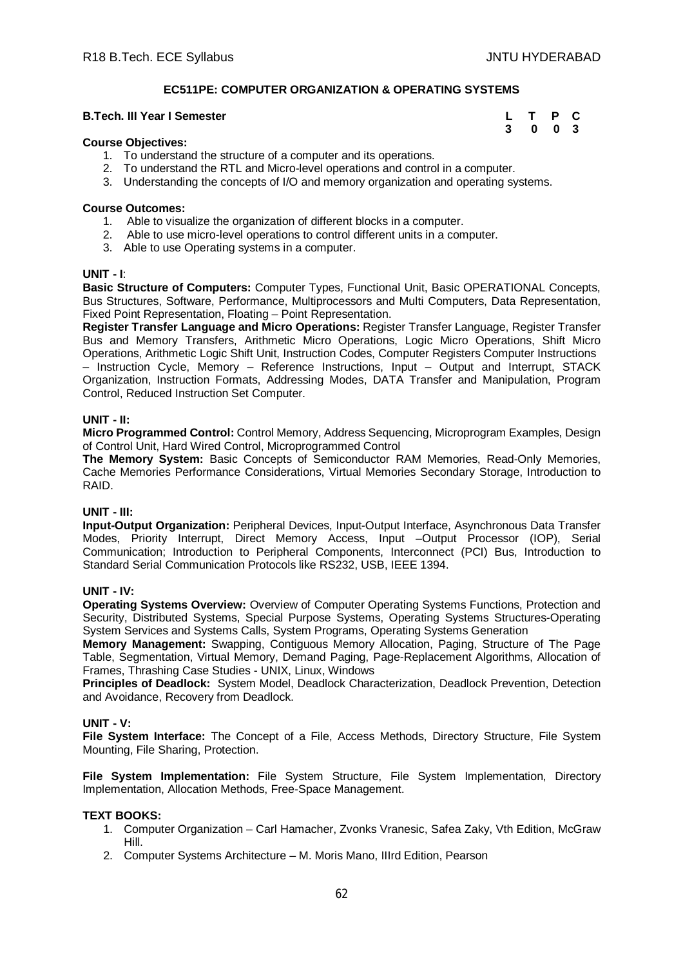# **EC511PE: COMPUTER ORGANIZATION & OPERATING SYSTEMS**

#### **B.Tech. III Year I Semester**

| L | T | Р | C. |
|---|---|---|----|
| 3 | 0 | 0 | -3 |

#### **Course Objectives:**

- 1. To understand the structure of a computer and its operations.
- 2. To understand the RTL and Micro-level operations and control in a computer.
- 3. Understanding the concepts of I/O and memory organization and operating systems.

#### **Course Outcomes:**

- 1. Able to visualize the organization of different blocks in a computer.
- 2. Able to use micro-level operations to control different units in a computer.
- 3. Able to use Operating systems in a computer.

#### **UNIT - I**:

**Basic Structure of Computers:** Computer Types, Functional Unit, Basic OPERATIONAL Concepts, Bus Structures, Software, Performance, Multiprocessors and Multi Computers, Data Representation, Fixed Point Representation, Floating – Point Representation.

**Register Transfer Language and Micro Operations:** Register Transfer Language, Register Transfer Bus and Memory Transfers, Arithmetic Micro Operations, Logic Micro Operations, Shift Micro Operations, Arithmetic Logic Shift Unit, Instruction Codes, Computer Registers Computer Instructions – Instruction Cycle, Memory – Reference Instructions, Input – Output and Interrupt, STACK Organization, Instruction Formats, Addressing Modes, DATA Transfer and Manipulation, Program Control, Reduced Instruction Set Computer.

#### **UNIT - II:**

**Micro Programmed Control:** Control Memory, Address Sequencing, Microprogram Examples, Design of Control Unit, Hard Wired Control, Microprogrammed Control

**The Memory System:** Basic Concepts of Semiconductor RAM Memories, Read-Only Memories, Cache Memories Performance Considerations, Virtual Memories Secondary Storage, Introduction to RAID.

# **UNIT - III:**

**Input-Output Organization:** Peripheral Devices, Input-Output Interface, Asynchronous Data Transfer Modes, Priority Interrupt, Direct Memory Access, Input –Output Processor (IOP), Serial Communication; Introduction to Peripheral Components, Interconnect (PCI) Bus, Introduction to Standard Serial Communication Protocols like RS232, USB, IEEE 1394.

#### **UNIT - IV:**

**Operating Systems Overview:** Overview of Computer Operating Systems Functions, Protection and Security, Distributed Systems, Special Purpose Systems, Operating Systems Structures-Operating System Services and Systems Calls, System Programs, Operating Systems Generation

**Memory Management:** Swapping, Contiguous Memory Allocation, Paging, Structure of The Page Table, Segmentation, Virtual Memory, Demand Paging, Page-Replacement Algorithms, Allocation of Frames, Thrashing Case Studies - UNIX, Linux, Windows

**Principles of Deadlock:** System Model, Deadlock Characterization, Deadlock Prevention, Detection and Avoidance, Recovery from Deadlock.

#### **UNIT - V:**

**File System Interface:** The Concept of a File, Access Methods, Directory Structure, File System Mounting, File Sharing, Protection.

**File System Implementation:** File System Structure, File System Implementation, Directory Implementation, Allocation Methods, Free-Space Management.

#### **TEXT BOOKS:**

- 1. Computer Organization Carl Hamacher, Zvonks Vranesic, Safea Zaky, Vth Edition, McGraw Hill.
- 2. Computer Systems Architecture M. Moris Mano, IIIrd Edition, Pearson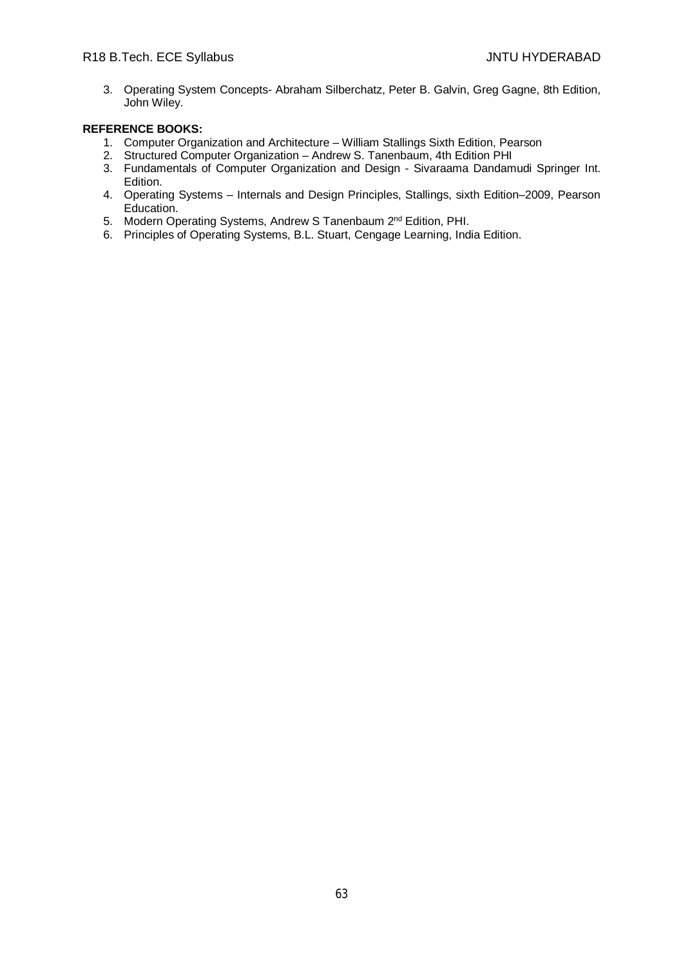3. Operating System Concepts- Abraham Silberchatz, Peter B. Galvin, Greg Gagne, 8th Edition, John Wiley.

- 1. Computer Organization and Architecture William Stallings Sixth Edition, Pearson
- 2. Structured Computer Organization Andrew S. Tanenbaum, 4th Edition PHI
- 3. Fundamentals of Computer Organization and Design Sivaraama Dandamudi Springer Int. Edition.
- 4. Operating Systems Internals and Design Principles, Stallings, sixth Edition–2009, Pearson Education.
- 5. Modern Operating Systems, Andrew S Tanenbaum 2<sup>nd</sup> Edition, PHI.
- 6. Principles of Operating Systems, B.L. Stuart, Cengage Learning, India Edition.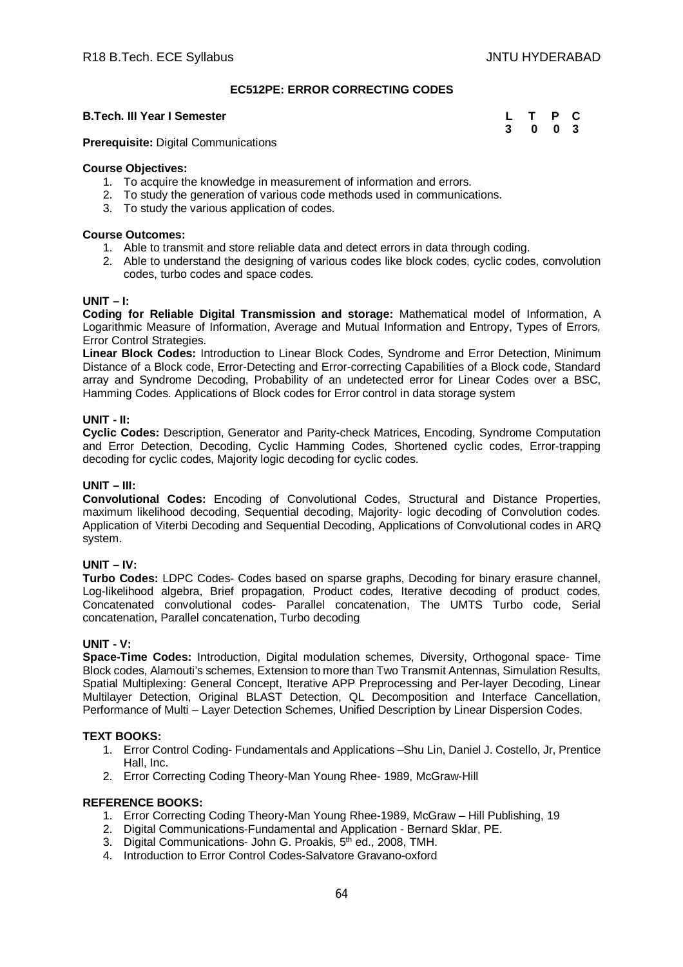# **EC512PE: ERROR CORRECTING CODES**

### **B.Tech. III Year I Semester**

| L | т | P | C   |
|---|---|---|-----|
| 3 | 0 | 0 | - 3 |

**Prerequisite:** Digital Communications

# **Course Objectives:**

- 1. To acquire the knowledge in measurement of information and errors.
- 2. To study the generation of various code methods used in communications.
- 3. To study the various application of codes.

# **Course Outcomes:**

- 1. Able to transmit and store reliable data and detect errors in data through coding.
- 2. Able to understand the designing of various codes like block codes, cyclic codes, convolution codes, turbo codes and space codes.

#### **UNIT – I:**

**Coding for Reliable Digital Transmission and storage:** Mathematical model of Information, A Logarithmic Measure of Information, Average and Mutual Information and Entropy, Types of Errors, Error Control Strategies.

**Linear Block Codes:** Introduction to Linear Block Codes, Syndrome and Error Detection, Minimum Distance of a Block code, Error-Detecting and Error-correcting Capabilities of a Block code, Standard array and Syndrome Decoding, Probability of an undetected error for Linear Codes over a BSC, Hamming Codes. Applications of Block codes for Error control in data storage system

# **UNIT - II:**

**Cyclic Codes:** Description, Generator and Parity-check Matrices, Encoding, Syndrome Computation and Error Detection, Decoding, Cyclic Hamming Codes, Shortened cyclic codes, Error-trapping decoding for cyclic codes, Majority logic decoding for cyclic codes.

# **UNIT – III:**

**Convolutional Codes:** Encoding of Convolutional Codes, Structural and Distance Properties, maximum likelihood decoding, Sequential decoding, Majority- logic decoding of Convolution codes. Application of Viterbi Decoding and Sequential Decoding, Applications of Convolutional codes in ARQ system.

# **UNIT – IV:**

**Turbo Codes:** LDPC Codes- Codes based on sparse graphs, Decoding for binary erasure channel, Log-likelihood algebra, Brief propagation, Product codes, Iterative decoding of product codes, Concatenated convolutional codes- Parallel concatenation, The UMTS Turbo code, Serial concatenation, Parallel concatenation, Turbo decoding

#### **UNIT - V:**

**Space-Time Codes:** Introduction, Digital modulation schemes, Diversity, Orthogonal space- Time Block codes, Alamouti's schemes, Extension to more than Two Transmit Antennas, Simulation Results, Spatial Multiplexing: General Concept, Iterative APP Preprocessing and Per-layer Decoding, Linear Multilayer Detection, Original BLAST Detection, QL Decomposition and Interface Cancellation, Performance of Multi – Layer Detection Schemes, Unified Description by Linear Dispersion Codes.

# **TEXT BOOKS:**

- 1. Error Control Coding- Fundamentals and Applications –Shu Lin, Daniel J. Costello, Jr, Prentice Hall, Inc.
- 2. Error Correcting Coding Theory-Man Young Rhee- 1989, McGraw-Hill

- 1. Error Correcting Coding Theory-Man Young Rhee-1989, McGraw Hill Publishing, 19
- 2. Digital Communications-Fundamental and Application Bernard Sklar, PE.
- 3. Digital Communications- John G. Proakis, 5<sup>th ed.</sup>, 2008, TMH.
- 4. Introduction to Error Control Codes-Salvatore Gravano-oxford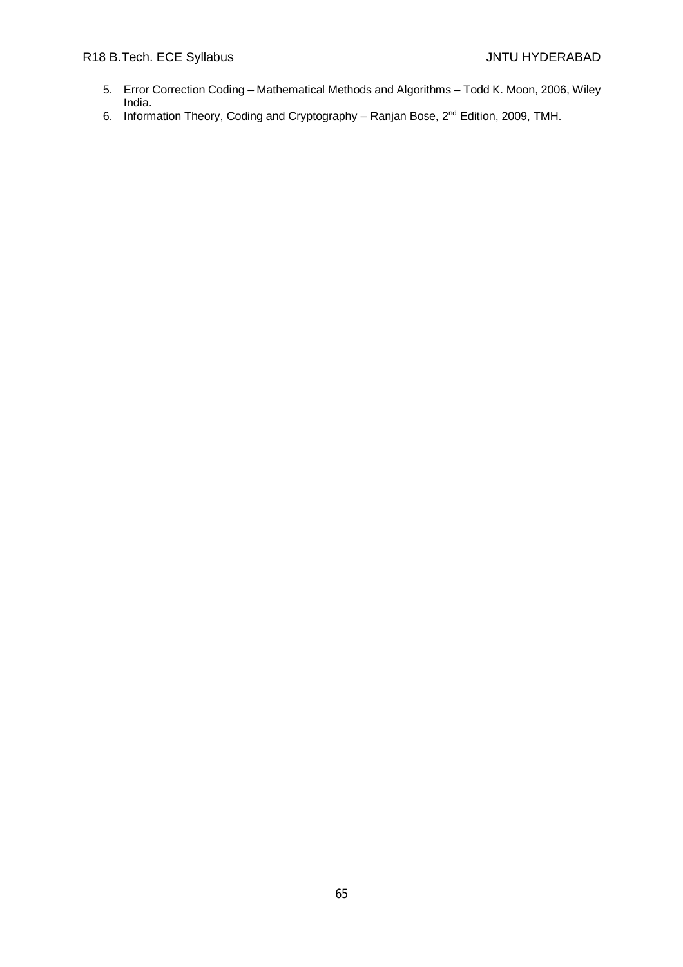# R18 B.Tech. ECE Syllabus **All Accords** Contact Art Accords And Accords And Accords Art Art Accords And Accords A

- 5. Error Correction Coding Mathematical Methods and Algorithms Todd K. Moon, 2006, Wiley India.
- 6. Information Theory, Coding and Cryptography Ranjan Bose, 2nd Edition, 2009, TMH.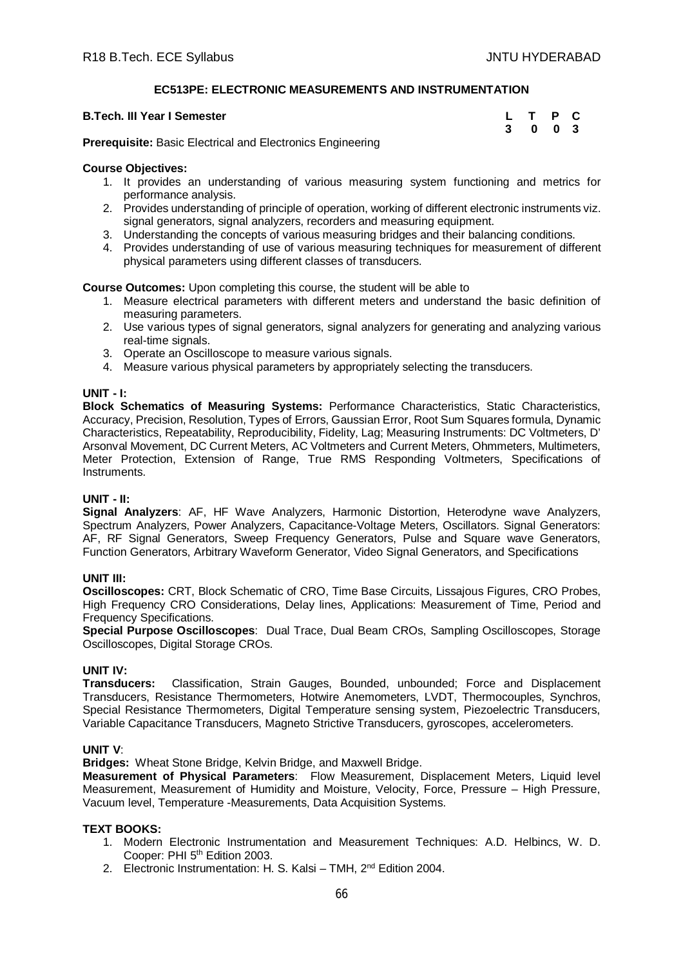# **EC513PE: ELECTRONIC MEASUREMENTS AND INSTRUMENTATION**

#### **B.Tech. III Year I Semester**

| L | т | P | C   |
|---|---|---|-----|
| 3 | 0 | 0 | - 3 |

**Prerequisite:** Basic Electrical and Electronics Engineering

#### **Course Objectives:**

- 1. It provides an understanding of various measuring system functioning and metrics for performance analysis.
- 2. Provides understanding of principle of operation, working of different electronic instruments viz. signal generators, signal analyzers, recorders and measuring equipment.
- 3. Understanding the concepts of various measuring bridges and their balancing conditions.
- 4. Provides understanding of use of various measuring techniques for measurement of different physical parameters using different classes of transducers.

**Course Outcomes:** Upon completing this course, the student will be able to

- 1. Measure electrical parameters with different meters and understand the basic definition of measuring parameters.
- 2. Use various types of signal generators, signal analyzers for generating and analyzing various real-time signals.
- 3. Operate an Oscilloscope to measure various signals.
- 4. Measure various physical parameters by appropriately selecting the transducers.

#### **UNIT - I:**

**Block Schematics of Measuring Systems:** Performance Characteristics, Static Characteristics, Accuracy, Precision, Resolution, Types of Errors, Gaussian Error, Root Sum Squares formula, Dynamic Characteristics, Repeatability, Reproducibility, Fidelity, Lag; Measuring Instruments: DC Voltmeters, D' Arsonval Movement, DC Current Meters, AC Voltmeters and Current Meters, Ohmmeters, Multimeters, Meter Protection, Extension of Range, True RMS Responding Voltmeters, Specifications of Instruments.

# **UNIT - II:**

**Signal Analyzers**: AF, HF Wave Analyzers, Harmonic Distortion, Heterodyne wave Analyzers, Spectrum Analyzers, Power Analyzers, Capacitance-Voltage Meters, Oscillators. Signal Generators: AF, RF Signal Generators, Sweep Frequency Generators, Pulse and Square wave Generators, Function Generators, Arbitrary Waveform Generator, Video Signal Generators, and Specifications

#### **UNIT III:**

**Oscilloscopes:** CRT, Block Schematic of CRO, Time Base Circuits, Lissajous Figures, CRO Probes, High Frequency CRO Considerations, Delay lines, Applications: Measurement of Time, Period and Frequency Specifications.

**Special Purpose Oscilloscopes**: Dual Trace, Dual Beam CROs, Sampling Oscilloscopes, Storage Oscilloscopes, Digital Storage CROs.

#### **UNIT IV:**

**Transducers:** Classification, Strain Gauges, Bounded, unbounded; Force and Displacement Transducers, Resistance Thermometers, Hotwire Anemometers, LVDT, Thermocouples, Synchros, Special Resistance Thermometers, Digital Temperature sensing system, Piezoelectric Transducers, Variable Capacitance Transducers, Magneto Strictive Transducers, gyroscopes, accelerometers.

#### **UNIT V**:

**Bridges:** Wheat Stone Bridge, Kelvin Bridge, and Maxwell Bridge.

**Measurement of Physical Parameters**: Flow Measurement, Displacement Meters, Liquid level Measurement, Measurement of Humidity and Moisture, Velocity, Force, Pressure – High Pressure, Vacuum level, Temperature -Measurements, Data Acquisition Systems.

#### **TEXT BOOKS:**

- 1. Modern Electronic Instrumentation and Measurement Techniques: A.D. Helbincs, W. D. Cooper: PHI 5<sup>th</sup> Edition 2003.
- 2. Electronic Instrumentation: H. S. Kalsi TMH, 2<sup>nd</sup> Edition 2004.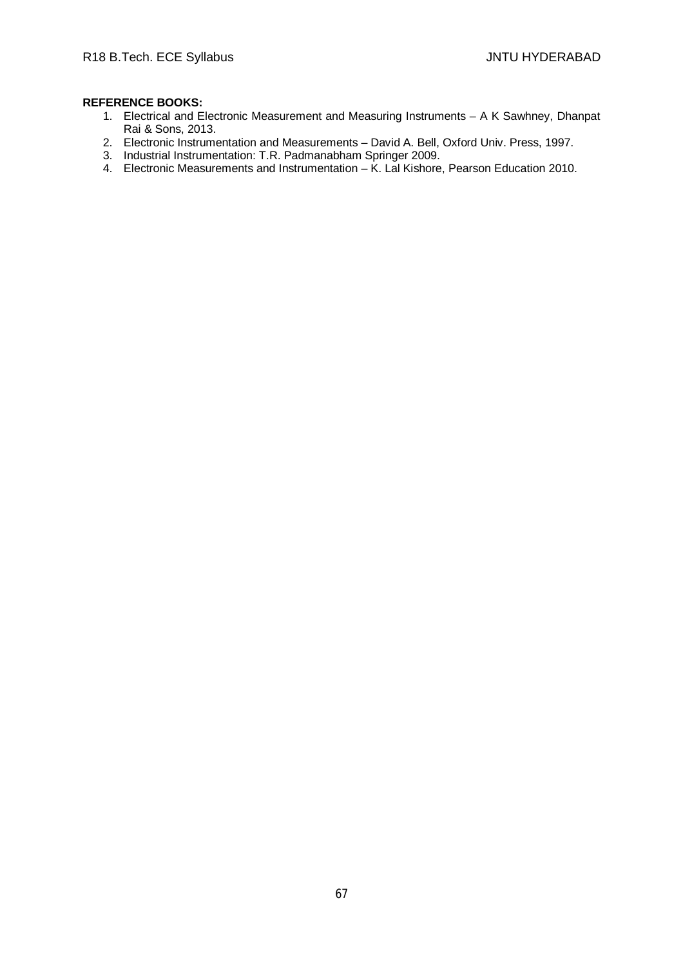- 1. Electrical and Electronic Measurement and Measuring Instruments A K Sawhney, Dhanpat Rai & Sons, 2013.
- 2. Electronic Instrumentation and Measurements David A. Bell, Oxford Univ. Press, 1997.
- 3. Industrial Instrumentation: T.R. Padmanabham Springer 2009.
- 4. Electronic Measurements and Instrumentation K. Lal Kishore, Pearson Education 2010.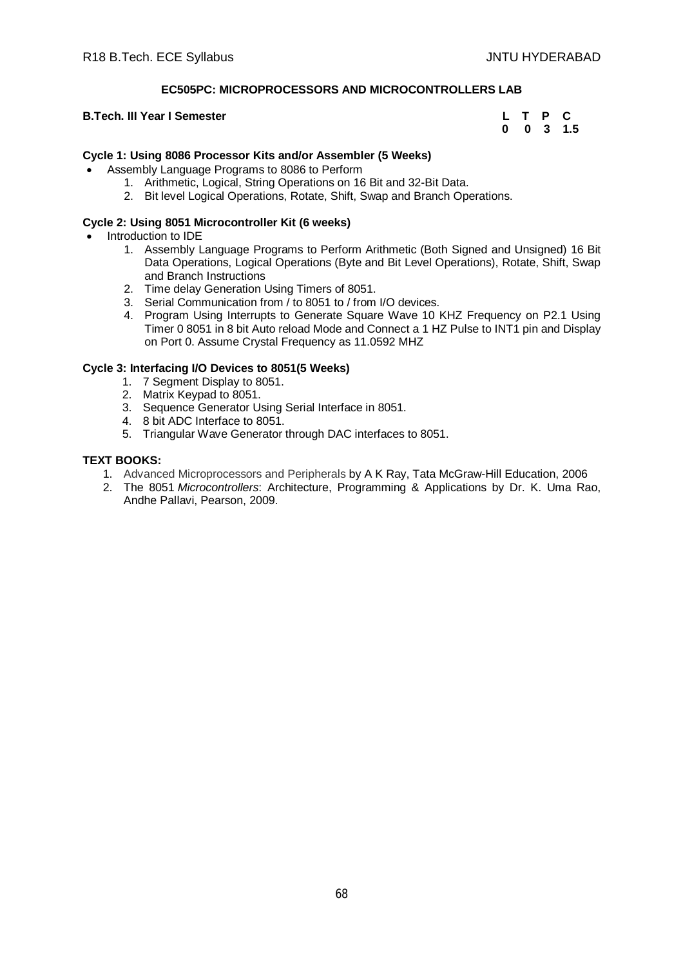# **EC505PC: MICROPROCESSORS AND MICROCONTROLLERS LAB**

# **B.Tech. III Year I Semester**

| L | Т | Р            | С   |
|---|---|--------------|-----|
| 0 | 0 | $\mathbf{3}$ | 1.5 |

# **Cycle 1: Using 8086 Processor Kits and/or Assembler (5 Weeks)**

- Assembly Language Programs to 8086 to Perform
	- 1. Arithmetic, Logical, String Operations on 16 Bit and 32-Bit Data.
	- 2. Bit level Logical Operations, Rotate, Shift, Swap and Branch Operations.

# **Cycle 2: Using 8051 Microcontroller Kit (6 weeks)**

- Introduction to IDE
	- 1. Assembly Language Programs to Perform Arithmetic (Both Signed and Unsigned) 16 Bit Data Operations, Logical Operations (Byte and Bit Level Operations), Rotate, Shift, Swap and Branch Instructions
	- 2. Time delay Generation Using Timers of 8051.
	- 3. Serial Communication from / to 8051 to / from I/O devices.
	- 4. Program Using Interrupts to Generate Square Wave 10 KHZ Frequency on P2.1 Using Timer 0 8051 in 8 bit Auto reload Mode and Connect a 1 HZ Pulse to INT1 pin and Display on Port 0. Assume Crystal Frequency as 11.0592 MHZ

# **Cycle 3: Interfacing I/O Devices to 8051(5 Weeks)**

- 1. 7 Segment Display to 8051.
- 2. Matrix Keypad to 8051.
- 3. Sequence Generator Using Serial Interface in 8051.
- 4. 8 bit ADC Interface to 8051.
- 5. Triangular Wave Generator through DAC interfaces to 8051.

# **TEXT BOOKS:**

- 1. Advanced Microprocessors and Peripherals by A K Ray, Tata McGraw-Hill Education, 2006
- 2. The 8051 *Microcontrollers*: Architecture, Programming & Applications by Dr. K. Uma Rao, Andhe Pallavi, Pearson, 2009.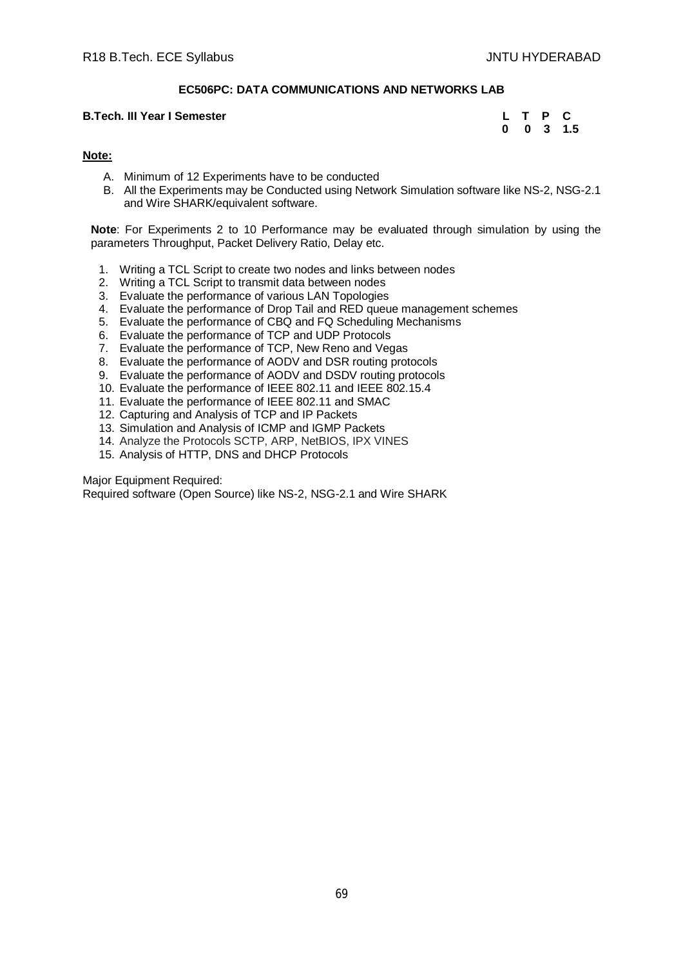# **EC506PC: DATA COMMUNICATIONS AND NETWORKS LAB**

#### **B.Tech. III Year I Semester**

|   |   | Р | С   |
|---|---|---|-----|
| 0 | 0 | 3 | 1.5 |

# **Note:**

- A. Minimum of 12 Experiments have to be conducted
- B. All the Experiments may be Conducted using Network Simulation software like NS-2, NSG-2.1 and Wire SHARK/equivalent software.

**Note**: For Experiments 2 to 10 Performance may be evaluated through simulation by using the parameters Throughput, Packet Delivery Ratio, Delay etc.

- 1. Writing a TCL Script to create two nodes and links between nodes
- 2. Writing a TCL Script to transmit data between nodes
- 3. Evaluate the performance of various LAN Topologies
- 4. Evaluate the performance of Drop Tail and RED queue management schemes
- 5. Evaluate the performance of CBQ and FQ Scheduling Mechanisms
- 6. Evaluate the performance of TCP and UDP Protocols
- 7. Evaluate the performance of TCP, New Reno and Vegas
- 8. Evaluate the performance of AODV and DSR routing protocols
- 9. Evaluate the performance of AODV and DSDV routing protocols
- 10. Evaluate the performance of IEEE 802.11 and IEEE 802.15.4
- 11. Evaluate the performance of IEEE 802.11 and SMAC
- 12. Capturing and Analysis of TCP and IP Packets
- 13. Simulation and Analysis of ICMP and IGMP Packets
- 14. Analyze the Protocols SCTP, ARP, NetBIOS, IPX VINES
- 15. Analysis of HTTP, DNS and DHCP Protocols

Major Equipment Required:

Required software (Open Source) like NS-2, NSG-2.1 and Wire SHARK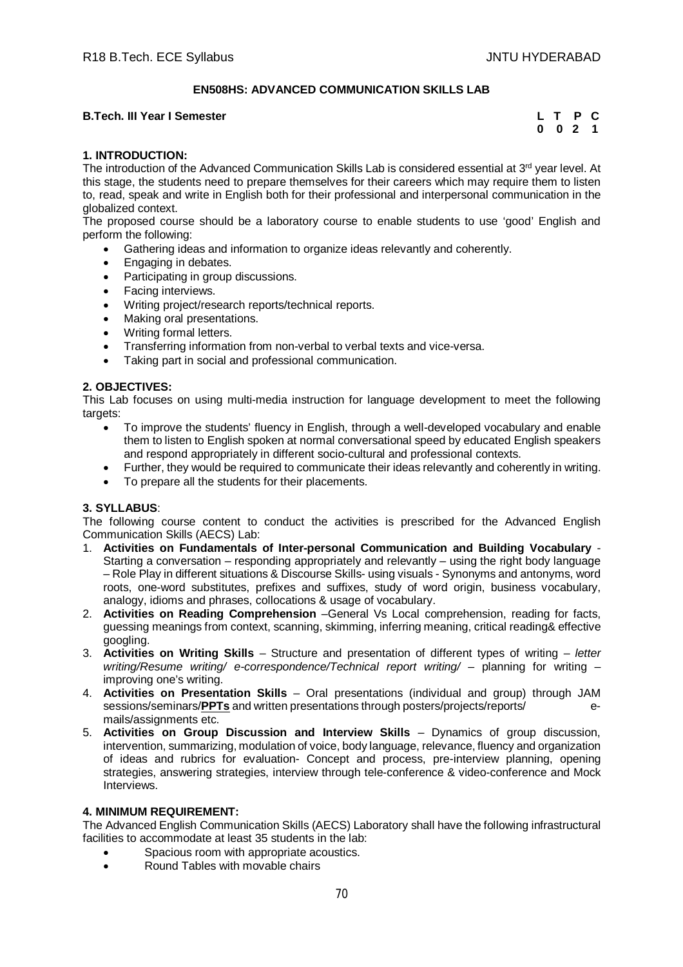# **EN508HS: ADVANCED COMMUNICATION SKILLS LAB**

# **B.Tech. III Year I Semester**

| L T |   | P   | Œ |
|-----|---|-----|---|
| 0   | 0 | - 2 | 1 |

# **1. INTRODUCTION:**

The introduction of the Advanced Communication Skills Lab is considered essential at 3<sup>rd</sup> year level. At this stage, the students need to prepare themselves for their careers which may require them to listen to, read, speak and write in English both for their professional and interpersonal communication in the globalized context.

The proposed course should be a laboratory course to enable students to use 'good' English and perform the following:

- Gathering ideas and information to organize ideas relevantly and coherently.
- Engaging in debates.
- Participating in group discussions.
- Facing interviews.
- Writing project/research reports/technical reports.
- Making oral presentations.
- Writing formal letters.
- Transferring information from non-verbal to verbal texts and vice-versa.
- Taking part in social and professional communication.

# **2. OBJECTIVES:**

This Lab focuses on using multi-media instruction for language development to meet the following targets:

- To improve the students' fluency in English, through a well-developed vocabulary and enable them to listen to English spoken at normal conversational speed by educated English speakers and respond appropriately in different socio-cultural and professional contexts.
- Further, they would be required to communicate their ideas relevantly and coherently in writing.
- To prepare all the students for their placements.

# **3. SYLLABUS**:

The following course content to conduct the activities is prescribed for the Advanced English Communication Skills (AECS) Lab:

- 1. **Activities on Fundamentals of Inter-personal Communication and Building Vocabulary**  Starting a conversation – responding appropriately and relevantly – using the right body language – Role Play in different situations & Discourse Skills- using visuals - Synonyms and antonyms, word roots, one-word substitutes, prefixes and suffixes, study of word origin, business vocabulary, analogy, idioms and phrases, collocations & usage of vocabulary.
- 2. **Activities on Reading Comprehension** –General Vs Local comprehension, reading for facts, guessing meanings from context, scanning, skimming, inferring meaning, critical reading& effective googling.
- 3. **Activities on Writing Skills** Structure and presentation of different types of writing *letter writing/Resume writing/ e-correspondence/Technical report writing/ – planning for writing –* improving one's writing.
- 4. **Activities on Presentation Skills** Oral presentations (individual and group) through JAM sessions/seminars/**PPTs** and written presentations through posters/projects/reports/ emails/assignments etc.
- 5. **Activities on Group Discussion and Interview Skills** Dynamics of group discussion, intervention, summarizing, modulation of voice, body language, relevance, fluency and organization of ideas and rubrics for evaluation- Concept and process, pre-interview planning, opening strategies, answering strategies, interview through tele-conference & video-conference and Mock Interviews.

# **4. MINIMUM REQUIREMENT:**

The Advanced English Communication Skills (AECS) Laboratory shall have the following infrastructural facilities to accommodate at least 35 students in the lab:

- Spacious room with appropriate acoustics.
- Round Tables with movable chairs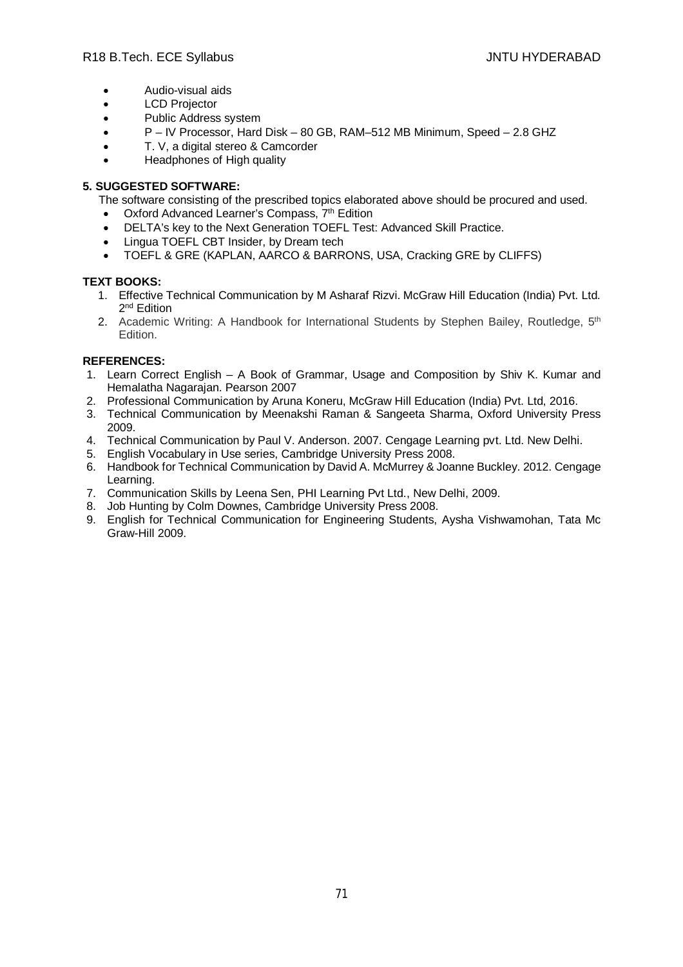- Audio-visual aids
- LCD Projector
- Public Address system
- P IV Processor, Hard Disk 80 GB, RAM–512 MB Minimum, Speed 2.8 GHZ
- T. V, a digital stereo & Camcorder
- Headphones of High quality

# **5. SUGGESTED SOFTWARE:**

- The software consisting of the prescribed topics elaborated above should be procured and used.
- Oxford Advanced Learner's Compass, 7<sup>th</sup> Edition
- DELTA's key to the Next Generation TOEFL Test: Advanced Skill Practice.
- Lingua TOEFL CBT Insider, by Dream tech
- TOEFL & GRE (KAPLAN, AARCO & BARRONS, USA, Cracking GRE by CLIFFS)

# **TEXT BOOKS:**

- 1. Effective Technical Communication by M Asharaf Rizvi. McGraw Hill Education (India) Pvt. Ltd. 2<sup>nd</sup> Edition
- 2. Academic Writing: A Handbook for International Students by Stephen Bailey, Routledge, 5th Edition.

# **REFERENCES:**

- 1. Learn Correct English A Book of Grammar, Usage and Composition by Shiv K. Kumar and Hemalatha Nagarajan. Pearson 2007
- 2. Professional Communication by Aruna Koneru, McGraw Hill Education (India) Pvt. Ltd, 2016.
- 3. Technical Communication by Meenakshi Raman & Sangeeta Sharma, Oxford University Press 2009.
- 4. Technical Communication by Paul V. Anderson. 2007. Cengage Learning pvt. Ltd. New Delhi.
- 5. English Vocabulary in Use series, Cambridge University Press 2008.
- 6. Handbook for Technical Communication by David A. McMurrey & Joanne Buckley. 2012. Cengage Learning.
- 7. Communication Skills by Leena Sen, PHI Learning Pvt Ltd., New Delhi, 2009.
- 8. Job Hunting by Colm Downes, Cambridge University Press 2008.
- 9. English for Technical Communication for Engineering Students, Aysha Vishwamohan, Tata Mc Graw-Hill 2009.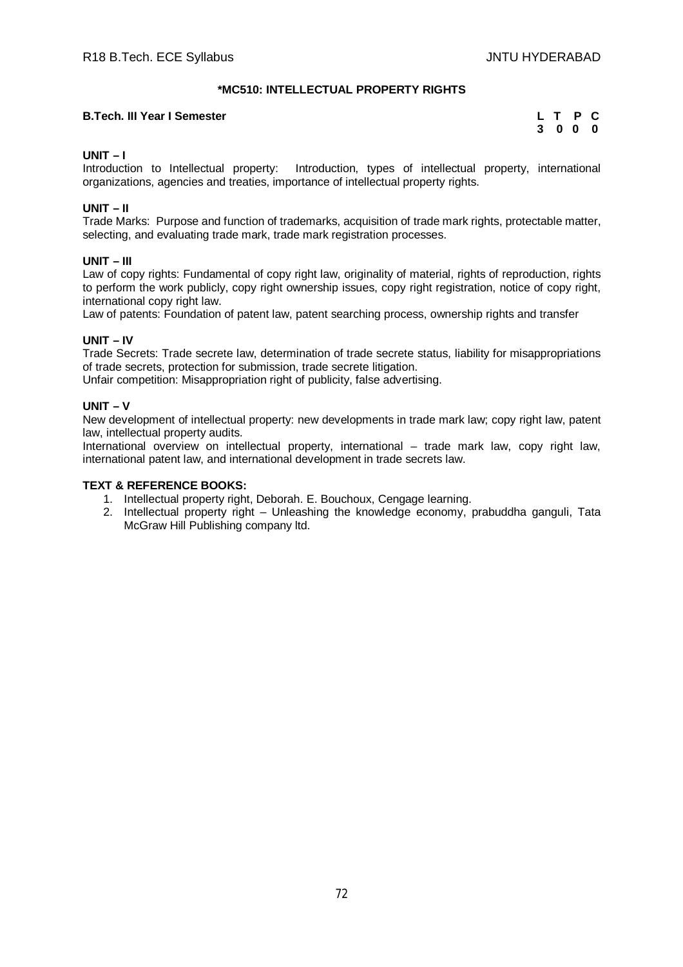# **\*MC510: INTELLECTUAL PROPERTY RIGHTS**

# **B.Tech. III Year I Semester**

|             | L T P          | - C |
|-------------|----------------|-----|
| $3^{\circ}$ | 0 <sub>0</sub> | 0   |

# **UNIT – I**

Introduction to Intellectual property: Introduction, types of intellectual property, international organizations, agencies and treaties, importance of intellectual property rights.

# **UNIT – II**

Trade Marks: Purpose and function of trademarks, acquisition of trade mark rights, protectable matter, selecting, and evaluating trade mark, trade mark registration processes.

# **UNIT – III**

Law of copy rights: Fundamental of copy right law, originality of material, rights of reproduction, rights to perform the work publicly, copy right ownership issues, copy right registration, notice of copy right, international copy right law.

Law of patents: Foundation of patent law, patent searching process, ownership rights and transfer

# **UNIT – IV**

Trade Secrets: Trade secrete law, determination of trade secrete status, liability for misappropriations of trade secrets, protection for submission, trade secrete litigation.

Unfair competition: Misappropriation right of publicity, false advertising.

# **UNIT – V**

New development of intellectual property: new developments in trade mark law; copy right law, patent law, intellectual property audits.

International overview on intellectual property, international – trade mark law, copy right law, international patent law, and international development in trade secrets law.

# **TEXT & REFERENCE BOOKS:**

- 1. Intellectual property right, Deborah. E. Bouchoux, Cengage learning.
- 2. Intellectual property right Unleashing the knowledge economy, prabuddha ganguli, Tata McGraw Hill Publishing company ltd.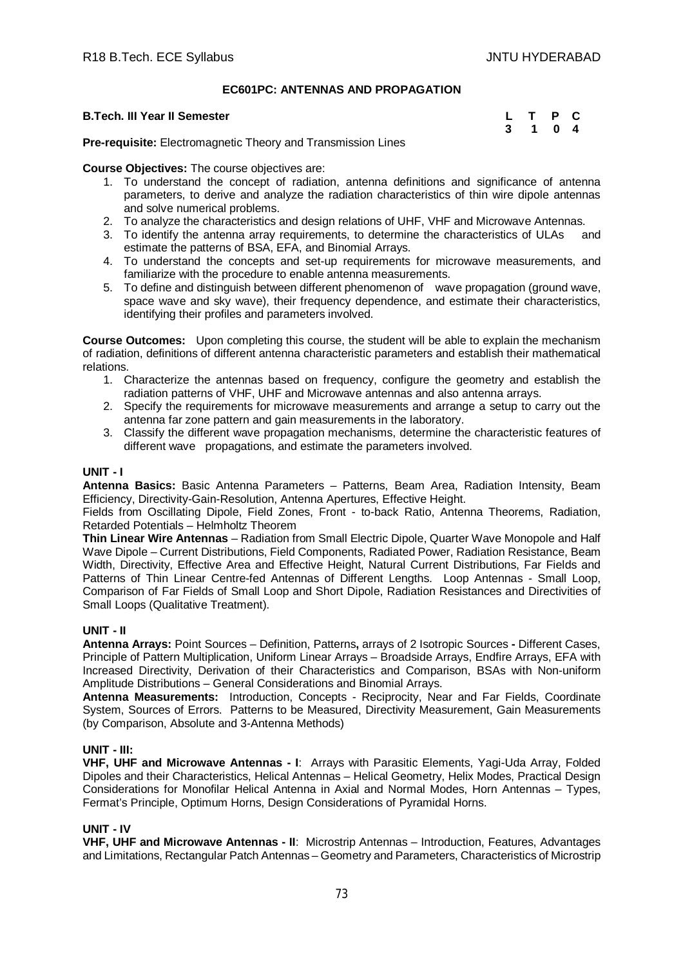# **EC601PC: ANTENNAS AND PROPAGATION**

#### **B.Tech. III Year II Semester**

| L | T | P | C                       |
|---|---|---|-------------------------|
| 3 | 1 | 0 | $\overline{\mathbf{4}}$ |

**Pre-requisite:** Electromagnetic Theory and Transmission Lines

**Course Objectives:** The course objectives are:

- 1. To understand the concept of radiation, antenna definitions and significance of antenna parameters, to derive and analyze the radiation characteristics of thin wire dipole antennas and solve numerical problems.
- 2. To analyze the characteristics and design relations of UHF, VHF and Microwave Antennas.
- 3. To identify the antenna array requirements, to determine the characteristics of ULAs and estimate the patterns of BSA, EFA, and Binomial Arrays.
- 4. To understand the concepts and set-up requirements for microwave measurements, and familiarize with the procedure to enable antenna measurements.
- 5. To define and distinguish between different phenomenon of wave propagation (ground wave, space wave and sky wave), their frequency dependence, and estimate their characteristics, identifying their profiles and parameters involved.

**Course Outcomes:** Upon completing this course, the student will be able to explain the mechanism of radiation, definitions of different antenna characteristic parameters and establish their mathematical relations.

- 1. Characterize the antennas based on frequency, configure the geometry and establish the radiation patterns of VHF, UHF and Microwave antennas and also antenna arrays.
- 2. Specify the requirements for microwave measurements and arrange a setup to carry out the antenna far zone pattern and gain measurements in the laboratory.
- 3. Classify the different wave propagation mechanisms, determine the characteristic features of different wave propagations, and estimate the parameters involved.

## **UNIT - I**

**Antenna Basics:** Basic Antenna Parameters – Patterns, Beam Area, Radiation Intensity, Beam Efficiency, Directivity-Gain-Resolution, Antenna Apertures, Effective Height.

Fields from Oscillating Dipole, Field Zones, Front - to-back Ratio, Antenna Theorems, Radiation, Retarded Potentials – Helmholtz Theorem

**Thin Linear Wire Antennas** – Radiation from Small Electric Dipole, Quarter Wave Monopole and Half Wave Dipole – Current Distributions, Field Components, Radiated Power, Radiation Resistance, Beam Width, Directivity, Effective Area and Effective Height, Natural Current Distributions, Far Fields and Patterns of Thin Linear Centre-fed Antennas of Different Lengths. Loop Antennas - Small Loop, Comparison of Far Fields of Small Loop and Short Dipole, Radiation Resistances and Directivities of Small Loops (Qualitative Treatment).

# **UNIT - II**

**Antenna Arrays:** Point Sources – Definition, Patterns**,** arrays of 2 Isotropic Sources **-** Different Cases, Principle of Pattern Multiplication, Uniform Linear Arrays – Broadside Arrays, Endfire Arrays, EFA with Increased Directivity, Derivation of their Characteristics and Comparison, BSAs with Non-uniform Amplitude Distributions – General Considerations and Binomial Arrays.

**Antenna Measurements:** Introduction, Concepts - Reciprocity, Near and Far Fields, Coordinate System, Sources of Errors. Patterns to be Measured, Directivity Measurement, Gain Measurements (by Comparison, Absolute and 3-Antenna Methods)

#### **UNIT - III:**

**VHF, UHF and Microwave Antennas - I**: Arrays with Parasitic Elements, Yagi-Uda Array, Folded Dipoles and their Characteristics, Helical Antennas – Helical Geometry, Helix Modes, Practical Design Considerations for Monofilar Helical Antenna in Axial and Normal Modes, Horn Antennas – Types, Fermat's Principle, Optimum Horns, Design Considerations of Pyramidal Horns.

# **UNIT - IV**

**VHF, UHF and Microwave Antennas - II**: Microstrip Antennas – Introduction, Features, Advantages and Limitations, Rectangular Patch Antennas – Geometry and Parameters, Characteristics of Microstrip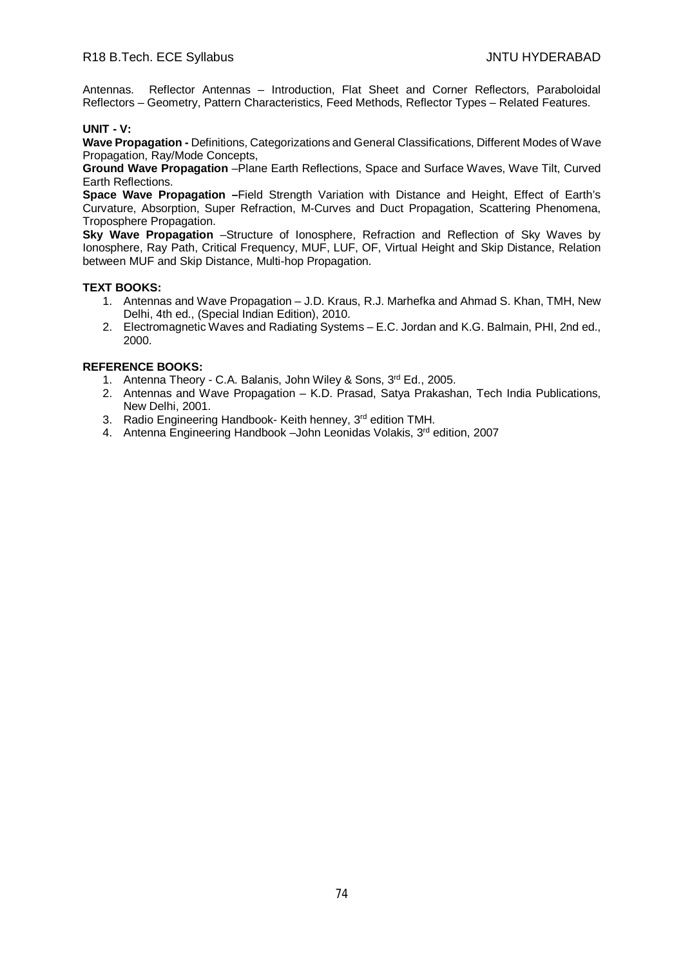Antennas. Reflector Antennas – Introduction, Flat Sheet and Corner Reflectors, Paraboloidal Reflectors – Geometry, Pattern Characteristics, Feed Methods, Reflector Types – Related Features.

# **UNIT - V:**

**Wave Propagation -** Definitions, Categorizations and General Classifications, Different Modes of Wave Propagation, Ray/Mode Concepts,

**Ground Wave Propagation** –Plane Earth Reflections, Space and Surface Waves, Wave Tilt, Curved Earth Reflections.

**Space Wave Propagation –**Field Strength Variation with Distance and Height, Effect of Earth's Curvature, Absorption, Super Refraction, M-Curves and Duct Propagation, Scattering Phenomena, Troposphere Propagation.

**Sky Wave Propagation** –Structure of Ionosphere, Refraction and Reflection of Sky Waves by Ionosphere, Ray Path, Critical Frequency, MUF, LUF, OF, Virtual Height and Skip Distance, Relation between MUF and Skip Distance, Multi-hop Propagation.

# **TEXT BOOKS:**

- 1. Antennas and Wave Propagation J.D. Kraus, R.J. Marhefka and Ahmad S. Khan, TMH, New Delhi, 4th ed., (Special Indian Edition), 2010.
- 2. Electromagnetic Waves and Radiating Systems E.C. Jordan and K.G. Balmain, PHI, 2nd ed., 2000.

- 1. Antenna Theory C.A. Balanis, John Wiley & Sons, 3rd Ed., 2005.
- 2. Antennas and Wave Propagation K.D. Prasad, Satya Prakashan, Tech India Publications, New Delhi, 2001.
- 3. Radio Engineering Handbook- Keith henney, 3rd edition TMH.
- 4. Antenna Engineering Handbook –John Leonidas Volakis, 3<sup>rd</sup> edition, 2007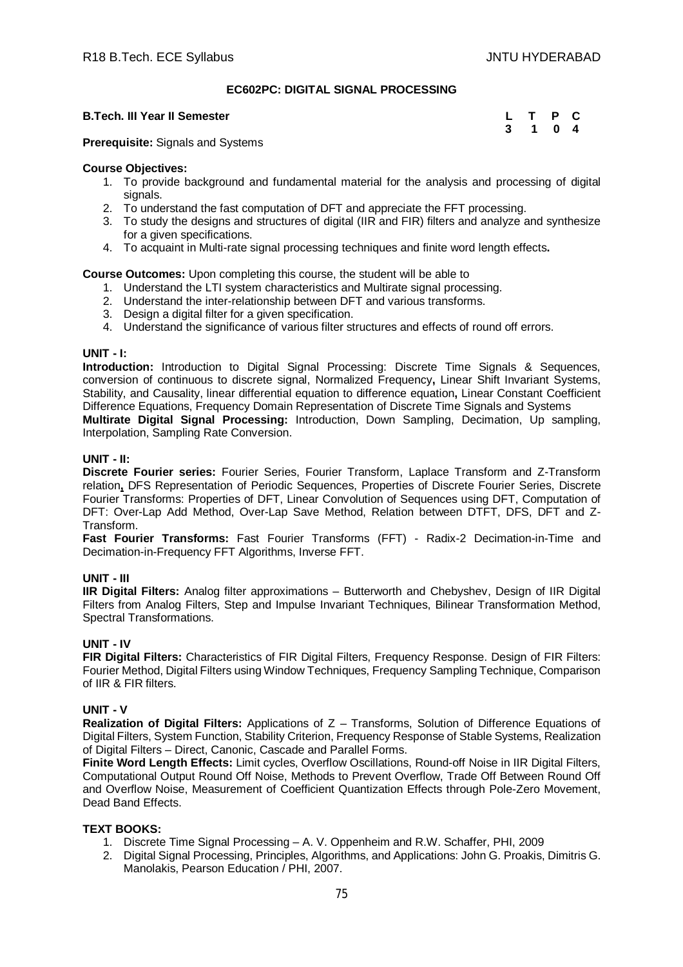## **EC602PC: DIGITAL SIGNAL PROCESSING**

#### **B.Tech. III Year II Semester**

| L | Т | Р | C              |
|---|---|---|----------------|
| 3 | 1 | 0 | $\overline{4}$ |

**Prerequisite:** Signals and Systems

#### **Course Objectives:**

- 1. To provide background and fundamental material for the analysis and processing of digital signals.
- 2. To understand the fast computation of DFT and appreciate the FFT processing.
- 3. To study the designs and structures of digital (IIR and FIR) filters and analyze and synthesize for a given specifications.
- 4. To acquaint in Multi-rate signal processing techniques and finite word length effects**.**

#### **Course Outcomes:** Upon completing this course, the student will be able to

- 1. Understand the LTI system characteristics and Multirate signal processing.
- 2. Understand the inter-relationship between DFT and various transforms.
- 3. Design a digital filter for a given specification.
- 4. Understand the significance of various filter structures and effects of round off errors.

#### **UNIT - I:**

**Introduction:** Introduction to Digital Signal Processing: Discrete Time Signals & Sequences, conversion of continuous to discrete signal, Normalized Frequency**,** Linear Shift Invariant Systems, Stability, and Causality, linear differential equation to difference equation**,** Linear Constant Coefficient Difference Equations, Frequency Domain Representation of Discrete Time Signals and Systems **Multirate Digital Signal Processing:** Introduction, Down Sampling, Decimation, Up sampling, Interpolation, Sampling Rate Conversion.

## **UNIT - II:**

**Discrete Fourier series:** Fourier Series, Fourier Transform, Laplace Transform and Z-Transform relation**,** DFS Representation of Periodic Sequences, Properties of Discrete Fourier Series, Discrete Fourier Transforms: Properties of DFT, Linear Convolution of Sequences using DFT, Computation of DFT: Over-Lap Add Method, Over-Lap Save Method, Relation between DTFT, DFS, DFT and Z-Transform.

**Fast Fourier Transforms:** Fast Fourier Transforms (FFT) - Radix-2 Decimation-in-Time and Decimation-in-Frequency FFT Algorithms, Inverse FFT.

#### **UNIT - III**

**IIR Digital Filters:** Analog filter approximations – Butterworth and Chebyshev, Design of IIR Digital Filters from Analog Filters, Step and Impulse Invariant Techniques, Bilinear Transformation Method, Spectral Transformations.

#### **UNIT - IV**

**FIR Digital Filters:** Characteristics of FIR Digital Filters, Frequency Response. Design of FIR Filters: Fourier Method, Digital Filters using Window Techniques, Frequency Sampling Technique, Comparison of IIR & FIR filters.

#### **UNIT - V**

**Realization of Digital Filters:** Applications of Z – Transforms, Solution of Difference Equations of Digital Filters, System Function, Stability Criterion, Frequency Response of Stable Systems, Realization of Digital Filters – Direct, Canonic, Cascade and Parallel Forms.

**Finite Word Length Effects:** Limit cycles, Overflow Oscillations, Round-off Noise in IIR Digital Filters, Computational Output Round Off Noise, Methods to Prevent Overflow, Trade Off Between Round Off and Overflow Noise, Measurement of Coefficient Quantization Effects through Pole-Zero Movement, Dead Band Effects.

# **TEXT BOOKS:**

- 1. Discrete Time Signal Processing A. V. Oppenheim and R.W. Schaffer, PHI, 2009
- 2. Digital Signal Processing, Principles, Algorithms, and Applications: John G. Proakis, Dimitris G. Manolakis, Pearson Education / PHI, 2007.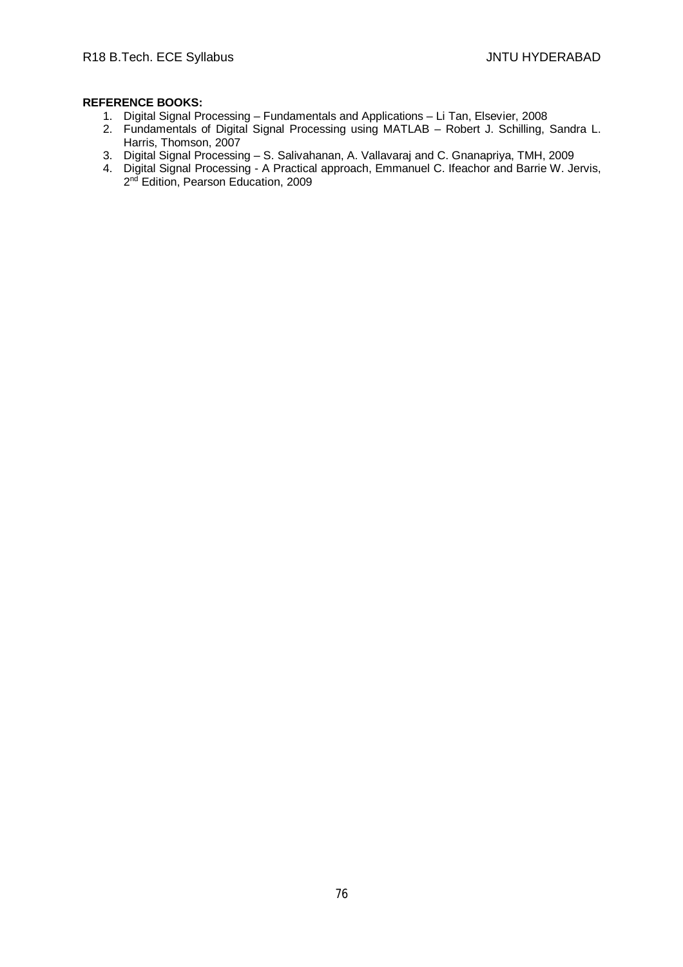- 1. Digital Signal Processing Fundamentals and Applications Li Tan, Elsevier, 2008
- 2. Fundamentals of Digital Signal Processing using MATLAB Robert J. Schilling, Sandra L. Harris, Thomson, 2007
- 3. Digital Signal Processing S. Salivahanan, A. Vallavaraj and C. Gnanapriya, TMH, 2009
- 4. Digital Signal Processing A Practical approach, Emmanuel C. Ifeachor and Barrie W. Jervis, 2<sup>nd</sup> Edition, Pearson Education, 2009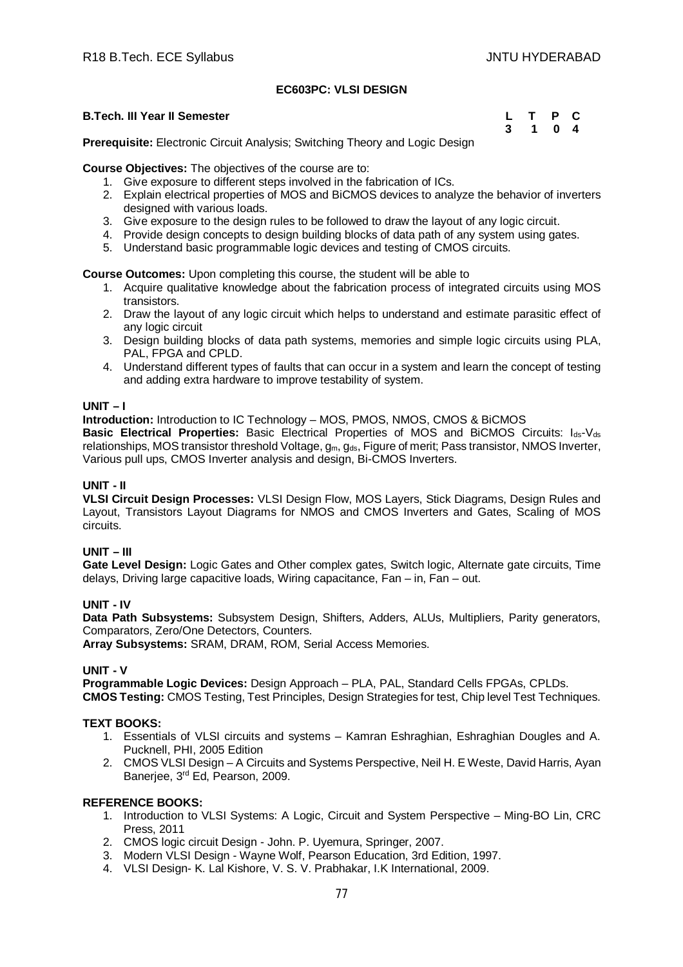# **EC603PC: VLSI DESIGN**

#### **B.Tech. III Year II Semester**

| L | $\top$ | P              | $\mathbf{C}$ |
|---|--------|----------------|--------------|
| 3 | 1      | 0 <sub>4</sub> |              |

**Prerequisite:** Electronic Circuit Analysis; Switching Theory and Logic Design

**Course Objectives:** The objectives of the course are to:

- 1. Give exposure to different steps involved in the fabrication of ICs.
- 2. Explain electrical properties of MOS and BiCMOS devices to analyze the behavior of inverters designed with various loads.
- 3. Give exposure to the design rules to be followed to draw the layout of any logic circuit.
- 4. Provide design concepts to design building blocks of data path of any system using gates.
- 5. Understand basic programmable logic devices and testing of CMOS circuits.

## **Course Outcomes:** Upon completing this course, the student will be able to

- 1. Acquire qualitative knowledge about the fabrication process of integrated circuits using MOS transistors.
- 2. Draw the layout of any logic circuit which helps to understand and estimate parasitic effect of any logic circuit
- 3. Design building blocks of data path systems, memories and simple logic circuits using PLA, PAL, FPGA and CPLD.
- 4. Understand different types of faults that can occur in a system and learn the concept of testing and adding extra hardware to improve testability of system.

## **UNIT – I**

**Introduction:** Introduction to IC Technology – MOS, PMOS, NMOS, CMOS & BiCMOS

**Basic Electrical Properties:** Basic Electrical Properties of MOS and BiCMOS Circuits: Ids-Vds relationships, MOS transistor threshold Voltage, g<sub>m</sub>, g<sub>ds</sub>, Figure of merit; Pass transistor, NMOS Inverter, Various pull ups, CMOS Inverter analysis and design, Bi-CMOS Inverters.

# **UNIT - II**

**VLSI Circuit Design Processes:** VLSI Design Flow, MOS Layers, Stick Diagrams, Design Rules and Layout, Transistors Layout Diagrams for NMOS and CMOS Inverters and Gates, Scaling of MOS circuits.

# **UNIT – III**

**Gate Level Design:** Logic Gates and Other complex gates, Switch logic, Alternate gate circuits, Time delays, Driving large capacitive loads, Wiring capacitance, Fan – in, Fan – out.

# **UNIT - IV**

**Data Path Subsystems:** Subsystem Design, Shifters, Adders, ALUs, Multipliers, Parity generators, Comparators, Zero/One Detectors, Counters.

**Array Subsystems:** SRAM, DRAM, ROM, Serial Access Memories.

# **UNIT - V**

**Programmable Logic Devices:** Design Approach – PLA, PAL, Standard Cells FPGAs, CPLDs. **CMOS Testing:** CMOS Testing, Test Principles, Design Strategies for test, Chip level Test Techniques.

# **TEXT BOOKS:**

- 1. Essentials of VLSI circuits and systems Kamran Eshraghian, Eshraghian Dougles and A. Pucknell, PHI, 2005 Edition
- 2. CMOS VLSI Design A Circuits and Systems Perspective, Neil H. E Weste, David Harris, Ayan Banerjee, 3rd Ed, Pearson, 2009.

- 1. Introduction to VLSI Systems: A Logic, Circuit and System Perspective Ming-BO Lin, CRC Press, 2011
- 2. CMOS logic circuit Design John. P. Uyemura, Springer, 2007.
- 3. Modern VLSI Design Wayne Wolf, Pearson Education, 3rd Edition, 1997.
- 4. VLSI Design- K. Lal Kishore, V. S. V. Prabhakar, I.K International, 2009.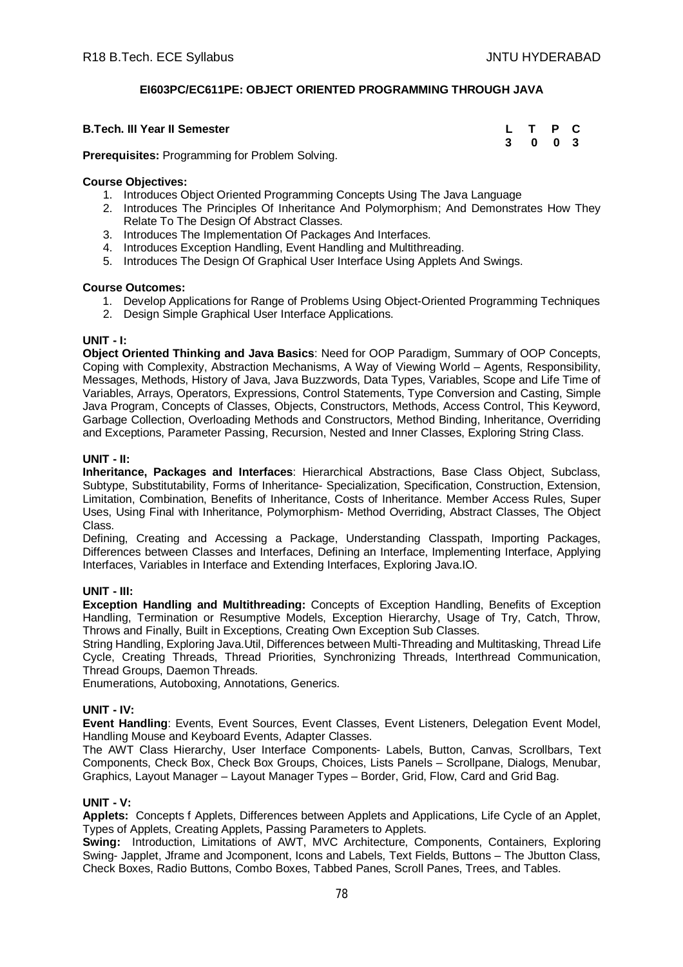# **EI603PC/EC611PE: OBJECT ORIENTED PROGRAMMING THROUGH JAVA**

## **B.Tech. III Year II Semester**

| L | $\mathbf T$ | Р | $\mathbf{C}$ |
|---|-------------|---|--------------|
| 3 | 0           | 0 | - 3          |

**Prerequisites:** Programming for Problem Solving.

#### **Course Objectives:**

- 1. Introduces Object Oriented Programming Concepts Using The Java Language
- 2. Introduces The Principles Of Inheritance And Polymorphism; And Demonstrates How They Relate To The Design Of Abstract Classes.
- 3. Introduces The Implementation Of Packages And Interfaces.
- 4. Introduces Exception Handling, Event Handling and Multithreading.
- 5. Introduces The Design Of Graphical User Interface Using Applets And Swings.

## **Course Outcomes:**

- 1. Develop Applications for Range of Problems Using Object-Oriented Programming Techniques
- 2. Design Simple Graphical User Interface Applications.

## **UNIT - I:**

**Object Oriented Thinking and Java Basics**: Need for OOP Paradigm, Summary of OOP Concepts, Coping with Complexity, Abstraction Mechanisms, A Way of Viewing World – Agents, Responsibility, Messages, Methods, History of Java, Java Buzzwords, Data Types, Variables, Scope and Life Time of Variables, Arrays, Operators, Expressions, Control Statements, Type Conversion and Casting, Simple Java Program, Concepts of Classes, Objects, Constructors, Methods, Access Control, This Keyword, Garbage Collection, Overloading Methods and Constructors, Method Binding, Inheritance, Overriding and Exceptions, Parameter Passing, Recursion, Nested and Inner Classes, Exploring String Class.

## **UNIT - II:**

**Inheritance, Packages and Interfaces**: Hierarchical Abstractions, Base Class Object, Subclass, Subtype, Substitutability, Forms of Inheritance- Specialization, Specification, Construction, Extension, Limitation, Combination, Benefits of Inheritance, Costs of Inheritance. Member Access Rules, Super Uses, Using Final with Inheritance, Polymorphism- Method Overriding, Abstract Classes, The Object Class.

Defining, Creating and Accessing a Package, Understanding Classpath, Importing Packages, Differences between Classes and Interfaces, Defining an Interface, Implementing Interface, Applying Interfaces, Variables in Interface and Extending Interfaces, Exploring Java.IO.

# **UNIT - III:**

**Exception Handling and Multithreading:** Concepts of Exception Handling, Benefits of Exception Handling, Termination or Resumptive Models, Exception Hierarchy, Usage of Try, Catch, Throw, Throws and Finally, Built in Exceptions, Creating Own Exception Sub Classes.

String Handling, Exploring Java.Util, Differences between Multi-Threading and Multitasking, Thread Life Cycle, Creating Threads, Thread Priorities, Synchronizing Threads, Interthread Communication, Thread Groups, Daemon Threads.

Enumerations, Autoboxing, Annotations, Generics.

# **UNIT - IV:**

**Event Handling**: Events, Event Sources, Event Classes, Event Listeners, Delegation Event Model, Handling Mouse and Keyboard Events, Adapter Classes.

The AWT Class Hierarchy, User Interface Components- Labels, Button, Canvas, Scrollbars, Text Components, Check Box, Check Box Groups, Choices, Lists Panels – Scrollpane, Dialogs, Menubar, Graphics, Layout Manager – Layout Manager Types – Border, Grid, Flow, Card and Grid Bag.

## **UNIT - V:**

**Applets:** Concepts f Applets, Differences between Applets and Applications, Life Cycle of an Applet, Types of Applets, Creating Applets, Passing Parameters to Applets.

**Swing:** Introduction, Limitations of AWT, MVC Architecture, Components, Containers, Exploring Swing- Japplet, Jframe and Jcomponent, Icons and Labels, Text Fields, Buttons – The Jbutton Class, Check Boxes, Radio Buttons, Combo Boxes, Tabbed Panes, Scroll Panes, Trees, and Tables.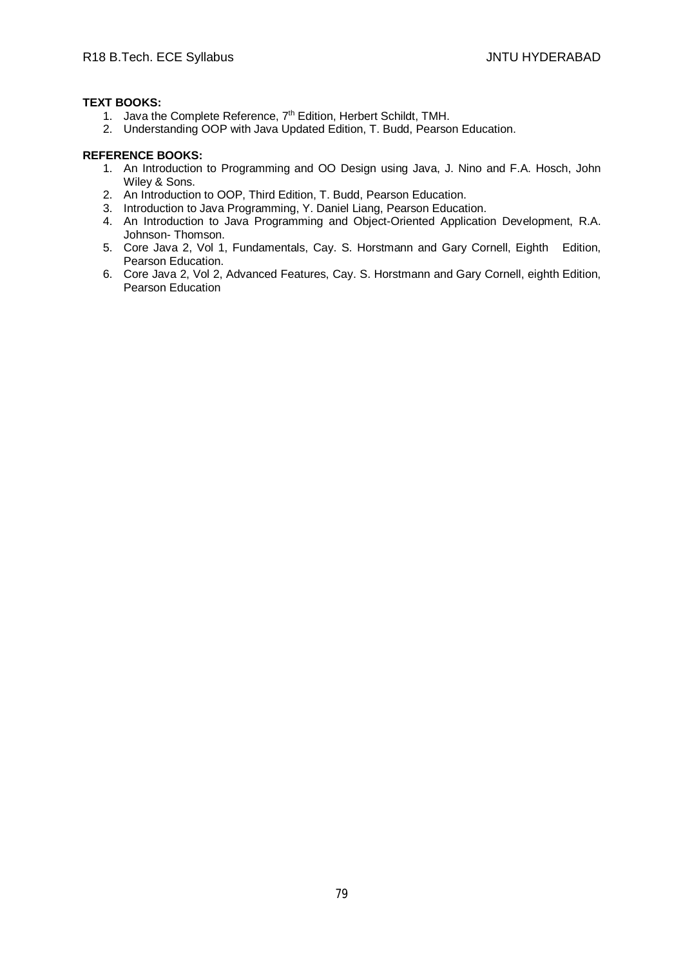# **TEXT BOOKS:**

- 1. Java the Complete Reference, 7<sup>th</sup> Edition, Herbert Schildt, TMH.
- 2. Understanding OOP with Java Updated Edition, T. Budd, Pearson Education.

- 1. An Introduction to Programming and OO Design using Java, J. Nino and F.A. Hosch, John Wiley & Sons.
- 2. An Introduction to OOP, Third Edition, T. Budd, Pearson Education.
- 3. Introduction to Java Programming, Y. Daniel Liang, Pearson Education.
- 4. An Introduction to Java Programming and Object-Oriented Application Development, R.A. Johnson- Thomson.
- 5. Core Java 2, Vol 1, Fundamentals, Cay. S. Horstmann and Gary Cornell, Eighth Edition, Pearson Education.
- 6. Core Java 2, Vol 2, Advanced Features, Cay. S. Horstmann and Gary Cornell, eighth Edition, Pearson Education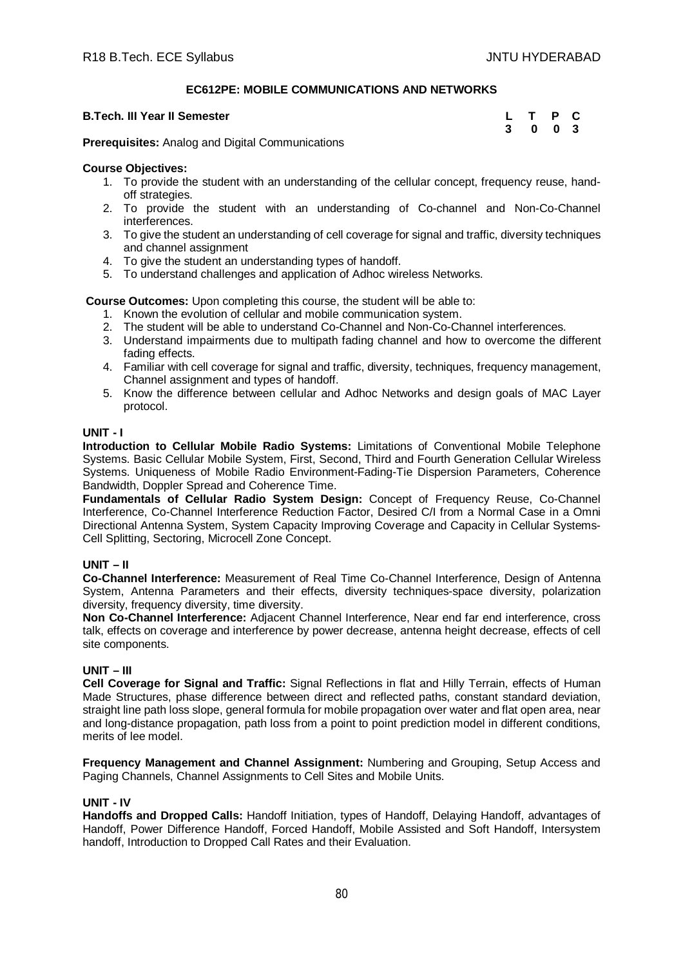# **EC612PE: MOBILE COMMUNICATIONS AND NETWORKS**

#### **B.Tech. III Year II Semester**

| L | Т | P | С            |
|---|---|---|--------------|
| 3 | 0 | 0 | $\mathbf{3}$ |

**Prerequisites:** Analog and Digital Communications

## **Course Objectives:**

- 1. To provide the student with an understanding of the cellular concept, frequency reuse, handoff strategies.
- 2. To provide the student with an understanding of Co-channel and Non-Co-Channel interferences.
- 3. To give the student an understanding of cell coverage for signal and traffic, diversity techniques and channel assignment
- 4. To give the student an understanding types of handoff.
- 5. To understand challenges and application of Adhoc wireless Networks.

**Course Outcomes:** Upon completing this course, the student will be able to:

- 1. Known the evolution of cellular and mobile communication system.
- 2. The student will be able to understand Co-Channel and Non-Co-Channel interferences.
- 3. Understand impairments due to multipath fading channel and how to overcome the different fading effects.
- 4. Familiar with cell coverage for signal and traffic, diversity, techniques, frequency management, Channel assignment and types of handoff.
- 5. Know the difference between cellular and Adhoc Networks and design goals of MAC Layer protocol.

## **UNIT - I**

**Introduction to Cellular Mobile Radio Systems:** Limitations of Conventional Mobile Telephone Systems. Basic Cellular Mobile System, First, Second, Third and Fourth Generation Cellular Wireless Systems. Uniqueness of Mobile Radio Environment-Fading-Tie Dispersion Parameters, Coherence Bandwidth, Doppler Spread and Coherence Time.

**Fundamentals of Cellular Radio System Design:** Concept of Frequency Reuse, Co-Channel Interference, Co-Channel Interference Reduction Factor, Desired C/I from a Normal Case in a Omni Directional Antenna System, System Capacity Improving Coverage and Capacity in Cellular Systems-Cell Splitting, Sectoring, Microcell Zone Concept.

# **UNIT – II**

**Co-Channel Interference:** Measurement of Real Time Co-Channel Interference, Design of Antenna System, Antenna Parameters and their effects, diversity techniques-space diversity, polarization diversity, frequency diversity, time diversity.

**Non Co-Channel Interference:** Adjacent Channel Interference, Near end far end interference, cross talk, effects on coverage and interference by power decrease, antenna height decrease, effects of cell site components.

# **UNIT – III**

**Cell Coverage for Signal and Traffic:** Signal Reflections in flat and Hilly Terrain, effects of Human Made Structures, phase difference between direct and reflected paths, constant standard deviation, straight line path loss slope, general formula for mobile propagation over water and flat open area, near and long-distance propagation, path loss from a point to point prediction model in different conditions, merits of lee model.

**Frequency Management and Channel Assignment:** Numbering and Grouping, Setup Access and Paging Channels, Channel Assignments to Cell Sites and Mobile Units.

#### **UNIT - IV**

**Handoffs and Dropped Calls:** Handoff Initiation, types of Handoff, Delaying Handoff, advantages of Handoff, Power Difference Handoff, Forced Handoff, Mobile Assisted and Soft Handoff, Intersystem handoff, Introduction to Dropped Call Rates and their Evaluation.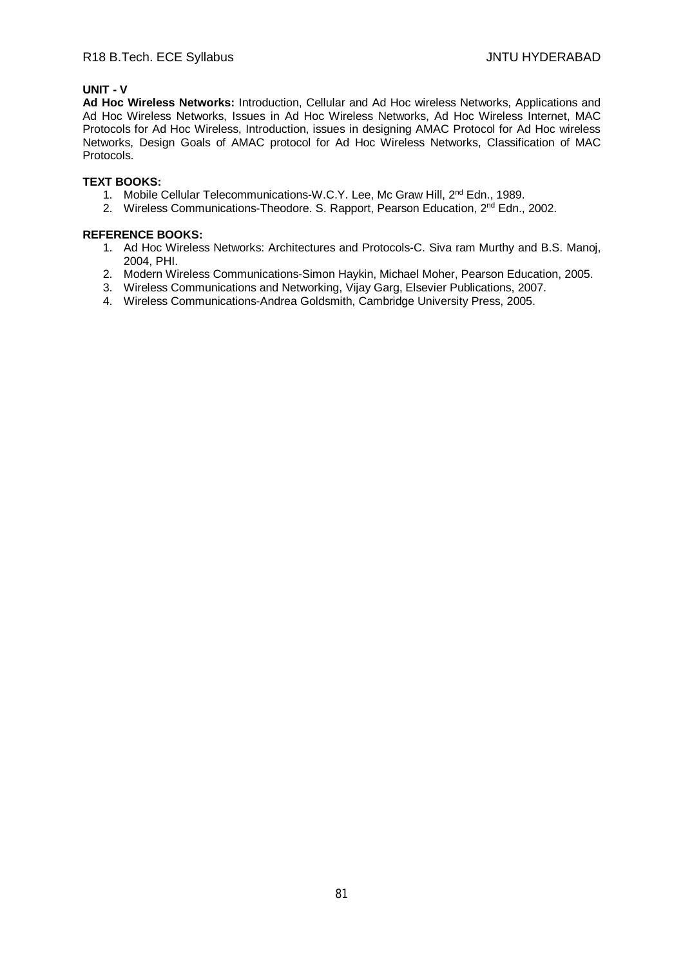# **UNIT - V**

**Ad Hoc Wireless Networks:** Introduction, Cellular and Ad Hoc wireless Networks, Applications and Ad Hoc Wireless Networks, Issues in Ad Hoc Wireless Networks, Ad Hoc Wireless Internet, MAC Protocols for Ad Hoc Wireless, Introduction, issues in designing AMAC Protocol for Ad Hoc wireless Networks, Design Goals of AMAC protocol for Ad Hoc Wireless Networks, Classification of MAC Protocols.

# **TEXT BOOKS:**

- 1. Mobile Cellular Telecommunications-W.C.Y. Lee, Mc Graw Hill, 2<sup>nd</sup> Edn., 1989.
- 2. Wireless Communications-Theodore. S. Rapport, Pearson Education, 2<sup>nd</sup> Edn., 2002.

- 1. Ad Hoc Wireless Networks: Architectures and Protocols-C. Siva ram Murthy and B.S. Manoj, 2004, PHI.
- 2. Modern Wireless Communications-Simon Haykin, Michael Moher, Pearson Education, 2005.
- 3. Wireless Communications and Networking, Vijay Garg, Elsevier Publications, 2007.
- 4. Wireless Communications-Andrea Goldsmith, Cambridge University Press, 2005.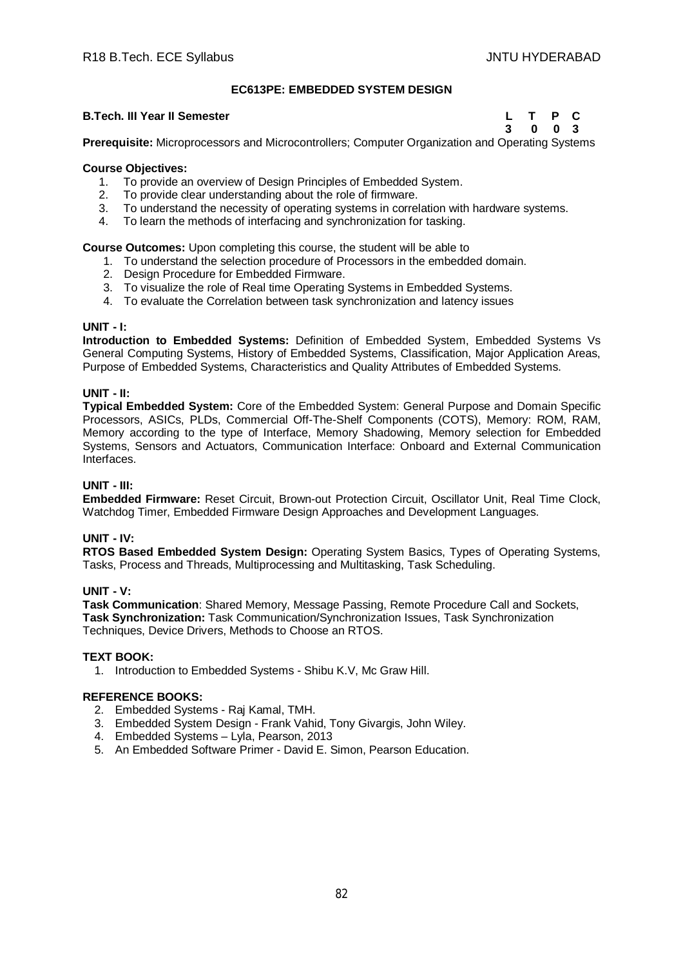# **EC613PE: EMBEDDED SYSTEM DESIGN**

#### **B.Tech. III Year II Semester Letter Letter Letter Letter Letter Letter C**

**3 0 0 3**

**Prerequisite:** Microprocessors and Microcontrollers; Computer Organization and Operating Systems

## **Course Objectives:**

- 1. To provide an overview of Design Principles of Embedded System.
- 2. To provide clear understanding about the role of firmware.
- 3. To understand the necessity of operating systems in correlation with hardware systems.
- 4. To learn the methods of interfacing and synchronization for tasking.

**Course Outcomes:** Upon completing this course, the student will be able to

- 1. To understand the selection procedure of Processors in the embedded domain.
- 2. Design Procedure for Embedded Firmware.
- 3. To visualize the role of Real time Operating Systems in Embedded Systems.
- 4. To evaluate the Correlation between task synchronization and latency issues

#### **UNIT - I:**

**Introduction to Embedded Systems:** Definition of Embedded System, Embedded Systems Vs General Computing Systems, History of Embedded Systems, Classification, Major Application Areas, Purpose of Embedded Systems, Characteristics and Quality Attributes of Embedded Systems.

## **UNIT - II:**

**Typical Embedded System:** Core of the Embedded System: General Purpose and Domain Specific Processors, ASICs, PLDs, Commercial Off-The-Shelf Components (COTS), Memory: ROM, RAM, Memory according to the type of Interface, Memory Shadowing, Memory selection for Embedded Systems, Sensors and Actuators, Communication Interface: Onboard and External Communication Interfaces.

#### **UNIT - III:**

**Embedded Firmware:** Reset Circuit, Brown-out Protection Circuit, Oscillator Unit, Real Time Clock, Watchdog Timer, Embedded Firmware Design Approaches and Development Languages.

# **UNIT - IV:**

**RTOS Based Embedded System Design:** Operating System Basics, Types of Operating Systems, Tasks, Process and Threads, Multiprocessing and Multitasking, Task Scheduling.

#### **UNIT - V:**

**Task Communication**: Shared Memory, Message Passing, Remote Procedure Call and Sockets, **Task Synchronization:** Task Communication/Synchronization Issues, Task Synchronization Techniques, Device Drivers, Methods to Choose an RTOS.

#### **TEXT BOOK:**

1. Introduction to Embedded Systems - Shibu K.V, Mc Graw Hill.

- 2. Embedded Systems Raj Kamal, TMH.
- 3. Embedded System Design Frank Vahid, Tony Givargis, John Wiley.
- 4. Embedded Systems Lyla, Pearson, 2013
- 5. An Embedded Software Primer David E. Simon, Pearson Education.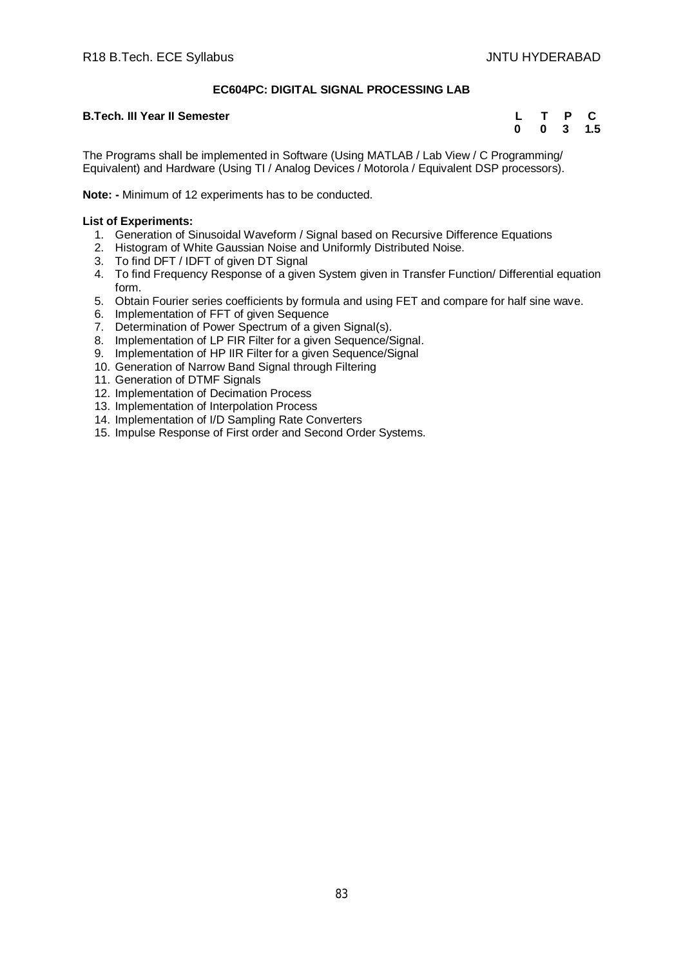# **EC604PC: DIGITAL SIGNAL PROCESSING LAB**

## **B.Tech. III Year II Semester**

|   |   | Р | C   |
|---|---|---|-----|
| 0 | 0 | 3 | 1.5 |

The Programs shall be implemented in Software (Using MATLAB / Lab View / C Programming/ Equivalent) and Hardware (Using TI / Analog Devices / Motorola / Equivalent DSP processors).

**Note: -** Minimum of 12 experiments has to be conducted.

## **List of Experiments:**

- 1. Generation of Sinusoidal Waveform / Signal based on Recursive Difference Equations
- 2. Histogram of White Gaussian Noise and Uniformly Distributed Noise.
- 3. To find DFT / IDFT of given DT Signal
- 4. To find Frequency Response of a given System given in Transfer Function/ Differential equation form.
- 5. Obtain Fourier series coefficients by formula and using FET and compare for half sine wave.
- 6. Implementation of FFT of given Sequence
- 7. Determination of Power Spectrum of a given Signal(s).
- 8. Implementation of LP FIR Filter for a given Sequence/Signal.
- 9. Implementation of HP IIR Filter for a given Sequence/Signal
- 10. Generation of Narrow Band Signal through Filtering
- 11. Generation of DTMF Signals
- 12. Implementation of Decimation Process
- 13. Implementation of Interpolation Process
- 14. Implementation of I/D Sampling Rate Converters
- 15. Impulse Response of First order and Second Order Systems.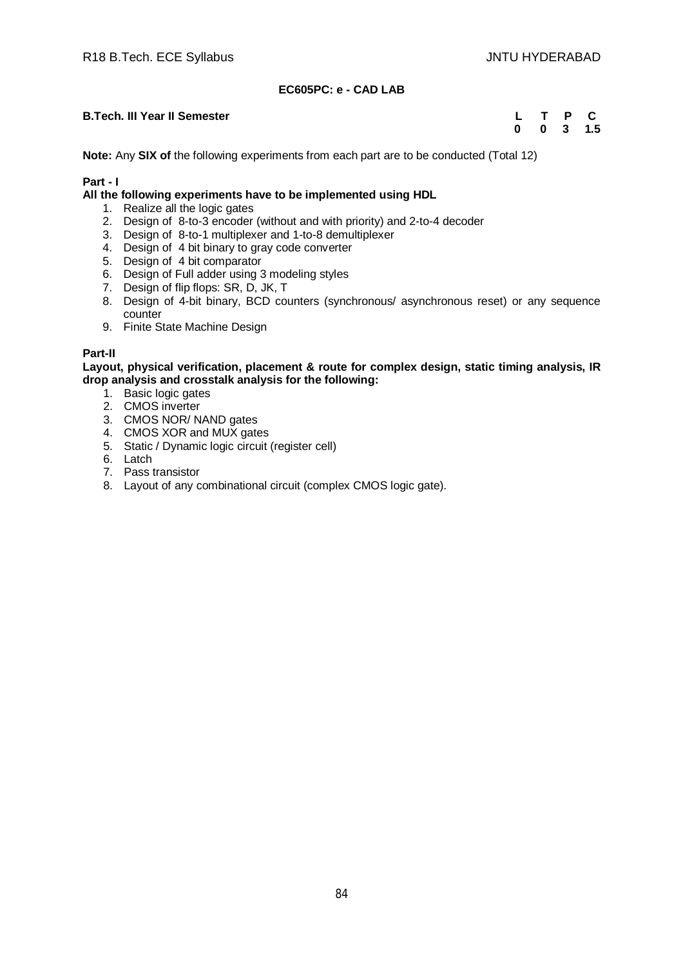# **EC605PC: e - CAD LAB**

## **B.Tech. III Year II Semester**

| L |   | P | С   |
|---|---|---|-----|
| 0 | 0 | 3 | 1.5 |

**Note:** Any **SIX of** the following experiments from each part are to be conducted (Total 12)

## **Part - I**

#### **All the following experiments have to be implemented using HDL**

- 1. Realize all the logic gates
- 2. Design of 8-to-3 encoder (without and with priority) and 2-to-4 decoder
- 3. Design of 8-to-1 multiplexer and 1-to-8 demultiplexer
- 4. Design of 4 bit binary to gray code converter
- 5. Design of 4 bit comparator
- 6. Design of Full adder using 3 modeling styles
- 7. Design of flip flops: SR, D, JK, T
- 8. Design of 4-bit binary, BCD counters (synchronous/ asynchronous reset) or any sequence counter
- 9. Finite State Machine Design

## **Part-II**

#### **Layout, physical verification, placement & route for complex design, static timing analysis, IR drop analysis and crosstalk analysis for the following:**

- 1. Basic logic gates
- 2. CMOS inverter
- 3. CMOS NOR/ NAND gates
- 4. CMOS XOR and MUX gates
- 5. Static / Dynamic logic circuit (register cell)
- 6. Latch
- 7. Pass transistor
- 8. Layout of any combinational circuit (complex CMOS logic gate).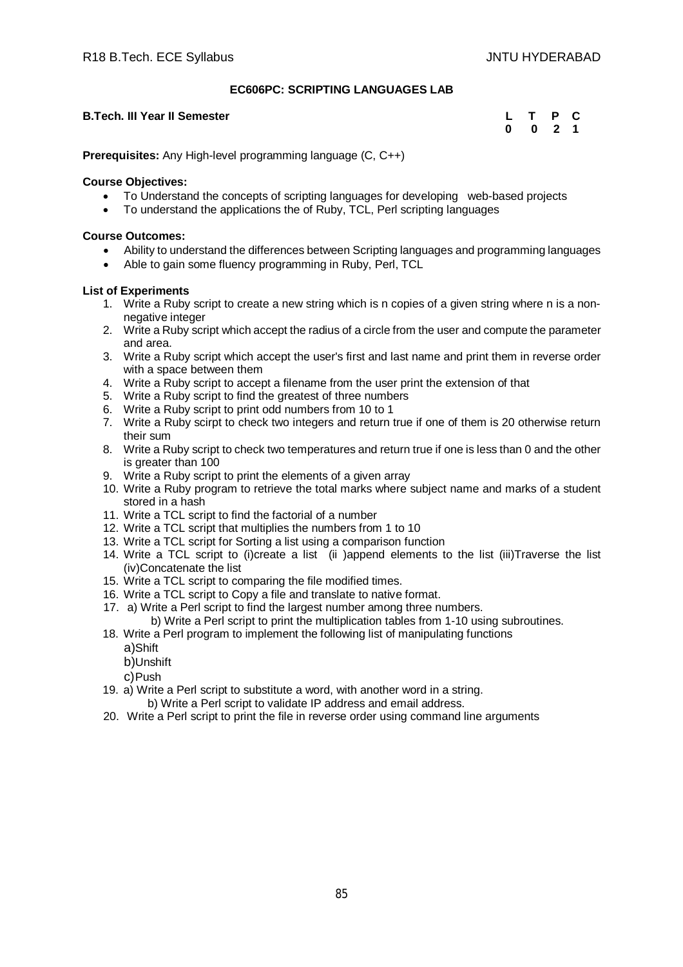# **EC606PC: SCRIPTING LANGUAGES LAB**

## **B.Tech. III Year II Semester**

| L | т | P  | С |
|---|---|----|---|
| 0 | 0 | -2 | 1 |

**Prerequisites:** Any High-level programming language (C, C++)

## **Course Objectives:**

- To Understand the concepts of scripting languages for developing web-based projects
- To understand the applications the of Ruby, TCL, Perl scripting languages

# **Course Outcomes:**

- Ability to understand the differences between Scripting languages and programming languages
- Able to gain some fluency programming in Ruby, Perl, TCL

# **List of Experiments**

- 1. Write a Ruby script to create a new string which is n copies of a given string where n is a nonnegative integer
- 2. Write a Ruby script which accept the radius of a circle from the user and compute the parameter and area.
- 3. Write a Ruby script which accept the user's first and last name and print them in reverse order with a space between them
- 4. Write a Ruby script to accept a filename from the user print the extension of that
- 5. Write a Ruby script to find the greatest of three numbers
- 6. Write a Ruby script to print odd numbers from 10 to 1
- 7. Write a Ruby scirpt to check two integers and return true if one of them is 20 otherwise return their sum
- 8. Write a Ruby script to check two temperatures and return true if one is less than 0 and the other is greater than 100
- 9. Write a Ruby script to print the elements of a given array
- 10. Write a Ruby program to retrieve the total marks where subject name and marks of a student stored in a hash
- 11. Write a TCL script to find the factorial of a number
- 12. Write a TCL script that multiplies the numbers from 1 to 10
- 13. Write a TCL script for Sorting a list using a comparison function
- 14. Write a TCL script to (i)create a list (ii )append elements to the list (iii)Traverse the list (iv)Concatenate the list
- 15. Write a TCL script to comparing the file modified times.
- 16. Write a TCL script to Copy a file and translate to native format.
- 17. a) Write a Perl script to find the largest number among three numbers.
- b) Write a Perl script to print the multiplication tables from 1-10 using subroutines.
- 18. Write a Perl program to implement the following list of manipulating functions
	- a)Shift
	- b)Unshift
	- c)Push
- 19. a) Write a Perl script to substitute a word, with another word in a string. b) Write a Perl script to validate IP address and email address.
- 20. Write a Perl script to print the file in reverse order using command line arguments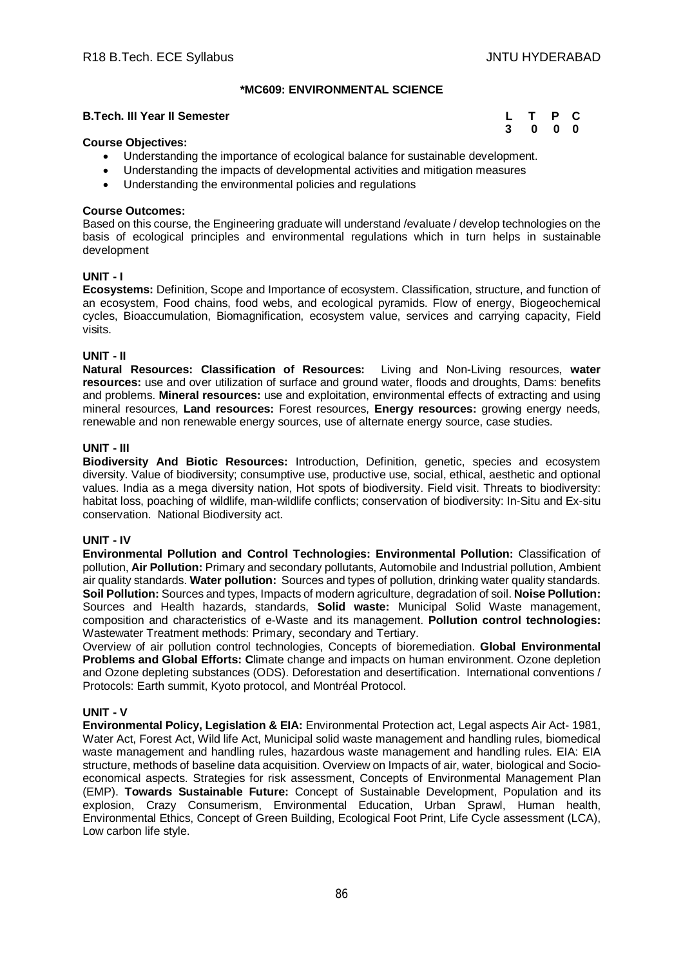## **\*MC609: ENVIRONMENTAL SCIENCE**

#### **B.Tech. III Year II Semester**

| L | т | P | C. |
|---|---|---|----|
| 3 | 0 | 0 | 0  |

#### **Course Objectives:**

- Understanding the importance of ecological balance for sustainable development.
- Understanding the impacts of developmental activities and mitigation measures
- Understanding the environmental policies and regulations

#### **Course Outcomes:**

Based on this course, the Engineering graduate will understand /evaluate / develop technologies on the basis of ecological principles and environmental regulations which in turn helps in sustainable development

## **UNIT - I**

**Ecosystems:** Definition, Scope and Importance of ecosystem. Classification, structure, and function of an ecosystem, Food chains, food webs, and ecological pyramids. Flow of energy, Biogeochemical cycles, Bioaccumulation, Biomagnification, ecosystem value, services and carrying capacity, Field visits.

## **UNIT - II**

**Natural Resources: Classification of Resources:** Living and Non-Living resources, **water resources:** use and over utilization of surface and ground water, floods and droughts, Dams: benefits and problems. **Mineral resources:** use and exploitation, environmental effects of extracting and using mineral resources, **Land resources:** Forest resources, **Energy resources:** growing energy needs, renewable and non renewable energy sources, use of alternate energy source, case studies.

#### **UNIT - III**

**Biodiversity And Biotic Resources:** Introduction, Definition, genetic, species and ecosystem diversity. Value of biodiversity; consumptive use, productive use, social, ethical, aesthetic and optional values. India as a mega diversity nation, Hot spots of biodiversity. Field visit. Threats to biodiversity: habitat loss, poaching of wildlife, man-wildlife conflicts; conservation of biodiversity: In-Situ and Ex-situ conservation. National Biodiversity act.

#### **UNIT - IV**

**Environmental Pollution and Control Technologies: Environmental Pollution:** Classification of pollution, **Air Pollution:** Primary and secondary pollutants, Automobile and Industrial pollution, Ambient air quality standards. **Water pollution:** Sources and types of pollution, drinking water quality standards. **Soil Pollution:** Sources and types, Impacts of modern agriculture, degradation of soil. **Noise Pollution:**  Sources and Health hazards, standards, **Solid waste:** Municipal Solid Waste management, composition and characteristics of e-Waste and its management. **Pollution control technologies:** Wastewater Treatment methods: Primary, secondary and Tertiary.

Overview of air pollution control technologies, Concepts of bioremediation. **Global Environmental Problems and Global Efforts: C**limate change and impacts on human environment. Ozone depletion and Ozone depleting substances (ODS). Deforestation and desertification. International conventions / Protocols: Earth summit, Kyoto protocol, and Montréal Protocol.

#### **UNIT - V**

**Environmental Policy, Legislation & EIA:** Environmental Protection act, Legal aspects Air Act- 1981, Water Act, Forest Act, Wild life Act, Municipal solid waste management and handling rules, biomedical waste management and handling rules, hazardous waste management and handling rules. EIA: EIA structure, methods of baseline data acquisition. Overview on Impacts of air, water, biological and Socioeconomical aspects. Strategies for risk assessment, Concepts of Environmental Management Plan (EMP). **Towards Sustainable Future:** Concept of Sustainable Development, Population and its explosion, Crazy Consumerism, Environmental Education, Urban Sprawl, Human health, Environmental Ethics, Concept of Green Building, Ecological Foot Print, Life Cycle assessment (LCA), Low carbon life style.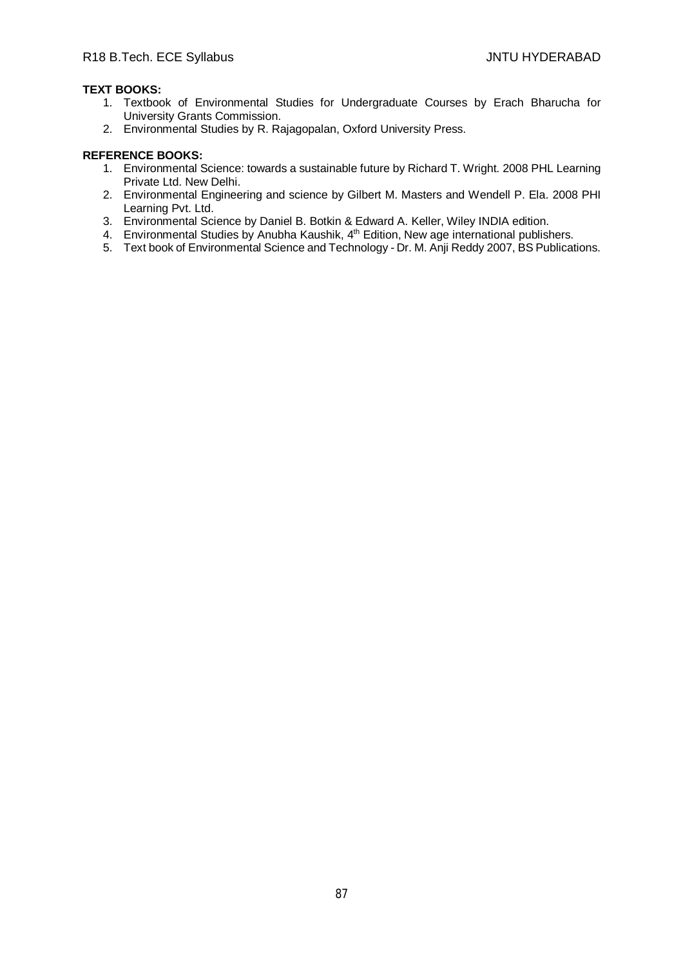# **TEXT BOOKS:**

- 1. Textbook of Environmental Studies for Undergraduate Courses by Erach Bharucha for University Grants Commission.
- 2. Environmental Studies by R. Rajagopalan, Oxford University Press.

- 1. Environmental Science: towards a sustainable future by Richard T. Wright. 2008 PHL Learning Private Ltd. New Delhi.
- 2. Environmental Engineering and science by Gilbert M. Masters and Wendell P. Ela. 2008 PHI Learning Pvt. Ltd.
- 3. Environmental Science by Daniel B. Botkin & Edward A. Keller, Wiley INDIA edition.
- 4. Environmental Studies by Anubha Kaushik, 4<sup>th</sup> Edition, New age international publishers.
- 5. Text book of Environmental Science and Technology Dr. M. Anji Reddy 2007, BS Publications.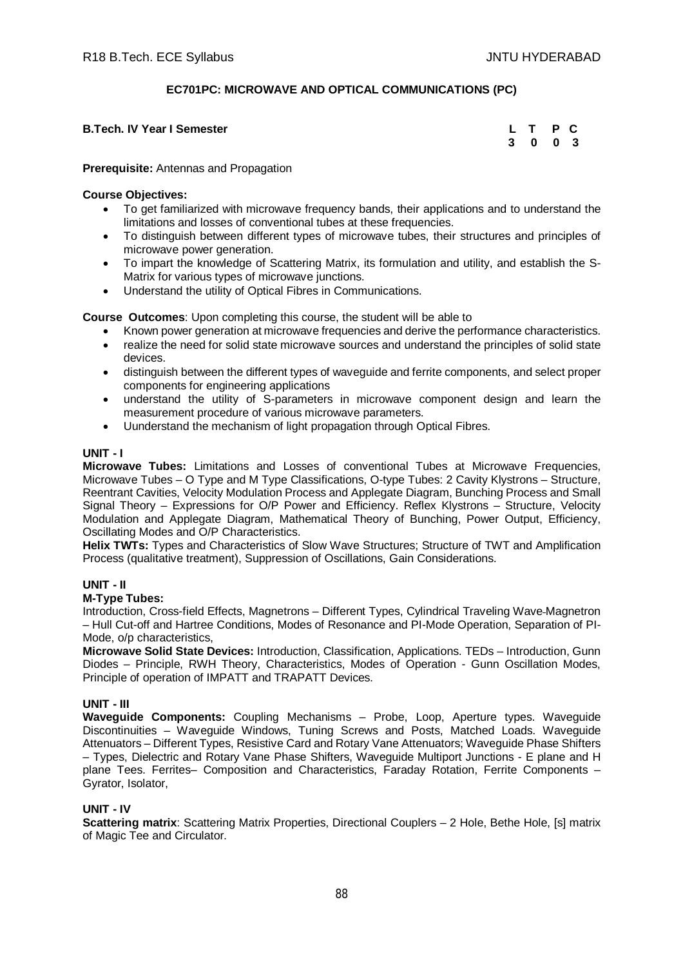# **EC701PC: MICROWAVE AND OPTICAL COMMUNICATIONS (PC)**

| <b>B.Tech. IV Year I Semester</b> | L T P C |  |
|-----------------------------------|---------|--|
|                                   | 3 0 0 3 |  |

#### **Prerequisite:** Antennas and Propagation

## **Course Objectives:**

- To get familiarized with microwave frequency bands, their applications and to understand the limitations and losses of conventional tubes at these frequencies.
- To distinguish between different types of microwave tubes, their structures and principles of microwave power generation.
- To impart the knowledge of Scattering Matrix, its formulation and utility, and establish the S-Matrix for various types of microwave junctions.
- Understand the utility of Optical Fibres in Communications.

**Course Outcomes**: Upon completing this course, the student will be able to

- Known power generation at microwave frequencies and derive the performance characteristics.
- realize the need for solid state microwave sources and understand the principles of solid state devices.
- distinguish between the different types of waveguide and ferrite components, and select proper components for engineering applications
- understand the utility of S-parameters in microwave component design and learn the measurement procedure of various microwave parameters.
- Uunderstand the mechanism of light propagation through Optical Fibres.

## **UNIT - I**

**Microwave Tubes:** Limitations and Losses of conventional Tubes at Microwave Frequencies, Microwave Tubes – O Type and M Type Classifications, O-type Tubes: 2 Cavity Klystrons – Structure, Reentrant Cavities, Velocity Modulation Process and Applegate Diagram, Bunching Process and Small Signal Theory – Expressions for O/P Power and Efficiency. Reflex Klystrons – Structure, Velocity Modulation and Applegate Diagram, Mathematical Theory of Bunching, Power Output, Efficiency, Oscillating Modes and O/P Characteristics.

**Helix TWTs:** Types and Characteristics of Slow Wave Structures; Structure of TWT and Amplification Process (qualitative treatment), Suppression of Oscillations, Gain Considerations.

# **UNIT - II**

# **M-Type Tubes:**

Introduction, Cross-field Effects, Magnetrons – Different Types, Cylindrical Traveling Wave Magnetron – Hull Cut-off and Hartree Conditions, Modes of Resonance and PI-Mode Operation, Separation of PI-Mode, o/p characteristics,

**Microwave Solid State Devices:** Introduction, Classification, Applications. TEDs – Introduction, Gunn Diodes – Principle, RWH Theory, Characteristics, Modes of Operation - Gunn Oscillation Modes, Principle of operation of IMPATT and TRAPATT Devices.

#### **UNIT - III**

**Waveguide Components:** Coupling Mechanisms – Probe, Loop, Aperture types. Waveguide Discontinuities – Waveguide Windows, Tuning Screws and Posts, Matched Loads. Waveguide Attenuators – Different Types, Resistive Card and Rotary Vane Attenuators; Waveguide Phase Shifters – Types, Dielectric and Rotary Vane Phase Shifters, Waveguide Multiport Junctions - E plane and H plane Tees. Ferrites– Composition and Characteristics, Faraday Rotation, Ferrite Components – Gyrator, Isolator,

#### **UNIT - IV**

**Scattering matrix:** Scattering Matrix Properties, Directional Couplers - 2 Hole, Bethe Hole, [s] matrix of Magic Tee and Circulator.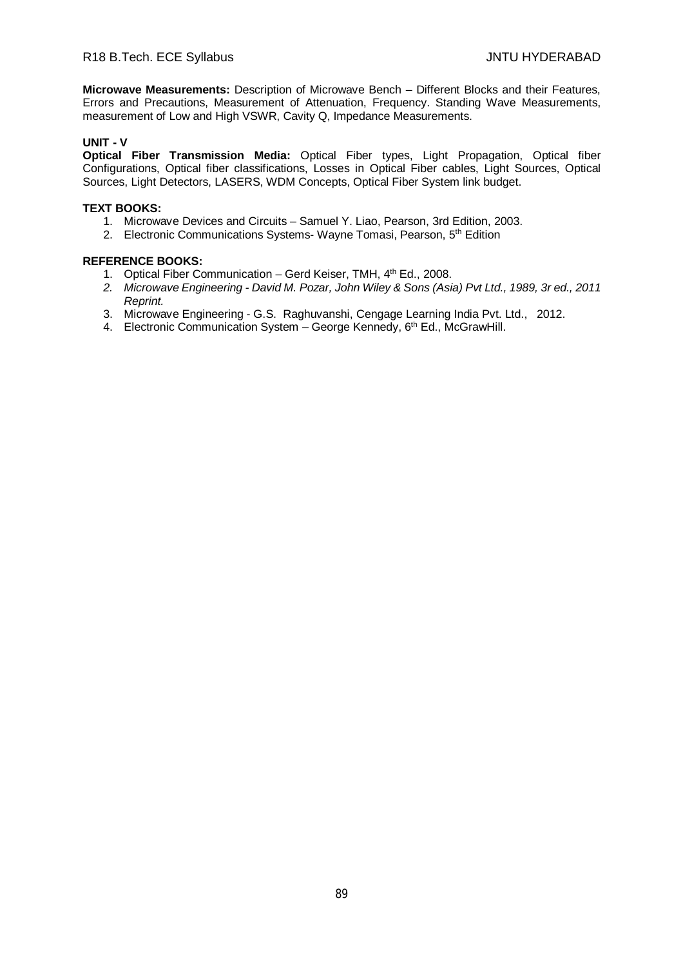**Microwave Measurements:** Description of Microwave Bench – Different Blocks and their Features, Errors and Precautions, Measurement of Attenuation, Frequency. Standing Wave Measurements, measurement of Low and High VSWR, Cavity Q, Impedance Measurements.

# **UNIT - V**

**Optical Fiber Transmission Media:** Optical Fiber types, Light Propagation, Optical fiber Configurations, Optical fiber classifications, Losses in Optical Fiber cables, Light Sources, Optical Sources, Light Detectors, LASERS, WDM Concepts, Optical Fiber System link budget.

#### **TEXT BOOKS:**

- 1. Microwave Devices and Circuits Samuel Y. Liao, Pearson, 3rd Edition, 2003.
- 2. Electronic Communications Systems- Wayne Tomasi, Pearson, 5<sup>th</sup> Edition

- 1. Optical Fiber Communication Gerd Keiser, TMH, 4<sup>th</sup> Ed., 2008.
- *2. Microwave Engineering - David M. Pozar, John Wiley & Sons (Asia) Pvt Ltd., 1989, 3r ed., 2011 Reprint.*
- 3. Microwave Engineering G.S. Raghuvanshi, Cengage Learning India Pvt. Ltd., 2012.
- 4. Electronic Communication System George Kennedy, 6<sup>th</sup> Ed., McGrawHill.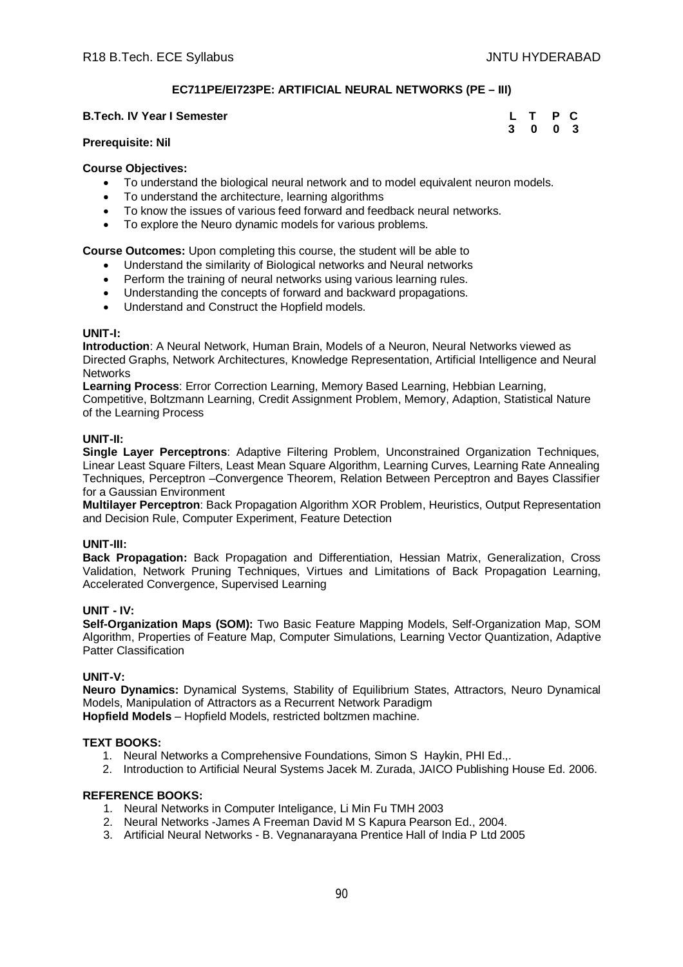# **EC711PE/EI723PE: ARTIFICIAL NEURAL NETWORKS (PE – III)**

#### **B.Tech. IV Year I Semester Leap Act 2008 12:00 TEXAC LEAP CONTRACT PC**

#### **Prerequisite: Nil**

#### **Course Objectives:**

- To understand the biological neural network and to model equivalent neuron models.
- To understand the architecture, learning algorithms
- To know the issues of various feed forward and feedback neural networks.
- To explore the Neuro dynamic models for various problems.

**Course Outcomes:** Upon completing this course, the student will be able to

- Understand the similarity of Biological networks and Neural networks
- Perform the training of neural networks using various learning rules.
- Understanding the concepts of forward and backward propagations.
- Understand and Construct the Hopfield models.

#### **UNIT-I:**

**Introduction**: A Neural Network, Human Brain, Models of a Neuron, Neural Networks viewed as Directed Graphs, Network Architectures, Knowledge Representation, Artificial Intelligence and Neural **Networks** 

**Learning Process**: Error Correction Learning, Memory Based Learning, Hebbian Learning, Competitive, Boltzmann Learning, Credit Assignment Problem, Memory, Adaption, Statistical Nature of the Learning Process

#### **UNIT-II:**

**Single Layer Perceptrons**: Adaptive Filtering Problem, Unconstrained Organization Techniques, Linear Least Square Filters, Least Mean Square Algorithm, Learning Curves, Learning Rate Annealing Techniques, Perceptron –Convergence Theorem, Relation Between Perceptron and Bayes Classifier for a Gaussian Environment

**Multilayer Perceptron**: Back Propagation Algorithm XOR Problem, Heuristics, Output Representation and Decision Rule, Computer Experiment, Feature Detection

#### **UNIT-III:**

**Back Propagation:** Back Propagation and Differentiation, Hessian Matrix, Generalization, Cross Validation, Network Pruning Techniques, Virtues and Limitations of Back Propagation Learning, Accelerated Convergence, Supervised Learning

#### **UNIT - IV:**

**Self-Organization Maps (SOM):** Two Basic Feature Mapping Models, Self-Organization Map, SOM Algorithm, Properties of Feature Map, Computer Simulations, Learning Vector Quantization, Adaptive Patter Classification

#### **UNIT-V:**

**Neuro Dynamics:** Dynamical Systems, Stability of Equilibrium States, Attractors, Neuro Dynamical Models, Manipulation of Attractors as a Recurrent Network Paradigm **Hopfield Models** – Hopfield Models, restricted boltzmen machine.

#### **TEXT BOOKS:**

- 1. Neural Networks a Comprehensive Foundations, Simon S Haykin, PHI Ed.,.
- 2. Introduction to Artificial Neural Systems Jacek M. Zurada, JAICO Publishing House Ed. 2006.

#### **REFERENCE BOOKS:**

- 1. Neural Networks in Computer Inteligance, Li Min Fu TMH 2003
- 2. Neural Networks -James A Freeman David M S Kapura Pearson Ed., 2004.
- 3. Artificial Neural Networks B. Vegnanarayana Prentice Hall of India P Ltd 2005

# **3 0 0 3**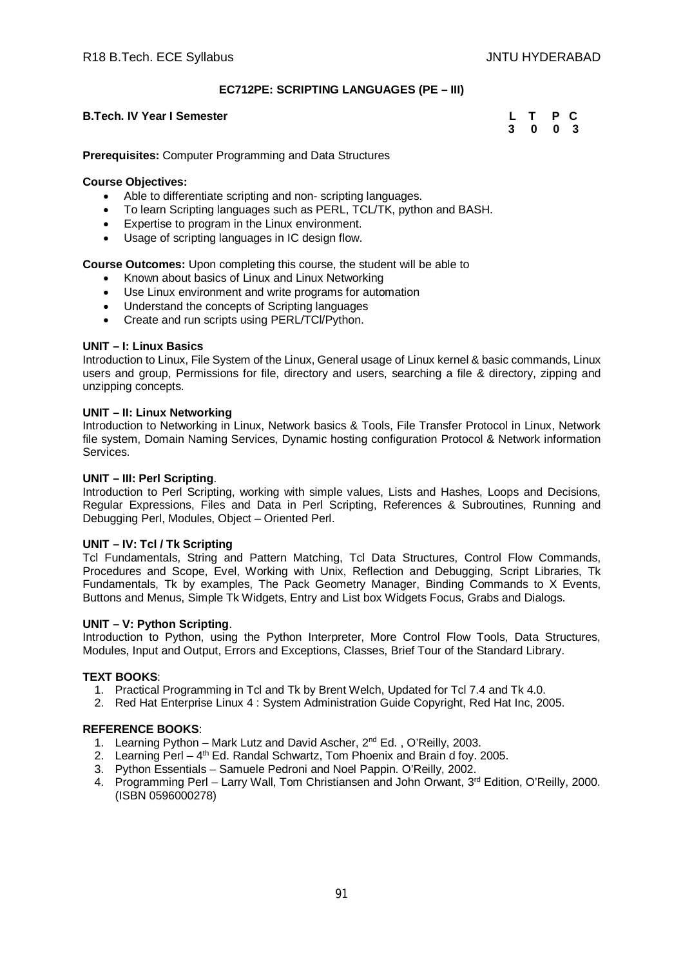## **EC712PE: SCRIPTING LANGUAGES (PE – III)**

#### **B.Tech. IV Year I Semester**

| <b>B.Tech. IV Year I Semester</b> | L T P C |  |
|-----------------------------------|---------|--|
|                                   | 3 0 0 3 |  |

**Prerequisites:** Computer Programming and Data Structures

#### **Course Objectives:**

- Able to differentiate scripting and non- scripting languages.
- To learn Scripting languages such as PERL, TCL/TK, python and BASH.
- Expertise to program in the Linux environment.
- Usage of scripting languages in IC design flow.

**Course Outcomes:** Upon completing this course, the student will be able to

- Known about basics of Linux and Linux Networking
- Use Linux environment and write programs for automation
- Understand the concepts of Scripting languages
- Create and run scripts using PERL/TCl/Python.

## **UNIT – I: Linux Basics**

Introduction to Linux, File System of the Linux, General usage of Linux kernel & basic commands, Linux users and group, Permissions for file, directory and users, searching a file & directory, zipping and unzipping concepts.

## **UNIT – II: Linux Networking**

Introduction to Networking in Linux, Network basics & Tools, File Transfer Protocol in Linux, Network file system, Domain Naming Services, Dynamic hosting configuration Protocol & Network information Services.

#### **UNIT – III: Perl Scripting**.

Introduction to Perl Scripting, working with simple values, Lists and Hashes, Loops and Decisions, Regular Expressions, Files and Data in Perl Scripting, References & Subroutines, Running and Debugging Perl, Modules, Object – Oriented Perl.

#### **UNIT – IV: Tcl / Tk Scripting**

Tcl Fundamentals, String and Pattern Matching, Tcl Data Structures, Control Flow Commands, Procedures and Scope, Evel, Working with Unix, Reflection and Debugging, Script Libraries, Tk Fundamentals, Tk by examples, The Pack Geometry Manager, Binding Commands to X Events, Buttons and Menus, Simple Tk Widgets, Entry and List box Widgets Focus, Grabs and Dialogs.

#### **UNIT – V: Python Scripting**.

Introduction to Python, using the Python Interpreter, More Control Flow Tools, Data Structures, Modules, Input and Output, Errors and Exceptions, Classes, Brief Tour of the Standard Library.

#### **TEXT BOOKS**:

- 1. Practical Programming in Tcl and Tk by Brent Welch, Updated for Tcl 7.4 and Tk 4.0.
- 2. Red Hat Enterprise Linux 4 : System Administration Guide Copyright, Red Hat Inc, 2005.

- 1. Learning Python Mark Lutz and David Ascher, 2<sup>nd</sup> Ed., O'Reilly, 2003.
- 2. Learning Perl 4<sup>th</sup> Ed. Randal Schwartz, Tom Phoenix and Brain d foy. 2005.
- 3. Python Essentials Samuele Pedroni and Noel Pappin. O'Reilly, 2002.
- 4. Programming Perl Larry Wall, Tom Christiansen and John Orwant, 3<sup>rd</sup> Edition, O'Reilly, 2000. (ISBN 0596000278)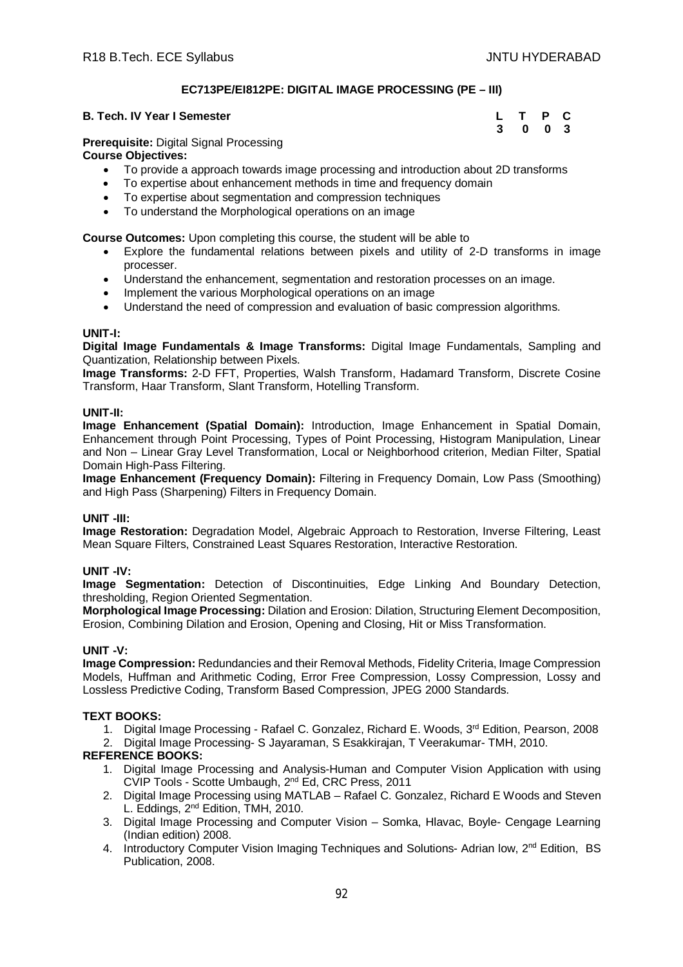# **EC713PE/EI812PE: DIGITAL IMAGE PROCESSING (PE – III)**

#### **B. Tech. IV Year I Semester**

| . Tech. IV Year I Semester | L T P C |  |
|----------------------------|---------|--|
|                            | 3 0 0 3 |  |

**Prerequisite:** Digital Signal Processing

**Course Objectives:**

- To provide a approach towards image processing and introduction about 2D transforms
- To expertise about enhancement methods in time and frequency domain
- To expertise about segmentation and compression techniques
- To understand the Morphological operations on an image

**Course Outcomes:** Upon completing this course, the student will be able to

- Explore the fundamental relations between pixels and utility of 2-D transforms in image processer.
- Understand the enhancement, segmentation and restoration processes on an image.
- Implement the various Morphological operations on an image
- Understand the need of compression and evaluation of basic compression algorithms.

# **UNIT-I:**

**Digital Image Fundamentals & Image Transforms:** Digital Image Fundamentals, Sampling and Quantization, Relationship between Pixels.

**Image Transforms:** 2-D FFT, Properties, Walsh Transform, Hadamard Transform, Discrete Cosine Transform, Haar Transform, Slant Transform, Hotelling Transform.

## **UNIT-II:**

**Image Enhancement (Spatial Domain):** Introduction, Image Enhancement in Spatial Domain, Enhancement through Point Processing, Types of Point Processing, Histogram Manipulation, Linear and Non – Linear Gray Level Transformation, Local or Neighborhood criterion, Median Filter, Spatial Domain High-Pass Filtering.

**Image Enhancement (Frequency Domain):** Filtering in Frequency Domain, Low Pass (Smoothing) and High Pass (Sharpening) Filters in Frequency Domain.

# **UNIT -III:**

**Image Restoration:** Degradation Model, Algebraic Approach to Restoration, Inverse Filtering, Least Mean Square Filters, Constrained Least Squares Restoration, Interactive Restoration.

# **UNIT -IV:**

**Image Segmentation:** Detection of Discontinuities, Edge Linking And Boundary Detection, thresholding, Region Oriented Segmentation.

**Morphological Image Processing:** Dilation and Erosion: Dilation, Structuring Element Decomposition, Erosion, Combining Dilation and Erosion, Opening and Closing, Hit or Miss Transformation.

# **UNIT -V:**

**Image Compression:** Redundancies and their Removal Methods, Fidelity Criteria, Image Compression Models, Huffman and Arithmetic Coding, Error Free Compression, Lossy Compression, Lossy and Lossless Predictive Coding, Transform Based Compression, JPEG 2000 Standards.

# **TEXT BOOKS:**

1. Digital Image Processing - Rafael C. Gonzalez, Richard E. Woods, 3<sup>rd</sup> Edition, Pearson, 2008

2. Digital Image Processing- S Jayaraman, S Esakkirajan, T Veerakumar- TMH, 2010.

- 1. Digital Image Processing and Analysis-Human and Computer Vision Application with using CVIP Tools - Scotte Umbaugh, 2nd Ed, CRC Press, 2011
- 2. Digital Image Processing using MATLAB Rafael C. Gonzalez, Richard E Woods and Steven L. Eddings, 2<sup>nd</sup> Edition, TMH, 2010.
- 3. Digital Image Processing and Computer Vision Somka, Hlavac, Boyle- Cengage Learning (Indian edition) 2008.
- 4. Introductory Computer Vision Imaging Techniques and Solutions- Adrian low, 2<sup>nd</sup> Edition, BS Publication, 2008.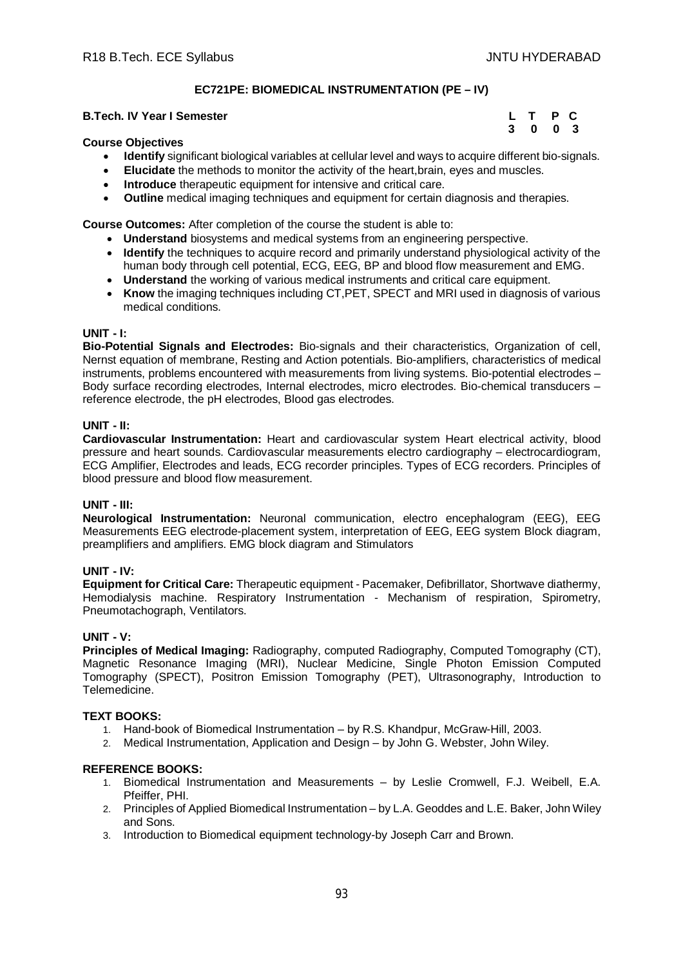# **EC721PE: BIOMEDICAL INSTRUMENTATION (PE – IV)**

#### **B.Tech. IV Year I Semester Leap Act 2008 12:00 LEAP C**

#### **Course Objectives**

- **3** 0 0 3
	- **Identify** significant biological variables at cellular level and ways to acquire different bio-signals.
	- **Elucidate** the methods to monitor the activity of the heart,brain, eyes and muscles.
	- **Introduce** therapeutic equipment for intensive and critical care.
	- **Outline** medical imaging techniques and equipment for certain diagnosis and therapies.

**Course Outcomes:** After completion of the course the student is able to:

- **Understand** biosystems and medical systems from an engineering perspective.
- **Identify** the techniques to acquire record and primarily understand physiological activity of the human body through cell potential, ECG, EEG, BP and blood flow measurement and EMG.
- **Understand** the working of various medical instruments and critical care equipment.
- **Know** the imaging techniques including CT,PET, SPECT and MRI used in diagnosis of various medical conditions.

## **UNIT - I:**

**Bio-Potential Signals and Electrodes:** Bio-signals and their characteristics, Organization of cell, Nernst equation of membrane, Resting and Action potentials. Bio-amplifiers, characteristics of medical instruments, problems encountered with measurements from living systems. Bio-potential electrodes – Body surface recording electrodes, Internal electrodes, micro electrodes. Bio-chemical transducers – reference electrode, the pH electrodes, Blood gas electrodes.

## **UNIT - II:**

**Cardiovascular Instrumentation:** Heart and cardiovascular system Heart electrical activity, blood pressure and heart sounds. Cardiovascular measurements electro cardiography – electrocardiogram, ECG Amplifier, Electrodes and leads, ECG recorder principles. Types of ECG recorders. Principles of blood pressure and blood flow measurement.

#### **UNIT - III:**

**Neurological Instrumentation:** Neuronal communication, electro encephalogram (EEG), EEG Measurements EEG electrode-placement system, interpretation of EEG, EEG system Block diagram, preamplifiers and amplifiers. EMG block diagram and Stimulators

#### **UNIT - IV:**

**Equipment for Critical Care:** Therapeutic equipment - Pacemaker, Defibrillator, Shortwave diathermy, Hemodialysis machine. Respiratory Instrumentation - Mechanism of respiration, Spirometry, Pneumotachograph, Ventilators.

#### **UNIT - V:**

**Principles of Medical Imaging:** Radiography, computed Radiography, Computed Tomography (CT), Magnetic Resonance Imaging (MRI), Nuclear Medicine, Single Photon Emission Computed Tomography (SPECT), Positron Emission Tomography (PET), Ultrasonography, Introduction to Telemedicine.

#### **TEXT BOOKS:**

- 1. Hand-book of Biomedical Instrumentation by R.S. Khandpur, McGraw-Hill, 2003.
- 2. Medical Instrumentation, Application and Design by John G. Webster, John Wiley.

- 1. Biomedical Instrumentation and Measurements by Leslie Cromwell, F.J. Weibell, E.A. Pfeiffer, PHI.
- 2. Principles of Applied Biomedical Instrumentation by L.A. Geoddes and L.E. Baker, John Wiley and Sons.
- 3. Introduction to Biomedical equipment technology-by Joseph Carr and Brown.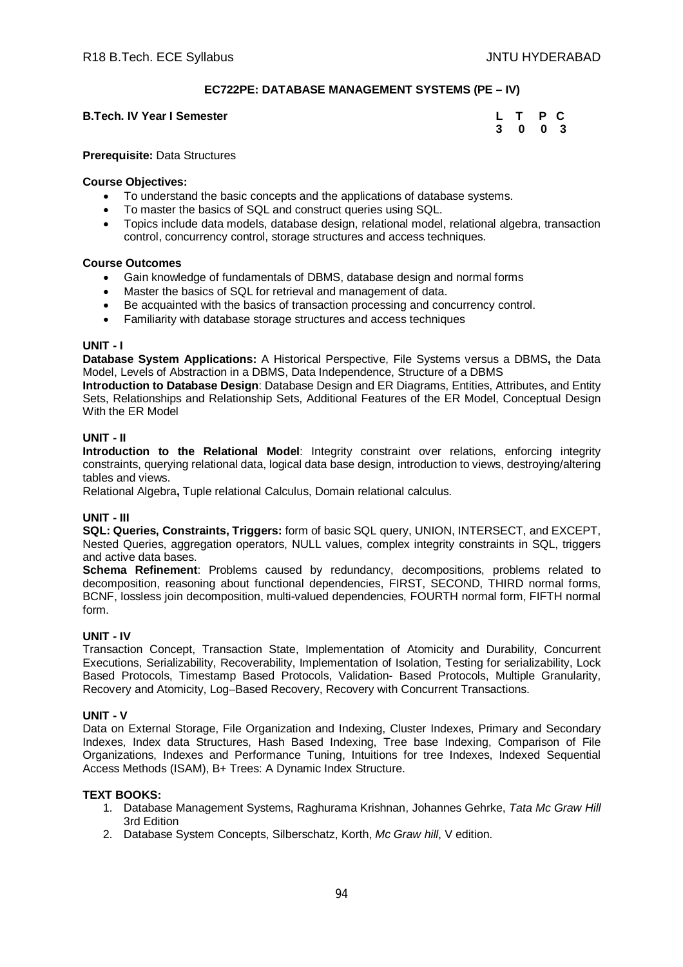# **EC722PE: DATABASE MANAGEMENT SYSTEMS (PE – IV)**

# **B.Tech. IV Year I Semester**

| <b>B.Tech. IV Year I Semester</b> | L T P C |  |
|-----------------------------------|---------|--|
|                                   | 3 0 0 3 |  |

**Prerequisite:** Data Structures

#### **Course Objectives:**

- To understand the basic concepts and the applications of database systems.
- To master the basics of SQL and construct queries using SQL.
- Topics include data models, database design, relational model, relational algebra, transaction control, concurrency control, storage structures and access techniques.

#### **Course Outcomes**

- Gain knowledge of fundamentals of DBMS, database design and normal forms
- Master the basics of SQL for retrieval and management of data.
- Be acquainted with the basics of transaction processing and concurrency control.
- Familiarity with database storage structures and access techniques

#### **UNIT - I**

**Database System Applications:** A Historical Perspective, File Systems versus a DBMS**,** the Data Model, Levels of Abstraction in a DBMS, Data Independence, Structure of a DBMS

**Introduction to Database Design**: Database Design and ER Diagrams, Entities, Attributes, and Entity Sets, Relationships and Relationship Sets, Additional Features of the ER Model, Conceptual Design With the ER Model

#### **UNIT - II**

**Introduction to the Relational Model**: Integrity constraint over relations, enforcing integrity constraints, querying relational data, logical data base design, introduction to views, destroying/altering tables and views.

Relational Algebra**,** Tuple relational Calculus, Domain relational calculus.

#### **UNIT - III**

**SQL: Queries, Constraints, Triggers:** form of basic SQL query, UNION, INTERSECT, and EXCEPT, Nested Queries, aggregation operators, NULL values, complex integrity constraints in SQL, triggers and active data bases.

**Schema Refinement**: Problems caused by redundancy, decompositions, problems related to decomposition, reasoning about functional dependencies, FIRST, SECOND, THIRD normal forms, BCNF, lossless join decomposition, multi-valued dependencies, FOURTH normal form, FIFTH normal form.

#### **UNIT - IV**

Transaction Concept, Transaction State, Implementation of Atomicity and Durability, Concurrent Executions, Serializability, Recoverability, Implementation of Isolation, Testing for serializability, Lock Based Protocols, Timestamp Based Protocols, Validation- Based Protocols, Multiple Granularity, Recovery and Atomicity, Log–Based Recovery, Recovery with Concurrent Transactions.

#### **UNIT - V**

Data on External Storage, File Organization and Indexing, Cluster Indexes, Primary and Secondary Indexes, Index data Structures, Hash Based Indexing, Tree base Indexing, Comparison of File Organizations, Indexes and Performance Tuning, Intuitions for tree Indexes, Indexed Sequential Access Methods (ISAM), B+ Trees: A Dynamic Index Structure.

#### **TEXT BOOKS:**

- 1. Database Management Systems, Raghurama Krishnan, Johannes Gehrke, *Tata Mc Graw Hill* 3rd Edition
- 2. Database System Concepts, Silberschatz, Korth, *Mc Graw hill*, V edition.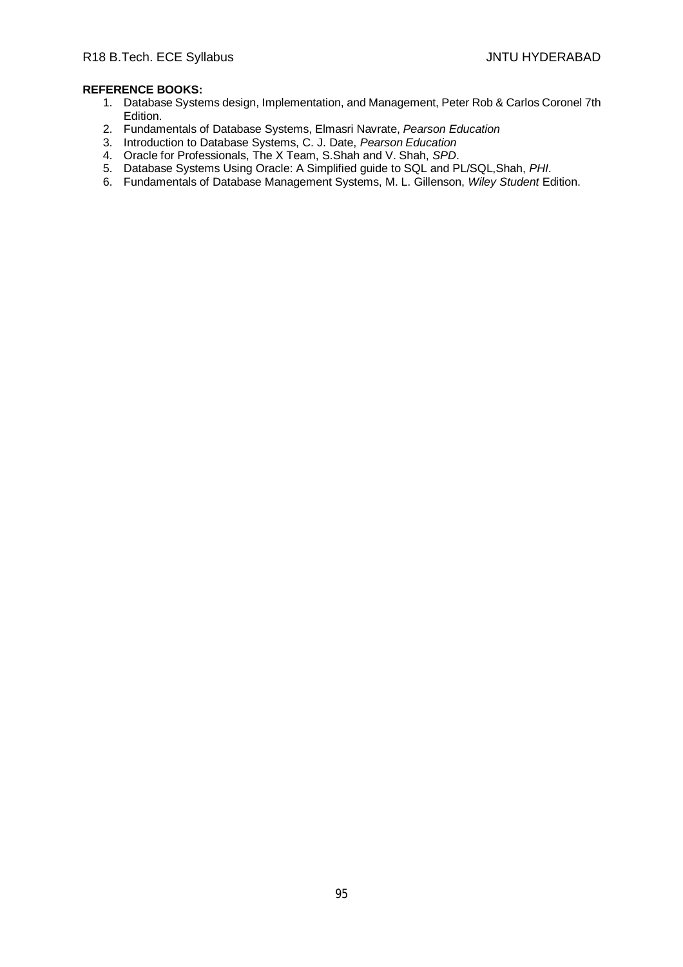- 1. Database Systems design, Implementation, and Management, Peter Rob & Carlos Coronel 7th Edition.
- 2. Fundamentals of Database Systems, Elmasri Navrate, *Pearson Education*
- 3. Introduction to Database Systems, C. J. Date, *Pearson Education*
- 4. Oracle for Professionals, The X Team, S.Shah and V. Shah, *SPD*.
- 5. Database Systems Using Oracle: A Simplified guide to SQL and PL/SQL,Shah, *PHI*.
- 6. Fundamentals of Database Management Systems, M. L. Gillenson, *Wiley Student* Edition.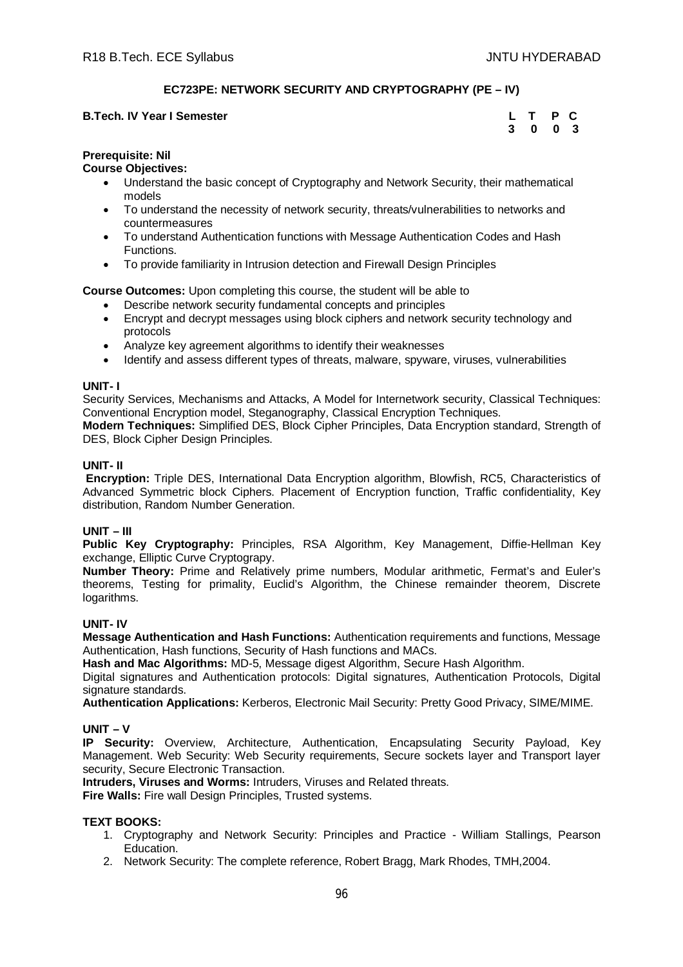# **EC723PE: NETWORK SECURITY AND CRYPTOGRAPHY (PE – IV)**

# **B.Tech. IV Year I Semester 3** 0 0 3

| L | Τ | Р | C  |
|---|---|---|----|
| 3 | 0 | 0 | -3 |

# **Prerequisite: Nil**

## **Course Objectives:**

- Understand the basic concept of Cryptography and Network Security, their mathematical models
- To understand the necessity of network security, threats/vulnerabilities to networks and countermeasures
- To understand Authentication functions with Message Authentication Codes and Hash Functions.
- To provide familiarity in Intrusion detection and Firewall Design Principles

# **Course Outcomes:** Upon completing this course, the student will be able to

- Describe network security fundamental concepts and principles
- Encrypt and decrypt messages using block ciphers and network security technology and protocols
- Analyze key agreement algorithms to identify their weaknesses
- Identify and assess different types of threats, malware, spyware, viruses, vulnerabilities

## **UNIT- I**

Security Services, Mechanisms and Attacks, A Model for Internetwork security, Classical Techniques: Conventional Encryption model, Steganography, Classical Encryption Techniques.

**Modern Techniques:** Simplified DES, Block Cipher Principles, Data Encryption standard, Strength of DES, Block Cipher Design Principles.

## **UNIT- II**

**Encryption:** Triple DES, International Data Encryption algorithm, Blowfish, RC5, Characteristics of Advanced Symmetric block Ciphers. Placement of Encryption function, Traffic confidentiality, Key distribution, Random Number Generation.

# **UNIT – III**

**Public Key Cryptography:** Principles, RSA Algorithm, Key Management, Diffie-Hellman Key exchange, Elliptic Curve Cryptograpy.

**Number Theory:** Prime and Relatively prime numbers, Modular arithmetic, Fermat's and Euler's theorems, Testing for primality, Euclid's Algorithm, the Chinese remainder theorem, Discrete logarithms.

#### **UNIT- IV**

**Message Authentication and Hash Functions:** Authentication requirements and functions, Message Authentication, Hash functions, Security of Hash functions and MACs.

**Hash and Mac Algorithms:** MD-5, Message digest Algorithm, Secure Hash Algorithm.

Digital signatures and Authentication protocols: Digital signatures, Authentication Protocols, Digital signature standards.

**Authentication Applications:** Kerberos, Electronic Mail Security: Pretty Good Privacy, SIME/MIME.

# **UNIT – V**

**IP Security:** Overview, Architecture, Authentication, Encapsulating Security Payload, Key Management. Web Security: Web Security requirements, Secure sockets layer and Transport layer security, Secure Electronic Transaction.

**Intruders, Viruses and Worms:** Intruders, Viruses and Related threats.

**Fire Walls:** Fire wall Design Principles, Trusted systems.

# **TEXT BOOKS:**

- 1. Cryptography and Network Security: Principles and Practice William Stallings, Pearson Education.
- 2. Network Security: The complete reference, Robert Bragg, Mark Rhodes, TMH,2004.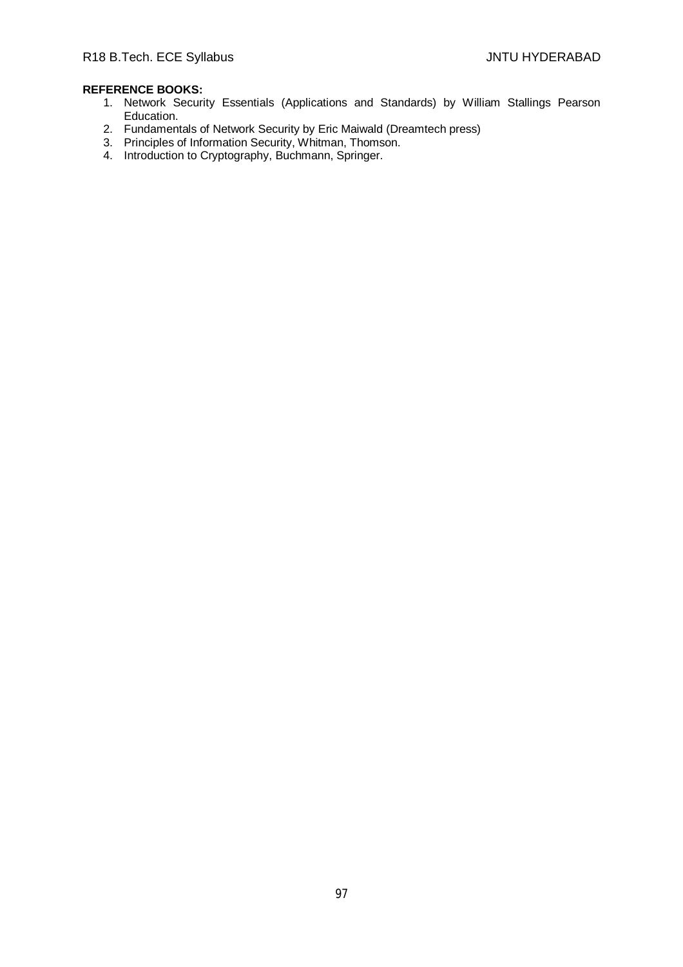- 1. Network Security Essentials (Applications and Standards) by William Stallings Pearson Education.
- 2. Fundamentals of Network Security by Eric Maiwald (Dreamtech press)
- 3. Principles of Information Security, Whitman, Thomson.
- 4. Introduction to Cryptography, Buchmann, Springer.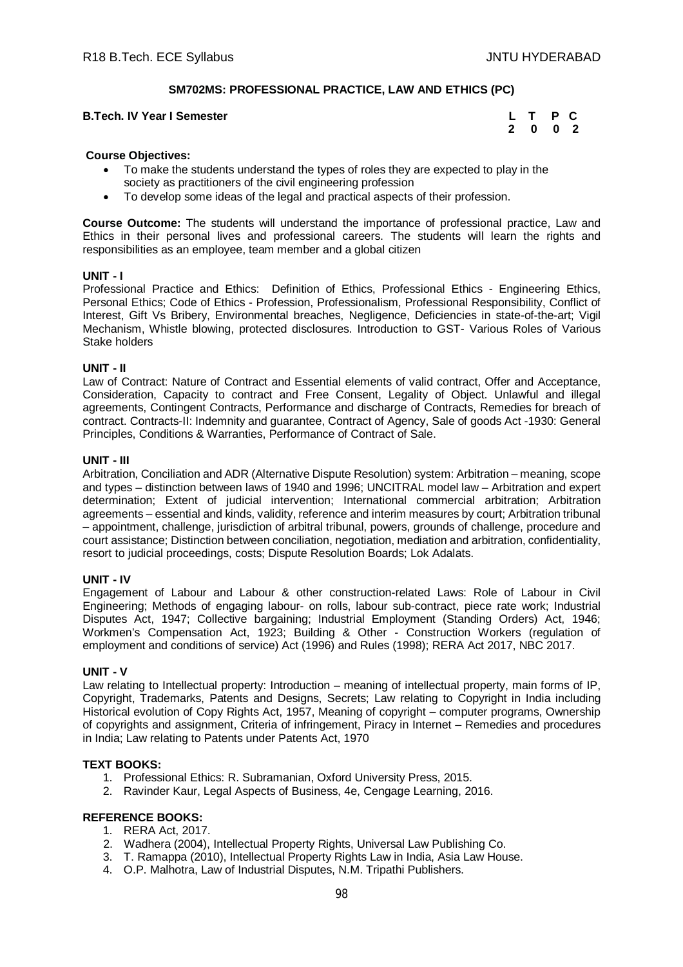# **SM702MS: PROFESSIONAL PRACTICE, LAW AND ETHICS (PC)**

#### **B.Tech. IV Year I Semester**

| <b>B.Tech. IV Year I Semester</b> | L T P C |  |
|-----------------------------------|---------|--|
|                                   | 2 0 0 2 |  |

#### **Course Objectives:**

- To make the students understand the types of roles they are expected to play in the society as practitioners of the civil engineering profession
- To develop some ideas of the legal and practical aspects of their profession.

**Course Outcome:** The students will understand the importance of professional practice, Law and Ethics in their personal lives and professional careers. The students will learn the rights and responsibilities as an employee, team member and a global citizen

## **UNIT - I**

Professional Practice and Ethics: Definition of Ethics, Professional Ethics - Engineering Ethics, Personal Ethics; Code of Ethics - Profession, Professionalism, Professional Responsibility, Conflict of Interest, Gift Vs Bribery, Environmental breaches, Negligence, Deficiencies in state-of-the-art; Vigil Mechanism, Whistle blowing, protected disclosures. Introduction to GST- Various Roles of Various Stake holders

#### **UNIT - II**

Law of Contract: Nature of Contract and Essential elements of valid contract, Offer and Acceptance, Consideration, Capacity to contract and Free Consent, Legality of Object. Unlawful and illegal agreements, Contingent Contracts, Performance and discharge of Contracts, Remedies for breach of contract. Contracts-II: Indemnity and guarantee, Contract of Agency, Sale of goods Act -1930: General Principles, Conditions & Warranties, Performance of Contract of Sale.

#### **UNIT - III**

Arbitration, Conciliation and ADR (Alternative Dispute Resolution) system: Arbitration – meaning, scope and types – distinction between laws of 1940 and 1996; UNCITRAL model law – Arbitration and expert determination; Extent of judicial intervention; International commercial arbitration; Arbitration agreements – essential and kinds, validity, reference and interim measures by court; Arbitration tribunal – appointment, challenge, jurisdiction of arbitral tribunal, powers, grounds of challenge, procedure and court assistance; Distinction between conciliation, negotiation, mediation and arbitration, confidentiality, resort to judicial proceedings, costs; Dispute Resolution Boards; Lok Adalats.

#### **UNIT - IV**

Engagement of Labour and Labour & other construction-related Laws: Role of Labour in Civil Engineering; Methods of engaging labour- on rolls, labour sub-contract, piece rate work; Industrial Disputes Act, 1947; Collective bargaining; Industrial Employment (Standing Orders) Act, 1946; Workmen's Compensation Act, 1923; Building & Other - Construction Workers (regulation of employment and conditions of service) Act (1996) and Rules (1998); RERA Act 2017, NBC 2017.

#### **UNIT - V**

Law relating to Intellectual property: Introduction – meaning of intellectual property, main forms of IP, Copyright, Trademarks, Patents and Designs, Secrets; Law relating to Copyright in India including Historical evolution of Copy Rights Act, 1957, Meaning of copyright – computer programs, Ownership of copyrights and assignment, Criteria of infringement, Piracy in Internet – Remedies and procedures in India; Law relating to Patents under Patents Act, 1970

#### **TEXT BOOKS:**

- 1. Professional Ethics: R. Subramanian, Oxford University Press, 2015.
- 2. Ravinder Kaur, Legal Aspects of Business, 4e, Cengage Learning, 2016.

- 1. RERA Act, 2017.
- 2. Wadhera (2004), Intellectual Property Rights, Universal Law Publishing Co.
- 3. T. Ramappa (2010), Intellectual Property Rights Law in India, Asia Law House.
- 4. O.P. Malhotra, Law of Industrial Disputes, N.M. Tripathi Publishers.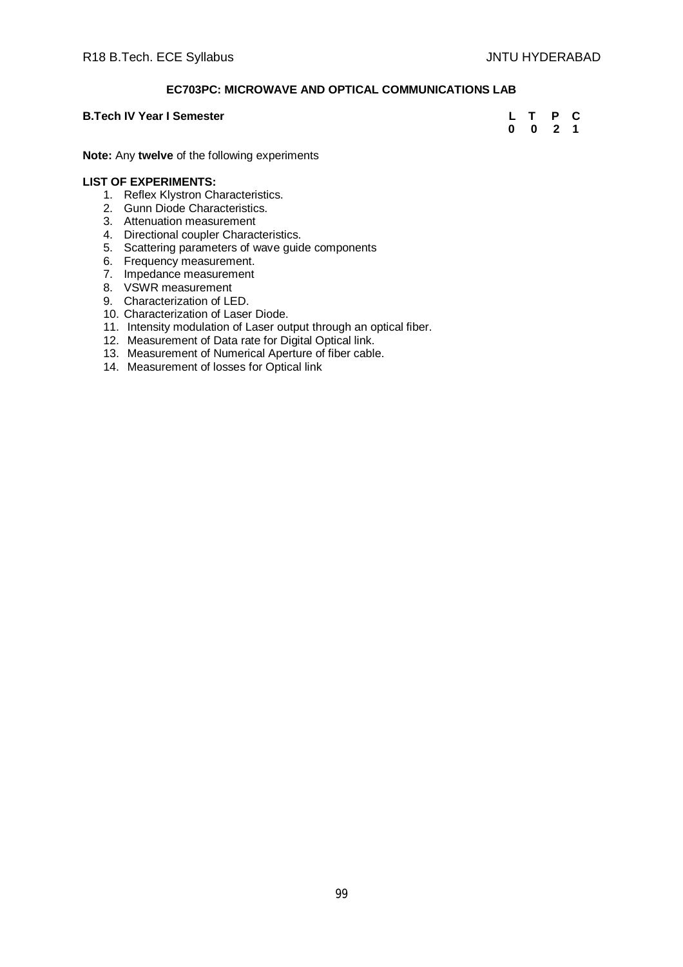# **EC703PC: MICROWAVE AND OPTICAL COMMUNICATIONS LAB**

## **B.Tech IV Year I Semester**

| <b>B.Tech IV Year I Semester</b> | L T P C |  |
|----------------------------------|---------|--|
|                                  | 0 0 2 1 |  |

**Note:** Any **twelve** of the following experiments

#### **LIST OF EXPERIMENTS:**

- 1. Reflex Klystron Characteristics.
- 2. Gunn Diode Characteristics.
- 3. Attenuation measurement
- 4. Directional coupler Characteristics.
- 5. Scattering parameters of wave guide components
- 6. Frequency measurement.
- 7. Impedance measurement
- 8. VSWR measurement
- 9. Characterization of LED.
- 10. Characterization of Laser Diode.
- 11. Intensity modulation of Laser output through an optical fiber.
- 12. Measurement of Data rate for Digital Optical link.
- 13. Measurement of Numerical Aperture of fiber cable.
- 14. Measurement of losses for Optical link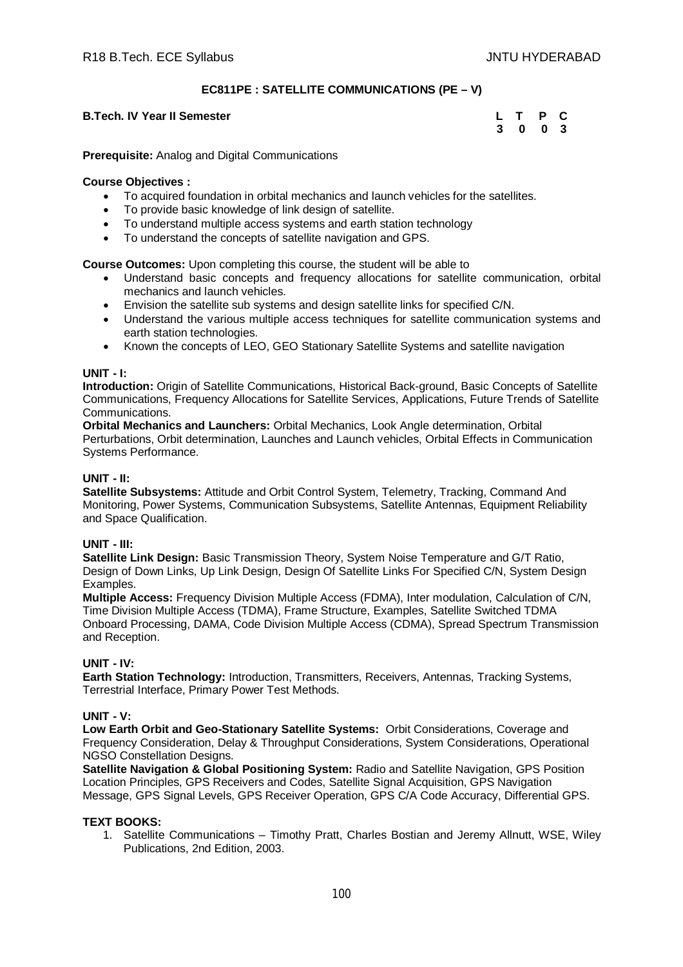# **EC811PE : SATELLITE COMMUNICATIONS (PE – V)**

# **B.Tech. IV Year II Semester**

| <b>Tech. IV Year II Semester</b> | L T P C |  |
|----------------------------------|---------|--|
|                                  | 3 0 0 3 |  |

**Prerequisite:** Analog and Digital Communications

#### **Course Objectives :**

- To acquired foundation in orbital mechanics and launch vehicles for the satellites.
- To provide basic knowledge of link design of satellite.
- To understand multiple access systems and earth station technology
- To understand the concepts of satellite navigation and GPS.

**Course Outcomes:** Upon completing this course, the student will be able to

- Understand basic concepts and frequency allocations for satellite communication, orbital mechanics and launch vehicles.
- Envision the satellite sub systems and design satellite links for specified C/N.
- Understand the various multiple access techniques for satellite communication systems and earth station technologies.
- Known the concepts of LEO, GEO Stationary Satellite Systems and satellite navigation

#### **UNIT - I:**

**Introduction:** Origin of Satellite Communications, Historical Back-ground, Basic Concepts of Satellite Communications, Frequency Allocations for Satellite Services, Applications, Future Trends of Satellite Communications.

**Orbital Mechanics and Launchers:** Orbital Mechanics, Look Angle determination, Orbital Perturbations, Orbit determination, Launches and Launch vehicles, Orbital Effects in Communication Systems Performance.

## **UNIT - II:**

**Satellite Subsystems:** Attitude and Orbit Control System, Telemetry, Tracking, Command And Monitoring, Power Systems, Communication Subsystems, Satellite Antennas, Equipment Reliability and Space Qualification.

#### **UNIT - III:**

**Satellite Link Design:** Basic Transmission Theory, System Noise Temperature and G/T Ratio, Design of Down Links, Up Link Design, Design Of Satellite Links For Specified C/N, System Design **Examples** 

**Multiple Access:** Frequency Division Multiple Access (FDMA), Inter modulation, Calculation of C/N, Time Division Multiple Access (TDMA), Frame Structure, Examples, Satellite Switched TDMA Onboard Processing, DAMA, Code Division Multiple Access (CDMA), Spread Spectrum Transmission and Reception.

#### **UNIT - IV:**

**Earth Station Technology:** Introduction, Transmitters, Receivers, Antennas, Tracking Systems, Terrestrial Interface, Primary Power Test Methods.

#### **UNIT - V:**

**Low Earth Orbit and Geo-Stationary Satellite Systems:** Orbit Considerations, Coverage and Frequency Consideration, Delay & Throughput Considerations, System Considerations, Operational NGSO Constellation Designs.

**Satellite Navigation & Global Positioning System:** Radio and Satellite Navigation, GPS Position Location Principles, GPS Receivers and Codes, Satellite Signal Acquisition, GPS Navigation Message, GPS Signal Levels, GPS Receiver Operation, GPS C/A Code Accuracy, Differential GPS.

# **TEXT BOOKS:**

1. Satellite Communications – Timothy Pratt, Charles Bostian and Jeremy Allnutt, WSE, Wiley Publications, 2nd Edition, 2003.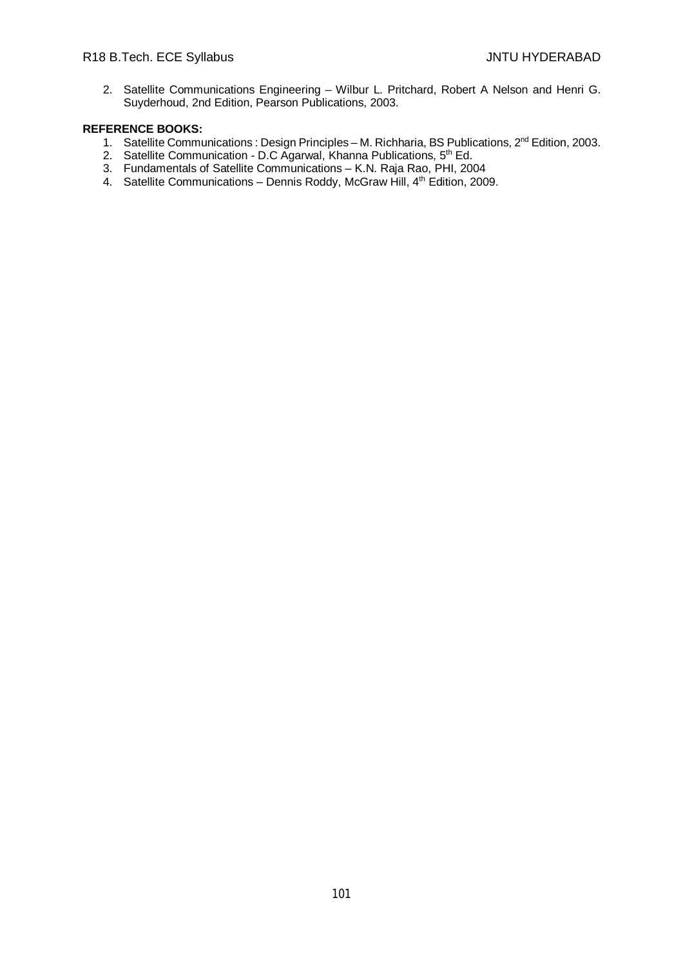2. Satellite Communications Engineering – Wilbur L. Pritchard, Robert A Nelson and Henri G. Suyderhoud, 2nd Edition, Pearson Publications, 2003.

- 1. Satellite Communications : Design Principles M. Richharia, BS Publications, 2<sup>nd</sup> Edition, 2003.
- 2. Satellite Communication D.C Agarwal, Khanna Publications, 5<sup>th</sup> Ed.
- 3. Fundamentals of Satellite Communications K.N. Raja Rao, PHI, 2004
- 4. Satellite Communications Dennis Roddy, McGraw Hill, 4<sup>th</sup> Edition, 2009.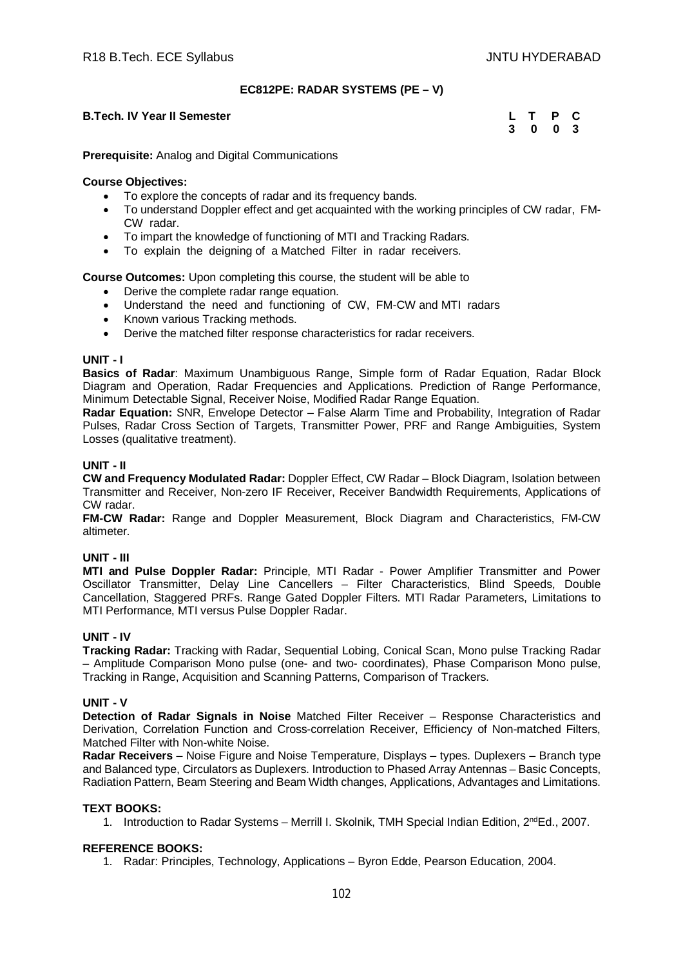#### **EC812PE: RADAR SYSTEMS (PE – V)**

#### **B.Tech. IV Year II Semester**

| <b>B.Tech. IV Year II Semester</b> | L T P C |  |
|------------------------------------|---------|--|
|                                    | 3 0 0 3 |  |

**Prerequisite:** Analog and Digital Communications

#### **Course Objectives:**

- To explore the concepts of radar and its frequency bands.
- To understand Doppler effect and get acquainted with the working principles of CW radar, FM-CW radar.
- To impart the knowledge of functioning of MTI and Tracking Radars.
- To explain the deigning of a Matched Filter in radar receivers.

**Course Outcomes:** Upon completing this course, the student will be able to

- Derive the complete radar range equation.
- Understand the need and functioning of CW, FM-CW and MTI radars
- Known various Tracking methods.
- Derive the matched filter response characteristics for radar receivers.

#### **UNIT - I**

**Basics of Radar**: Maximum Unambiguous Range, Simple form of Radar Equation, Radar Block Diagram and Operation, Radar Frequencies and Applications. Prediction of Range Performance, Minimum Detectable Signal, Receiver Noise, Modified Radar Range Equation.

**Radar Equation:** SNR, Envelope Detector – False Alarm Time and Probability, Integration of Radar Pulses, Radar Cross Section of Targets, Transmitter Power, PRF and Range Ambiguities, System Losses (qualitative treatment).

## **UNIT - II**

**CW and Frequency Modulated Radar:** Doppler Effect, CW Radar – Block Diagram, Isolation between Transmitter and Receiver, Non-zero IF Receiver, Receiver Bandwidth Requirements, Applications of CW radar.

**FM-CW Radar:** Range and Doppler Measurement, Block Diagram and Characteristics, FM-CW altimeter.

#### **UNIT - III**

**MTI and Pulse Doppler Radar:** Principle, MTI Radar - Power Amplifier Transmitter and Power Oscillator Transmitter, Delay Line Cancellers – Filter Characteristics, Blind Speeds, Double Cancellation, Staggered PRFs. Range Gated Doppler Filters. MTI Radar Parameters, Limitations to MTI Performance, MTI versus Pulse Doppler Radar.

#### **UNIT - IV**

**Tracking Radar:** Tracking with Radar, Sequential Lobing, Conical Scan, Mono pulse Tracking Radar – Amplitude Comparison Mono pulse (one- and two- coordinates), Phase Comparison Mono pulse, Tracking in Range, Acquisition and Scanning Patterns, Comparison of Trackers.

# **UNIT - V**

**Detection of Radar Signals in Noise** Matched Filter Receiver – Response Characteristics and Derivation, Correlation Function and Cross-correlation Receiver, Efficiency of Non-matched Filters, Matched Filter with Non-white Noise.

**Radar Receivers** – Noise Figure and Noise Temperature, Displays – types. Duplexers – Branch type and Balanced type, Circulators as Duplexers. Introduction to Phased Array Antennas – Basic Concepts, Radiation Pattern, Beam Steering and Beam Width changes, Applications, Advantages and Limitations.

#### **TEXT BOOKS:**

1. Introduction to Radar Systems – Merrill I. Skolnik, TMH Special Indian Edition, 2<sup>nd</sup>Ed., 2007.

## **REFERENCE BOOKS:**

1. Radar: Principles, Technology, Applications – Byron Edde, Pearson Education, 2004.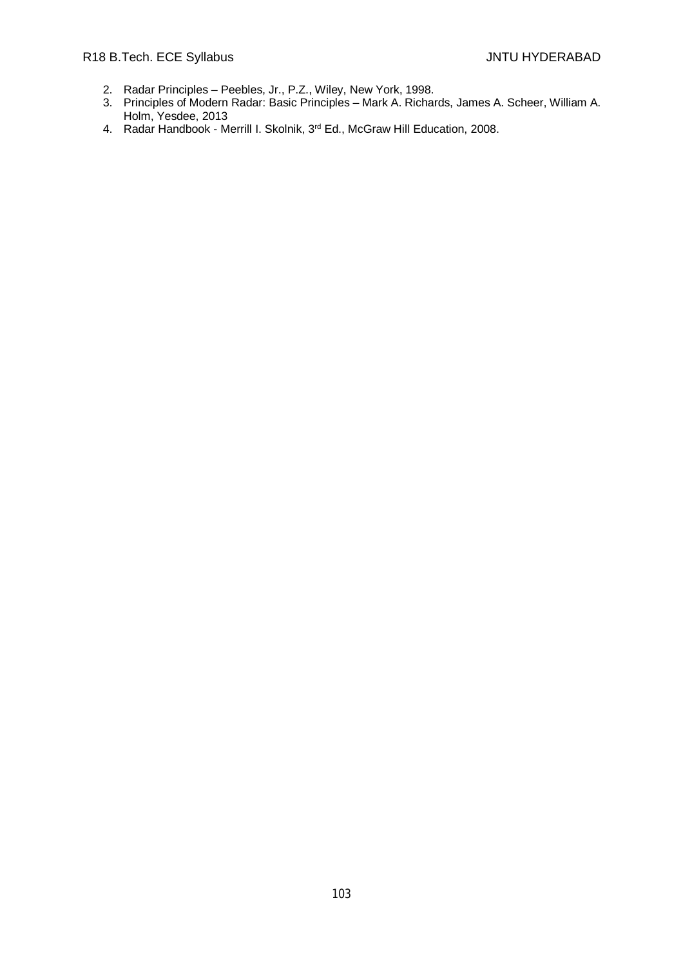- 2. Radar Principles Peebles, Jr., P.Z., Wiley, New York, 1998.
- 3. Principles of Modern Radar: Basic Principles Mark A. Richards, James A. Scheer, William A. Holm, Yesdee, 2013
- 4. Radar Handbook Merrill I. Skolnik, 3rd Ed., McGraw Hill Education, 2008.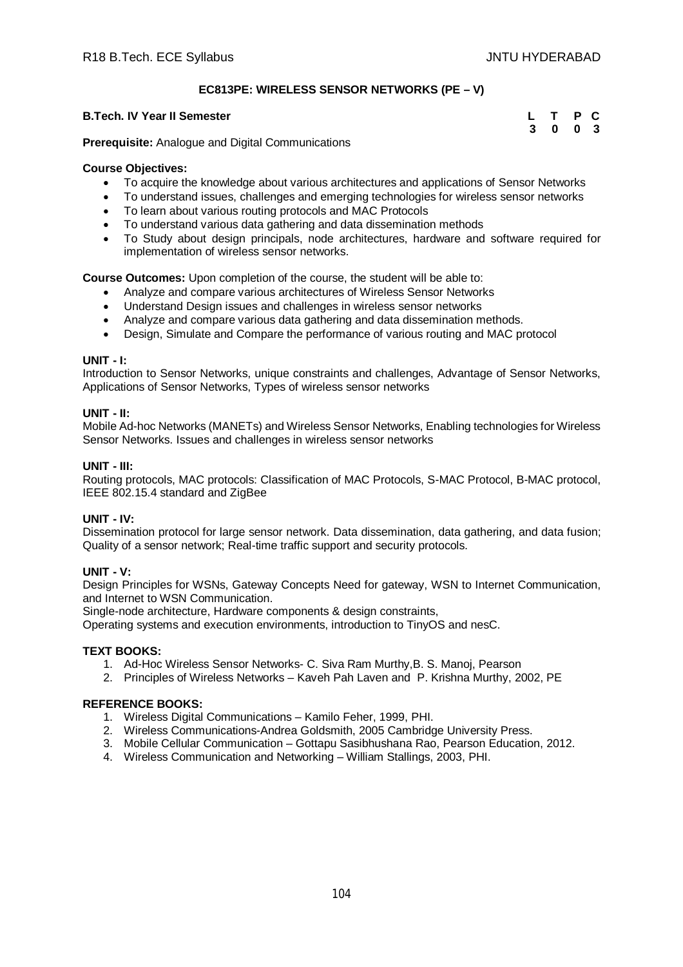# **EC813PE: WIRELESS SENSOR NETWORKS (PE – V)**

## **B.Tech. IV Year II Semester**

| <b>B.Tech. IV Year II Semester</b> | L T P C |  |
|------------------------------------|---------|--|
|                                    | 3 0 0 3 |  |

**Prerequisite:** Analogue and Digital Communications

## **Course Objectives:**

- To acquire the knowledge about various architectures and applications of Sensor Networks
- To understand issues, challenges and emerging technologies for wireless sensor networks
- To learn about various routing protocols and MAC Protocols
- To understand various data gathering and data dissemination methods
- To Study about design principals, node architectures, hardware and software required for implementation of wireless sensor networks.

**Course Outcomes:** Upon completion of the course, the student will be able to:

- Analyze and compare various architectures of Wireless Sensor Networks
- Understand Design issues and challenges in wireless sensor networks
- Analyze and compare various data gathering and data dissemination methods.
- Design, Simulate and Compare the performance of various routing and MAC protocol

## **UNIT - I:**

Introduction to Sensor Networks, unique constraints and challenges, Advantage of Sensor Networks, Applications of Sensor Networks, Types of wireless sensor networks

## **UNIT - II:**

Mobile Ad-hoc Networks (MANETs) and Wireless Sensor Networks, Enabling technologies for Wireless Sensor Networks. Issues and challenges in wireless sensor networks

## **UNIT - III:**

Routing protocols, MAC protocols: Classification of MAC Protocols, S-MAC Protocol, B-MAC protocol, IEEE 802.15.4 standard and ZigBee

#### **UNIT - IV:**

Dissemination protocol for large sensor network. Data dissemination, data gathering, and data fusion; Quality of a sensor network; Real-time traffic support and security protocols.

# **UNIT - V:**

Design Principles for WSNs, Gateway Concepts Need for gateway, WSN to Internet Communication, and Internet to WSN Communication.

Single-node architecture, Hardware components & design constraints,

Operating systems and execution environments, introduction to TinyOS and nesC.

# **TEXT BOOKS:**

- 1. Ad-Hoc Wireless Sensor Networks- C. Siva Ram Murthy,B. S. Manoj, Pearson
- 2. Principles of Wireless Networks Kaveh Pah Laven and P. Krishna Murthy, 2002, PE

- 1. Wireless Digital Communications Kamilo Feher, 1999, PHI.
- 2. Wireless Communications-Andrea Goldsmith, 2005 Cambridge University Press.
- 3. Mobile Cellular Communication Gottapu Sasibhushana Rao, Pearson Education, 2012.
- 4. Wireless Communication and Networking William Stallings, 2003, PHI.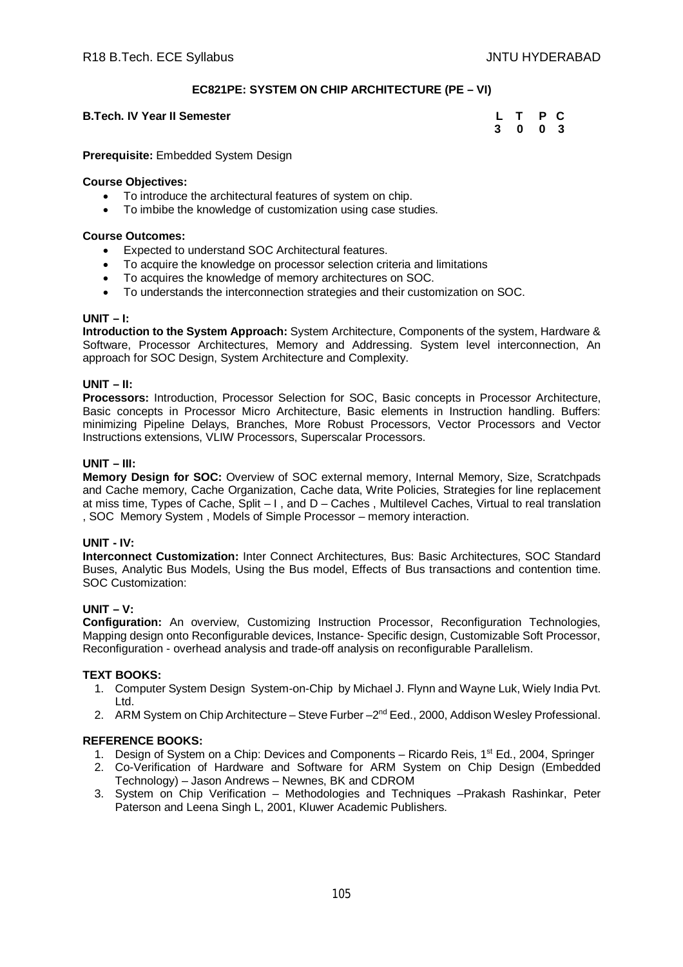# **EC821PE: SYSTEM ON CHIP ARCHITECTURE (PE – VI)**

# **B.Tech. IV Year II Semester**

| B.Tech. IV Year II Semester | L T P C |  |  |
|-----------------------------|---------|--|--|
|                             | 3 0 0 3 |  |  |

**Prerequisite:** Embedded System Design

## **Course Objectives:**

- To introduce the architectural features of system on chip.
- To imbibe the knowledge of customization using case studies.

#### **Course Outcomes:**

- Expected to understand SOC Architectural features.
- To acquire the knowledge on processor selection criteria and limitations
- To acquires the knowledge of memory architectures on SOC.
- To understands the interconnection strategies and their customization on SOC.

## **UNIT – I:**

**Introduction to the System Approach:** System Architecture, Components of the system, Hardware & Software, Processor Architectures, Memory and Addressing. System level interconnection, An approach for SOC Design, System Architecture and Complexity.

## **UNIT – II:**

**Processors:** Introduction, Processor Selection for SOC, Basic concepts in Processor Architecture, Basic concepts in Processor Micro Architecture, Basic elements in Instruction handling. Buffers: minimizing Pipeline Delays, Branches, More Robust Processors, Vector Processors and Vector Instructions extensions, VLIW Processors, Superscalar Processors.

## **UNIT – III:**

**Memory Design for SOC:** Overview of SOC external memory, Internal Memory, Size, Scratchpads and Cache memory, Cache Organization, Cache data, Write Policies, Strategies for line replacement at miss time, Types of Cache, Split – I , and D – Caches , Multilevel Caches, Virtual to real translation , SOC Memory System , Models of Simple Processor – memory interaction.

#### **UNIT - IV:**

**Interconnect Customization:** Inter Connect Architectures, Bus: Basic Architectures, SOC Standard Buses, Analytic Bus Models, Using the Bus model, Effects of Bus transactions and contention time. SOC Customization:

#### **UNIT – V:**

**Configuration:** An overview, Customizing Instruction Processor, Reconfiguration Technologies, Mapping design onto Reconfigurable devices, Instance- Specific design, Customizable Soft Processor, Reconfiguration - overhead analysis and trade-off analysis on reconfigurable Parallelism.

# **TEXT BOOKS:**

- 1. Computer System Design System-on-Chip by Michael J. Flynn and Wayne Luk, Wiely India Pvt. Ltd.
- 2. ARM System on Chip Architecture Steve Furber 2<sup>nd</sup> Eed., 2000, Addison Wesley Professional.

- 1. Design of System on a Chip: Devices and Components Ricardo Reis, 1<sup>st</sup> Ed., 2004, Springer
- 2. Co-Verification of Hardware and Software for ARM System on Chip Design (Embedded Technology) – Jason Andrews – Newnes, BK and CDROM
- 3. System on Chip Verification Methodologies and Techniques –Prakash Rashinkar, Peter Paterson and Leena Singh L, 2001, Kluwer Academic Publishers.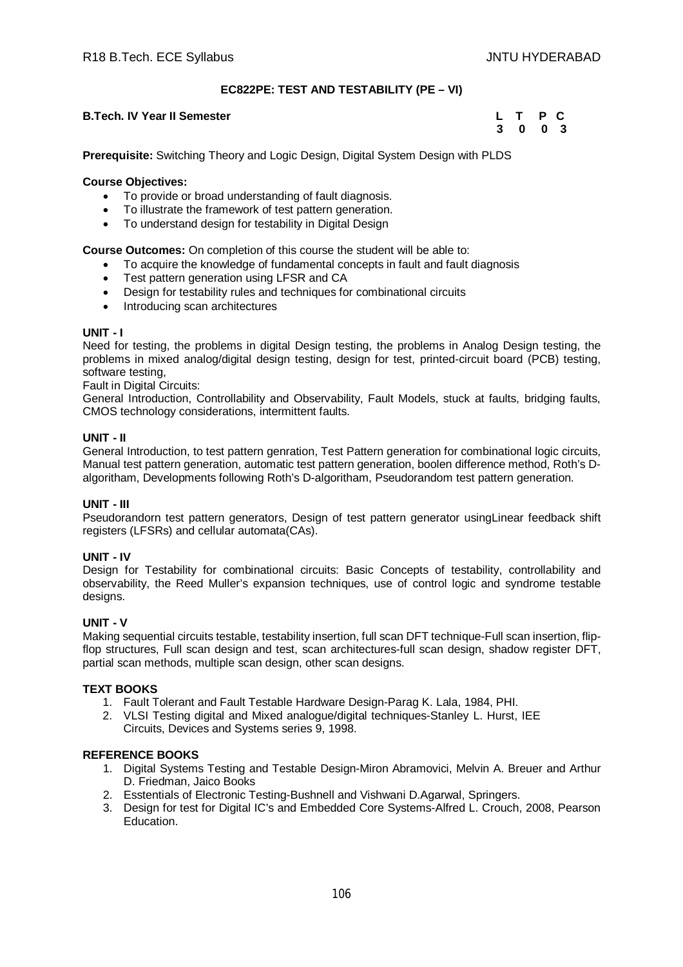# **EC822PE: TEST AND TESTABILITY (PE – VI)**

#### **B.Tech. IV Year II Semester**

| Tech. IV Year II Semester | L T P C |  |
|---------------------------|---------|--|
|                           | 3 0 0 3 |  |

**Prerequisite:** Switching Theory and Logic Design, Digital System Design with PLDS

## **Course Objectives:**

- To provide or broad understanding of fault diagnosis.
- To illustrate the framework of test pattern generation.
- To understand design for testability in Digital Design

**Course Outcomes:** On completion of this course the student will be able to:

- To acquire the knowledge of fundamental concepts in fault and fault diagnosis
- Test pattern generation using LFSR and CA
- Design for testability rules and techniques for combinational circuits
- Introducing scan architectures

## **UNIT - I**

Need for testing, the problems in digital Design testing, the problems in Analog Design testing, the problems in mixed analog/digital design testing, design for test, printed-circuit board (PCB) testing, software testing,

**Fault in Digital Circuits:** 

General Introduction, Controllability and Observability, Fault Models, stuck at faults, bridging faults, CMOS technology considerations, intermittent faults.

## **UNIT - II**

General Introduction, to test pattern genration, Test Pattern generation for combinational logic circuits, Manual test pattern generation, automatic test pattern generation, boolen difference method, Roth's Dalgoritham, Developments following Roth's D-algoritham, Pseudorandom test pattern generation.

# **UNIT - III**

Pseudorandorn test pattern generators, Design of test pattern generator usingLinear feedback shift registers (LFSRs) and cellular automata(CAs).

#### **UNIT - IV**

Design for Testability for combinational circuits: Basic Concepts of testability, controllability and observability, the Reed Muller's expansion techniques, use of control logic and syndrome testable designs.

## **UNIT - V**

Making sequential circuits testable, testability insertion, full scan DFT technique-Full scan insertion, flipflop structures, Full scan design and test, scan architectures-full scan design, shadow register DFT, partial scan methods, multiple scan design, other scan designs.

#### **TEXT BOOKS**

- 1. Fault Tolerant and Fault Testable Hardware Design-Parag K. Lala, 1984, PHI.
- 2. VLSI Testing digital and Mixed analogue/digital techniques-Stanley L. Hurst, IEE Circuits, Devices and Systems series 9, 1998.

- 1. Digital Systems Testing and Testable Design-Miron Abramovici, Melvin A. Breuer and Arthur D. Friedman, Jaico Books
- 2. Esstentials of Electronic Testing-Bushnell and Vishwani D.Agarwal, Springers.
- 3. Design for test for Digital IC's and Embedded Core Systems-Alfred L. Crouch, 2008, Pearson Education.